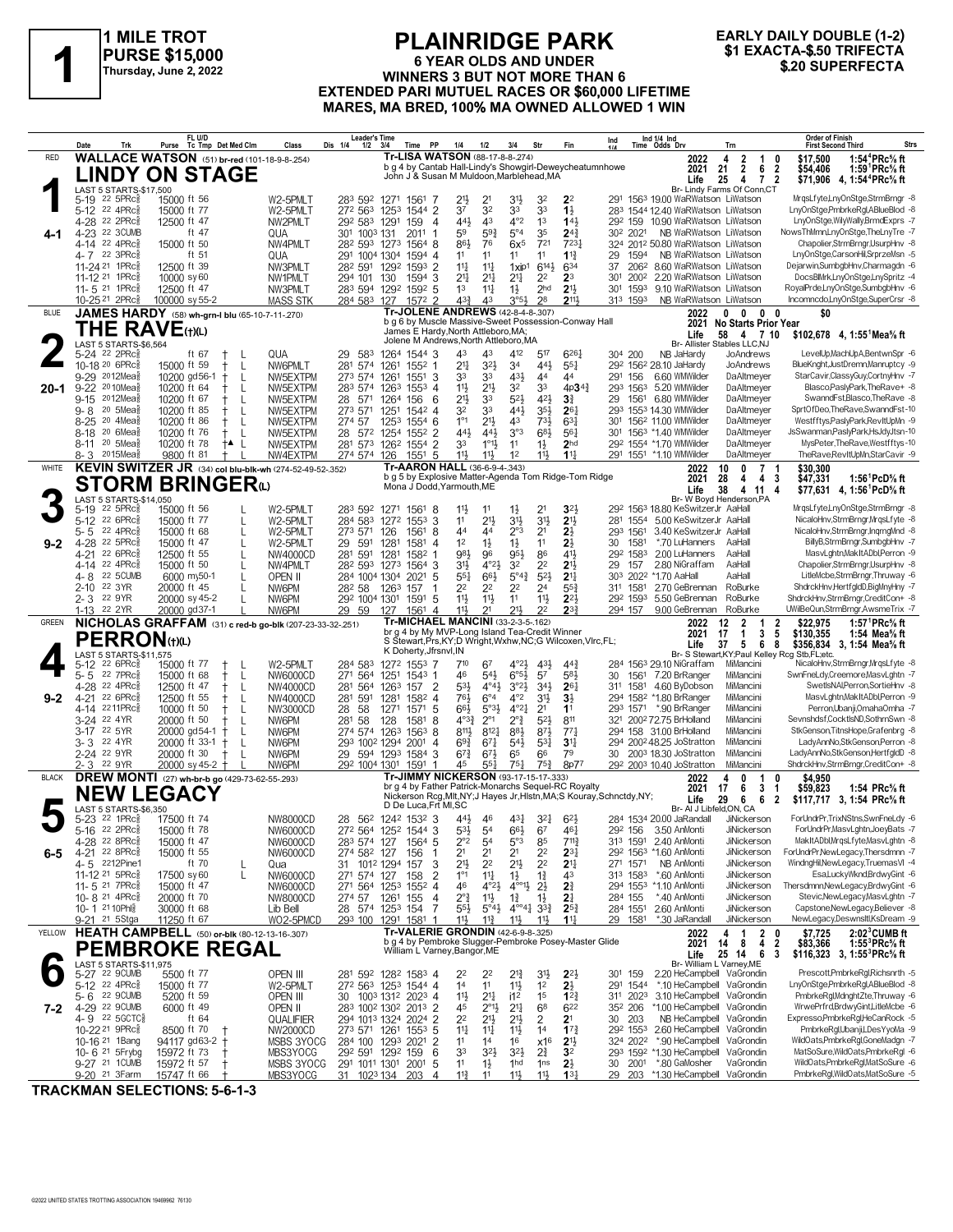

# **PLAINRIDGE PARK 6 YEAR OLDS AND UNDER PURSE \$15,000**<br>
Thursday, June 2, 2022<br>
Thursday, June 2, 2022<br>
EXTENDED BABLINUTIEL BACES OF \$60,000 LIFETIME<br>
EXTENDED BABLINUTIEL BACES OF \$60,000 LIFETIME **EXTENDED PARI MUTUEL RACES OR \$60,000 LIFETIME MARES, MA BRED, 100% MA OWNED ALLOWED 1 WIN**

# **EARLY DAILY DOUBLE (1-2)**

|              | Date<br>Trk                                                         | FL U/D<br>Purse<br>Tc Tmp Det Med Clm                      | Class                       | Leader's Time<br>Dis 1/4<br>1/2         | PP<br>3/4<br>Time                                                                                               | 1/4<br>1/2                                                           | 3/4                                     | Str                                                                                   | Fin                                | Ind                                                                    | Ind 1/4 Ind<br>Time Odds Drv                                      | Trn                                                          | <b>Order of Finish</b><br><b>First Second Third</b>                                                                         | Strs |
|--------------|---------------------------------------------------------------------|------------------------------------------------------------|-----------------------------|-----------------------------------------|-----------------------------------------------------------------------------------------------------------------|----------------------------------------------------------------------|-----------------------------------------|---------------------------------------------------------------------------------------|------------------------------------|------------------------------------------------------------------------|-------------------------------------------------------------------|--------------------------------------------------------------|-----------------------------------------------------------------------------------------------------------------------------|------|
| RED          |                                                                     | <b>WALLACE WATSON</b> (51) br-red (101-18-9-8-254)         |                             |                                         | <b>Tr-LISA WATSON (88-17-8-8-274)</b><br>b g 4 by Cantab Hall-Lindy's Showgirl-Deweycheatumnhowe                |                                                                      |                                         |                                                                                       |                                    |                                                                        | 2022                                                              | $\frac{2}{2}$<br>4<br>1                                      | 1:54 ${}^4$ PRc ${}^5\!$ ft<br>\$17,500<br>0                                                                                |      |
|              |                                                                     | LINDY ON STAGE                                             |                             |                                         | John J & Susan M Muldoon, Marblehead, MA                                                                        |                                                                      |                                         |                                                                                       |                                    |                                                                        | 2021<br>Life                                                      | 21<br>6<br>7 <sub>2</sub><br>25<br>4                         | 1:59 <sup>1</sup> PRc <sup>5</sup> / <sub>8</sub> ft<br>$\overline{2}$<br>\$54.406<br>\$71,906 4, 1:54 <sup>4</sup> PRc% ft |      |
|              | LAST 5 STARTS-\$17,500<br>5-19 22 5PRc <sup>3</sup>                 | 15000 ft 56                                                | W2-5PMLT                    |                                         | 283 592 1271 1561<br>-7                                                                                         | 21}<br>2 <sup>1</sup>                                                | 31}                                     | 32                                                                                    | 2 <sup>2</sup>                     |                                                                        | 291 1563 19.00 WaRWatson LiWatson                                 | Br- Lindy Farms Of Conn,CT                                   | MrgsLfyte,LnyOnStge,StrmBrngr -8                                                                                            |      |
|              | 5-12 22 4PRc                                                        | 15000 ft 77                                                | W2-5PMLT                    | 272 563                                 | 1253 1544 2                                                                                                     | 37<br>32                                                             | 33                                      | 33                                                                                    | $1\frac{1}{2}$                     |                                                                        | 283 1544 12.40 WaRWatson LiWatson                                 |                                                              | LnyOnStge,PmbrkeRgl,ABlueBlod -8                                                                                            |      |
| 4-1          | 4-28 <sup>22</sup> 2PRc<br>4-23 22 3CUMB                            | 12500 ft 47<br>ft 47                                       | NW2PMLT<br>QUA              | 292 583 1291<br>301 1003 131            | $\overline{4}$<br>159<br>2011<br>-1                                                                             | 441<br>4 <sup>3</sup><br>59<br>$59\frac{3}{4}$                       | 4°2<br>$5^{\circ}4$                     | 1 <sup>3</sup><br>35                                                                  | 143<br>$2^{4^3}$                   | 30 <sup>2</sup> 2021                                                   | 292 159 10.90 WaRWatson LiWatson<br>NB WaRWatson LiWatson         |                                                              | LnyOnStge, WilyWally, BrmdExprs -7<br>NowsThMmn,LnyOnStge,TheLnyTre -7                                                      |      |
|              | 4-14 22 4PRc                                                        | 15000 ft 50                                                | NW4PMLT                     |                                         | 28 <sup>2</sup> 593 1273 1564 8                                                                                 | 86}<br>76                                                            | 6x <sup>5</sup>                         | 721                                                                                   | 7231                               |                                                                        | 324 2012 50.80 WaRWatson LiWatson                                 |                                                              | Chapolier,StrmBrngr,UsurpHnv -8                                                                                             |      |
|              | 4-7 22 3PRc<br>11-24 <sup>21</sup> 1PRc                             | ft 51<br>12500 ft 39                                       | QUA<br>NW3PMLT              | 282 591                                 | 291 1004 1304 1594 4<br>1292 1593 2                                                                             | 11<br>11<br>$11\frac{1}{4}$<br>$11\frac{1}{4}$                       | 11<br>$1 \times 101$                    | 11<br>$6^{14}$                                                                        | $1^{13}$<br>634                    | 29<br>1594<br>37                                                       | NB WaRWatson LiWatson<br>206 <sup>2</sup> 8.60 WaRWatson LiWatson |                                                              | LnyOnStge,CarsonHil,SrprzeMsn -5<br>Dejarwin,SumbgbHnv,Charmagdn -6                                                         |      |
|              | 11-12 21 1PRc                                                       | 10000 sy 60                                                | NW1PMLT                     | 294 101 130                             | 1594 3                                                                                                          | 2 <sup>11</sup><br>$21\frac{1}{4}$                                   | 2 <sup>11</sup>                         | 2 <sup>2</sup>                                                                        | 2 <sup>3</sup>                     | 30 <sup>1</sup><br>2002                                                | 2.20 WaRWatson LiWatson                                           |                                                              | DocsBlMrk,LnyOnStge,LnySpritz -4                                                                                            |      |
|              | 11-5 21 1PRc<br>10-25 21 2PRc                                       | 12500 ft 47<br>100000 sy 55-2                              | NW3PMLT<br><b>MASS STK</b>  | 284 583 127                             | 283 594 1292 1592 5<br>1572 2                                                                                   | 1 <sup>3</sup><br>$11\frac{1}{4}$<br>433<br>43                       | $1\frac{1}{2}$<br>3°5}                  | 2 <sub>hd</sub><br>28                                                                 | 2 <sup>1</sup><br>211,             | 313 1593                                                               | 301 1593 9.10 WaRWatson LiWatson<br>NB WaRWatson LiWatson         |                                                              | RoyalPrde,LnyOnStge,SumbgbHnv -6<br>Incomncdo.LnvOnStge.SuperCrsr -8                                                        |      |
| BLUE         |                                                                     | JAMES HARDY (58) wh-grn-I blu (65-10-7-11-270)             |                             |                                         | Tr-JOLENE ANDREWS (42-8-4-8-.307)<br>b q 6 by Muscle Massive-Sweet Possession-Conway Hall                       |                                                                      |                                         |                                                                                       |                                    |                                                                        | 2022                                                              | $\mathbf 0$<br>$\mathbf 0$<br>$0\quad 0$                     | \$O                                                                                                                         |      |
|              | <b>THE RAVE(t)(L)</b>                                               |                                                            |                             |                                         | James E Hardy, North Attleboro, MA;                                                                             |                                                                      |                                         |                                                                                       |                                    |                                                                        | Life                                                              | 2021 No Starts Prior Year<br>58 4 7 10                       | \$102,678 4, 1:55 Mea % ft                                                                                                  |      |
|              | LAST 5 STARTS-\$6,564<br>5-24 22 2PRcs                              | ft $67$<br>L                                               | QUA                         | 29<br>583                               | Jolene M Andrews, North Attleboro, MA<br>1264 1544 3                                                            | 43<br>43                                                             | 412                                     | 517                                                                                   | 6261                               | 304 200                                                                | NB JaHardy                                                        | Br- Allister Stables LLC.NJ<br>JoAndrews                     | LevelUp,MachUpA,BentwnSpr -6                                                                                                |      |
|              | 10-18 20 6PRc3                                                      | 15000 ft 59<br>$^+$<br>L                                   | NW6PMLT                     | 574<br>281                              | 1261<br>1552 1                                                                                                  | 2 <sup>11</sup><br>$3^{2}\frac{1}{2}$                                | 34                                      | 443                                                                                   | $55\frac{1}{4}$                    |                                                                        | 292 1562 28.10 JaHardy                                            | JoAndrews                                                    | BlueKnght, JustDremn, Manruptcy -9                                                                                          |      |
| $20 - 1$     | 9-29 2012Mea<br>9-22 <sup>20</sup> 10 Mea                           | 10200 gd56-1<br>$^+$<br>L<br>10200 ft 64<br>L              | NW5EXTPM<br>NW5EXTPM        | 273 574<br>283 574                      | 1261<br>1551 3<br>1263<br>$155^3$ 4                                                                             | 33<br>33<br>11}<br>$21\frac{1}{2}$                                   | 431,<br>32                              | 4 <sup>4</sup><br>33                                                                  | 44<br>$4p34\frac{3}{4}$            | 291 156<br>293 1563                                                    | 6.60 WMWilder<br>5.20 WMWilder                                    | DaAltmeyer<br>DaAltmeyer                                     | StarCavir,ClassyGuy,CortnyHnv -7<br>Blasco, Pasly Park, The Rave+ -8                                                        |      |
|              | 2012Mea<br>9-15                                                     | 10200 ft 67<br>L                                           | NW5EXTPM                    | 28 571                                  | 1264 156<br>6                                                                                                   | $21\frac{1}{2}$<br>33                                                | $5^{2}$                                 | 42}                                                                                   | $3\frac{3}{4}$                     | 29                                                                     | 1561 6.80 WMWilder                                                | DaAltmeyer                                                   | SwanndFst,Blasco,TheRave -8                                                                                                 |      |
|              | 20 5Mea<br>9-8<br>8-25 <sup>20</sup> 4Mea <sup>5</sup>              | 10200 ft 85<br>$^{+}$<br>L<br>10200 ft 86<br>-L<br>$^+$    | NW5EXTPM<br>NW5EXTPM        | 273 571<br>274 57                       | 1251<br>1542 4<br>1253 1554 6                                                                                   | 33<br>32<br>1°1<br>$21\frac{1}{2}$                                   | 441<br>43                               | $35\frac{1}{2}$<br>$73\frac{1}{2}$                                                    | $26\frac{1}{4}$<br>$63\frac{1}{4}$ |                                                                        | 293 1553 14.30 WMWilder<br>301 1562 11.00 WMWilder                | DaAltmeyer<br>DaAltmeyer                                     | SprtOfDeo,TheRave,SwanndFst-10<br>Westfftys,PaslyPark,RevItUpMn -9                                                          |      |
|              | 8-18 <sup>20</sup> 6Mea                                             | 10200 ft 76<br>$^+$<br>L                                   | NW5EXTPM                    |                                         | 28 572 1254 1552<br>$\overline{2}$                                                                              | 441<br>443                                                           | 3°3                                     | 683                                                                                   | $56\frac{1}{4}$                    |                                                                        | 301 1563 *1.40 WMWilder                                           | DaAltmeyer                                                   | JsSwanman,PaslyPark,HsJdyJtsn-10                                                                                            |      |
|              | 8-11 <sup>20</sup> 5Mea<br>8-3 2015Mea                              | 10200 ft 78<br>L<br>$+ \blacktriangle$<br>9800 ft 81       | NW5EXTPM<br>NW4EXTPM        | 281 573<br>274 574                      | 1262 1554<br>$\overline{2}$<br>126<br>1551 5                                                                    | 33<br>$1^{\circ}1\frac{1}{2}$<br>11}<br>11}                          | 11<br>1 <sup>2</sup>                    | $1\frac{1}{2}$<br>11}                                                                 | 2 <sub>hd</sub><br>$11\frac{1}{4}$ |                                                                        | 292 1554 *1.70 WMWilder<br>291 1551 *1.10 WMWilder                | DaAltmeyer<br>DaAltmeyer                                     | MysPeter, TheRave, Westfftys-10<br>TheRave,RevItUpMn,StarCavir -9                                                           |      |
| WHITE        |                                                                     | KEVIN SWITZER JR (34) col blu-blk-wh (274-52-49-52-.352)   |                             |                                         | Tr-AARON HALL (36-6-9-4-.343)<br>b g 5 by Explosive Matter-Agenda Tom Ridge-Tom Ridge                           |                                                                      |                                         |                                                                                       |                                    |                                                                        | 2022                                                              | 7 <sub>1</sub><br>10<br>0                                    | \$30,300                                                                                                                    |      |
|              |                                                                     | <b>STORM BRINGER</b>                                       |                             |                                         | Mona J Dodd, Yarmouth, ME                                                                                       |                                                                      |                                         |                                                                                       |                                    |                                                                        | 2021<br>Life                                                      | 28<br>4<br>$\overline{4}$<br>38<br>4 11                      | -3<br>\$47,331<br>1:56 <sup>1</sup> PcD% ft<br>\$77.631 4.1:56 PcD % ft<br>-4                                               |      |
|              | LAST 5 STARTS-\$14,050<br>$22$ 5PR $c_{8}$<br>$5 - 19$              | 15000 ft 56                                                | W2-5PMLT                    | 283 592 1271                            | 1561<br>-8                                                                                                      | 11,<br>11                                                            | $1\frac{1}{2}$                          | 2 <sup>1</sup>                                                                        | 3 <sup>2</sup>                     |                                                                        | 292 1563 18.80 KeSwitzerJr AaHall                                 | Br- W Boyd Henderson, PA                                     | MrgsLfyte,LnyOnStge,StrmBrngr -8                                                                                            |      |
|              | 5-12 <sup>22</sup> 6PRc                                             | 15000 ft 77<br>L                                           | W2-5PMLT                    | 284 583                                 | 1272 1553 3                                                                                                     | 11<br>21}                                                            | 3 <sup>1</sup>                          | 3 <sup>1</sup>                                                                        | 2 <sup>11</sup>                    |                                                                        | 281 1554 5.00 KeSwitzerJr AaHall                                  |                                                              | NicaloHnv,StrmBrngr,MrgsLfyte -8                                                                                            |      |
| $9 - 2$      | 22 4PRc<br>5-5<br>4-28 22 5PRc                                      | 15000 ft 68<br>$\mathbf{I}$<br>15000 ft 47<br>L            | W2-5PMLT<br>W2-5PMLT        | 273 571<br>591<br>29                    | 126<br>1561 8<br>1281<br>1581<br>$\Delta$                                                                       | 44<br>44<br>1 <sup>2</sup><br>$1\frac{1}{2}$                         | $2^{\circ}3$<br>$1\frac{1}{2}$          | 2 <sup>1</sup><br>11                                                                  | $2\frac{1}{2}$<br>$2\frac{1}{2}$   | 293 1561<br>1581<br>30                                                 | 3.40 KeSwitzerJr AaHall<br>*.70 LuHanners                         | AaHall                                                       | NicaloHnv,StrmBrngr,InqrngMnd -8<br>BillvB.StrmBrnar.SumbabHnv -7                                                           |      |
|              | 22 6PRc<br>4-21                                                     | 12500 ft 55<br>L                                           | NW4000CD                    | 281 591                                 | 1281<br>1582                                                                                                    | 981<br>96                                                            | 95}                                     | 86                                                                                    | 41}                                | 292 1583                                                               | 2.00 LuHanners                                                    | AaHall                                                       | MasvLghtn, MakItADbl, Perron -9                                                                                             |      |
|              | 22 4PRc3<br>4-14<br><b>22 5CUMB</b><br>4- 8                         | 15000 ft 50<br>$\mathbf{I}$<br>6000 my50-1<br>$\mathbf{I}$ | NW4PMLT<br>OPEN II          |                                         | 28 <sup>2</sup> 593 1273 1564 3<br>284 1004 1304 2021 5                                                         | 31}<br>$4^{\circ}23$<br>66}<br>$55\frac{1}{4}$                       | 32<br>$5^{\circ}4^{\frac{3}{4}}$        | 2 <sup>2</sup><br>$5^{2}$                                                             | 213<br>2 <sup>11</sup>             | 29<br>157<br>303 2022 *1.70 AaHall                                     | 2.80 NiGraffam                                                    | AaHall<br>AaHall                                             | Chapolier,StrmBrngr,UsurpHnv -8<br>LitleMcbe,StrmBrngr,Thruway -6                                                           |      |
|              | 2-10 22 3YR                                                         | 20000 ft 45<br>$\mathbf{I}$                                | NW6PM                       | 28 <sup>2</sup> 58 126 <sup>3</sup> 157 |                                                                                                                 | 2 <sup>2</sup><br>22                                                 | 2 <sup>2</sup>                          | 24                                                                                    | $55\frac{3}{4}$                    | 311 1581                                                               | 2.70 GeBrennan                                                    | RoBurke                                                      | ShdrckHnv,HertfgldD,BigMnyHny -7                                                                                            |      |
|              | 2-3 22 9YR<br>1-13 <sup>22</sup> 2YR                                | 20000 sy 45-2<br>20000 gd37-1                              | NW6PM<br>NW6PM              | 292 1004 1301<br>29 59                  | 1591 5<br>127<br>1561<br>4                                                                                      | 11}<br>$11\frac{1}{2}$<br>11}<br>2 <sup>1</sup>                      | 11<br>21,                               | 11<br>2 <sup>2</sup>                                                                  | $2^{21}$<br>$2^{3}$                | 292 1593<br>294 157                                                    | 5.50 GeBrennan<br>9.00 GeBrennan                                  | RoBurke<br>RoBurke                                           | ShdrckHnv,StrmBrngr,CreditCon+ -8<br>UWilBeQun,StrmBrngr,AwsmeTrix -7                                                       |      |
| GREEN        |                                                                     | NICHOLAS GRAFFAM (31) c red-b go-blk (207-23-33-32-.251)   |                             |                                         | Tr-MICHAEL MANCINI (33-2-3-5-162)                                                                               |                                                                      |                                         |                                                                                       |                                    |                                                                        | 2022                                                              | $\overline{2}$<br>12<br>-1                                   | \$22,975<br>1:57 ${}^1$ PRc ${}^5\!$ ft<br>2                                                                                |      |
|              | <b>PERRON(t)(L)</b>                                                 |                                                            |                             |                                         | br g 4 by My MVP-Long Island Tea-Credit Winner<br>S Stewart, Prs, KY; D Wright, Wxhw, NC; G Wilcoxen, Vlrc, FL; |                                                                      |                                         |                                                                                       |                                    |                                                                        | 2021<br>Life                                                      | 3<br>17<br>1<br>5<br>37<br>6                                 | 5<br>\$130,355<br>1:54 Mea $\%$ ft<br>8<br>\$356,834 3, 1:54 Mea% ft                                                        |      |
|              | LAST 5 STARTS-\$11,575<br>5-12 22 6PRc <sup>5</sup>                 | 15000 ft 77<br>$\pm$<br>-L                                 | W2-5PMLT                    |                                         | K Doherty, Jfrsnvl, IN<br>284 583 1272 1553 7                                                                   | 710<br>67                                                            | $4^{\circ}2\frac{1}{2}$                 | 43}                                                                                   | $44\frac{3}{4}$                    |                                                                        | 284 1563 29.10 NiGraffam                                          | MiMancini                                                    | Br- S Stewart, KY; Paul Kelley Rcg Stb, FL; etc.<br>NicaloHnv,StrmBrngr,MrgsLfyte -8                                        |      |
|              | 22 7PRc<br>$5 - 5$                                                  | 15000 ft 68<br>$^+$<br>L                                   | NW6000CD                    | 271<br>564                              | 1251<br>1543 1                                                                                                  | 46<br>$5^{41}$                                                       | $6^{o51}$                               | 57                                                                                    | 583                                | 30                                                                     | 1561 7.20 BrRanger                                                | MiMancini                                                    | SwnFneLdy,Creemore,MasvLghtn -7                                                                                             |      |
| $9-2$        | 4-28 22 4PRc<br>22 6PRc<br>4-21                                     | 12500 ft 47<br>$^+$<br>L<br>12500 ft 55<br>L               | <b>NW4000CD</b><br>NW4000CD | 564<br>281<br>591<br>281                | $\overline{2}$<br>1263<br>157<br>1281<br>1582 4                                                                 | $4^{\circ}41$<br>53}<br>$6^{\circ}4$<br>76}                          | 3°21<br>$4^{\circ}2$                    | $34\frac{1}{2}$<br>3 <sup>1</sup>                                                     | $26\frac{1}{4}$<br>$3\frac{1}{2}$  | 311 1581                                                               | 4.60 ByDobson<br>294 1582 *1.80 BrRanger                          | MiMancini<br>MiMancini                                       | SwetIsNAI, Perron, SortieHnv -8<br>MasvLghtn, MakItADbl, Perron -9                                                          |      |
|              | 4-14 2211PRc                                                        | 10000 ft 50<br>$^{+}$<br>L                                 | NW3000CD                    | 28<br>58                                | 1271<br>1571 5                                                                                                  | 66}<br>$5°3\frac{1}{2}$                                              | $4^{\circ}2\frac{1}{4}$                 | 2 <sup>1</sup>                                                                        | 1 <sup>1</sup>                     |                                                                        | 293 1571 *.90 BrRanger                                            | MiMancini                                                    | Perron, Ubanji, Omaha Omha - 7                                                                                              |      |
|              | 3-24 22 4YR<br>3-17 22 5YR                                          | 20000 ft 50<br>-L<br>$^{+}$<br>20000 gd54-1 +<br>L         | NW6PM<br>NW6PM              | 58<br>281                               | 128<br>1581<br>-8<br>274 574 1263 1563 8                                                                        | $4^{0.33}$<br>$2^{\circ}1$<br>8113<br>$8^{12}$                       | $2^{\circ}\frac{3}{4}$<br>883           | $5^{2}$<br>$8^{7}\frac{1}{2}$                                                         | 811<br>77 <sup>1</sup>             |                                                                        | 321 2002 72.75 BrHolland<br>294 158 31.00 BrHolland               | MiMancini<br>MiMancini                                       | Sevnshdsf,CocktlsND,SothrnSwn -8<br>StkGenson, TitnsHope, Grafenbrg -8                                                      |      |
|              | 3-3 22 4YR<br>2-24 22 9YR                                           | 20000 ft 33-1<br>$\ddagger$<br>L                           | NW6PM                       |                                         | 293 1002 1294 2001<br>4                                                                                         | $69\frac{3}{4}$<br>$67\frac{1}{4}$                                   | $54\frac{1}{2}$                         | $5^{3}$                                                                               | 3 <sup>11</sup><br>79              |                                                                        | 294 2002 48.25 JoStratton                                         | MiMancini<br>MiMancini                                       | LadyAnnNo,StkGenson,Perron -8<br>LadyAnnNo,StkGenson,HertfgldD -8                                                           |      |
|              | 2-3 22 9YR                                                          | 20000 ft 30<br>-L<br>$+$<br>20000 sy 45-2 +                | NW6PM<br>NW6PM              | 292 1004 1301                           | 29 594 1293 1584 3<br>1591                                                                                      | $67\frac{1}{2}$<br>$6^{7}\frac{3}{4}$<br>45<br>$55\frac{1}{4}$       | 65<br>$75\frac{1}{4}$                   | 66<br>$75\frac{3}{4}$                                                                 | 8p77                               |                                                                        | 30 2003 18.30 JoStratton<br>292 2003 10.40 JoStratton             | MiMancini                                                    | ShdrckHnv,StrmBrngr,CreditCon+ -8                                                                                           |      |
| <b>BLACK</b> |                                                                     | <b>DREW MONTI</b> (27) wh-br-b go (429-73-62-55-293)       |                             |                                         | Tr-JIMMY NICKERSON (93-17-15-17-333)<br>br g 4 by Father Patrick-Monarchs Sequel-RC Royalty                     |                                                                      |                                         |                                                                                       |                                    |                                                                        | 2022<br>2021                                                      | 0<br>4<br>-1<br>3<br>17<br>6                                 | \$4.950<br>0<br>\$59,823<br>1:54 PRc% ft<br>1                                                                               |      |
|              | <b>NEW LEGACY</b>                                                   |                                                            |                             |                                         | D De Luca.Frt MI.SC                                                                                             |                                                                      |                                         |                                                                                       |                                    | Nickerson Rcg, Mlt, NY; J Hayes Jr, Histn, MA; S Kouray, Schnctdy, NY; | Life                                                              | 6<br>29<br>6                                                 | $\overline{2}$<br>\$117,717 3, 1:54 PRc% ft                                                                                 |      |
|              | LAST 5 STARTS-\$6,350<br>5-23 22 1PRc <sup>5</sup>                  | 17500 ft 74                                                | <b>NW8000CD</b>             |                                         | 28 562 1242 1532 3                                                                                              | 443<br>46                                                            | 431                                     | $3^{21}$                                                                              | 623                                |                                                                        | Br- AI J Libfeld, ON, CA<br>284 1534 20.00 JaRandall              | <b>JiNickerson</b>                                           | ForUndrPr,TrixNStns,SwnFneLdy -6                                                                                            |      |
|              | $5 - 16$<br>$22$ 2PR $c_{8}^{5}$<br>4-28 22 8PRc <sup>3</sup>       | 15000 ft 78<br>15000 ft 47                                 | <b>NW6000CD</b><br>NW6000CD | 283 574 127                             | 272 564 1252 1544 3<br>1564 5                                                                                   | $5^{31}$<br>54<br>2°2<br>54                                          | $66\frac{1}{2}$<br>5°3                  | 6 <sup>7</sup><br>85                                                                  | 461<br>$7^{11}\frac{3}{4}$         | 292 156                                                                | 3.50 AnMonti<br>313 1591 2.40 AnMonti                             | JiNickerson<br>JiNickerson                                   | ForUndrPr,MasvLghtn,JoeyBats -7<br>MakItADbl, MrqsLfyte, MasvLghtn -8                                                       |      |
| 6-5          | 4-21 22 8PRc <sup>5</sup>                                           | 15000 ft 55                                                | NW6000CD                    | 274 582 127                             | 156                                                                                                             | 2 <sup>1</sup><br>2 <sup>1</sup>                                     | 2 <sup>1</sup>                          | 2 <sup>2</sup>                                                                        | $2^{3}$                            | 292 1563 *1.60 AnMonti                                                 |                                                                   | JiNickerson                                                  | ForUndrPr,NewLegacy,Thersdmnn -7                                                                                            |      |
|              | 4-5 2212Pine1<br>11-12 <sup>21</sup> 5PRc $\frac{5}{8}$             | ft 70<br>L<br>17500 sy 60<br>L                             | Qua<br>NW6000CD             | 31.<br>271 574 127                      | 1012 1294 157<br>3<br>$\overline{2}$<br>158                                                                     | 2 <sup>11</sup><br>2 <sup>2</sup><br>$1^{\circ}1$<br>$11\frac{1}{4}$ | $21\frac{1}{2}$<br>$1\frac{1}{2}$       | 2 <sup>2</sup><br>$1\frac{3}{4}$                                                      | 2 <sup>11</sup><br>43              | 271 1571<br>313 1583                                                   | NB AnMonti<br>*.60 AnMonti                                        | JiNickerson<br>JiNickerson                                   | WindngHil,NewLegacy,TruemasVI -4<br>Esa,LuckyWknd,BrdwyGint -6                                                              |      |
|              | 11-5 21 7PRc3                                                       | 15000 ft 47                                                | <b>NW6000CD</b>             |                                         | 271 564 1253 1552 4                                                                                             | 46<br>$4^{\circ}2\frac{1}{2}$                                        | $4^{\circ}$ <sup>1</sup> / <sub>2</sub> | $2\frac{1}{2}$                                                                        | 2 <sup>3</sup>                     |                                                                        | 294 1553 *1.10 AnMonti                                            | JiNickerson                                                  | Thersdmnn, New Legacy, Brdwy Gint -6                                                                                        |      |
|              | 10-8 <sup>21</sup> 4PRc <sup>5</sup><br>10-1 21 10Phl}              | 20000 ft 70<br>30000 ft 68                                 | <b>NW8000CD</b><br>Lib Bell | 274 57                                  | 1261 155<br>$\overline{4}$<br>28 574 1253 154<br>7                                                              | $2^{\circ}$ $\frac{3}{4}$<br>11号<br>55}<br>$5^{\circ}4\frac{1}{2}$   | $1\frac{3}{4}$                          | $1\frac{1}{2}$<br>$4^{\circ}\phantom{0}4^{\frac{1}{4}}$ 3 <sup>3</sup> / <sub>4</sub> | 2 <sup>1</sup><br>$2^{52}$         | 284 155<br>284 1551                                                    | *.40 AnMonti<br>2.60 AnMonti                                      | JiNickerson<br>JiNickerson                                   | Stevic, New Legacy, MasvLghtn -7<br>Capstone, New Legacy, Believer -8                                                       |      |
|              | 9-21 <sup>21</sup> 5Stga                                            | 11250 ft 67                                                | WO2-5PMCD                   |                                         | 293 100 1291 1581<br>$\overline{1}$                                                                             | $11\frac{1}{2}$<br>$11\frac{3}{4}$                                   | $11\frac{1}{2}$                         | 11支                                                                                   | $11\frac{1}{4}$                    | 29 1581                                                                | *.30 JaRandall                                                    | JiNickerson                                                  | NewLegacy,Deswnsltl,KsDream -9                                                                                              |      |
| YELLOW       |                                                                     | <b>HEATH CAMPBELL</b> (50) or-blk (80-12-13-16-.307)       |                             |                                         | Tr-VALERIE GRONDIN (42-6-9-8-.325)<br>b g 4 by Pembroke Slugger-Pembroke Posey-Master Glide                     |                                                                      |                                         |                                                                                       |                                    |                                                                        | 2022<br>2021                                                      | $2 \quad 0$<br>$\overline{1}$<br>4<br>$\overline{4}$<br>14 8 | $2:023$ CUMB ft<br>\$7,725<br>$\overline{2}$<br>1:55 <sup>3</sup> PRc <sup>5</sup> / <sub>8</sub> ft<br>\$83,366            |      |
|              |                                                                     | <b>PEMBROKE REGAL</b>                                      |                             |                                         | William L Varney, Bangor, ME                                                                                    |                                                                      |                                         |                                                                                       |                                    |                                                                        | Life                                                              | 25 14 6                                                      | - 3<br>\$116,323 3, 1:55 <sup>3</sup> PRc <sup>5</sup> / <sub>8</sub> ft                                                    |      |
|              | LAST 5 STARTS-\$11,975<br>5-27 22 9CUMB                             | 5500 ft 77                                                 | open III                    |                                         | 281 592 1282 1583 4                                                                                             | 22<br>22                                                             | $2^{13}$                                | 3 <sup>1</sup>                                                                        | $2^{21}$                           | 301 159                                                                | 2.20 HeCampbell VaGrondin                                         | Br- William L Varney, ME                                     | Prescott,PmbrkeRgl,Richsnrth -5                                                                                             |      |
|              | 5-12 22 4PRcs<br>5-6 22 9CUMB                                       | 15000 ft 77<br>5200 ft 59                                  | W2-5PMLT<br>open III        | 30                                      | 272 563 1253 1544 4<br>1003 1312 2023 4                                                                         | 14<br>11<br>$11\frac{1}{2}$<br>$2^{11}$                              | $11\frac{1}{2}$<br>i1 <sup>2</sup>      | 1 <sup>2</sup><br>1 <sup>5</sup>                                                      | $2\frac{1}{2}$<br>$1^{22}$         | 291 1544<br>311 2023                                                   | *.10 HeCampbell VaGrondin<br>3.10 HeCampbell VaGrondin            |                                                              | LnyOnStge,PmbrkeRgl,ABlueBlod -8<br>PmbrkeRgl,MdnghtZte,Thruway -6                                                          |      |
| 7-2          | 4-29 22 9CUMB                                                       | 6000 ft 49                                                 | OPEN II                     |                                         | 283 1002 1302 2013 2                                                                                            | 45<br>$2^{\circ}1\frac{1}{2}$                                        | 2 <sup>11</sup>                         | 6 <sup>8</sup>                                                                        | 622                                | 352 206                                                                | *1.00 HeCampbell VaGrondin                                        |                                                              | WrwePrfrd,BrdwyGint,LitleMcbe -6                                                                                            |      |
|              | 4-9 22 5 GCTC <sup>3</sup><br>10-22 <sup>21</sup> 9PRc <sup>3</sup> | ft 64<br>8500 ft 70                                        | QUALIFIER<br>NW2000CD       |                                         | 294 1013 1324 2024 2<br>273 571 1261 1553 5                                                                     | 2 <sup>2</sup><br>$21\frac{1}{2}$<br>$11\frac{1}{4}$<br>11           | 213<br>11                               | 2<br>1 <sup>4</sup>                                                                   | 2 <sup>1</sup><br>$17\frac{3}{4}$  | 30 203<br>292 1553                                                     | NB HeCampbell VaGrondin<br>2.60 HeCampbell VaGrondin              |                                                              | Expresso, PmbrkeRgI, HeCanRock -5<br>PmbrkeRgl,Ubanji,LDesYyoMa -9                                                          |      |
|              | 10-16 <sup>21</sup> 1Bang                                           | 94117 gd63-2<br>$\pm$                                      | MSBS 3YOCG                  |                                         | 284 100 1293 2021 2                                                                                             | 11<br>14                                                             | 16                                      | x16                                                                                   | 2 <sup>11</sup>                    | 324 2022                                                               | *.90 HeCampbell VaGrondin                                         |                                                              | WildOats,PmbrkeRgl,GoneMadgn -7                                                                                             |      |
|              | 10-6 <sup>21</sup> 5 Frybg<br>9-27 21 1 CUMB                        | 15972 ft 73<br>15972 ft 57<br>$^+$                         | MBS3YOCG<br>MSBS 3YOCG      |                                         | 292 591 1292 159<br>6<br>291 1011 1301 2001 5                                                                   | 33<br>$3^{2}$<br>1 <sup>1</sup><br>$1\frac{1}{2}$                    | $3^{21}$<br>1hd                         | $2^{3}_{4}$<br>1 <sub>ns</sub>                                                        | 3 <sup>2</sup><br>$2\frac{1}{2}$   | 30<br>2001                                                             | 293 1592 *1.30 HeCampbell VaGrondin<br>*.80 GaMosher              | VaGrondin                                                    | MatSoSure, WildOats, PmbrkeRgI -6<br>WildOats,PmbrkeRgl,MatSoSure -6                                                        |      |
|              | 9-20 <sup>21</sup> 3Farm                                            | 15747 ft 66                                                | MBS3YOCG                    | 31                                      | 1023 134 203 4                                                                                                  | $11\frac{3}{4}$<br>11                                                | $11\frac{1}{2}$                         | 11                                                                                    | $13\frac{1}{4}$                    |                                                                        | 29 203 *1.30 HeCampbell VaGrondin                                 |                                                              | PmbrkeRgl, WildOats, MatSoSure -5                                                                                           |      |

**TRACKMAN SELECTIONS: 5-6-1-3**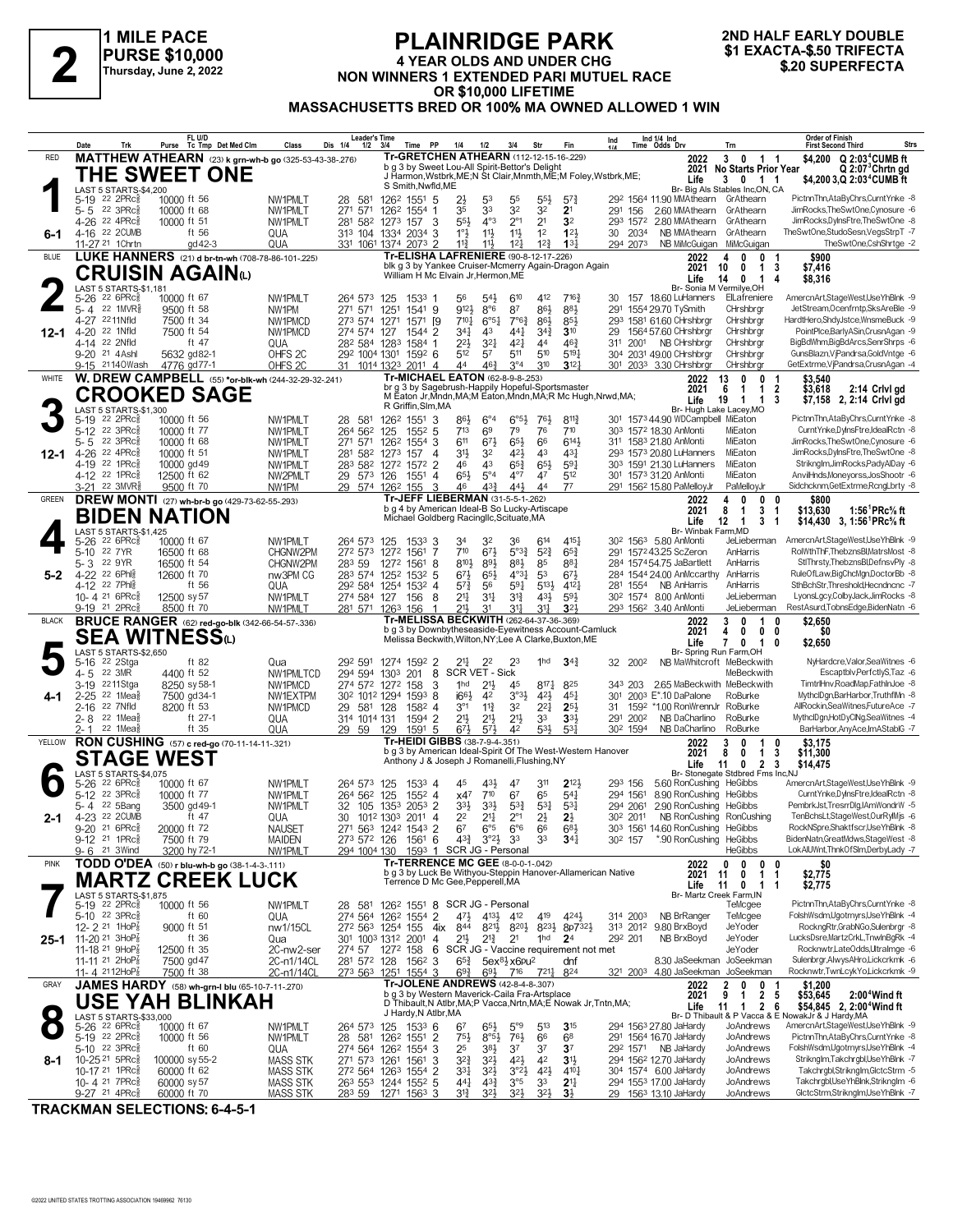

#### **PLAINRIDGE PARK 4 YEAR OLDS AND UNDER CHG NON WINNERS 1 EXACTA-\$.50 TRIFECTA**<br>
Thursday, June 2, 2022<br>
Thursday, June 2, 2022<br> **AOD SECTIME**<br>
Thursday, June 2, 2022<br> **AOD SECTIME OR \$10,000 LIFETIME MASSACHUSETTS BRED OR 100% MA OWNED ALLOWED 1 WIN**

# **2ND HALF EARLY DOUBLE**

|              | Trk<br>Date                                                              | FL U/D<br>Purse Tc Tmp Det Med Clm                                         | Class                                   | <b>Leader's Time</b><br>Dis 1/4<br>$1/2$ $3/4$ | Time PP                                                                                                             | 1/4                                                       | 1/2                                    | 3/4                                          | Str                                          | Fin                                           | $\int_{1}/4$         |      | Ind 1/4 Ind<br>Time Odds Drv                                             |                                   | Trn                                                       | <b>Order of Finish</b><br><b>Strs</b><br><b>First Second Third</b>                                       |
|--------------|--------------------------------------------------------------------------|----------------------------------------------------------------------------|-----------------------------------------|------------------------------------------------|---------------------------------------------------------------------------------------------------------------------|-----------------------------------------------------------|----------------------------------------|----------------------------------------------|----------------------------------------------|-----------------------------------------------|----------------------|------|--------------------------------------------------------------------------|-----------------------------------|-----------------------------------------------------------|----------------------------------------------------------------------------------------------------------|
| <b>RED</b>   |                                                                          | MATTHEW ATHEARN (23) k grn-wh-b go (325-53-43-38-276)                      |                                         |                                                | Tr-GRETCHEN ATHEARN (112-12-15-16-229)                                                                              |                                                           |                                        |                                              |                                              |                                               |                      |      |                                                                          | 2022                              | 3<br>$\mathbf{0}$<br>$1 \quad 1$                          | $Q$ 2:03 <sup>4</sup> CUMB ft<br>\$4,200                                                                 |
|              |                                                                          | THE SWEET ONE                                                              |                                         |                                                | b q 3 by Sweet Lou-All Spirit-Bettor's Delight<br>J Harmon, Wstbrk, ME; N St Clair, Mnmth, ME; M Foley, Wstbrk, ME; |                                                           |                                        |                                              |                                              |                                               |                      |      |                                                                          | 2021<br>Life                      | <b>No Starts Prior Year</b><br>3 0 1 1                    | $Q$ 2:07 $3$ Chrtn gd<br>\$4,200 3,Q 2:03 <sup>4</sup> CUMB ft                                           |
|              | LAST 5 STARTS-\$4,200<br>5-19 22 2PRc <sup>5</sup>                       | 10000 ft 56                                                                | NW1PMLT                                 | 28 581                                         | S Smith, Nwfld, ME<br>126 <sup>2</sup> 1551 5                                                                       | 2}                                                        | 53                                     | 55                                           | $55\frac{1}{2}$                              | $5^{7}$                                       |                      |      | 292 1564 11.90 MMAthearn GrAthearn                                       |                                   | Br- Big Als Stables Inc, ON, CA                           | PictnnThn,AtaByChrs,CurntYnke -8                                                                         |
|              | 5-5 22 3PRc                                                              | 10000 ft 68                                                                | NW1PMLT                                 | 271 571                                        | 126 <sup>2</sup> 1554 1                                                                                             | 35                                                        | 33                                     | 32                                           | 32                                           | 2 <sup>1</sup>                                | 291 156              |      | 2.60 MMAthearn                                                           |                                   | GrAthearn                                                 | JimRocks.TheSwtOne.Cynosure -6                                                                           |
| 6-1          | 4-26 22 4PRc <sup>5</sup><br>4-16 22 2CUMB                               | 10000 ft 51<br>ft 56                                                       | NW1PMLT<br>QUA                          |                                                | 281 582 1273 157 3<br>313 104 1334 2034 3                                                                           | 553<br>$1^\circ\frac{1}{2}$                               | $4^{\circ}3$<br>$11\frac{1}{2}$        | $2^{\circ}1$<br>$11\frac{1}{2}$              | 2 <sup>1</sup><br>1 <sup>2</sup>             | 3 <sup>2</sup><br>123                         | 30 2034              |      | 293 1572 2.80 MMAthearn<br>NB MMAthearn                                  |                                   | GrAthearn<br>GrAthearn                                    | JimRocks,DyInsFtre,TheSwtOne -8<br>TheSwtOne,StudoSesn,VegsStrpT -7                                      |
|              | 11-27 21 1 Chrtn                                                         | gd 42-3                                                                    | QUA                                     |                                                | 331 1061 1374 2073 2                                                                                                | $11\frac{3}{4}$                                           | 11}                                    | $12\frac{1}{4}$                              | $12\frac{3}{4}$                              | $13\frac{1}{4}$                               | 294 2073             |      | NB MiMcGuigan                                                            |                                   | MiMcGuigan                                                | TheSwtOne,CshShrtge -2                                                                                   |
| <b>BLUE</b>  |                                                                          | LUKE HANNERS (21) d br-tn-wh (708-78-86-101-.225)                          |                                         |                                                | Tr-ELISHA LAFRENIERE (90-8-12-17-226)<br>blk g 3 by Yankee Cruiser-Mcmerry Again-Dragon Again                       |                                                           |                                        |                                              |                                              |                                               |                      |      |                                                                          | 2022<br>Δ<br>2021<br>10           | $\mathbf{0}$<br>0<br>$\mathbf{1}$<br>0                    | \$900<br>\$7,416<br>3                                                                                    |
|              | LAST 5 STARTS-\$1.181                                                    | <b>CRUISIN AGAIN</b> W                                                     |                                         |                                                | William H Mc Elvain Jr, Hermon, ME                                                                                  |                                                           |                                        |                                              |                                              |                                               |                      |      |                                                                          | Life<br>14                        | 0<br>$\overline{1}$<br>Br- Sonia M Vermilve.OH            | $\overline{4}$<br>\$8,316                                                                                |
|              | 22 6PRc3<br>$5 - 26$                                                     | 10000 ft 67                                                                | NW1PMLT                                 | 264 573 125                                    | 1533 1                                                                                                              | 56                                                        | $5^{4}$                                | 610                                          | 412                                          | $7^{16}$                                      | 30                   |      | 157 18.60 LuHanners                                                      |                                   | ElLafreniere                                              | AmercnArt,StageWest,UseYhBlnk -9                                                                         |
|              | $22$ 1MVR $\frac{5}{8}$<br>$-5 - 4$<br>2211Nfld<br>4-27                  | 9500 ft 58<br>7500 ft 34                                                   | NW1PM<br>NW1PMCD                        | 271 571<br>273 574 1271                        | 1251<br>1541 9<br>1571                                                                                              | 9121<br>$7^{10}$<br>[9                                    | $8^{\circ}6$<br>$6^{\circ 51}$         | 87<br>$7^{\circ}6^{\frac{3}{4}}$             | 86}<br>$86\frac{1}{2}$                       | 881<br>$85\frac{1}{2}$                        | 291                  |      | 1554 29.70 TySmith<br>293 1581 61.60 CHrshbrgr                           |                                   | CHrshbrar<br>CHrshbrgr                                    | JetStream, Ocenfrntp, SksAreBle -9<br>HardtHero, ShdyJstce, WnsmeBuck -9                                 |
| 12-1         | 4-20 <sup>22</sup> 1Nfld                                                 | 7500 ft 54                                                                 | NW1PMCD                                 | 274 574 127                                    | 1544 2                                                                                                              | 341                                                       | 43                                     | $44\frac{1}{4}$                              | $34\frac{3}{4}$                              | $3^{10}$                                      | 29                   |      | 1564 57.60 CHrshbrgr                                                     |                                   | CHrshbrgr                                                 | PointPlce,BarlyASin,CrusnAgan -9                                                                         |
|              | 4-14 22 2Nfld<br>9-20 21 4 Ashl                                          | ft 47<br>5632 gd82-1                                                       | QUA<br>OHFS <sub>2C</sub>               |                                                | 28 <sup>2</sup> 584 1283 1584 1<br>29 <sup>2</sup> 100 <sup>4</sup> 130 <sup>1</sup> 159 <sup>2</sup> 6             | $2^{21}$<br>512                                           | $3^{2}$<br>57                          | 421<br>511                                   | 44<br>510                                    | $46\frac{3}{4}$<br>5191                       | 31 <sup>1</sup>      | 2001 | NB CHrshbrgr<br>304 2031 49.00 CHrshbrgr                                 |                                   | CHrshbrar<br>CHrshbrgr                                    | BigBdWhm,BigBdArcs,SenrShrps -6<br>GunsBlazn, VjPandrsa, GoldVntge -6                                    |
|              | 9-15 21140Wash                                                           | 4776 gd77-1                                                                | OHFS <sub>2C</sub>                      | 31                                             | 1014 1323 2011 4<br><b>Tr-MICHAEL EATON (62-8-9-8-253)</b>                                                          | 44                                                        | $46\frac{3}{4}$                        | $3^{\circ}4$                                 | 310                                          | $3^{12}$                                      |                      |      | 301 2033 3.30 CHrshbrgr                                                  |                                   | CHrshbrgr                                                 | GetExtrme, VjPandrsa, CrusnAgan -4                                                                       |
| WHITE        |                                                                          | W. DREW CAMPBELL (55) *or-blk-wh (244-32-29-32-241)<br><b>CROOKED SAGE</b> |                                         |                                                | br g 3 by Sagebrush-Happily Hopeful-Sportsmaster                                                                    |                                                           |                                        |                                              |                                              |                                               |                      |      |                                                                          | 2022<br>13<br>2021<br>6           | 0<br>0<br>$\mathbf{1}$<br>1                               | \$3,540<br>-1<br>$\overline{2}$<br>\$3,618<br>2:14 Crivi gd                                              |
|              | LAST 5 STARTS-\$1,300                                                    |                                                                            |                                         |                                                | M Eaton Jr, Mndn, MA; M Eaton, Mndn, MA; R Mc Hugh, Nrwd, MA;<br>R Griffin, Slm, MA                                 |                                                           |                                        |                                              |                                              |                                               |                      |      |                                                                          | Life<br>19                        | $\overline{1}$<br>$\mathbf{1}$<br>Br- Hugh Lake Lacey, MO | 3<br>\$7,158 2, 2:14 Crivi gd                                                                            |
|              | 22 2PRc3<br>$5-19$                                                       | 10000 ft 56                                                                | NW1PMLT                                 | 28 581                                         | 126 <sup>2</sup> 1551                                                                                               | 86}<br>3                                                  | $6^{\circ}4$                           | $6^{\circ 5\frac{1}{2}}$                     | 76}                                          | $8^{112}$                                     |                      |      | 301 1573 44.90 WDCampbell MiEaton                                        |                                   |                                                           | PictnnThn,AtaByChrs,CurntYnke -8                                                                         |
|              | $22 \t3PRc8$<br>$5 - 12$<br>22 3PRc<br>$5 - 5$                           | 10000 ft 77<br>10000 ft 68                                                 | NW1PMLT<br>NW1PMLT                      | 264 562<br>271 571                             | 125<br>1552 5<br>126 <sup>2</sup> 1554 3                                                                            | 713<br>611                                                | 69<br>673                              | 79<br>$65\frac{1}{2}$                        | 76<br>66                                     | 710<br>$6^{14}$                               |                      |      | 303 1572 18.30 AnMonti<br>311 1583 21.80 AnMonti                         |                                   | MiEaton<br>MiEaton                                        | CurntYnke,DylnsFtre,IdealRctn -8<br>JimRocks, The SwtOne, Cynosure -6                                    |
| 12-1         | 4-26 22 4PRc<br>4-19 22 1PRc                                             | 10000 ft 51<br>10000 gd 49                                                 | NW1PMLT<br>NW1PMLT                      |                                                | 281 582 1273 157<br>283 582 1272 1572 2                                                                             | 31}<br>$\overline{4}$<br>46                               | 32<br>43                               | $4^{21}$<br>$65\frac{3}{4}$                  | 43<br>$65\frac{1}{2}$                        | $43\frac{1}{4}$<br>59 <sub>1</sub>            |                      |      | 293 1573 20.80 LuHanners<br>30 <sup>3</sup> 1591 21.30 LuHanners         |                                   | MiEaton<br>MiEaton                                        | JimRocks,DyInsFtre,TheSwtOne -8<br>Striknglm,JimRocks,PadyAlDay -6                                       |
|              | 4-12 22 1PRc                                                             | 12500 ft 62                                                                | NW2PMLT                                 | 29 573 126                                     | 1551                                                                                                                | 653<br>4                                                  | $5^{\circ}4$                           | $4^{\circ}7$                                 | 47                                           | 512                                           |                      |      | 301 1573 31.20 AnMonti                                                   |                                   | MiEaton                                                   | AnvilHnds, Moneyorss, JosShootr -6                                                                       |
| GREEN        | 3-21 22 3MVR <sup>5</sup>                                                | 9500 ft 70<br>DREW MONTI (27) wh-br-b go (429-73-62-55-.293)               | NW1PM                                   |                                                | 29 574 1262 155<br>Tr-JEFF LIEBERMAN (31-5-5-1-262)                                                                 | 3<br>46                                                   | $4^{3}\frac{3}{4}$                     | 441                                          | 44                                           | 77                                            |                      |      | 291 1562 15.80 PaMelloyJr                                                | 2022                              | PaMelloyJr<br>$\mathbf{0}$<br>0                           | Sidchcknm, GetExtrme, RcngLbrty -8<br>0<br>\$800                                                         |
|              |                                                                          | <b>BIDEN NATION</b>                                                        |                                         |                                                | b g 4 by American Ideal-B So Lucky-Artiscape<br>Michael Goldberg Racingllc, Scituate, MA                            |                                                           |                                        |                                              |                                              |                                               |                      |      |                                                                          | 2021<br>8                         | 3<br>1                                                    | \$13,630<br>1:56 <sup>1</sup> PRc <sup>5</sup> / <sub>8</sub> ft<br>$\mathbf{1}$                         |
|              | LAST 5 STARTS-\$1,425                                                    |                                                                            |                                         |                                                |                                                                                                                     |                                                           |                                        |                                              |                                              |                                               |                      |      |                                                                          | Life<br>12<br>Br- Winbak Farm, MD | 3<br>$\overline{1}$                                       | \$14,430 3, 1:56 <sup>1</sup> PRc <sup>5</sup> / <sub>8</sub> ft<br>-1                                   |
|              | 22 6PRc3<br>$5 - 26$<br>22 7 YR<br>$5 - 10$                              | 10000 ft 67<br>16500 ft 68                                                 | NW1PMLT<br>CHGNW2PM                     | 264 573 125                                    | 1533 3<br>272 573 1272 1561                                                                                         | 34<br>710<br>7                                            | 3 <sup>2</sup><br>$67\frac{1}{2}$      | 36<br>$5^{o}3^{3}$                           | 614<br>$5^{2}3$                              | $4^{15}$<br>$65\frac{3}{4}$                   |                      |      | 30 <sup>2</sup> 156 <sup>3</sup> 5.80 AnMonti<br>291 1572 43.25 ScZeron  |                                   | JeLieberman<br>AnHarris                                   | AmercnArt,StageWest,UseYhBlnk -9<br>RolWthThF,ThebznsBl,MatrsMost -8                                     |
|              | 5-3 22 9YR                                                               | 16500 ft 54                                                                | CHGNW2PM                                | 283 59                                         | 1272 1561                                                                                                           | 810}<br>8                                                 | 893                                    | $8^{8}\frac{1}{2}$                           | 85                                           | $8^{8}$ <sup>1</sup>                          |                      |      | 284 1574 54.75 JaBartlett                                                |                                   | AnHarris                                                  | StIThrsty,ThebznsBl,DefnsvPly -8                                                                         |
| $5-2$        | 4-22 <sup>22</sup> 6Phlg<br>4-12 22 7Phls                                | 12600 ft 70<br>ft 56                                                       | nw3PM CG<br>QUA                         |                                                | 283 574 1252 1532 5<br>292 584 1254 1532 4                                                                          | $6^{71}$<br>57}                                           | $65\frac{1}{2}$<br>56                  | $4^{\circ}3\frac{1}{4}$<br>$59\frac{1}{4}$   | 53<br>5133                                   | $6^{71}$<br>4121                              | 281 1554             |      | 284 1544 24.00 AnMccarthy<br><b>NB AnHarris</b>                          |                                   | AnHarris<br>AnHarris                                      | RuleOfLaw,BigChcMgn,DoctorBb -8<br>SthBchStr,Threshold,Hecndncnc -7                                      |
|              | 10-4 21 6PRc $\frac{5}{8}$                                               | 12500 sy 57                                                                | NW1PMLT                                 |                                                | 274 584 127 156                                                                                                     | 21‡<br>- 8                                                | 34                                     | $3^{13}$                                     | 43}                                          | $59\frac{1}{2}$<br>3 <sup>2</sup>             |                      |      | 30 <sup>2</sup> 1574 8.00 AnMonti                                        |                                   | JeLieberman                                               | LyonsLgcy,ColbyJack,JimRocks -8<br>RestAsurd,TobnsEdge,BidenNatn -6                                      |
| <b>BLACK</b> | 9-19 21 2PRc                                                             | 8500 ft 70                                                                 | NW1PMLT                                 | 281 571 1263 156                               |                                                                                                                     | 21,<br>$\mathbf{1}$                                       | 3 <sup>1</sup>                         | 31                                           | 31                                           |                                               |                      |      |                                                                          |                                   | JeLieberman                                               |                                                                                                          |
|              |                                                                          |                                                                            |                                         |                                                | Tr-MELISSA BECKWITH (262-64-37-36-.369)                                                                             |                                                           |                                        |                                              |                                              |                                               |                      |      | 293 1562 3.40 AnMonti                                                    | 2022                              | 3<br>0<br>-1                                              | 0                                                                                                        |
|              |                                                                          | <b>BRUCE RANGER</b> (62) red-go-blk (342-66-54-57-.336)                    |                                         |                                                | b g 3 by Downbytheseaside-Eyewitness Account-Camluck<br>Melissa Beckwith, Wilton, NY; Lee A Clarke, Buxton, ME      |                                                           |                                        |                                              |                                              |                                               |                      |      |                                                                          | 2021<br>4                         | $\mathbf 0$<br>0                                          | \$2,650<br>\$0<br>0                                                                                      |
|              | LAST 5 STARTS-\$2,650                                                    | <b>SEA WITNESS</b> W                                                       |                                         |                                                |                                                                                                                     |                                                           |                                        |                                              |                                              |                                               |                      |      |                                                                          | Life                              | $\pmb{0}$<br>$\mathbf{1}$<br>7<br>Br- Spring Run Farm,OH  | \$2,650<br>0                                                                                             |
|              | 22 2Stga<br>5-16<br>22 3MR<br>4-5                                        | ft 82<br>4400 ft 52                                                        | Qua<br>NW1PMLTCD                        | 292 591<br>294 594 1303                        | 1274 1592 2<br>201                                                                                                  | 217<br>8                                                  | 22<br>SCR VET - Sick                   | 23                                           | 1hd                                          | $34\frac{3}{4}$                               | 32 2002              |      |                                                                          |                                   | NB MaWhitcroft MeBeckwith<br>MeBeckwith                   | NyHardcre, Valor, Sea Witnes -6<br>Escaptblv,PerfctlyS,Taz -6                                            |
|              | 2211Stga<br>3-19                                                         | 8250 sy 58-1                                                               | NW1PMCD                                 |                                                | 274 572 1272 158                                                                                                    | 3<br>1 <sub>hd</sub>                                      | $21\frac{1}{2}$                        | 45                                           | $8^{17}\frac{1}{4}$                          | 825                                           | 343 203              |      |                                                                          |                                   | 2.65 MaBeckwith MeBeckwith                                | TimtrlHnv,RoadMap,FathInJoe -8                                                                           |
| 4-1          | $2-25$ 22 1Mea $\frac{5}{8}$<br>2-16 22 7Nfld                            | 7500 gd34-1<br>8200 ft 53                                                  | NW1EXTPM<br>NW1PMCD                     | 29 581 128                                     | 30 <sup>2</sup> 101 <sup>2</sup> 1294 1593 8<br>1582 4                                                              | $166\frac{1}{2}$<br>$3^{\circ}1$                          | 42<br>$11\frac{3}{4}$                  | $3°3\frac{1}{2}$<br>3 <sup>2</sup>           | $4^{21}$<br>$2^{21}$                         | $45\frac{1}{4}$<br>$2^{5}$                    | 301<br>31            |      | 2003 E*.10 DaPalone<br>1592 *1.00 RonWrennJr RoBurke                     |                                   | RoBurke                                                   | MythclDgn,BarHarbor,TruthflMn -8<br>AllRockin,SeaWitnes,FutureAce -7                                     |
|              | $22$ 1Mea $\frac{3}{8}$<br>2-8<br>$22$ 1Mea $\frac{5}{6}$<br>2-1         | ft 27-1<br>ft 35                                                           | QUA                                     | 314 1014 131                                   | 1594 2                                                                                                              | 21}<br>673                                                | $21\frac{1}{2}$<br>$5^{7}$             | $21\frac{1}{2}$<br>42                        | 33<br>53}                                    | $3^{3}$<br>53 <sup>1</sup>                    | 291 2002<br>302 1594 |      | NB DaCharlino<br>NB DaCharlino                                           |                                   | RoBurke<br>RoBurke                                        | MythclDgn,HotDyClNg,SeaWitnes -4<br>BarHarbor, Any Ace, Im AStablG -7                                    |
| YELLOW       |                                                                          | RON CUSHING (57) c red-go (70-11-14-11-321)                                | QUA                                     | 29 59                                          | 1591 5<br>129<br>Tr-HEIDI GIBBS (38-7-9-4-.351)                                                                     |                                                           |                                        |                                              |                                              |                                               |                      |      |                                                                          | 2022<br>3                         | 0<br>-1                                                   | \$3,175<br>0                                                                                             |
|              | <b>STAGE WEST</b>                                                        |                                                                            |                                         |                                                | b g 3 by American Ideal-Spirit Of The West-Western Hanover<br>Anthony J & Joseph J Romanelli, Flushing, NY          |                                                           |                                        |                                              |                                              |                                               |                      |      |                                                                          | 2021<br>8<br>Life<br>11           | 0<br>$\mathbf{1}$<br>$\overline{2}$<br>$\bf{0}$           | 3<br>\$11,300<br>3<br>\$14,475                                                                           |
|              | LAST 5 STARTS-\$4,075<br>22 6PRc3                                        |                                                                            |                                         |                                                | 15334                                                                                                               | 45                                                        | 431                                    | 47                                           | 311                                          | $2^{12}$                                      | 293 156              |      | 5.60 RonCushing HeGibbs                                                  |                                   | Br- Stonegate Stdbred Fms Inc,NJ                          | AmercnArt,StageWest,UseYhBlnk -9                                                                         |
|              | $5 - 26$<br>$22 \text{ } 3 \text{PRc}^5$<br>$5-12$                       | 10000 ft 67<br>10000 ft 77                                                 | NW1PMLT<br>NW1PMLT                      | 264 573 125<br>264 562 125                     | $155^2$ 4                                                                                                           | x47                                                       | 710                                    | 67                                           | 65                                           | $5^{4}$                                       | 294 1561             |      | 8.90 RonCushing HeGibbs                                                  |                                   |                                                           | CurntYnke,DyInsFtre,IdealRctn -8                                                                         |
| 2-1          | 5-4 22 5Bang<br>4-23 22 2CUMB                                            | 3500 gd 49-1<br>ft 47                                                      | NW1PMLT<br>QUA                          | 32<br>30                                       | 105 1353 2053 2<br>1012 1303 2011 4                                                                                 | $3^{3}\frac{1}{2}$<br>22                                  | 33}<br>$2^{11}$                        | $5^{3}\frac{3}{4}$<br>$2^{\circ}1$           | $53\frac{1}{4}$<br>$2\frac{1}{2}$            | $5^{3}{}_{7}$<br>$2\frac{1}{2}$               | 294 2061<br>302 2011 |      | 2.90 RonCushing HeGibbs                                                  |                                   | NB RonCushing RonCushing                                  | PembrkJst,TresrrDlg,IAmWondrW -5<br>TenBchsLt.StageWest.OurRyMis -6                                      |
|              | 9-20 <sup>21</sup> 6PRc                                                  | 20000 ft 72                                                                | <b>NAUSET</b>                           |                                                | 271 563 1242 1543 2                                                                                                 | 67                                                        | $6^{\circ 5}$                          | $6^{\circ}6$                                 | 66                                           | $6^{8}$                                       |                      |      | 303 1561 14.60 RonCushing                                                |                                   | HeGibbs                                                   | RockNSpre,Shaktfscr,UseYhBlnk -8                                                                         |
|              | 9-12 <sup>21</sup> 1PRc<br>21 3Wind<br>$9 - 6$                           | 7500 ft 79<br>3200 hy 72-1                                                 | MAIDEN<br>NW1PMLT                       | 273 572 126<br>294 1004 130                    | 1561 6                                                                                                              | $4^{3}\frac{3}{4}$<br>1593 1 SCR JG - Personal            | $3^{\circ}2\frac{1}{2}$ 3 <sup>3</sup> |                                              | 33                                           | $34\frac{1}{4}$                               | 302 157              |      | *.90 RonCushing HeGibbs                                                  |                                   | <b>HeGibbs</b>                                            | BidenNatn,GreatMdws,StageWest -8<br>LokAlUWnt,ThnkOfSlm,DerbyLady -7                                     |
| <b>PINK</b>  |                                                                          | TODD O'DEA (50) r blu-wh-b go (38-1-4-3-.111)                              |                                         |                                                | <b>Tr-TERRENCE MC GEE (8-0-0-1-042)</b><br>b g 3 by Luck Be Withyou-Steppin Hanover-Allamerican Native              |                                                           |                                        |                                              |                                              |                                               |                      |      |                                                                          | 2022                              | 0<br>$\mathbf{0}$<br>0                                    | \$0<br>0                                                                                                 |
|              |                                                                          | <b>MARTZ CREEK LUCK</b>                                                    |                                         |                                                | Terrence D Mc Gee, Pepperell, MA                                                                                    |                                                           |                                        |                                              |                                              |                                               |                      |      |                                                                          | 2021<br>11<br>Life<br>11          | $\mathbf{1}$<br>0<br>0<br>1 1                             | \$2,775<br>$\mathbf{1}$<br>\$2,775                                                                       |
|              | LAST 5 STARTS-\$1,875<br>5-19 22 2PRc <sup>5</sup>                       | 10000 ft 56                                                                | NW1PMLT                                 |                                                | 28 581 1262 1551 8 SCR JG - Personal                                                                                |                                                           |                                        |                                              |                                              |                                               |                      |      |                                                                          |                                   | Br- Martz Creek Farm, IN<br>TeMcgee                       | PictnnThn,AtaByChrs,CurntYnke -8                                                                         |
|              | 5-10 22 3PRc $\frac{5}{8}$                                               | ft 60                                                                      | QUA                                     |                                                | 274 564 1262 1554 2                                                                                                 | 471                                                       | 4131                                   | 412                                          | 419                                          | 4243                                          | 314 2003             |      | NB BrRanger                                                              |                                   | TeMcgee                                                   | FolshWsdm,Ugotrnyrs,UseYhBlnk -4                                                                         |
|              | 12-2 21 1HoP<br>25-1 11-20 $21$ 3HoP                                     | 9000 ft 51<br>ft 36                                                        | nw1/15CL<br>Qua                         |                                                | 272 563 1254 155<br>301 1003 1312 2001 4                                                                            | 844<br>4ix<br>21}                                         | $2^{13}$                               | 8212 8202 8232<br>2 <sup>1</sup>             | 1 <sup>hd</sup>                              | 8p732}<br>2 <sup>4</sup>                      | 292 201              |      | 313 2012 9.80 BrxBoyd<br>NB BrxBoyd                                      |                                   | JeYoder<br>JeYoder                                        | RockngRtr,GrabNGo,Sulenbrgr -8<br>LucksDsre,MartzCrkL,TnwInBgRk -4                                       |
|              | 11-18 <sup>21</sup> 9HoP <sub>8</sub><br>11-11 21 2HoP <sub>8</sub>      | 12500 ft 35<br>7500 gd 47                                                  | 2C-nw2-ser<br>2C-n1/14CL                |                                                | 274 57 1272 158<br>281 572 128 1562 3                                                                               | 6 SCR JG - Vaccine requirement not met<br>$65\frac{3}{4}$ |                                        | $5ex81⁄2$ x6pu <sup>2</sup>                  |                                              | dnf                                           |                      |      |                                                                          |                                   | JeYoder<br>8.30 JaSeekman JoSeekman                       | Rocknwtr,LateOdds,Ultralmge -6<br>Sulenbrgr, Alwys AHro, Lickcrkmk -6                                    |
|              | 11-4 2112HoP $\frac{7}{8}$                                               | 7500 ft 38                                                                 | 2C-n1/14CL                              | 273 563 1251                                   | 1554 3                                                                                                              | $69\frac{3}{4}$                                           | $69\frac{1}{2}$                        | 716                                          | 7217                                         | 824                                           |                      |      |                                                                          |                                   | 321 2003 4.80 JaSeekman JoSeekman                         | Rocknwtr,TwnLcykYo,Lickcrkmk -9                                                                          |
| GRAY         |                                                                          | JAMES HARDY (58) wh-grn-I blu (65-10-7-11-270)                             |                                         |                                                | Tr-JOLENE ANDREWS (42-8-4-8-307)<br>b g 3 by Western Maverick-Caila Fra-Artsplace                                   |                                                           |                                        |                                              |                                              |                                               |                      |      |                                                                          | 2022<br>2021<br>9                 | 0<br>2<br>0<br>$\overline{2}$<br>1                        | \$1,200<br>5<br>\$53,645<br>2:00 <sup>4</sup> Wind ft                                                    |
|              |                                                                          | <b>USE YAH BLINKAH</b>                                                     |                                         |                                                | D Thibault, N Atlbr, MA; P Vacca, Nrtn, MA; E Nowak Jr, Tntn, MA;<br>J Hardy, N Atlbr, MA                           |                                                           |                                        |                                              |                                              |                                               |                      |      |                                                                          | Life<br>11                        | $\overline{2}$<br>$\mathbf{1}$                            | 6<br>\$54.845 2.2:00 <sup>4</sup> Wind ft<br>Br- D Thibault & P Vacca & E NowakJr & J Hardy, MA          |
|              | LAST 5 STARTS-\$33,000<br>5-26 22 6PRcs                                  | 10000 ft 67                                                                | NW1PMLT                                 |                                                | 264 573 125 1533 6                                                                                                  | 67                                                        | $65\frac{1}{2}$                        | 5°9                                          | 513                                          | 315                                           |                      |      | 294 1563 27.80 JaHardy                                                   |                                   | JoAndrews                                                 | AmercnArt,StageWest,UseYhBlnk -9                                                                         |
|              | 5-19 22 2PRc<br>5-10 22 3PRc                                             | 10000 ft 56<br>ft 60                                                       | NW1PMLT<br>QUA                          | 28 581                                         | 126 <sup>2</sup> 1551 2<br>274 564 1262 1554 3                                                                      | 75}<br>25                                                 | $8°5\frac{1}{2}$<br>$3^{8}\frac{1}{2}$ | $76\frac{1}{2}$<br>3 <sup>7</sup>            | 66<br>37                                     | 68<br>3 <sup>7</sup>                          |                      |      | 291 1564 16.70 JaHardy<br>292 1571 NB JaHardy                            |                                   | JoAndrews<br>JoAndrews                                    | PictnnThn,AtaByChrs,CurntYnke -8<br>FolshWsdm,Ugotrnyrs,UseYhBlnk -4                                     |
| 8-1          | 10-25 <sup>21</sup> 5PRc                                                 | 100000 sy 55-2                                                             | MASS STK                                |                                                | 271 573 1261 1561                                                                                                   | $3^{2}\frac{3}{4}$<br>3                                   | $3^{2}\frac{1}{2}$                     | $4^{21}$                                     | 42                                           | $3\frac{11}{2}$                               |                      |      | 294 1562 12.70 JaHardy                                                   |                                   | JoAndrews                                                 | Striknglm,Takchrgbl,UseYhBlnk -7                                                                         |
|              | 10-17 21 1PRc <sub>8</sub><br>10-4 21 7PRc $\frac{5}{8}$<br>9-27 21 4PRc | 60000 ft 62<br>60000 sy 57<br>60000 ft 70                                  | MASS STK<br>MASS STK<br><b>MASS STK</b> | 28 <sup>3</sup> 59                             | 272 564 1263 1554 2<br>263 553 1244 1552 5<br>1271 1563 3                                                           | 331<br>441<br>31}                                         | $3^{21}$<br>$43\frac{3}{4}$<br>324     | $3^{o_2}\frac{1}{2}$<br>$3^{\circ 5}$<br>32} | $4^{21}$<br>3 <sup>3</sup><br>3 <sup>2</sup> | $4^{10}$<br>2 <sup>11</sup><br>3 <sup>1</sup> |                      |      | 304 1574 6.00 JaHardy<br>294 1553 17.00 JaHardy<br>29 1563 13.10 JaHardy |                                   | JoAndrews<br>JoAndrews<br>JoAndrews                       | Takchrgbl,StrikngIm,GlctcStrm -5<br>Takchrgbl,UseYhBlnk,Striknglm -6<br>GlctcStrm,StrikngIm,UseYhBlnk -7 |

**TRACKMAN SELECTIONS: 6-4-5-1**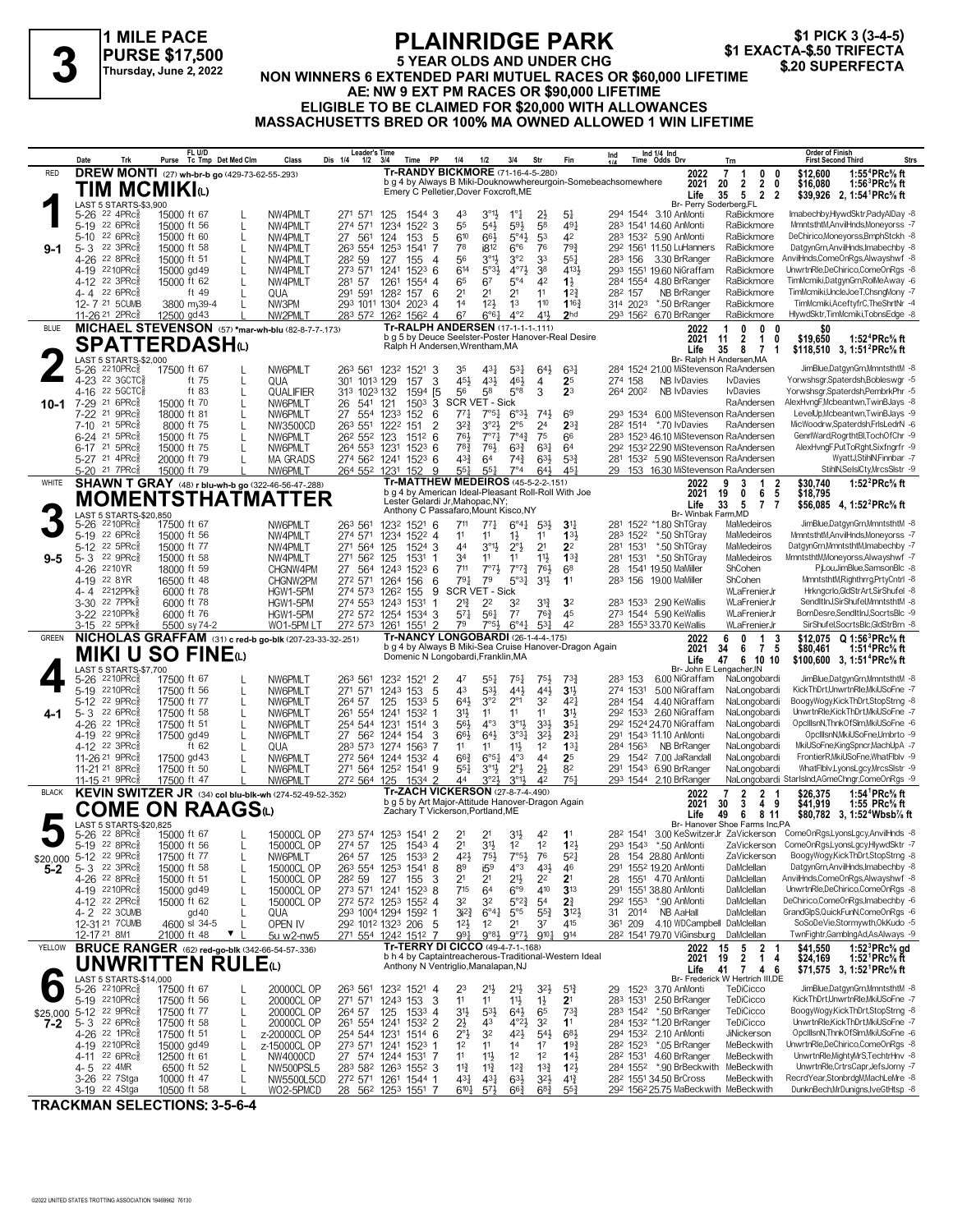# **PLAINRIDGE PARK**

\$1 PICK 3 (3-4-5) \$1 EXACTA-\$.50 TRIFECTA \$.20 SUPERFECTA

#### 1 MILE PACE **PURSE \$17,500** 6 Thursday, June 2, 2022

#### **5 YEAR OLDS AND UNDER CHG** NON WINNERS 6 EXTENDED PARI MUTUEL RACES OR \$60,000 LIFETIME AE: NW 9 EXT PM RACES OR \$90,000 LIFETIME ELIGIBLE TO BE CLAIMED FOR \$20,000 WITH ALLOWANCES MASSACHUSETTS BRED OR 100% MA OWNED ALLOWED 1 WIN LIFETIME

|                        | Date         | Trk                                                                     | Purse Tc Tmp Det Med Clm                                                 |                   | Class                        | Leader's Time<br>Dis 1/4<br>$1/2$ $3/4$                         |                            | Time PP                                                                               | 1/4<br>1/2                             | 3/4                                                                          | Str                                        | Fin                                                          | Ind                              | Ind 1/4 Ind<br>Time Odds Drv                                      | Trn                                                                                     | Order of Finish<br>Strs<br><b>First Second Third</b>                    |
|------------------------|--------------|-------------------------------------------------------------------------|--------------------------------------------------------------------------|-------------------|------------------------------|-----------------------------------------------------------------|----------------------------|---------------------------------------------------------------------------------------|----------------------------------------|------------------------------------------------------------------------------|--------------------------------------------|--------------------------------------------------------------|----------------------------------|-------------------------------------------------------------------|-----------------------------------------------------------------------------------------|-------------------------------------------------------------------------|
| RED                    |              |                                                                         | <b>DREW MONTI</b> (27) wh-br-b go (429-73-62-55-.293)                    |                   |                              |                                                                 |                            | Tr-RANDY BICKMORE (71-16-4-5-280)                                                     |                                        |                                                                              |                                            |                                                              |                                  | 2022                                                              | 7<br>0<br>0<br>-1                                                                       | \$12,600<br>1:55 <sup>4</sup> PRc <sup>5</sup> / <sub>8</sub> ft        |
|                        |              |                                                                         | TIM MCMIKIധ                                                              |                   |                              |                                                                 |                            | Emery C Pelletier, Dover Foxcroft, ME                                                 |                                        |                                                                              |                                            | b g 4 by Always B Miki-Douknowwhereurgoin-Somebeachsomewhere |                                  | 2021                                                              | $\overline{2}$<br>$\overline{2}$<br>20<br>0                                             | \$16,080<br>1:56 ${}^{3}$ PRc ${}^{5}_{8}$ ft                           |
|                        |              | LAST 5 STARTS-\$3,900                                                   |                                                                          |                   |                              |                                                                 |                            |                                                                                       |                                        |                                                                              |                                            |                                                              |                                  | Life                                                              | 5<br>$\overline{2}$<br>35<br>$\overline{2}$<br>Br- Perry Soderberg,FL                   | \$39,926 2, 1:54 PRc <sup>5</sup> / <sub>8</sub> ft                     |
|                        | 5-26         | $22$ 4PR $c_{8}^{5}$                                                    | 15000 ft 67                                                              | L                 | NW4PMLT                      | 271 571                                                         | 125                        | 1544 3                                                                                | 43                                     | $3^{01}$<br>$1^{\circ}$ $\frac{1}{4}$                                        | 2}                                         | $5\frac{1}{4}$                                               |                                  | 294 1544 3.10 AnMonti                                             | RaBickmore                                                                              | Imabechby,HlywdSktr,PadyAlDay -8                                        |
|                        | 5-19         | $22.6$ PRc $\frac{5}{8}$                                                | 15000 ft 56                                                              | L                 | NW4PMLT                      | 274 571                                                         | 1234                       | 1522 3                                                                                | 55                                     | $59\frac{1}{2}$<br>$54\frac{1}{2}$                                           | 58                                         | $49\frac{1}{4}$                                              |                                  | 283 1541 14.60 AnMonti                                            | RaBickmore                                                                              | MmntsthtM,AnvilHnds,Moneyorss -7                                        |
|                        |              | 5-10 22 6PRc                                                            | 15000 ft 60                                                              | L                 | NW4PMLT                      | 27<br>561                                                       | 124<br>153                 | 5                                                                                     | 610                                    | $5^{\circ}4\frac{1}{2}$<br>66}                                               | 53                                         | 42                                                           |                                  | 283 1532 5.90 AnMonti                                             | RaBickmore                                                                              | DeChirico,Moneyorss,BmphStckh -8                                        |
| $9-1$                  | $5 - 3$      | 22 3PRc<br>4-26 22 8PRc                                                 | 15000 ft 58<br>15000 ft 51                                               | L<br>L            | NW4PMLT<br>NW4PMLT           | 263 554<br>282 59                                               | 1253<br>1541<br>155<br>127 | 7<br>4                                                                                | 78<br>56                               | i812<br>$6^{\circ}6$<br>$3^{\circ}1\frac{1}{2}$<br>3°2                       | 76<br>33                                   | 793<br>$55\frac{1}{4}$                                       | 283 156                          | 29 <sup>2</sup> 156 <sup>1</sup> 11.50 LuHanners<br>3.30 BrRanger | RaBickmore<br>RaBickmore                                                                | DatgynGrn, AnvilHnds, Imabechby -8<br>AnvilHnds,ComeOnRgs,Alwayshwf -8  |
|                        |              | 4-19 2210PRc                                                            | 15000 gd 49                                                              | L                 | NW4PMLT                      | 273 571                                                         | 1241                       | $152^3$ 6                                                                             | 614                                    | $4^{07}\frac{1}{2}$<br>$5°3\frac{1}{2}$                                      | 38                                         | 4131                                                         |                                  | 293 1551 19.60 NiGraffam                                          | RaBickmore                                                                              | UnwrtnRle,DeChirico,ComeOnRgs -8                                        |
|                        |              | 4-12 <sup>22</sup> 3PRc <sup>3</sup>                                    | 15000 ft 62                                                              | L                 | NW4PMLT                      | 281 57                                                          | 1261<br>1554               | $\overline{4}$                                                                        | 65                                     | 6 <sup>7</sup><br>$5^{\circ}4$                                               | 42                                         | $1\frac{1}{2}$                                               | 284 1554                         | 4.80 BrRanger                                                     | RaBickmore                                                                              | TimMcmiki,DatgynGrn,RolMeAway -6                                        |
|                        |              | 4-4 22 6PRc                                                             | ft $49$                                                                  | L                 | QUA                          | 291 591 1282 157                                                |                            | 6                                                                                     | 2 <sup>1</sup>                         | 2 <sup>1</sup><br>2 <sup>1</sup>                                             | 11                                         | $1^{2}$                                                      | 282 157                          | NB BrRanger                                                       | RaBickmore                                                                              | TimMcmiki,UncleJoeT,ChsngMony -7                                        |
|                        |              | 12-7 21 5CUMB                                                           | 3800 my39-4                                                              | L                 | NW3PM                        | 29 <sup>3</sup> 101 <sup>1</sup> 1304 202 <sup>3</sup> 4        |                            |                                                                                       | 14                                     | 12 <sup>1</sup><br>1 <sup>3</sup>                                            | 110                                        | 116 <sup>3</sup>                                             | 314 2023                         | *.50 BrRanger                                                     | RaBickmore                                                                              | TimMcmiki,AceftyfrC,TheShrtNr -4                                        |
|                        |              | 11-26 <sup>21</sup> 2PRc <sup>3</sup>                                   | 12500 gd 43                                                              |                   | NW2PMLT                      | 283 572 1262 1562 4                                             |                            | Tr-RALPH ANDERSEN (17-1-1-1-111)                                                      | 67                                     | $4^{\circ}2$<br>$6^{\circ}6^{\circ}1$                                        | 41                                         | 2 <sub>hd</sub>                                              |                                  | 293 1562 6.70 BrRanger                                            | RaBickmore                                                                              | HlywdSktr,TimMcmiki,TobnsEdge -8                                        |
| BLUE                   |              |                                                                         | MICHAEL STEVENSON (57) *mar-wh-blu (82-8-7-7-173)                        |                   |                              |                                                                 |                            |                                                                                       |                                        |                                                                              |                                            | b g 5 by Deuce Seelster-Poster Hanover-Real Desire           |                                  | 2022<br>2021                                                      | 0<br>-1<br>$\mathbf{0}$<br>0<br>$\overline{2}$<br>$\mathbf{1}$<br>0<br>11               | SO.<br>\$19,650<br>1:52 <sup>4</sup> PRc% ft                            |
|                        |              |                                                                         | <b>SPATTERDASH</b> (L)                                                   |                   |                              |                                                                 |                            | Ralph H Andersen, Wrentham, MA                                                        |                                        |                                                                              |                                            |                                                              |                                  | Life                                                              | 35<br>8<br>7<br>1                                                                       | \$118,510 3, 1:51 <sup>2</sup> PRc <sup>5</sup> / <sub>8</sub> ft       |
|                        |              | LAST 5 STARTS-\$2,000<br>5-26 <sup>2210PRC\$</sup> 17                   |                                                                          |                   |                              |                                                                 |                            |                                                                                       |                                        |                                                                              |                                            |                                                              |                                  |                                                                   | Br- Ralph H Andersen, MA                                                                |                                                                         |
|                        |              | 4-23 22 3GCTC§                                                          | 17500 ft 67<br>ft 75                                                     | L                 | NW6PMLT<br>QUA               | 263 561 1232 1521<br>301 1013 129                               | 157                        | 3<br>3                                                                                | 35<br>454                              | 431<br>$5^{3}$<br>$43\frac{1}{2}$<br>461                                     | $64\frac{1}{2}$<br>4                       | $63\frac{1}{4}$<br>2 <sup>5</sup>                            | 274 158                          | NB IvDavies                                                       | 284 1524 21.00 MiStevenson RaAndersen<br><b>I</b> vDavies                               | JimBlue,DatgynGrn,MmntsthtM -8<br>Yorwshsgr,Spaterdsh,Bobleswgr -5      |
|                        |              | 4-16 22 5 GCTC \$                                                       | ft 83                                                                    | L                 | QUALIFIER                    | 313 1023 132                                                    |                            | 1594 [5]                                                                              | 56                                     | $5^{\circ}8$<br>58                                                           | 3                                          | 2 <sup>3</sup>                                               | 264 2002                         | NB IvDavies                                                       | <b>I</b> vDavies                                                                        | Yorwshsgr,Spaterdsh,PembrkPhr -5                                        |
| $10 - 1$               |              | 7-29 21 6PRc <sup>5</sup>                                               | 15000 ft 70                                                              | L                 | NW6PMLT                      | 26<br>541                                                       | 121                        | 1503                                                                                  | 3 SCR VET - Sick                       |                                                                              |                                            |                                                              |                                  |                                                                   | RaAndersen                                                                              | AlexHvngF,Mcbeantwn,TwinBJays -8                                        |
|                        |              | 7-22 <sup>21</sup> 9PRc                                                 | 18000 ft 81                                                              | L                 | NW6PMLT                      | 27                                                              | 554 1233<br>152            | 6                                                                                     | $77\frac{1}{4}$                        | 7°5 <sub>1</sub><br>$6^{o_{31}}$                                             | $74\frac{1}{2}$                            | 6 <sup>9</sup>                                               | 293 1534                         |                                                                   | 6.00 MiStevenson RaAndersen                                                             | LevelUp,Mcbeantwn,TwinBJays -9                                          |
|                        | $7 - 10$     | 21 5PRc                                                                 | 8000 ft 75                                                               | L                 | NW3500CD                     | 263 551                                                         | 1222<br>151                | $\overline{2}$                                                                        | $3^{2}$                                | $3°2\frac{1}{2}$<br>2°5                                                      | 2 <sup>4</sup>                             | $2^{3}$                                                      |                                  | 28 <sup>2</sup> 1514 *.70 IvDavies                                | RaAndersen                                                                              | MicWoodrw,Spaterdsh,FrlsLedrN -6                                        |
|                        |              | 6-24 21 5PRcs<br>6-17 <sup>21</sup> 5PRc                                | 15000 ft 75<br>15000 ft 75                                               | L<br>L            | NW6PMLT<br>NW6PMLT           | 26 <sup>2</sup> 55 <sup>2</sup> 123<br>264 553 1231             |                            | $151^2$ 6<br>$152^3$ 6                                                                | 761<br>78 <sub>4</sub>                 | $7^{\circ}4^{\frac{3}{4}}$<br>$7^{\circ}7^{\circ}$<br>$63\frac{3}{4}$<br>76} | 75<br>$63\frac{1}{4}$                      | 66<br>64                                                     |                                  |                                                                   | 283 1523 46.10 MiStevenson RaAndersen<br>292 1532 22.90 MiStevenson RaAndersen          | GenrlWard, RogrthtBl, TochOfChr -9<br>AlexHvngF,PutToRght,Sixfngrfr -9  |
|                        |              | 5-27 <sup>21</sup> 4PRc <sup>5</sup>                                    | 20000 ft 79                                                              | L                 | <b>MA GRADS</b>              | 274 562 1241                                                    |                            | $152^3$ 6                                                                             | $4^{3}\frac{3}{4}$                     | 64<br>$74\frac{3}{4}$                                                        | $63\frac{1}{2}$                            | $5^{3}\frac{3}{4}$                                           |                                  |                                                                   | 281 1532 5.90 MiStevenson RaAndersen                                                    | WyattJ,StihlN,Finnbar -7                                                |
|                        |              | 5-20 <sup>21</sup> 7PRc <sup>3</sup>                                    | 15000 ft 79                                                              |                   | NW6PMLT                      | 264 552 1231 152                                                |                            | 9                                                                                     | 551                                    | 7°4<br>$55\frac{1}{4}$                                                       | $64\frac{1}{2}$                            | 45 <sup>1</sup>                                              |                                  |                                                                   | 29 153 16.30 MiStevenson RaAndersen                                                     | StihlN,SelslCty,MrcsSlstr -9                                            |
| WHITE                  |              |                                                                         | SHAWN T GRAY (48) r blu-wh-b go (322-46-56-47-288)                       |                   |                              |                                                                 |                            | Tr-MATTHEW MEDEIROS (45-5-2-2-.151)                                                   |                                        |                                                                              |                                            |                                                              |                                  | 2022                                                              | $\overline{2}$<br>9<br>3<br>-1                                                          | 1:52 $^{2}$ PRc $%$ ft<br>\$30.740                                      |
|                        |              |                                                                         | MOMENTSTHATMATTER                                                        |                   |                              |                                                                 |                            | Lester Gelardi Jr, Mahopac, NY;                                                       |                                        |                                                                              |                                            | b g 4 by American Ideal-Pleasant Roll-Roll With Joe          |                                  | 2021                                                              | 19<br>0<br>6<br>5                                                                       | \$18,795                                                                |
|                        |              | LAST 5 STARTS-\$20,850                                                  |                                                                          |                   |                              |                                                                 |                            | Anthony C Passafaro, Mount Kisco, NY                                                  |                                        |                                                                              |                                            |                                                              |                                  | Life<br>Br- Winbak Farm, MD                                       | 5<br>33<br>$\overline{1}$<br>7                                                          | \$56,085 4, 1:52 <sup>2</sup> PRc <sup>5</sup> / <sub>8</sub> ft        |
|                        | 5-26         | 2210PRc흏                                                                | 17500 ft 67                                                              |                   | NW6PMLT                      | 263 561                                                         | 1232 1521 6                |                                                                                       | 711                                    | $6^{\circ}4^{\circ}$<br>$77\frac{1}{4}$                                      | $5^{3}\frac{1}{2}$                         | 3 <sup>1</sup>                                               |                                  | 281 1522 *1.80 ShTGray                                            | MaMedeiros                                                                              | JimBlue,DatgynGrn,MmntsthtM -8                                          |
|                        |              | 5-19 22 6PRcs                                                           | 15000 ft 56                                                              |                   | NW4PMLT                      | 274 571                                                         | 1234 1522 4                |                                                                                       | 11                                     | 11<br>$1\frac{1}{2}$                                                         | 11                                         | 133                                                          | 283 1522                         | *.50 ShTGray                                                      | MaMedeiros                                                                              | MmntsthtM,AnvilHnds,Moneyorss -7                                        |
|                        |              | 5-12 22 5PRc $\frac{5}{8}$                                              | 15000 ft 77                                                              |                   | NW4PMLT                      | 271 564                                                         | 125                        | 1524 3                                                                                | 44                                     | $3^{\circ}1\frac{1}{2}$<br>$2^{\circ}$ <sub>2</sub>                          | 2 <sup>1</sup>                             | 2 <sup>2</sup>                                               | 281 1531                         | *.50 ShTGray                                                      | MaMedeiros                                                                              | DatgynGrn,MmntsthtM,Imabechby -7                                        |
| $9 - 5$                | 4-26 2210YR  | 5-3 22 9PRc                                                             | 15000 ft 58                                                              |                   | NW4PMLT                      | 271 562                                                         | 1531<br>125                | 1                                                                                     | 34<br>711                              | 11<br>11<br>$7°7\frac{1}{2}$<br>$7^{\circ}7^{\circ}$                         | 11}<br>76}                                 | 13 <sub>1</sub><br>68                                        | 281 1531                         | *.50 ShTGray<br>1541 19.50 MaMiller                               | MaMedeiros<br>ShCohen                                                                   | MmntsthtM,Moneyorss,Alwayshwf -7<br>PjLou,JimBlue,SamsonBlc -8          |
|                        | 4-19         | 22 8YR                                                                  | 18000 ft 59<br>16500 ft 48                                               |                   | CHGNW4PM<br>CHGNW2PM         | 27<br>272 571 1264 156                                          | 564 1243 1523 6            | 6                                                                                     | $79\frac{1}{4}$                        | 79<br>$5°3\frac{1}{4}$                                                       | $3^{11}$                                   | 1 <sup>1</sup>                                               | 28<br>283 156                    | 19.00 MaMiller                                                    | ShCohen                                                                                 | MmntsthtM,Righthrrg,PrtyCntrl -8                                        |
|                        |              | 4-4 2212PPk                                                             | 6000 ft 78                                                               |                   | HGW1-5PM                     | 274 573 1262 155                                                |                            | 9                                                                                     | <b>SCR VET - Sick</b>                  |                                                                              |                                            |                                                              |                                  |                                                                   | WLaFrenierJr                                                                            | Hrkngcrlo, GldStrArt, SirShufel -8                                      |
|                        | 3-30         | 22 7PPk                                                                 | 6000 ft 78                                                               |                   | HGW1-5PM                     | 274 553 1243 1531                                               |                            | 1                                                                                     | $2^{13}$                               | 2 <sup>2</sup><br>32                                                         | $3^{13}$                                   | 3 <sup>2</sup>                                               |                                  | 283 1533 2.90 KeWallis                                            | WLaFrenierJr                                                                            | SendItInJ,SirShufel,MmntsthtM -8                                        |
|                        |              | 3-22 2210PPk                                                            | 6000 ft 76                                                               |                   | HGW1-5PM                     | 272 572 1254 1534 3                                             |                            |                                                                                       | $57\frac{1}{4}$                        | 561<br>$7^7$                                                                 | $76\frac{3}{4}$                            | 45                                                           |                                  | 273 1544 5.90 KeWallis                                            | WLaFrenierJr                                                                            | BornDesre,SendItInJ,SocrtsBlc -9                                        |
|                        |              | 3-15 <sup>22</sup> 5PPk <sup>5</sup>                                    | 5500 sy 74-2<br>NICHOLAS GRAFFAM (31) c red-b go-blk (207-23-33-32-.251) |                   | WO1-5PM LT                   | 272 573                                                         | 1261 1551                  | $\overline{\phantom{a}}$                                                              | 79                                     | $7°5\frac{1}{2}$<br>$6^{\circ}4^{\frac{1}{4}}$                               | $5^{3}$                                    | 42                                                           |                                  | 283 1553 33.70 KeWallis                                           | WLaFrenierJr                                                                            | SirShufel,SocrtsBlc,GldStrBrn -8                                        |
| <b>GREEN</b>           |              |                                                                         |                                                                          |                   |                              |                                                                 |                            |                                                                                       |                                        |                                                                              |                                            |                                                              |                                  |                                                                   |                                                                                         |                                                                         |
|                        |              |                                                                         |                                                                          |                   |                              |                                                                 |                            |                                                                                       |                                        | <b>Tr-NANCY LONGOBARDI (26-1-4-4-.175)</b>                                   |                                            | b g 4 by Always B Miki-Sea Cruise Hanover-Dragon Again       |                                  | 2022                                                              | 0<br>1<br>6<br>3                                                                        | \$12,075 Q 1:56 <sup>3</sup> PRc% ft                                    |
|                        |              |                                                                         | <b>MIKI U SO FINE</b>                                                    |                   |                              |                                                                 |                            | Domenic N Longobardi, Franklin, MA                                                    |                                        |                                                                              |                                            |                                                              |                                  | 2021<br>Life                                                      | $\mathbf{7}$<br>34<br>6<br>- 5<br>6 10 10<br>47                                         | \$80,461<br>1:51 PRc% ft                                                |
|                        |              | LAST 5 STARTS-\$7,700                                                   |                                                                          |                   |                              |                                                                 |                            |                                                                                       |                                        |                                                                              |                                            |                                                              |                                  |                                                                   | Br- John E Lengacher, IN                                                                | \$100,600 3, 1:51 <sup>4</sup> PRc <sup>5</sup> / <sub>8</sub> ft       |
|                        |              | 5-26 2210PRc                                                            | 17500 ft 67                                                              |                   | NW6PMLT                      | 263 561                                                         | 1232 1521                  | $\overline{2}$                                                                        | 47                                     | $55\frac{1}{4}$<br>$75\frac{1}{2}$                                           | 751,                                       | $73\frac{3}{4}$                                              | 283 153                          | 6.00 NiGraffam                                                    | NaLongobardi                                                                            | JimBlue,DatgynGrn,MmntsthtM -8                                          |
|                        | 5-19<br>5-12 | 2210PRc흏<br>22 9PRc                                                     | 17500 ft 56<br>17500 ft 77                                               | L<br>L            | NW6PMLT<br>NW6PMLT           | 271 571<br>264 57                                               | 1243 153<br>125<br>1533    | 5<br>5                                                                                | 43<br>$64\frac{1}{2}$                  | $5^{3}\frac{1}{2}$<br>443<br>3°2<br>$2^{\circ}1$                             | 441<br>32                                  | 3 <sup>1</sup><br>$4^{2}$                                    | 274 1531<br>284 154              | 5.00 NiGraffam<br>4.40 NiGraffam                                  | NaLongobardi<br>NaLongobardi                                                            | KickThDrt,UnwrtnRle,MkiUSoFne -7<br>BoogyWogy,KickThDrt,StopStrng -8    |
| 4-1                    | 5-3          | 22 6PRc3                                                                | 17500 ft 58                                                              | L                 | NW6PMLT                      | 261 554 1241                                                    | 1532                       | -1                                                                                    | 31}<br>11                              | 11                                                                           | 11                                         | 31                                                           |                                  | 29 <sup>2</sup> 153 <sup>3</sup> 2.60 NiGraffam                   | NaLongobardi                                                                            | UnwrtnRle,KickThDrt,MkiUSoFne -7                                        |
|                        |              | 4-26 22 1PRc\$                                                          | 17500 ft 51                                                              | L                 | NW6PMLT                      | 254 544 1231                                                    |                            | $1514$ 3                                                                              | 56}                                    | $4^{\circ}3$<br>$3^{01}$                                                     | $3^{3}\frac{1}{2}$                         | 35 <sub>1</sub>                                              |                                  | 292 1524 24.70 NiGraffam                                          | NaLongobardi                                                                            | OpcIIIsnN,ThnkOfSIm,MkiUSoFne -6                                        |
|                        |              | 4-19 22 9PRcs                                                           | 17500 gd 49                                                              | L                 | NW6PMLT                      | 27                                                              | 562 1244 154               | 3                                                                                     | 66}                                    | 643<br>$3^{03}$                                                              | $3^{2}$                                    | $2^{3}$                                                      |                                  | 291 1543 11.10 AnMonti                                            | NaLongobardi                                                                            | OpcIIIsnN, MkiUSoFne, Umbrto -9                                         |
|                        |              | 4-12 22 3PRc                                                            | ft $62$                                                                  | L                 | QUA                          | 283 573 1274 1563                                               |                            | 7                                                                                     | 1 <sup>1</sup>                         | $11\frac{1}{2}$<br>11                                                        | 1 <sup>2</sup>                             | $13\frac{1}{4}$                                              | 284 1563                         | NB BrRanger                                                       | NaLongobardi                                                                            | MkiUSoFne,KingSpncr,MachUpA -7                                          |
|                        |              | 11-26 <sup>21</sup> 9PRcs<br>11-21 <sup>21</sup> 8PRc                   | 17500 gd 43<br>17500 ft 50                                               | L<br>L            | NW6PMLT<br>NW6PMLT           | 272 564 1244 1532 4<br>271 564 1252 1541 9                      |                            |                                                                                       | $66\frac{3}{4}$<br>$55\frac{1}{4}$     | 6°5 <sup>1</sup><br>$4^{\circ}3$<br>$2^{\circ}$<br>$3^{\circ}1\frac{1}{2}$   | 44<br>$2\frac{1}{2}$                       | 2 <sup>5</sup><br>82                                         | 29<br>1542                       | 7.00 JaRandall<br>291 1543 6.90 BrRanger                          | NaLongobardi<br>NaLongobardi                                                            | FrontierR, MkiUSoFne, What Flblv -9<br>WhatFlblv,LyonsLgcy,MrcsSlstr -9 |
|                        |              | 11-15 21 9PRc <sup>3</sup>                                              | 17500 ft 47                                                              |                   | NW6PMLT                      | 272 564 125                                                     |                            | 1534 2                                                                                | 44                                     | 3°2 <sup>1</sup><br>$3^{01}$                                                 | 4 <sup>2</sup>                             | 75 <sup>1</sup>                                              |                                  | 293 1544 2.10 BrRanger                                            |                                                                                         | NaLongobardi StarlsInd,AGmeChngr,ComeOnRgs -9                           |
| <b>BLACK</b>           |              |                                                                         | KEVIN SWITZER JR (34) col blu-blk-wh (274-52-49-52-.352)                 |                   |                              |                                                                 |                            | Tr-ZACH VICKERSON (27-8-7-4-.490)                                                     |                                        |                                                                              |                                            |                                                              |                                  | 2022                                                              | 2<br>7<br>2<br>-1                                                                       | 1:54 <sup>1</sup> PRc <sup>5</sup> / <sub>8</sub> ft<br>\$26,375        |
|                        |              |                                                                         | <b>COME ON RAAGS</b> W                                                   |                   |                              |                                                                 |                            | b g 5 by Art Major-Attitude Hanover-Dragon Again<br>Zachary T Vickerson, Portland, ME |                                        |                                                                              |                                            |                                                              |                                  | 2021                                                              | 4<br>3<br>9<br>30                                                                       | 1:55 $PRc\%$ ft<br>\$41,919                                             |
|                        |              | LAST 5 STARTS-\$20,825                                                  |                                                                          |                   |                              |                                                                 |                            |                                                                                       |                                        |                                                                              |                                            |                                                              |                                  | Life                                                              | 49<br>8 11<br>6<br>Br- Hanover Shoe Farms Inc,PA                                        | \$80,782 3, 1:52 <sup>4</sup> Wbsb1/ <sub>8</sub> ft                    |
|                        |              | 5-26 <sup>22</sup> 8PRc <sup>5</sup>                                    | 15000 ft 67                                                              |                   | 15000CL OP                   | 273 574 1253 1541 2                                             |                            |                                                                                       | 2 <sup>1</sup>                         | 3 <sup>1</sup><br>2 <sup>1</sup>                                             | 42                                         | 11                                                           |                                  |                                                                   |                                                                                         | 282 1541 3.00 KeSwitzerJr ZaVickerson ComeOnRgs,LyonsLgcy,AnvilHnds -8  |
|                        |              | 5-19 22 8PRc <sup>5</sup>                                               | 15000 ft 56                                                              | L                 | 15000CL OP                   | 274 57 125 1543 4                                               |                            |                                                                                       | 2 <sup>1</sup>                         | 3 <sup>1</sup><br>$1^2$                                                      | 1 <sup>2</sup>                             | 12 <sup>1</sup>                                              |                                  | 293 1543 *.50 AnMonti                                             |                                                                                         | ZaVickerson ComeOnRgs,LyonsLgcy,HlywdSktr -7                            |
| \$20,000 5-12 22 9PRcs |              |                                                                         | 17500 ft 77                                                              | L                 | NW6PMLT                      | 264 57                                                          | 125                        | 1533 2                                                                                | $4^{21}$                               | $7°5\frac{1}{2}$<br>75}                                                      | 76                                         | $5^{2}$                                                      | 28                               | 154 28.80 AnMonti                                                 | ZaVickerson<br>DaMclellan                                                               | BoogyWogy,KickThDrt,StopStrng -8<br>DatgynGrn, AnvilHnds, Imabechby -8  |
| $5 - 2$                |              | $5 - 3$ $22$ 3PRc $\frac{5}{8}$<br>4-26 <sup>22</sup> 8PRc <sup>5</sup> | 15000 ft 58<br>15000 ft 51                                               | L<br>L            | 15000CL OP<br>15000CL OP     | 263 554<br>282 59                                               | 1253 1541<br>127<br>155    | 8<br>3                                                                                | 89<br>2 <sup>1</sup>                   | i5 <sup>9</sup><br>$4^{\circ}3$<br>$21\frac{1}{2}$<br>2 <sup>1</sup>         | $43\frac{1}{2}$<br>2 <sup>2</sup>          | 46<br>2 <sup>1</sup>                                         | 28                               | 291 1552 19.20 AnMonti<br>1551 4.70 AnMonti                       | DaMclellan                                                                              | AnvilHnds,ComeOnRgs,Alwayshwf -8                                        |
|                        |              | 4-19 2210PRc                                                            | 15000 gd 49                                                              | L                 | 15000CL OP                   | 273 571 1241                                                    |                            | $152^3$ 8                                                                             | 715                                    | 64<br>6°9                                                                    | 410                                        | 3 <sup>13</sup>                                              |                                  | 291 1551 38.80 AnMonti                                            | DaMclellan                                                                              | UnwrtnRle,DeChirico,ComeOnRgs -8                                        |
|                        |              | 4-12 22 2PRc§                                                           | 15000 ft 62                                                              | L                 | 15000CL OP                   | 272 572 1253 1552 4                                             |                            |                                                                                       | 3 <sup>2</sup>                         | $5^{\circ}2_{4}^{3}$<br>32                                                   | 5 <sup>4</sup>                             | $2\frac{3}{4}$                                               | 292 1553                         | *.90 AnMonti                                                      | DaMclellan                                                                              | DeChirico,ComeOnRgs,Imabechby -6                                        |
|                        |              | 4-2 22 3CUMB                                                            | gd 40                                                                    | L                 | QUA                          | 293 1004 1294 1592                                              |                            | -1                                                                                    | $3i^2$                                 | $6^{\circ}4^{\frac{1}{4}}$<br>$5^{\circ}5$                                   | $55\frac{3}{4}$                            | $3^{12}\frac{1}{2}$                                          | 31 2014                          | NB AaHall                                                         | DaMclellan                                                                              | GrandGlpS,QuickFunN,ComeOnRgs -6                                        |
|                        |              | 12-31 21 7 CUMB                                                         | 4600 sl 34-5                                                             | $\mathbf{L}$<br>▼ | OPEN IV                      | 292 1012 1323 206 5                                             |                            |                                                                                       | $12\frac{1}{2}$<br>991                 | 1 <sup>2</sup><br>2 <sup>1</sup>                                             | 37<br>$9^{10}\frac{1}{4}$                  | 415<br>914                                                   | 361 209                          | 4.10 WDCampbell DaMclellan                                        |                                                                                         | SoSoDeVie,Stormywth,OkKudo -5<br>TwnFightr,GamblngAd,AsAlways -9        |
| YELLOW                 | 12-17 21 8M1 |                                                                         | 21000 ft 48                                                              |                   | 5u w2-nw5                    | 271 554 1242 1512 7                                             |                            | Tr-TERRY DI CICCO (49-4-7-1-168)                                                      |                                        | $9°8\frac{1}{2}$<br>$9^{07}\frac{1}{2}$                                      |                                            |                                                              |                                  | 282 1541 79.70 ViGinsburg<br>2022                                 | DaMclellan<br>15                                                                        | \$41,550<br>1:52 ${}^{3}$ PRc ${}^{5}_{8}$ gd                           |
|                        |              |                                                                         | <b>BRUCE RANGER</b> (62) red-go-blk (342-66-54-57-.336)                  |                   |                              |                                                                 |                            |                                                                                       |                                        |                                                                              |                                            | b h 4 by Captaintreacherous-Traditional-Western Ideal        |                                  | 2021                                                              | $\frac{5}{2}$<br>$\begin{array}{cc} 2 & 1 \\ 1 & 4 \end{array}$<br>19<br>$\overline{4}$ | \$24,169<br>1:52 <sup>1</sup> PRc <sup>5</sup> / <sub>8</sub> ft        |
|                        |              |                                                                         | UNWRITTEN RULE $\omega$                                                  |                   |                              |                                                                 |                            | Anthony N Ventriglio, Manalapan, NJ                                                   |                                        |                                                                              |                                            |                                                              |                                  | Life                                                              | 41 7 4 6                                                                                | \$71,575 3, 1:52 PRc <sup>5</sup> / <sub>8</sub> ft                     |
|                        |              | LAST 5 STARTS-\$14,000<br>5-26 2210PRc <sup>5</sup>                     | 17500 ft 67                                                              |                   | 20000CL OP                   | 263 561                                                         | 1232 1521 4                |                                                                                       | 23                                     | 2 <sup>1</sup><br>2 <sup>11</sup>                                            | $3^{2}\frac{1}{2}$                         | $5^{13}$                                                     | 29 1523                          | 3.70 AnMonti                                                      | Br- Frederick W Hertrich III.DE<br>TeDiCicco                                            | JimBlue,DatgynGrn,MmntsthtM -8                                          |
|                        |              | 5-19 2210PRc                                                            | 17500 ft 56                                                              | L                 | 20000CL OP                   | 271 571                                                         | 1243 153                   | 3                                                                                     | 11<br>11                               | $11\frac{1}{2}$                                                              | $1\frac{1}{2}$                             | 2 <sup>1</sup>                                               |                                  | 283 1531 2.50 BrRanger                                            | TeDiCicco                                                                               | KickThDrt,UnwrtnRle,MkiUSoFne -7                                        |
|                        |              | 5-12 <sup>22</sup> 9PRc <sup>5</sup>                                    | 17500 ft 77                                                              | L                 | 20000CL OP                   | 264 57 125                                                      |                            | 1533 4                                                                                | 3 <sup>1</sup>                         | $5^{3}\frac{1}{2}$<br>$64\frac{1}{2}$                                        | 65                                         | $73\frac{3}{4}$                                              |                                  | 283 1542 *.50 BrRanger                                            | TeDiCicco                                                                               | BoogyWogy,KickThDrt,StopStrng -8                                        |
| $$25,000$<br>$7-2$     |              | 5-3 22 6PRc <sup>5</sup>                                                | 17500 ft 58                                                              | L                 | 20000CL OP                   | 261 554 1241                                                    |                            | 1532 2                                                                                | $2\frac{1}{2}$                         | $4^{o}2\frac{1}{2}$<br>43                                                    | 32                                         | 1 <sup>1</sup>                                               |                                  | 284 1532 *1.20 BrRanger                                           | TeDiCicco                                                                               | UnwrtnRle,KickThDrt,MkiUSoFne -7                                        |
|                        |              | 4-26 <sup>22</sup> 1PRc <sup>5</sup><br>4-19 2210PRc                    | 17500 ft 51<br>15000 gd 49                                               | L<br>L            | z-20000CL OP<br>z-15000CL OP | 254 544 1231<br>273 571 1241 1523                               |                            | 1514 6<br>-1                                                                          | $2^{\circ}$<br>1 <sup>2</sup>          | 32<br>$4^{21}$<br>11<br>1 <sup>4</sup>                                       | $5^{4}$<br>1 <sup>7</sup>                  | $6^{8}$<br>193                                               | 28 <sup>2</sup> 152 <sup>3</sup> | 294 1532 2.10 AnMonti<br>*.05 BrRanger                            | JiNickerson<br>MeBeckwith                                                               | OpcIIIsnN,ThnkOfSIm,MkiUSoFne -6<br>UnwrtnRle,DeChirico,ComeOnRgs -8    |
|                        | 4-11         | $226$ PR $c_{8}$                                                        | 12500 ft 61                                                              | L                 | NW4000CD                     | 27 574 1244 1531                                                |                            | -7                                                                                    | 11                                     | $11\frac{1}{2}$<br>1 <sup>2</sup>                                            | 1 <sup>2</sup>                             | 143                                                          | 282 1531                         | 4.60 BrRanger                                                     | MeBeckwith                                                                              | UnwrtnRle, Mighty MrS, TechtrHnv -8                                     |
|                        | 4- 5         | 22 4MR                                                                  | 6500 ft 52                                                               | L                 | <b>NW500PSL5</b>             | 283 582 1263 1552 3                                             |                            |                                                                                       | $1^{13}_{4}$                           | $12\frac{3}{4}$<br>$11\frac{3}{4}$                                           | $13\frac{3}{4}$                            | $12\frac{1}{2}$                                              |                                  | 284 1552 *.90 BrBeckwith                                          | MeBeckwith                                                                              | UnwrtnRle,CrtrsCapr,JefsJorny -7                                        |
|                        |              | 3-26 22 7 Stga<br>3-19 22 4Stga                                         | 10000 ft 47<br>10500 ft 58                                               | L                 | NW5500L5CD<br>WO2-5PMCD      | 272 571 1261 1544 1<br>28 56 <sup>2</sup> 125 <sup>3</sup> 1551 |                            |                                                                                       | $43\frac{1}{4}$<br>$6^{10}\frac{1}{4}$ | $63\frac{1}{2}$<br>$43\frac{1}{4}$<br>$66\frac{3}{4}$<br>$5^{7}\frac{1}{2}$  | $3^{2}\frac{1}{2}$<br>$6^{8}$ <sub>4</sub> | $4^{13}$<br>$55\frac{3}{4}$                                  |                                  | 282 1551 34.50 BrCross<br>292 1562 25.75 MaBeckwith MeBeckwith    | MeBeckwith                                                                              | RecrdYear,StonbrdgM,MachLeMre -8<br>DunknBech, MrDunigns, IveGtHtsp -8  |

**TRACKMAN SELECTIONS: 3-5-6-4**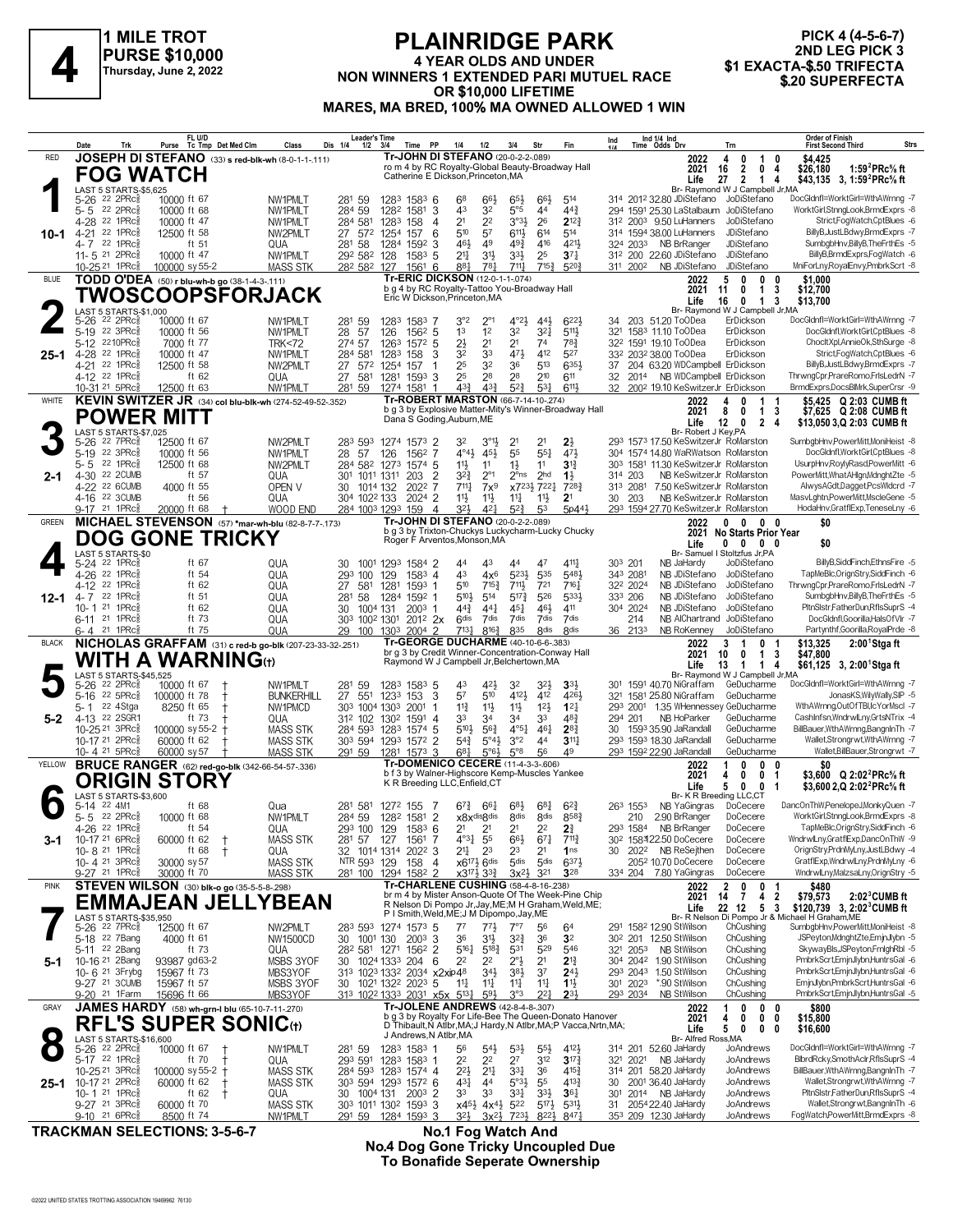

## **PLAINRIDGE PARK 4 YEAR OLDS AND UNDER NON WINNERS 1 EXTENDED PARIN WIND CONSECTATION A**<br>
Thursday, June 2, 2022<br>
Thursday, June 2, 2022<br> **A ALLOCATE ARTENDED PARI MUTUEL RACE** \$1 EXACTA-\$.50 TRIFECTA<br>
\$1 EXACTA-\$.50 TRIFECTA **OR \$10,000 LIFETIME MARES, MA BRED, 100% MA OWNED ALLOWED 1 WIN**

# **PICK 4 (4-5-6-7)** 2ND LEG PICK 3<br>\$1 EXACTA-\$.50 TRIFECTA

|              | Date<br>Trk                                                         | FL U/D<br>Tc Tmp Det Med Clm<br>Purse                                                | Class                                                           | <b>Leader's Time</b><br>Dis 1/4<br>Time PP<br>$1/2$ $3/4$               | Fin<br>1/4<br>1/2<br>3/4<br>Str                                                                                                                     | Ind 1/4 Ind<br>Time Odds Drv<br>Ind<br>Trn                                                              | <b>Order of Finish</b><br>Strs<br><b>First Second Third</b>                                             |
|--------------|---------------------------------------------------------------------|--------------------------------------------------------------------------------------|-----------------------------------------------------------------|-------------------------------------------------------------------------|-----------------------------------------------------------------------------------------------------------------------------------------------------|---------------------------------------------------------------------------------------------------------|---------------------------------------------------------------------------------------------------------|
| <b>RED</b>   |                                                                     |                                                                                      | JOSEPH DI STEFANO (33) s red-blk-wh (8-0-1-1-111)               |                                                                         | Tr-JOHN DI STEFANO (20-0-2-2-089)<br>ro m 4 by RC Royalty-Global Beauty-Broadway Hall                                                               | 2022<br>0<br>4<br>1<br>0<br>$\overline{2}$<br>2021<br>16<br>$\mathbf{0}$<br>4                           | \$4.425<br>1:59 ${}^{2}$ PRc ${}^{5}$ s ft<br>\$26,180                                                  |
|              | <b>FOG WATCH</b><br>LAST 5 STARTS-\$5,625                           |                                                                                      |                                                                 |                                                                         | Catherine E Dickson, Princeton, MA                                                                                                                  | 27<br>$\overline{2}$<br>Life<br>$\mathbf{1}$<br>4<br>Br- Raymond W J Campbell Jr, MA                    | \$43,135 3, 1:59 <sup>2</sup> PRc <sup>5</sup> / <sub>8</sub> ft                                        |
|              | 5-26 <sup>22</sup> 2PRc <sup>5</sup>                                | 10000 ft 67                                                                          | NW1PMLT                                                         | 281 59<br>1283<br>$158^3$ 6                                             | $66\frac{1}{2}$<br>68<br>66}<br>$65\frac{1}{2}$<br>514                                                                                              | 314 2012 32.80 JDiStefano JoDiStefano                                                                   | DocGldnfl=WorktGirl=WthAWrnng -7                                                                        |
|              | 5-5 22 2PRc<br>4-28 <sup>22</sup> 1PRc                              | 10000 ft 68<br>10000 ft 47                                                           | NW1PMLT<br>NW1PMLT                                              | 284 59<br>1282<br>3<br>1581<br>284 581<br>1283<br>158<br>$\overline{4}$ | 43<br>32<br>5°5<br>44<br>$44\frac{3}{4}$<br>2 <sup>1</sup><br>2 <sup>2</sup><br>3°3 <sup>1</sup><br>26<br>$2^{12\frac{3}{4}}$                       | 294 1591 25.30 LaStalbaum JoDiStefano<br>JoDiStefano<br>31 <sup>2</sup> 200 <sup>3</sup> 9.50 LuHanners | WorktGirl,StnngLook,BrmdExprs -8<br>Strict,FogWatch,CptBlues -6                                         |
| 10-1         | 22 1PRc3<br>$4 - 21$<br>4-7 22 1PRc                                 | 12500 ft 58<br>ft 51                                                                 | NW2PMLT<br>QUA                                                  | 27 572<br>1254<br>157<br>6<br>281<br>58<br>1284<br>1592<br>3            | 510<br>57<br>6113<br>614<br>514<br>4211<br>461<br>49<br>$49\frac{3}{4}$<br>416                                                                      | JDiStefano<br>314 1594 38.00 LuHanners<br>324 203 <sup>3</sup> NB BrRanger<br>JDiStefano                | BillyB, JustLBdwy, BrmdExprs -7<br>SumbgbHnv,BillyB,TheFrthEs -5                                        |
|              | 11- 5 <sup>21</sup> 2PRc                                            | 10000 ft 47                                                                          | NW1PMLT                                                         | 292 582<br>128<br>158 <sup>3</sup> 5                                    | $21\frac{1}{4}$<br>3 <sup>1</sup><br>$3^{3}\frac{1}{2}$<br>25<br>$37\frac{1}{4}$                                                                    | 312 200 22.60 JDiStefano<br>JDiStefano                                                                  | BillyB,BrmdExprs,FogWatch -6                                                                            |
| <b>BLUE</b>  | 10-25 <sup>21</sup> 1PRc <sup>3</sup>                               | 100000 sy 55-2<br>TODD O'DEA (50) r blu-wh-b go (38-1-4-3-.111)                      | <b>MASS STK</b>                                                 | 282 582 127<br>-6<br>1561                                               | 781<br>711.1<br>715 <sup>3</sup><br>5203<br>881<br>Tr-ERIC DICKSON (12-0-1-1-074)                                                                   | 311 2002<br>NB JDiStefano<br>JDiStefano<br>0<br>2022<br>5<br>0<br>0                                     | MniForLny, Royal Envy, Pmbrk Scrt -8<br>\$1.000                                                         |
|              |                                                                     |                                                                                      | TWOSCOOPSFORJACK                                                | Eric W Dickson, Princeton, MA                                           | b g 4 by RC Royalty-Tattoo You-Broadway Hall                                                                                                        | $\mathbf{1}$<br>2021<br>11<br>0<br>3<br>16<br>$\mathbf{0}$<br>$\overline{1}$<br>Life<br>-3              | \$12,700<br>\$13,700                                                                                    |
|              | LAST 5 STARTS-\$1,000<br>$22$ 2PR $c_{8}^5$<br>$5 - 26$             | 10000 ft 67                                                                          | NW1PMLT                                                         | 281 59<br>1283<br>1583 7                                                | 3°2<br>$4^{\circ}2\frac{1}{2}$<br>6223<br>$2^{\circ_1}$<br>$44\frac{1}{2}$                                                                          | Br- Raymond W J Campbell Jr, MA<br>34 203 51.20 ToODea<br>ErDickson                                     | DocGldnfl=WorktGirl=WthAWrnng -7                                                                        |
|              | 5-19 22 3PRc                                                        | 10000 ft 56                                                                          | NW1PMLT                                                         | 28<br>57<br>1562 5<br>126                                               | 1 <sup>3</sup><br>32<br>$3^{2}$<br>1 <sup>2</sup><br>5111                                                                                           | 321 1583 11.10 ToODea<br>ErDickson                                                                      | DocGldnfl.WorktGirl.CptBlues -8                                                                         |
| 25-1         | 5-12 2210PRc<br>22 1PRc3<br>$4 - 28$                                | 7000 ft 77<br>10000 ft 47                                                            | <b>TRK&lt;72</b><br>NW1PMLT                                     | 274 57<br>1263<br>1572 5<br>284 581<br>1283<br>158<br>3                 | $2\frac{1}{2}$<br>2 <sup>1</sup><br>$78\frac{3}{4}$<br>2 <sup>1</sup><br>74<br>32<br>33<br>471<br>412<br>527                                        | 32 <sup>2</sup> 1591 19.10 ToODea<br>ErDickson<br>332 2032 38.00 ToODea<br>ErDickson                    | ChocltXpl,AnnieOk,SthSurge -8<br>Strict,FogWatch,CptBlues -6                                            |
|              | 4-21 22 1PRc <sub>8</sub><br>4-12 22 1PRc                           | 12500 ft 58<br>ft 62                                                                 | NW2PMLT<br>QUA                                                  | 27<br>572<br>1254<br>157<br>-1<br>1281<br>27<br>581<br>$1593$ 3         | 32<br>513<br>25<br>36<br>6353<br>28<br>28<br>210<br>25<br>611                                                                                       | 37 204 63.20 WDCampbell ErDickson<br>32<br>2014 NB WDCampbell ErDickson                                 | BillyB,JustLBdwy,BrmdExprs -7<br>ThrwngCpr,PrareRomo,FrlsLedrN -7                                       |
|              | 10-31 <sup>21</sup> 5PRc                                            | 12500 ft 63                                                                          | NW1PMLT                                                         | 281 59<br>1274 1581                                                     | 43 <sup>3</sup><br>433<br>$5^{2}$<br>531<br>6111                                                                                                    | 32 2002 19.10 KeSwitzerJr ErDickson                                                                     | BrmdExprs,DocsBlMrk,SuperCrsr -9                                                                        |
| WHITE        | <b>POWER MITT</b>                                                   |                                                                                      | KEVIN SWITZER JR (34) col blu-blk-wh (274-52-49-52-.352)        |                                                                         | <b>Tr-ROBERT MARSTON (66-7-14-10-274)</b><br>b g 3 by Explosive Matter-Mity's Winner-Broadway Hall                                                  | 2022<br>4<br>0<br>1<br>-1<br>8<br>2021<br>0<br>$\overline{1}$<br>-3                                     | \$5,425 Q 2:03 CUMB ft<br>\$7,625 Q 2:08 CUMB ft                                                        |
|              | LAST 5 STARTS-\$7,025                                               |                                                                                      |                                                                 | Dana S Goding, Auburn, ME                                               |                                                                                                                                                     | Life<br>12<br>2 <sub>4</sub><br>0<br>Br- Robert J Key, PA                                               | \$13,050 3,Q 2:03 CUMB ft                                                                               |
|              | 22 7PRc3<br>5-26<br>5-19 22 3PRc                                    | 12500 ft 67<br>10000 ft 56                                                           | NW2PMLT<br>NW1PMLT                                              | 283 593<br>1274 1573 2<br>28<br>57<br>126<br>1562                       | 2 <sup>1</sup><br>32<br>$3^{01}$<br>21<br>$2\frac{1}{2}$<br>$4^{\circ}4^{\frac{1}{2}}$<br>454<br>55<br>$55\frac{1}{4}$<br>471                       | 293 1573 17.50 KeSwitzerJr RoMarston<br>304 1574 14.80 WaRWatson RoMarston                              | SumbgbHnv,PowerMitt,MoniHeist -8<br>DocGldnfl, WorktGirl, CptBlues -8                                   |
|              | $5 - 5$<br>$22$ 1PR $c_{8}^{5}$<br>4-30 22 2CUMB                    | 12500 ft 68<br>ft 57                                                                 | NW2PMLT                                                         | 284 582 1273<br>1574 5                                                  | 11}<br>11<br>$1\frac{1}{2}$<br>11<br>$3^{13}$                                                                                                       | 303 1581 11.30 KeSwitzerJr RoMarston<br>NB KeSwitzerJr RoMarston<br>314 203                             | UsurpHnv,RoylyRasd,PowerMitt -6<br>PowerMitt, What AHIgn, Mdnght Zte -5                                 |
| $2 - 1$      | 4-22 22 6CUMB                                                       | 4000 ft 55                                                                           | QUA<br>OPEN V                                                   | 301 1011 1311<br>203<br>$\overline{2}$<br>30<br>1014 132<br>2022 7      | $3^{2}\frac{3}{4}$<br>$2^{\circ}1$<br>$2^{\circ}$ ns<br>2 <sub>hd</sub><br>$1\frac{1}{2}$<br>$711\frac{1}{4}$<br>x7231 7221<br>7283<br>$7x^9$       | 313 2081<br>7.50 KeSwitzerJr RoMarston                                                                  | AlwysAGdt,Dagget,PcsWldcrd -7                                                                           |
|              | 4-16 22 3CUMB<br>9-17 21 1PRcs                                      | ft 56<br>20000 ft 68                                                                 | QUA<br>WOOD END                                                 | 2024 2<br>304 1022 133<br>284 1003 1293 159<br>$\overline{4}$           | 11}<br>11号<br>$11\frac{1}{4}$<br>2 <sup>1</sup><br>$11\frac{1}{2}$<br>32}<br>421<br>53<br>5p44}<br>$5^{2}$                                          | 30 203<br>NB KeSwitzerJr RoMarston<br>293 1594 27.70 KeSwitzerJr RoMarston                              | MasvLghtn,PowerMitt,MscleGene -5<br>HodaHnv,GratflExp,TeneseLny -6                                      |
| <b>GREEN</b> |                                                                     |                                                                                      | MICHAEL STEVENSON (57) *mar-wh-blu (82-8-7-7-173)               |                                                                         | Tr-JOHN DI STEFANO (20-0-2-2-089)<br>b g 3 by Trixton-Chuckys Luckycharm-Lucky Chucky                                                               | $\mathbf{0}$<br>$\mathbf{0}$<br>2022<br>$0\quad 0$<br>2021 No Starts Prior Year                         | \$0                                                                                                     |
|              | LAST 5 STARTS-\$0                                                   | <b>DOG GONE TRICKY</b>                                                               |                                                                 | Roger F Arventos, Monson, MA                                            |                                                                                                                                                     | $0\quad 0\quad 0$<br>Life<br>0<br>Br- Samuel I Stoltzfus Jr, PA                                         | \$0                                                                                                     |
|              | 5-24 <sup>22</sup> 1PRc <sup>3</sup>                                | ft 67                                                                                | QUA                                                             | 1001 1293<br>1584 2<br>30                                               | 47<br>4111<br>44<br>43<br>44                                                                                                                        | 303 201<br>NB JaHardy<br>JoDiStefano                                                                    | BillyB,SiddFinch,EthnsFire -5                                                                           |
|              | 4-26 <sup>22</sup> 1PRc3<br>$4-12$<br>$22$ 1PR $c_{8}^{5}$          | ft 54<br>ft $62$                                                                     | QUA<br>QUA                                                      | 1583 4<br>293<br>100<br>129<br>581<br>1281<br>1593 1<br>27              | 43<br>523}<br>535<br>5481<br>$4x^6$<br>510<br>711,<br>716 <sub>7</sub><br>$7^{15\frac{3}{4}}$<br>721                                                | 343 2081<br>NB JDiStefano<br>JoDiStefano<br>322 2024<br>NB JDiStefano<br>JoDiStefano                    | TapMeBlc, OrignStry, SiddFinch -6<br>ThrwngCpr,PrareRomo,FrlsLedrN -7                                   |
| $12 - 1$     | 22 1PRc3<br>$4 - 7$<br>10-1 21 1PRcs                                | ft 51<br>ft 62                                                                       | QUA<br>QUA                                                      | 58<br>1284<br>1592 1<br>281<br>30<br>1004 131<br>$200^3$ 1              | 510}<br>$5^{17}\frac{3}{4}$<br>5333<br>514<br>526<br>$44\frac{3}{4}$<br>44 <sup>1</sup><br>$45\frac{1}{4}$<br>$46\frac{1}{2}$<br>411                | 333 206<br>NB JDiStefano<br>JoDiStefano<br>304 2024<br>NB JDiStefano<br>JoDiStefano                     | SumbgbHnv,BillyB,TheFrthEs -5<br>PltnSlstr,FatherDun,RflsSuprS -4                                       |
|              | 6-11 21 1PRc                                                        | ft 73<br>ft 75                                                                       | QUA                                                             | 303 1002 1301<br>$201^2$ 2x                                             | 7dis<br>7dis<br>7dis<br><b>Gdis</b><br>7dis<br>835<br>8 <sub>dis</sub><br><b>8dis</b><br>7131                                                       | NB AlChartrand<br>JoDiStefano<br>214<br>NB RoKenney                                                     | DocGldnfl,Goorilla,HalsOfVlr -7<br>Partynthf, Goorilla, RoyalPrde -8                                    |
| <b>BLACK</b> | $6 - 4$ 21 1 PRc                                                    |                                                                                      | QUA<br>NICHOLAS GRAFFAM (31) c red-b go-blk (207-23-33-32-.251) | 29<br>100 1303<br>2004 2                                                | $8^{16}\frac{3}{4}$<br>Tr-GEORGE DUCHARME (40-10-6-6-383)                                                                                           | 36 2133<br>JoDiStefano<br>3<br>0<br>2022<br>-1                                                          | \$13,325<br>$2:001$ Stgaft                                                                              |
|              |                                                                     | WITH A WARNING $_{\rm th}$                                                           |                                                                 |                                                                         | br g 3 by Credit Winner-Concentration-Conway Hall<br>Raymond W J Campbell Jr, Belchertown, MA                                                       | 2021<br>10<br>0<br>1<br>3<br>Life<br>$\overline{1}$<br>13<br>$\mathbf{1}$<br>4                          | \$47,800<br>\$61,125 3, 2:00 <sup>1</sup> Stga ft                                                       |
|              | LAST 5 STARTS-\$45,525<br>22 2PRc3<br>5-26                          | 10000 ft 67                                                                          | NW1PMLT                                                         | 281 59<br>1283 1583 5                                                   | 43<br>421,<br>32<br>$3^{2}\frac{1}{2}$<br>3 <sup>3</sup>                                                                                            | Br- Raymond W J Campbell Jr, MA<br>1591 40.70 NiGraffam<br>GeDucharme<br>301                            | DocGldnfl=WorktGirl=WthAWrnng -7                                                                        |
|              | $22$ 5PR $c_{\overline{8}}$<br>$5 - 16$<br>22 4Stga<br>5-1          | 100000 ft 78<br>$^+$<br>8250 ft 65<br>$\overline{1}$                                 | <b>BUNKERHILL</b><br>NW1PMCD                                    | 27<br>551<br>3<br>1233<br>153<br>303 1004 1303<br>2001<br>-1            | 57<br>510<br>4121<br>412<br>4261<br>12 <sup>1</sup><br>$12\frac{1}{4}$<br>$11\frac{3}{4}$<br>$11\frac{1}{2}$<br>$11\frac{1}{2}$                     | 321 1581 25.80 NiGraffam<br>GeDucharme<br>293 2001 1.35 WHennessey GeDucharme                           | JonasKS, Wily Wally, SIP -5<br>WthAWrnng,OutOfTBI,IcYorMscl -7                                          |
| $5 - 2$      | 4-13 22 2SGR1<br>10-25 21 3PRc <sup>5</sup>                         | ft 73<br>100000 sy 55-2 $+$                                                          | QUA<br>MASS STK                                                 | 312 102 1302<br>1591 4<br>284 593<br>1283<br>1574 5                     | 33<br>34<br>34<br>33<br>483<br>$5^{10}\frac{1}{2}$<br>$56\frac{3}{4}$<br>$4^{\circ}5^{\frac{1}{4}}$<br>461<br>$2^{8}$                               | NB HoParker<br>GeDucharme<br>294 201<br>30 1593 35.90 JaRandall<br>GeDucharme                           | CashInfsn, WndrwlLny, GrtsNTrix -4<br>BillBauer, WthAWrnng, BangnIn Th -7                               |
|              | 10-17 <sup>21</sup> 2PRc <sup>3</sup>                               | 60000 ft 62                                                                          | <b>MASS STK</b>                                                 | 303 594 1293 1572 2                                                     | $5^{4}$<br>$5^{\circ}4\frac{1}{2}$<br>3°2<br>311<br>44                                                                                              | 293 1593 18.30 JaRandall<br>GeDucharme                                                                  | Wallet,Strongrwt,WthAWrnng -7                                                                           |
| YELLOW       | 10-4 <sup>21</sup> 5PRc                                             | 60000 sy 57<br><b>BRUCE RANGER</b> (62) red-go-blk (342-66-54-57-.336)               | <b>MASS STK</b>                                                 | 291 59<br>$1573$ 3<br>1281                                              | $5^{\circ}8$<br>49<br>$6^{81}$<br>$5°6\frac{1}{2}$<br>56<br>Tr-DOMENICO CECERE (11-4-3-3-606)                                                       | 293 1592 22.90 JaRandall<br>GeDucharme<br>0<br>2022<br>1<br>0<br>0                                      | Wallet, Bill Bauer, Strongrwt -7<br>\$0                                                                 |
|              |                                                                     | <b>ORIGIN STORY</b>                                                                  |                                                                 | K R Breeding LLC, Enfield, CT                                           | b f 3 by Walner-Highscore Kemp-Muscles Yankee                                                                                                       | 2021<br>4<br>0<br>0 <sub>1</sub><br>Life<br>5<br>0<br>0<br>-1                                           | \$3.600 Q 2:02 <sup>2</sup> PRc% ft<br>\$3,600 2.Q 2:02 <sup>2</sup> PRc <sup>5</sup> / <sub>8</sub> ft |
|              | LAST 5 STARTS-\$3,600<br>5-14 22 4M1                                | ft 68                                                                                | Qua                                                             | 281 581<br>1272 155 7                                                   | $68\frac{1}{4}$<br>$6^{8}\frac{1}{2}$<br>$6^{2}\frac{3}{4}$<br>$6^{74}$<br>661                                                                      | Br- K R Breeding LLC,CT<br>263 1553<br>NB YaGingras<br>DoCecere                                         | DancOnThW,PenelopeJ,MonkyQuen -7                                                                        |
|              | 5-5 22 2PRc <sup>5</sup><br>$4 - 26$<br>22 1 $PRc_{8}^{5}$          | 10000 ft 68<br>ft $54$                                                               | NW1PMI T<br>QUA                                                 | 284 59<br>1282 1581 2<br>293 100 129<br>1583 6                          | <b>8dis</b><br>8583<br>x8x <sup>disgdis</sup><br><b>8dis</b><br>2 <sup>1</sup><br>21<br>2 <sup>1</sup><br>2 <sup>2</sup><br>2 <sup>3</sup>          | 210<br>2.90 BrRanger<br>DoCecere<br>293 1584 NB BrRanger<br>DoCecere                                    | WorktGirl,StnngLook,BrmdExprs -8<br>TapMeBlc, OrignStry, SiddFinch -6                                   |
| $3-1$        | 10-17 21 6PRc <sup>5</sup>                                          | 60000 ft 62<br>$\ddagger$                                                            | <b>MASS STK</b>                                                 | 281 57 127<br>1561 7                                                    | $4^{o3}\frac{1}{4}$<br>55<br>$66\frac{1}{2}$<br>$6^{71}$<br>$7^{11}\frac{3}{4}$                                                                     | DoCecere<br>30 <sup>2</sup> 158322.50 DoCecere                                                          | WndrwlLny,GratflExp,DancOnThW -9                                                                        |
|              | 10-8 21 1PRc<br>10-4 $21$ 3PRc $\frac{5}{8}$                        | ft 68<br>$\ddagger$<br>30000 sy 57                                                   | QUA<br><b>MASS STK</b>                                          | 32 1014 1314 2022 3<br>NTR 593 129<br>158 4                             | 21‡<br>2 <sup>3</sup><br>23<br>2 <sup>1</sup><br>1 <sub>ns</sub><br>5 <sub>dis</sub><br>6373<br>$x6^{17\frac{1}{2}} 6$ dis<br>5 <sub>dis</sub>      | 2022 NB ReSejthen<br>DoCecere<br>30<br>205 <sup>2</sup> 10.70 DoCecere<br>DoCecere                      | OrignStry,PrdnMyLny,JustLBdwy -4<br>GratflExp, WndrwlLny, PrdnMyLny -6                                  |
| <b>PINK</b>  | 9-27 <sup>21</sup> 1PRc3                                            | 30000 ft 70<br>STEVEN WILSON (30) blk-o go (35-5-5-8-298)                            | <b>MASS STK</b>                                                 | 281 100 1294 1582 2                                                     | x3 <sup>17</sup> } 3 <sup>3</sup> }<br>$3x^{2}\frac{1}{2}$<br>321<br>328<br>Tr-CHARLENE CUSHING (58-4-8-16-238)                                     | DoCecere<br>334 204 7.80 YaGingras<br>0<br>2022<br>0<br>-1                                              | WndrwlLny,MalzsaLny,OrignStry -5<br>\$480                                                               |
|              |                                                                     |                                                                                      | EMMAJEAN JELLYBEAN                                              |                                                                         | br m 4 by Mister Anson-Quote Of The Week-Pine Chip<br>R Nelson Di Pompo Jr, Jay, ME; M H Graham, Weld, ME;                                          | $\frac{2}{14}$<br>4 <sub>2</sub><br>$\overline{7}$<br>2021<br>22 12 5 3<br>Life                         | $2:023$ CUMB ft<br>\$79,573<br>\$120.739 3. 2:02 <sup>3</sup> CUMB ft                                   |
|              | LAST 5 STARTS-\$35,950<br>5-26 <sup>22</sup> 7PRc <sup>5</sup>      |                                                                                      | NW2PMLT                                                         | 283 593 1274 1573 5                                                     | P I Smith, Weld, ME; J M Dipompo, Jay, ME<br>$7^7$<br>$77\frac{1}{2}$<br>7°7<br>56<br>6 <sup>4</sup>                                                | Br- R Nelson Di Pompo Jr & Mi<br>291 1582 12.90 StWilson<br>ChCushing                                   | chael H Graham, ME<br>SumbgbHnv,PowerMitt,MoniHeist -8                                                  |
|              | 5-18 <sup>22</sup> 7Bang                                            | 12500 ft 67<br>4000 ft 61                                                            | NW1500CD                                                        | 30 1001 130<br>$2003$ 3                                                 | $3^{2^{3}}$<br>36<br>36<br>31}<br>3 <sup>2</sup>                                                                                                    | 30 <sup>2</sup> 201 12.50 StWilson<br>ChCushing                                                         | JSPeyton,MdnghtZte,EmjnJlybn -5                                                                         |
| $5-1$        | 5-11 22 2Bang<br>10-16 <sup>21</sup> 2Bang                          | ft 73<br>93987 gd63-2                                                                | QUA<br>MSBS 3YOF                                                | 28 <sup>2</sup> 581 1271 1562 2<br>30 1024 1333 204 6                   | 529<br>$5^{16}$<br>$5^{18}\frac{3}{4}$<br>531<br>546<br>$2^{\circ}$ }<br>2 <sup>2</sup><br>22<br>2 <sup>1</sup><br>$2^{13}$                         | 321 2053 NB StWilson<br>ChCushing<br>304 2042 1.90 StWilson<br>ChCushing                                | SkywayBls, JSPeyton, FrnighRbl -5<br>PmbrkScrt,EmjnJlybn,HuntrsGal -6                                   |
|              | 10-6 <sup>21</sup> 3 Frybg<br>9-27 21 3CUMB                         | 15967 ft 73<br>15967 ft 57                                                           | MBS3YOF<br>MSBS 3YOF                                            | 313 1023 1332 2034 x2xip48<br>30 1021 1322 2023 5                       | $34\frac{1}{2}$<br>$3^{8}\frac{1}{2}$<br>37<br>$24\frac{1}{2}$<br>11<br>$11\frac{1}{4}$<br>$11\frac{1}{4}$<br>11<br>$1\frac{11}{2}$                 | ChCushing<br>293 2043 1.50 StWilson<br>301 2023 *.90 StWilson<br>ChCushing                              | PmbrkScrt,EmjnJlybn,HuntrsGal -6<br>EmjnJlybn,PmbrkScrt,HuntrsGal -6                                    |
|              | 9-20 <sup>21</sup> 1 Farm                                           | 15696 ft 66                                                                          | MBS3YOF                                                         | 313 1022 1333 2031 x5x 513 $\frac{1}{4}$                                | $2^{3}$<br>3°3<br>$2^{2}$<br>593                                                                                                                    | 293 2034<br><b>NB StWilson</b><br>ChCushing                                                             | PmbrkScrt,EmjnJlybn,HuntrsGal -5                                                                        |
| GRAY         |                                                                     | <b>JAMES HARDY</b> (58) wh-grn-I blu (65-10-7-11-270)<br><b>RFL'S SUPER SONIC(t)</b> |                                                                 |                                                                         | <b>Tr-JOLENE ANDREWS (42-8-4-8-.307)</b><br>b g 3 by Royalty For Life-Bee The Queen-Donato Hanover                                                  | 0<br>$0\quad 0$<br>2022<br>1<br>$0\quad 0$<br>2021<br>4<br>0                                            | \$800<br>\$15,800                                                                                       |
|              | LAST 5 STARTS-\$16,600                                              |                                                                                      |                                                                 | J Andrews, N Atlbr, MA                                                  | D Thibault, N Atibr, MA; J Hardy, N Atlbr, MA; P Vacca, Nrtn, MA;                                                                                   | 5<br>Life<br>0<br>0<br>0<br>Br- Alfred Ross, MA                                                         | \$16,600                                                                                                |
|              | 5-26 22 2PRc <sup>5</sup><br>5-17 22 1PRc                           | 10000 ft 67<br>$\mathsf{t}$<br>ft 70                                                 | NW1PMLT<br>QUA                                                  | 1283 1583 1<br>281 59<br>293 591 1283 1583 1                            | 56<br>$5^{41}$<br>$5^{3}\frac{1}{2}$<br>$55\frac{1}{2}$<br>4123<br>312<br>2 <sup>2</sup><br>2 <sup>2</sup><br>2 <sup>7</sup><br>$3^{17}\frac{3}{4}$ | 314 201 52.60 JaHardy<br>JoAndrews<br>321 2021 NB JaHardy<br>JoAndrews                                  | DocGldnfl=WorktGirl=WthAWrnng -7<br>BlbrdRcky,SmothAclr,RflsSuprS -4                                    |
|              | 10-25 <sup>21</sup> 3PRc <sup>5</sup><br>10-17 21 2PRc <sup>5</sup> | 100000 sy 55-2 +                                                                     | <b>MASS STK</b>                                                 | 284 593 1283 1574 4                                                     | $2^{2}\frac{1}{2}$<br>$21\frac{1}{4}$<br>331<br>36<br>$4^{15}$                                                                                      | 314 201 58.20 JaHardy<br>JoAndrews<br>30 2001 36.40 JaHardy<br>JoAndrews                                | BillBauer, WthAWrnng, BangnIn Th -7<br>Wallet,Strongrwt,WthAWrnng -7                                    |
| $25 - 1$     | 10-1 21 1PRc $\frac{5}{8}$                                          | 60000 ft 62<br>$\ddagger$<br>ft $62$<br>$\pm$                                        | <b>MASS STK</b><br>QUA                                          | 303 594 1293 1572 6<br>30 1004 131<br>$200^3$ 2                         | 431<br>44<br>$5°3\frac{1}{2}$<br>55<br>4133<br>33<br>33<br>331<br>$3^{3}\frac{1}{2}$<br>$36\frac{1}{4}$                                             | JoAndrews<br>301 2014 NB JaHardy                                                                        | PltnSlstr,FatherDun,RflsSuprS -4                                                                        |
|              | 9-27 <sup>21</sup> 3PRc <sup>3</sup><br>$9-10^{21}$ 6PRc            | 60000 ft 70<br>8500 ft 74                                                            | MASS STK<br>NW1PMLT                                             | 303 1011 1302 1593 3<br>291 59<br>1284 1593 3                           | $5^{17}\frac{1}{2}$<br>$x45\frac{1}{2}$ $4x4\frac{1}{2}$<br>522<br>$5^{31}$<br>32}<br>7231<br>8471<br>$3x^{2}$<br>8223                              | JoAndrews<br>31 2054 22.40 JaHardy<br>353 209 12.30 JaHardy<br>JoAndrews                                | Wallet,Strongrwt,BangnInTh -6<br>FogWatch,PowerMitt,BrmdExprs -8                                        |

**TRACKMAN SELECTIONS: 3-5-6-7 No.1 Fog Watch And**

**No.4 Dog Gone Tricky Uncoupled Due To Bonafide Seperate Ownership**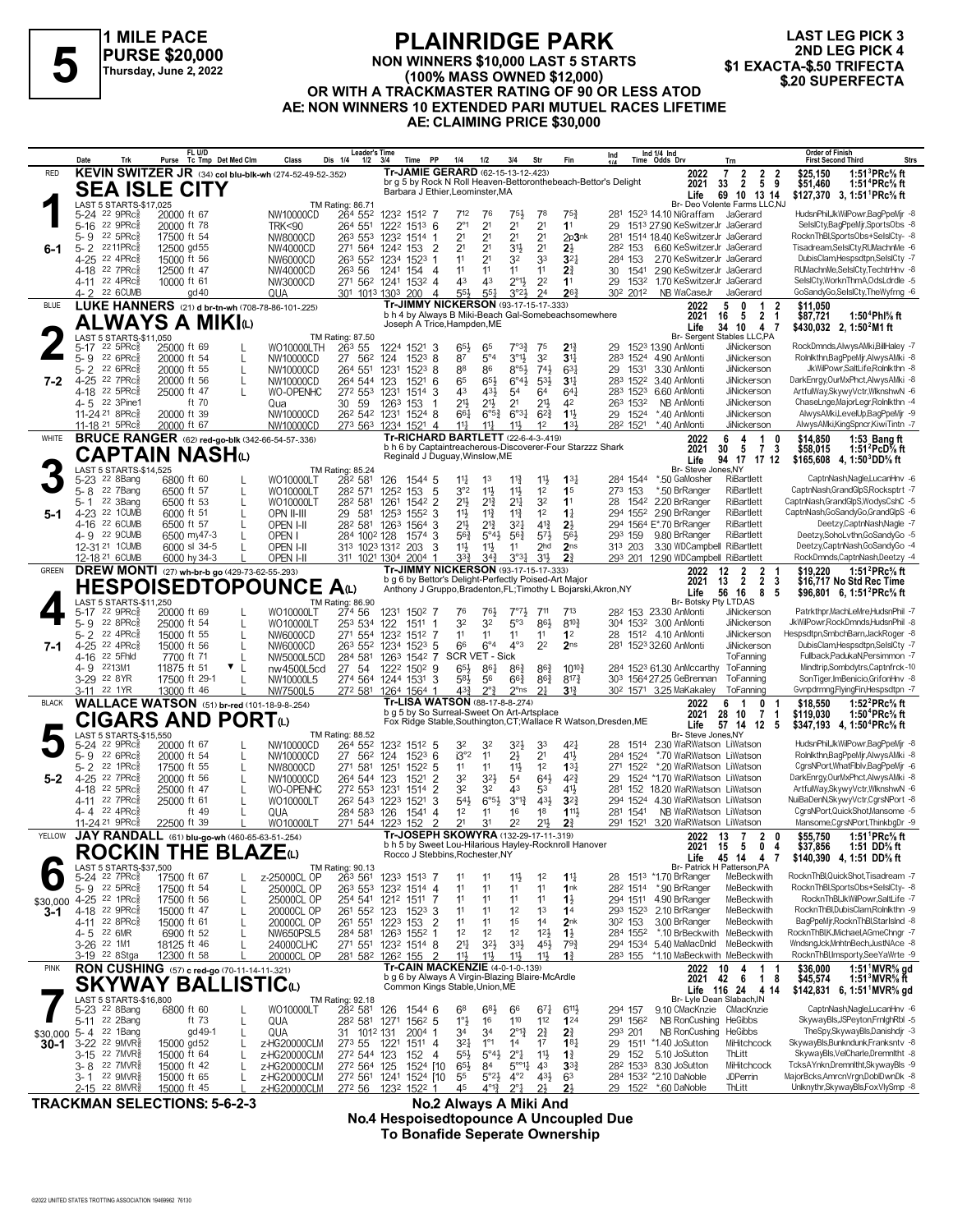

#### **PLAINRIDGE PARK NON WINNERS \$10,000 LAST 5 STARTS (100% MASS OWNED \$12,000) OR WITH A TRACKMASTER RATING OF 90 OR LESS ATOD AE: NON WINNERS 10 EXTENDED PARI MUTUEL RACES LIFETIME AE: CLAIMING PRICE \$30,000 FLAINNIDUL FARK**<br>FLAINNIDUL FARK<br>Thursday, June 2, 2022<br>OB WITH A TRACKMASTER BATING OF 90 OBLESS ATOP \$10.000 \$20 SUPERFECTA

| KEVIN SWITZER JR (34) col blu-blk-wh (274-52-49-52-.352)<br>Tr-JAMIE GERARD (62-15-13-12-.423)<br><b>RED</b><br>$\overline{2}$<br>$\frac{2}{5}$ $\frac{2}{9}$<br>1:51 ${}^{3}$ PRc ${}^{5}$ s ft<br>2022<br>7<br>\$25.150<br>$\overline{2}$<br>br g 5 by Rock N Roll Heaven-Bettoronthebeach-Bettor's Delight<br>2021<br>\$51,460<br>33<br>1:51 <sup>4</sup> PRc <sup>5</sup> / <sub>8</sub> ft<br><b>SEA ISLE CITY</b><br>Barbara J Ethier, Leominster, MA<br>69 10 13 14<br>Life<br>\$127,370 3, 1:51 PRc% ft<br>LAST 5 STARTS-\$17,025<br>Br- Deo Volente Farms LLC,NJ<br>TM Rating: 86.71<br>HudsnPhil, JkWilPowr, BagPpeMjr -8<br>5-24 22 9PRc <sub>8</sub><br>264 552<br>20000 ft 67<br>NW10000CD<br>1232 1512 7<br>712<br>76<br>$75\frac{1}{2}$<br>78<br>$75\frac{3}{4}$<br>281 1523 14.10 NiGraffam<br>JaGerard<br>2 <sup>1</sup><br>$2^{\circ}1$<br>2 <sup>1</sup><br>2 <sup>1</sup><br>5-16 22 9PRc<br>264 551<br>1 <sup>1</sup><br>20000 ft 78<br><b>TRK&lt;90</b><br>1222 1513 6<br>29<br>1513 27.90 KeSwitzerJr JaGerard<br>2 <sup>1</sup><br>2 <sup>1</sup><br>2 <sup>1</sup><br>RocknThBl,SportsObs+SelsICty- -8<br>5-9 22 5PRc<br>2 <sup>1</sup><br>2p3nk<br>17500 ft 54<br>NW8000CD<br>26 <sup>3</sup> 55 <sup>3</sup> 123 <sup>2</sup> 1514 1<br>281 1514 18.40 KeSwitzerJr JaGerard<br>Tisadream,SelslCty,RUMachnMe -6<br>2 <sup>1</sup><br>2 <sup>1</sup><br>6.60 KeSwitzerJr JaGerard<br>$5 - 2$<br>2211PRc<br>12500 gd55<br>271 564 1242 153<br>$\overline{2}$<br>2 <sup>1</sup><br>3 <sup>1</sup><br>2}<br>282 153<br>NW4000CD<br>6-1<br>22 4PRc<br>11<br>32<br>33<br>2.70 KeSwitzerJr JaGerard<br>4-25<br>15000 ft 56<br>2 <sup>1</sup><br>3 <sup>2</sup><br>284 153<br>NW6000CD<br>26 <sup>3</sup> 55 <sup>2</sup> 1234 1523<br>-1<br>RUMachnMe,SelslCty,TechtrHnv -8<br>4-18 22 7PRc<br>12500 ft 47<br>11<br>11<br>11<br>11<br>$2\frac{3}{4}$<br>2.90 KeSwitzerJr JaGerard<br>NW4000CD<br>263 56<br>1241 154<br>30<br>1541<br>-4<br>$2^{\circ}1\frac{1}{2}$<br>2 <sup>2</sup><br>4-11 22 4PRc <sup>5</sup><br>43<br>43<br>1 <sup>1</sup><br>SelslCty, WorknThmA, OdsLdrdle -5<br>10000 ft 61<br>NW3000CD<br>271 562 1241<br>1532 4<br>29<br>1532<br>1.70 KeSwitzerJr JaGerard<br>24<br>$26\frac{3}{4}$<br>4-2 22 6CUMB<br>55 <sup>1</sup><br>3°23<br>302 2012<br>$\text{gd }40$<br>QUA<br>301 1013 1303<br>200<br>551<br>NB WaCaseJr<br>JaGerard<br>4<br>LUKE HANNERS (21) d br-tn-wh (708-78-86-101-.225)<br>Tr-JIMMY NICKERSON (93-17-15-17-333)<br>5<br><b>BLUE</b><br>2022<br>0<br>$\overline{1}$<br>\$11.050<br>2<br>b h 4 by Always B Miki-Beach Gal-Somebeachsomewhere<br>$\overline{2}$<br>5<br>1:50 <sup>4</sup> Phl% ft<br>2021<br>-1<br>\$87,721<br>16<br><b>ALWAYS A MIKI</b> N<br>Joseph A Trice, Hampden, ME<br>34<br>10<br>4<br>\$430,032 2, 1:50 <sup>2</sup> M1 ft<br>Life<br>-7<br>LAST 5 STARTS-\$11,050<br><b>Br-Sergent</b><br>Stables LLC,PA<br>TM Rating: 87.50<br>7°3 <sup>3</sup><br>$2^{13}$<br>$22$ 5PR $c_{8}$<br>25000 ft 69<br><b>WO10000LTH</b><br>26 <sup>3</sup> 55<br>1224 1521 3<br>65<br>75<br>29<br>1523 13.90 AnMonti<br><b>JiNickerson</b><br>5-17<br>$65\frac{1}{2}$<br>32<br>$3^{01}$<br>3 <sup>11</sup><br>5-9 22 6PRc<br>87<br>$5^{\circ}4$<br>20000 ft 54<br>NW10000CD<br>27 56 <sup>2</sup> 124<br>$152^3$ 8<br>283 1524 4.90 AnMonti<br><b>JiNickerson</b><br>$5 - 2$<br>$8°5\frac{1}{2}$<br>JiNickerson<br>JkWilPowr,SaltLife,Rolnlkthn -8<br>22 6PRc3<br>20000 ft 55<br>264 551<br>1523<br>88<br>86<br>$74\frac{1}{2}$<br>$63\frac{1}{4}$<br>29<br>1531<br>3.30 AnMonti<br>NW10000CD<br>1231<br>8<br>22 7PRc3<br>$4 - 25$<br>20000 ft 56<br>264 544 123<br>65<br>$65\frac{1}{2}$<br>$6^{\circ}4\frac{1}{2}$<br>$5^{3}$<br>3 <sup>11</sup><br>283 1522 3.40 AnMonti<br>JiNickerson<br>$7 - 2$<br>NW10000CD<br>1521<br>-6<br>22 5PRc<br>25000 ft 47<br>WO-OPENHC<br>43<br>283 1523<br>6.60 AnMonti<br>JiNickerson<br>4-18<br>272 553 1231<br>1514<br>3<br>431<br>54<br>64<br>$64\frac{1}{4}$<br>22 3Pine1<br>$21\frac{1}{2}$<br>$21\frac{1}{2}$<br>21}<br>ft 70<br>30 59<br>2 <sup>1</sup><br>ChaseLnge,MajorLegr,Rolnlkthn -4<br>4-5<br>1263<br>153<br>42<br>263 1532<br>NB AnMonti<br><b>JiNickerson</b><br>Qua<br>$1\frac{11}{2}$<br>11-24 <sup>21</sup> 8PRc<br>20000 ft 39<br>262 542 1231<br>$6^{o_{31}}$<br>$6^{2}3$<br>29 1524<br>AlwysAMki,LevelUp,BagPpeMjr -9<br>NW10000CD<br>1524 8<br>$66\frac{1}{4}$<br>$6^{95}\%$<br>*.40 AnMonti<br>JiNickerson<br>133<br>282 1521<br>*.40 AnMonti<br>JiNickerson<br>11-18 21 5PRc<br>20000 ft 67<br>273 563 1234 1521 4<br>$11\frac{1}{4}$<br>$11\frac{1}{2}$<br>$11\frac{1}{2}$<br>NW10000CD<br>1 <sup>2</sup><br><b>BRUCE RANGER</b> (62) red-go-blk (342-66-54-57-.336)<br><b>Tr-RICHARD BARTLETT</b> (22-6-4-3-.419)<br><b>WHITE</b><br>2022<br>6<br>$\overline{1}$<br>\$14,850<br>1:53 Bang ft<br>4<br>0<br>b h 6 by Captaintreacherous-Discoverer-Four Starzzz Shark<br>$\overline{7}$<br>30<br>\$58,015<br>2021<br>5<br>3<br>1:51 $^{2}$ PcD $\%$ ft<br>CAPTAIN NASHம<br>Reginald J Duguay, Winslow, ME<br>94 17 17 12<br>Life<br>\$165,608 4.1:50 ${}^{3}$ DD ${}^{5}$ s ft<br>Br- Steve Jones, NY<br>LAST 5 STARTS-\$14.525<br>TM Rating: 85.24<br>$11\frac{3}{4}$<br>11}<br>22 8Bang<br>6800 ft 60<br>WO10000LT<br>282 581<br>$11\frac{1}{4}$<br>1 <sup>3</sup><br>$13\frac{1}{4}$<br>284 1544<br>*.50 GaMosher<br>RiBartlett<br>126<br>1544 5<br>5-23<br>22 7Bang<br>3°2<br>$11\frac{1}{2}$<br>1 <sup>2</sup><br>*.50 BrRanger<br><b>RiBartlett</b><br>CaptnNash,GrandGlpS,Rocksptrt -7<br>$5 - 8$<br>6500 ft 57<br>282 571<br>1252 153<br>$\overline{5}$<br>$11\frac{1}{2}$<br>1 <sup>5</sup><br>273 153<br>WO10000LT<br>22 3Bang<br>32<br>CaptnNash,GrandGlpS,WodysCshC -5<br>6500 ft 53<br>21}<br>$2^{13}$<br>2 <sup>11</sup><br>1 <sup>1</sup><br>1542 2.20 BrRanger<br>RiBartlett<br>5-1<br>282 581<br>1261<br>1542 2<br>28<br>WO10000LT<br>4-23 22 1CUMB<br>1 <sup>2</sup><br>$1\frac{1}{4}$<br>294 1552 2.90 BrRanger<br>RiBartlett<br>6000 ft 51<br>OPN II-III<br>29<br>581<br>1253 1552 3<br>11号<br>$11\frac{3}{4}$<br>$11\frac{3}{4}$<br>5-1<br>$2^{13}$<br>21}<br>$4^{13}$<br>22 6CUMB<br>282 581<br>$3^{2}$<br>$2\frac{1}{2}$<br>294 1564 E*.70 BrRanger<br><b>RiBartlett</b><br>Deetzy,CaptnNash,Nagle -7<br>4-16<br>6500 ft 57<br>OPEN I-II<br>1263 1564<br>-3<br>4-9 22 9CUMB<br>56}<br>$5^{\circ}4\frac{1}{2}$<br>$56\frac{3}{4}$<br>$5^{7}$<br>293 159<br><b>RiBartlett</b><br>Deetzy,SohoLvthn,GoSandyGo -5<br>6500 my47-3<br>OPEN I<br>284 1002 128<br>3<br>561<br>9.80 BrRanger<br>1574<br>12-31 21 1 CUMB<br>6000 sl 34-5<br>2 <sub>hd</sub><br>2 <sub>ns</sub><br>3.30 WDCampbell RiBartlett<br>313 1023 1312 203<br>11卦<br>$11\frac{1}{2}$<br>313 203<br>OPEN I-II<br>3<br>11<br>12-18 21 6CUMB<br>293 201 12.90 WDCampbell RiBartlett<br>RockDmnds,CaptnNash,Deetzy -4<br>6000 hy 34-3<br>OPEN I-II<br>311 1021 1304 2004<br>33}<br>34 <sup>3</sup><br>$3^{03}\frac{1}{4}$<br>3 <sup>1</sup><br>2 <sup>3</sup><br>-1<br><b>DREW MONTI</b> (27) wh-br-b go (429-73-62-55-.293)<br>Tr-JIMMY NICKERSON (93-17-15-17-333)<br>GREEN<br>1:51 ${}^{2}$ PRc ${}^{5}_{8}$ ft<br>2022<br>12<br>$\overline{2}$<br>2<br>\$19.220<br>b g 6 by Bettor's Delight-Perfectly Poised-Art Major<br>$\overline{2}$<br>2 <sub>3</sub><br>2021<br>13<br>\$16,717 No Std Rec Time<br><b>HESPOISEDTOPOUNCE</b><br>A <sub>U</sub><br>Anthony J Gruppo, Bradenton, FL; Timothy L Bojarski, Akron, NY<br>56<br>16<br>8<br>5<br>Life<br>\$96,801 6, 1:51 <sup>2</sup> PRc <sup>5</sup> / <sub>8</sub> ft<br>Br- Botsky Pty LTD, AS<br>LAST 5 STARTS-\$11,250<br>TM Rating: 86.90<br>5-17 22 9PRc<br>Patrkthpr, MachLeMre, HudsnPhil -7<br>20000 ft 69<br>WO10000LT<br>274 56<br>763<br>28 <sup>2</sup> 153 23.30 AnMonti<br>JiNickerson<br>1231 1502 7<br>76<br>$7°7\frac{1}{2}$<br>711<br>713<br>22 8PRc3<br>32<br>861<br>JkWilPowr,RockDmnds,HudsnPhil -8<br>$5 - 9$<br>25000 ft 54<br>32<br>5°3<br>$8^{10}$<br>304 1532 3.00 AnMonti<br>JiNickerson<br>WO10000LT<br>253 534 122<br>1511 1<br>$5 - 2$<br>22 4PRc<br>11<br>11<br>1 <sup>2</sup><br>1512 4.10 AnMonti<br>JiNickerson<br>15000 ft 55<br>NW6000CD<br>271 554 1232<br>1512 7<br>11<br>11<br>28<br>2 <sup>2</sup><br>$6^{\circ}4$<br>$4^{\circ}3$<br>$4 - 25$<br>22 4PRc<br>66<br>2 <sub>ns</sub><br>DubisClam, Hespsdtpn, SelsICty -7<br>15000 ft 56<br>NW6000CD<br>26 <sup>3</sup> 55 <sup>2</sup> 123 <sup>4</sup> 152 <sup>3</sup> 5<br>281<br>1523 32.60 AnMonti<br><b>JiNickerson</b><br>7-1<br>SCR VET - Sick<br>Fullback,PadukaN,Persimmon -7<br>22 5Fhld<br>284 581 1263<br>ToFanning<br>4-16<br>7700 ft 71<br>NW5000L5CD<br>1542 7<br>ToFanning<br>2213M1<br>11875 ft 51<br>$\mathbf{v}$  <br>27 54<br>65}<br>$86\frac{1}{4}$<br>$10^{10}\frac{3}{4}$<br>284 1523 61.30 AnMccarthy<br>4- 9<br>nw4500L5cd<br>1222 1502 9<br>$86\frac{3}{4}$<br>$86\frac{3}{4}$<br>SonTiger, ImBenicio, GrifonHnv -8<br>3-29 22 8YR<br>17500 ft 29-1<br>274 564 1244 1531 3<br>583<br>56<br>$66\frac{3}{4}$<br>$86\frac{3}{4}$<br>$8^{17}\frac{3}{4}$<br>303 1564 27.25 GeBrennan<br>ToFanning<br>NW10000L5<br>Gvnpdrmng,FlyingFin,Hespsdtpn -7<br>22 1YR<br>13000 ft 46<br>NW7500L5<br>272 581 1264 1564 1<br>43}<br>$2^{\circ}$<br>$2^{\circ}$ ns<br>21<br>$3\frac{13}{4}$<br>30 <sup>2</sup> 1571 3.25 MaKakaley<br>3-11<br>ToFanning<br><b>WALLACE WATSON</b> (51) br-red (101-18-9-8-254)<br>Tr-LISA WATSON (88-17-8-8-.274)<br>1:52 $^{2}$ PRc $\%$ ft<br><b>BLACK</b><br>2022<br>6<br>0<br>\$18,550<br>b g 5 by So Surreal-Sweet On Art-Artsplace<br>2021<br>28<br>10<br>7<br>\$119,030<br>1:50 $^4$ PRc $\%$ ft<br>$\mathbf 1$<br>CIGARS AND PORTധ<br>Fox Ridge Stable, Southington, CT; Wallace R Watson, Dresden, ME<br>Life<br>57 14<br>$12 \quad 5$<br>\$347,193 4, 1:50 <sup>4</sup> PRc <sup>5</sup> / <sub>8</sub> ft<br>Br- Steve Jones.NY<br>LAST 5 STARTS-\$15,550<br>TM Rating: 88.52<br>5-24 22 9PRc <sub>8</sub><br>20000 ft 67<br>1232 1512 5<br>32}<br>2.30 WaRWatson LiWatson<br>NW10000CD<br>264 552<br>32<br>32<br>33<br>42<br>28 1514<br>$5-9$<br>$22.6$ PR $c_{8}$<br>i3°2<br>11<br>21<br>2 <sup>1</sup><br>41}<br>*.70 WaRWatson LiWatson<br>20000 ft 54<br>NW10000CD<br>27 56 <sup>2</sup> 124<br>$152^3$ 6<br>284 1524<br>CgrsNPort, WhatFlblv, BagPpeMjr -6<br>$5 - 2$<br>22 1PRc<br>271 581<br>11}<br>1 <sup>2</sup><br>$13\frac{1}{4}$<br>*.20 WaRWatson LiWatson<br>17500 ft 55<br>NW8000CD<br>1251<br>$152^2$ 5<br>11<br>11<br>271<br>1522<br>32<br>323<br>54<br>643<br>$4^{2}\frac{3}{4}$<br>DarkEnrgy,OurMxPhct,AlwysAMki -8<br>22 7PRc<br>$\overline{2}$<br>1524 *1.70 WaRWatson LiWatson<br>$4 - 25$<br>20000 ft 56<br>264 544 123<br>29<br>NW10000CD<br>1521<br>5-2<br>22 5PRc<br>32<br>32<br>281 152 18.20 WaRWatson LiWatson<br>25000 ft 47<br>WO-OPENHC<br>272 553 1231<br>$\overline{2}$<br>43<br>53<br>41}<br>4-18<br>1514<br>22 7PRc<br>$6^{\circ}5\frac{1}{2}$<br>431<br>294 1524 4.30 WaRWatson LiWatson<br>NuiBaDenN,SkywyVctr,CgrsNPort -8<br>25000 ft 61<br>26 <sup>2</sup> 54 <sup>3</sup> 122 <sup>3</sup><br>1521<br>3<br>543<br>$3^{012}$<br>$3^{2}$<br>4-11<br>WO10000LT<br>CgrsNPort, Quick Shot, Mansome -5<br>22 4PRc3<br>ft 49<br>1 <sup>2</sup><br>16<br>1 <sup>8</sup><br>1111,<br>NB WaRWatson LiWatson<br>QUA<br>28 <sup>4</sup> 58 <sup>3</sup> 126<br>1541<br>11<br>281 1541<br>4-4<br>4<br>$\overline{2}$<br>2 <sup>1</sup><br>11-24 <sup>21</sup> 9PRc<br>152<br>22<br>$21\frac{1}{2}$<br>$2\frac{3}{4}$<br>291 1521 3.20 WaRWatson LiWatson<br>22500 ft 39<br>WO10000LT<br>271 544 1223<br>3 <sup>1</sup><br>Tr-JOSEPH SKOWYRA (132-29-17-11-319)<br>YELLOW<br>JAY RANDALL (61) blu-go-wh (460-65-63-51-.254)<br>2022 13<br>\$55,750<br>1:51 $^1$ PRc <sup>5</sup> / <sub>8</sub> ft<br>$\mathbf{7}$<br>2 0<br>b h 5 by Sweet Lou-Hilarious Hayley-Rocknroll Hanover<br>$\mathbf 0$<br>15<br>5<br>4<br>\$37,856<br>1:51 DD% ft<br>2021<br><b>ROCKIN THE BLAZE(L)</b><br>Rocco J Stebbins, Rochester, NY<br>45 14<br>4<br>Life<br>7<br>\$140,390 4, 1:51 DD% ft<br>LAST 5 STARTS-\$37,500<br>Br- Patrick H Patterson, PA<br>TM Rating: 90.13<br>5-24 <sup>22</sup> 7PRc <sup>5</sup><br>263 561<br>28 151 <sup>3</sup> *1.70 BrRanger<br>MeBeckwith<br>17500 ft 67<br>z-25000CL OP<br>1233 1513 7<br>$11\frac{1}{2}$<br>1 <sup>2</sup><br>$1^{11}$<br>11<br>11<br>22 5PRc<br>RocknThBl,SportsObs+SelsICty- -8<br>5-9<br>25000CL OP<br>263 553 1232 1514 4<br>11<br>11<br>11<br>282 1514 *.90 BrRanger<br>17500 ft 54<br>11<br>1 <sup>nk</sup><br>MeBeckwith<br>RocknThBl,JkWilPowr,SaltLife -7<br>4-25 <sup>22</sup> 1PRc <sup>3</sup><br>254 541 1212 1511 7<br>11<br>11<br>11<br>11<br>$1\frac{1}{2}$<br>294 1511 4.90 BrRanger<br>MeBeckwith<br>17500 ft 56<br>25000CL OP<br>\$30,000<br>L<br>4-18 22 9PRc <sup>5</sup><br>1 <sup>2</sup><br>293 1523<br>2.10 BrRanger<br>MeBeckwith<br>$3 - 1$<br>15000 ft 47<br>20000CL OP<br>261 552 123<br>$1523$ 3<br>11<br>11<br>1 <sup>3</sup><br>1 <sup>4</sup><br>4-11 22 8PRc <sub>8</sub><br>1 <sup>5</sup><br>3.00 BrRanger<br>MeBeckwith<br>BagPpeMjr,RocknThBl,StarIsInd -8<br>15000 ft 61<br>20000CL OP<br>261 551 1223 153<br>$\overline{2}$<br>11<br>11<br>1 <sup>4</sup><br>2 <sub>nk</sub><br>30 <sup>2</sup> 153<br>1 <sup>2</sup><br>RocknThBl,KJMichael,AGmeChngr -7<br>4-5 22 6MR<br><b>NW650PSL5</b><br>284 581 1263 1552 1<br>1 <sup>2</sup><br>1 <sup>2</sup><br>$12\frac{1}{2}$<br>$1\frac{1}{2}$<br>284 1552<br>*.10 BrBeckwith<br>MeBeckwith<br>6900 ft 52<br>$21\frac{1}{4}$<br>271 551 1232 1514 8<br>$3^{2}\frac{1}{2}$<br>$3^{3}\frac{1}{2}$<br>$45\frac{1}{2}$<br>294 1534 5.40 MaMacDnld<br>MeBeckwith<br>3-26 <sup>22</sup> 1M1<br>18125 ft 46<br>24000CLHC<br>793<br>$\overline{2}$<br>113<br>$11\frac{1}{2}$<br>11}<br>RocknThBl,Imsporty,SeeYaWrte -9<br>20000CL OP<br>281 582 1262 155<br>$1\frac{3}{4}$<br>3-19 <sup>22</sup> 8Stga<br>12300 ft 58<br>11}<br>283 155 *1.10 MaBeckwith MeBeckwith<br>Tr-CAIN MACKENZIE (4-0-1-0-139)<br><b>RON CUSHING</b> (57) c red-go (70-11-14-11-.321)<br><b>PINK</b><br>$\mathbf{1}$<br>1:51 MVR <sup>5</sup> / <sub>8</sub> gd<br>2022<br>10<br>4<br>\$36,000<br>-1<br>b g 6 by Always A Virgin-Blazing Blaire-McArdle<br>18<br>2021 42<br>- 6<br>\$45,574<br>1:51 $3$ MVR $\%$ ft<br><b>SKYWAY BALLISTIC(L)</b><br>Common Kings Stable, Union, ME<br>Life 116 24 4 14<br>$$142,831$ 6, 1:51 MVR <sup>5</sup> / <sub>8</sub> gd<br>LAST 5 STARTS-\$16,800<br>Br- Lyle Dean Slabach, IN<br>TM Rating: 92.18<br>5-23 <sup>22</sup> 8Bang<br>282 581<br>CaptnNash.NagleLucanHnv -6<br>6800 ft 60<br>WO10000LT<br>126<br>1544 6<br>68<br>$6^{8}\frac{1}{2}$<br>66<br>$67\frac{1}{4}$<br>294 157<br>9.10 CMacKnzie CMacKnzie<br>$6^{11}$<br>110<br>$1^{\circ}$ $\frac{1}{2}$<br>112<br>124<br>5-11 22 2Bang<br>1562 5<br>16<br>NB RonCushing HeGibbs<br>ft 73<br>QUA<br>28 <sup>2</sup> 58 <sup>1</sup> 1271<br>291 1562<br>34<br>$2^{\circ}1^3_4$<br>2 <sup>3</sup> / <sub>4</sub><br>NB RonCushing HeGibbs<br>5-4<br>22 1Bang<br>gd 49-1<br>1012 131<br>2004<br>24<br>293 201<br>QUA<br>31<br>$\mathbf{1}$<br>34<br>\$30,000<br>SkywayBls,Bunkndunk,Franksntv -8<br>3-22 22 9MVR <sup>5</sup><br>$1^{\circ}1$<br>17<br>29 1511 *1.40 JoSutton<br>MiHitchcock<br>15000 gd52<br>273 55<br>1221<br>321<br>1 <sup>4</sup><br>18 <sub>1</sub><br>z-HG20000CLM<br>1511 4<br>30-1<br>3-15 22 7MVR§<br>272 544 123<br>$55\frac{1}{2}$<br>$5^{\circ}4\frac{1}{2}$<br>$2^{\circ}$ <sup>1</sup><br>11支<br>5.10 JoSutton<br>15000 ft 64<br>z-HG20000CLM<br>152<br>$1\frac{3}{4}$<br>29<br>152<br>ThLitt<br>-4<br>$65\frac{1}{2}$<br>$5^{\circ 11}$<br>4 <sup>3</sup><br>22 7MVR§<br>15000 ft 42<br>z-HG20000CLM<br>272 564 125<br>1524 [10<br>84<br>$3^{3}$<br>28 <sup>2</sup> 153 <sup>3</sup> 8.30 JoSutton<br>MiHitchcock<br>3-8<br>$4^{\circ}2$<br>$43\frac{1}{2}$<br>MajorBcks,AmrcnVrgn,DoblDwnDk -8<br>22 9MVR§<br>55<br>$5^{\circ}2\frac{1}{2}$<br>284 1532 *2.10 DaNoble<br><b>JDPerrin</b><br>15000 ft 65<br>z-HG20000CLM<br>27 <sup>2</sup> 56 <sup>1</sup> 124 <sup>1</sup> 152 <sup>4</sup> [10<br>63<br>3- 1<br>29 152 <sup>2</sup> *.60 DaNoble<br>2-15 22 8MVR<br>272 56 1232 1522 1<br>45<br>$4^{012}$ | Date | Trk | FL U/D<br>Purse | Tc Tmp Det Med Clm | Class               | <b>Leader's Time</b><br>Dis 1/4<br>1/2 | 3/4 | Time PP | 1/4 | 1/2 | 3/4          | Str            | Fin            | Ind<br>1/4 | Ind 1/4 Ind<br>Time Odds Drv | Trn    | Order of Finish<br>Strs<br><b>First Second Third</b> |
|-------------------------------------------------------------------------------------------------------------------------------------------------------------------------------------------------------------------------------------------------------------------------------------------------------------------------------------------------------------------------------------------------------------------------------------------------------------------------------------------------------------------------------------------------------------------------------------------------------------------------------------------------------------------------------------------------------------------------------------------------------------------------------------------------------------------------------------------------------------------------------------------------------------------------------------------------------------------------------------------------------------------------------------------------------------------------------------------------------------------------------------------------------------------------------------------------------------------------------------------------------------------------------------------------------------------------------------------------------------------------------------------------------------------------------------------------------------------------------------------------------------------------------------------------------------------------------------------------------------------------------------------------------------------------------------------------------------------------------------------------------------------------------------------------------------------------------------------------------------------------------------------------------------------------------------------------------------------------------------------------------------------------------------------------------------------------------------------------------------------------------------------------------------------------------------------------------------------------------------------------------------------------------------------------------------------------------------------------------------------------------------------------------------------------------------------------------------------------------------------------------------------------------------------------------------------------------------------------------------------------------------------------------------------------------------------------------------------------------------------------------------------------------------------------------------------------------------------------------------------------------------------------------------------------------------------------------------------------------------------------------------------------------------------------------------------------------------------------------------------------------------------------------------------------------------------------------------------------------------------------------------------------------------------------------------------------------------------------------------------------------------------------------------------------------------------------------------------------------------------------------------------------------------------------------------------------------------------------------------------------------------------------------------------------------------------------------------------------------------------------------------------------------------------------------------------------------------------------------------------------------------------------------------------------------------------------------------------------------------------------------------------------------------------------------------------------------------------------------------------------------------------------------------------------------------------------------------------------------------------------------------------------------------------------------------------------------------------------------------------------------------------------------------------------------------------------------------------------------------------------------------------------------------------------------------------------------------------------------------------------------------------------------------------------------------------------------------------------------------------------------------------------------------------------------------------------------------------------------------------------------------------------------------------------------------------------------------------------------------------------------------------------------------------------------------------------------------------------------------------------------------------------------------------------------------------------------------------------------------------------------------------------------------------------------------------------------------------------------------------------------------------------------------------------------------------------------------------------------------------------------------------------------------------------------------------------------------------------------------------------------------------------------------------------------------------------------------------------------------------------------------------------------------------------------------------------------------------------------------------------------------------------------------------------------------------------------------------------------------------------------------------------------------------------------------------------------------------------------------------------------------------------------------------------------------------------------------------------------------------------------------------------------------------------------------------------------------------------------------------------------------------------------------------------------------------------------------------------------------------------------------------------------------------------------------------------------------------------------------------------------------------------------------------------------------------------------------------------------------------------------------------------------------------------------------------------------------------------------------------------------------------------------------------------------------------------------------------------------------------------------------------------------------------------------------------------------------------------------------------------------------------------------------------------------------------------------------------------------------------------------------------------------------------------------------------------------------------------------------------------------------------------------------------------------------------------------------------------------------------------------------------------------------------------------------------------------------------------------------------------------------------------------------------------------------------------------------------------------------------------------------------------------------------------------------------------------------------------------------------------------------------------------------------------------------------------------------------------------------------------------------------------------------------------------------------------------------------------------------------------------------------------------------------------------------------------------------------------------------------------------------------------------------------------------------------------------------------------------------------------------------------------------------------------------------------------------------------------------------------------------------------------------------------------------------------------------------------------------------------------------------------------------------------------------------------------------------------------------------------------------------------------------------------------------------------------------------------------------------------------------------------------------------------------------------------------------------------------------------------------------------------------------------------------------------------------------------------------------------------------------------------------------------------------------------------------------------------------------------------------------------------------------------------------------------------------------------------------------------------------------------------------------------------------------------------------------------------------------------------------------------------------------------------------------------------------------------------------------------------------------------------------------------------------------------------------------------------------------------------------------------------------------------------------------------------------------------------------------------------------------------------------------------------------------------------------------------------------------------------------------------------------------------------------------------------------------------------------------------------------------------------------------------------------------------------------------------------------------------------------------------------------------------------------------------------------------------------------------------------------------------------------------------------------------------------------------------------------------------------------------------------------------------------------------------------------------------------------------------------------------------------------------------------------------------------------------------------------------------------------------------------------------------------------------------------------------------------------------------------------------------------------------------------------------------------------------------------------------------------------------------------------------------------------------------------------------------------------------------------------------------------------------------------------------------------------------------------------------------------------------------------------------------------------------------------------------------------------------------------------------------------------------------------------------------------------------------------------------------------------------------------------------------------------------------------------------------------------------------------------------------------------------------------------------------------------------------------------------------------------------------------------------------------------------------------------------------------------------------------------------------------------------------------------------------------------------------------------------------------------------------------------------------------------------------------------------------------------------------------------------------------------------------------------------------------------------------------------------------------------------------------------------------------------------------------------------------------------------------------------------------------------------------------------------------------------------------------------------------------------------------------------------------------------------------------------------------------------------------------------------------------------------------------------------------------------------------------------------------------------------------------------------------------------------------------------------------------------------------------------------------------------------------------------------------------------------------------------------------------------------------------------------------------------------------------------------------------------------------------------------------------------------------------------------------------------------------------------------------------------------------------------------------------------------------------------------------------------------------------------------------------------------------------------------------------------------------------------------------------------------------------------------------------------------------------------------------------------------------------------------------------------------------------------------------------------------------------------------------------------------------------------------------------------------------------------------------------------------------------------------------------------------------------------------------------------------------------------------------------------------------------------------------------------------------------------------------------------------------------------------------------------------------------------------------------------------------------------------------------------------------------------------------------------------------------------------------------------------------------------------------------------------------------------------------------------------------------------------------------------------------------------------------------------------------------------------------------------------------------------------------------------------------------------------------------------------------------------------------------------------------------------------------------------------------------------------------------------------------------------------------------------------------------------------------------------------------------------------------------------------------------------------------------------------------------------------------------------------------------------------------------------------------------------------------------------------------------------------------------------------------------------------------------------------------------------------------------------------------------------------------------------------------------------------------------------------------------------------------------------------------------------------------------------------------------------------------------------------------------------------------------------------------------------------------------------------------------------------------------------------------------------------------------------------------------------------------------------------------------------------------------------------------------------------------------------------------------------------------------------------------------------------------------------------------------------------------------------------------------------------------------------------------------------------------|------|-----|-----------------|--------------------|---------------------|----------------------------------------|-----|---------|-----|-----|--------------|----------------|----------------|------------|------------------------------|--------|------------------------------------------------------|
|                                                                                                                                                                                                                                                                                                                                                                                                                                                                                                                                                                                                                                                                                                                                                                                                                                                                                                                                                                                                                                                                                                                                                                                                                                                                                                                                                                                                                                                                                                                                                                                                                                                                                                                                                                                                                                                                                                                                                                                                                                                                                                                                                                                                                                                                                                                                                                                                                                                                                                                                                                                                                                                                                                                                                                                                                                                                                                                                                                                                                                                                                                                                                                                                                                                                                                                                                                                                                                                                                                                                                                                                                                                                                                                                                                                                                                                                                                                                                                                                                                                                                                                                                                                                                                                                                                                                                                                                                                                                                                                                                                                                                                                                                                                                                                                                                                                                                                                                                                                                                                                                                                                                                                                                                                                                                                                                                                                                                                                                                                                                                                                                                                                                                                                                                                                                                                                                                                                                                                                                                                                                                                                                                                                                                                                                                                                                                                                                                                                                                                                                                                                                                                                                                                                                                                                                                                                                                                                                                                                                                                                                                                                                                                                                                                                                                                                                                                                                                                                                                                                                                                                                                                                                                                                                                                                                                                                                                                                                                                                                                                                                                                                                                                                                                                                                                                                                                                                                                                                                                                                                                                                                                                                                                                                                                                                                                                                                                                                                                                                                                                                                                                                                                                                                                                                                                                                                                                                                                                                                                                                                                                                                                                                                                                                                                                                                                                                                                                                                                                                                                                                                                                                                                                                                                                                                                                                                                                                                                                                                                                                                                                                                                                                                                                                                                                                                                                                                                                                                                                                                                                                                                                                                                                                                                                                                                                                                                                                                                                                                                                                                                                                                                                                                                                                                                                                                                                                                                                                                                                                                                                                                                                                                                                                                                                                                                                                                                                                                                                                                                                                                                                                                                                                                                                                                                                                                                                                                                                                                                                                                                                                                                                                                                                                                                                                                                                                                                                                                                                                                                                                                                                                                                                                                                                                                                                                                                                                                                                                                                                                                                                                                                                                                                                                                                                                                                                                                                                                                                                                                                                                                                                                                                                                                                                                                                                                                                                                                                                                                                                                                                                                                                                                                                                                                                                                                                                                                                                                                                                                                                                                                                                                                                                                                                                                                                                                                                                                                                                                                                                                                                                                                                                                                                                                     |      |     |                 |                    |                     |                                        |     |         |     |     |              |                |                |            |                              |        |                                                      |
|                                                                                                                                                                                                                                                                                                                                                                                                                                                                                                                                                                                                                                                                                                                                                                                                                                                                                                                                                                                                                                                                                                                                                                                                                                                                                                                                                                                                                                                                                                                                                                                                                                                                                                                                                                                                                                                                                                                                                                                                                                                                                                                                                                                                                                                                                                                                                                                                                                                                                                                                                                                                                                                                                                                                                                                                                                                                                                                                                                                                                                                                                                                                                                                                                                                                                                                                                                                                                                                                                                                                                                                                                                                                                                                                                                                                                                                                                                                                                                                                                                                                                                                                                                                                                                                                                                                                                                                                                                                                                                                                                                                                                                                                                                                                                                                                                                                                                                                                                                                                                                                                                                                                                                                                                                                                                                                                                                                                                                                                                                                                                                                                                                                                                                                                                                                                                                                                                                                                                                                                                                                                                                                                                                                                                                                                                                                                                                                                                                                                                                                                                                                                                                                                                                                                                                                                                                                                                                                                                                                                                                                                                                                                                                                                                                                                                                                                                                                                                                                                                                                                                                                                                                                                                                                                                                                                                                                                                                                                                                                                                                                                                                                                                                                                                                                                                                                                                                                                                                                                                                                                                                                                                                                                                                                                                                                                                                                                                                                                                                                                                                                                                                                                                                                                                                                                                                                                                                                                                                                                                                                                                                                                                                                                                                                                                                                                                                                                                                                                                                                                                                                                                                                                                                                                                                                                                                                                                                                                                                                                                                                                                                                                                                                                                                                                                                                                                                                                                                                                                                                                                                                                                                                                                                                                                                                                                                                                                                                                                                                                                                                                                                                                                                                                                                                                                                                                                                                                                                                                                                                                                                                                                                                                                                                                                                                                                                                                                                                                                                                                                                                                                                                                                                                                                                                                                                                                                                                                                                                                                                                                                                                                                                                                                                                                                                                                                                                                                                                                                                                                                                                                                                                                                                                                                                                                                                                                                                                                                                                                                                                                                                                                                                                                                                                                                                                                                                                                                                                                                                                                                                                                                                                                                                                                                                                                                                                                                                                                                                                                                                                                                                                                                                                                                                                                                                                                                                                                                                                                                                                                                                                                                                                                                                                                                                                                                                                                                                                                                                                                                                                                                                                                                                                                                                                     |      |     |                 |                    |                     |                                        |     |         |     |     |              |                |                |            |                              |        |                                                      |
|                                                                                                                                                                                                                                                                                                                                                                                                                                                                                                                                                                                                                                                                                                                                                                                                                                                                                                                                                                                                                                                                                                                                                                                                                                                                                                                                                                                                                                                                                                                                                                                                                                                                                                                                                                                                                                                                                                                                                                                                                                                                                                                                                                                                                                                                                                                                                                                                                                                                                                                                                                                                                                                                                                                                                                                                                                                                                                                                                                                                                                                                                                                                                                                                                                                                                                                                                                                                                                                                                                                                                                                                                                                                                                                                                                                                                                                                                                                                                                                                                                                                                                                                                                                                                                                                                                                                                                                                                                                                                                                                                                                                                                                                                                                                                                                                                                                                                                                                                                                                                                                                                                                                                                                                                                                                                                                                                                                                                                                                                                                                                                                                                                                                                                                                                                                                                                                                                                                                                                                                                                                                                                                                                                                                                                                                                                                                                                                                                                                                                                                                                                                                                                                                                                                                                                                                                                                                                                                                                                                                                                                                                                                                                                                                                                                                                                                                                                                                                                                                                                                                                                                                                                                                                                                                                                                                                                                                                                                                                                                                                                                                                                                                                                                                                                                                                                                                                                                                                                                                                                                                                                                                                                                                                                                                                                                                                                                                                                                                                                                                                                                                                                                                                                                                                                                                                                                                                                                                                                                                                                                                                                                                                                                                                                                                                                                                                                                                                                                                                                                                                                                                                                                                                                                                                                                                                                                                                                                                                                                                                                                                                                                                                                                                                                                                                                                                                                                                                                                                                                                                                                                                                                                                                                                                                                                                                                                                                                                                                                                                                                                                                                                                                                                                                                                                                                                                                                                                                                                                                                                                                                                                                                                                                                                                                                                                                                                                                                                                                                                                                                                                                                                                                                                                                                                                                                                                                                                                                                                                                                                                                                                                                                                                                                                                                                                                                                                                                                                                                                                                                                                                                                                                                                                                                                                                                                                                                                                                                                                                                                                                                                                                                                                                                                                                                                                                                                                                                                                                                                                                                                                                                                                                                                                                                                                                                                                                                                                                                                                                                                                                                                                                                                                                                                                                                                                                                                                                                                                                                                                                                                                                                                                                                                                                                                                                                                                                                                                                                                                                                                                                                                                                                                                                                                                     |      |     |                 |                    |                     |                                        |     |         |     |     |              |                |                |            |                              |        |                                                      |
|                                                                                                                                                                                                                                                                                                                                                                                                                                                                                                                                                                                                                                                                                                                                                                                                                                                                                                                                                                                                                                                                                                                                                                                                                                                                                                                                                                                                                                                                                                                                                                                                                                                                                                                                                                                                                                                                                                                                                                                                                                                                                                                                                                                                                                                                                                                                                                                                                                                                                                                                                                                                                                                                                                                                                                                                                                                                                                                                                                                                                                                                                                                                                                                                                                                                                                                                                                                                                                                                                                                                                                                                                                                                                                                                                                                                                                                                                                                                                                                                                                                                                                                                                                                                                                                                                                                                                                                                                                                                                                                                                                                                                                                                                                                                                                                                                                                                                                                                                                                                                                                                                                                                                                                                                                                                                                                                                                                                                                                                                                                                                                                                                                                                                                                                                                                                                                                                                                                                                                                                                                                                                                                                                                                                                                                                                                                                                                                                                                                                                                                                                                                                                                                                                                                                                                                                                                                                                                                                                                                                                                                                                                                                                                                                                                                                                                                                                                                                                                                                                                                                                                                                                                                                                                                                                                                                                                                                                                                                                                                                                                                                                                                                                                                                                                                                                                                                                                                                                                                                                                                                                                                                                                                                                                                                                                                                                                                                                                                                                                                                                                                                                                                                                                                                                                                                                                                                                                                                                                                                                                                                                                                                                                                                                                                                                                                                                                                                                                                                                                                                                                                                                                                                                                                                                                                                                                                                                                                                                                                                                                                                                                                                                                                                                                                                                                                                                                                                                                                                                                                                                                                                                                                                                                                                                                                                                                                                                                                                                                                                                                                                                                                                                                                                                                                                                                                                                                                                                                                                                                                                                                                                                                                                                                                                                                                                                                                                                                                                                                                                                                                                                                                                                                                                                                                                                                                                                                                                                                                                                                                                                                                                                                                                                                                                                                                                                                                                                                                                                                                                                                                                                                                                                                                                                                                                                                                                                                                                                                                                                                                                                                                                                                                                                                                                                                                                                                                                                                                                                                                                                                                                                                                                                                                                                                                                                                                                                                                                                                                                                                                                                                                                                                                                                                                                                                                                                                                                                                                                                                                                                                                                                                                                                                                                                                                                                                                                                                                                                                                                                                                                                                                                                                                                                                                     |      |     |                 |                    |                     |                                        |     |         |     |     |              |                |                |            |                              |        | SelsiCty,BagPpeMir,SportsObs -8                      |
|                                                                                                                                                                                                                                                                                                                                                                                                                                                                                                                                                                                                                                                                                                                                                                                                                                                                                                                                                                                                                                                                                                                                                                                                                                                                                                                                                                                                                                                                                                                                                                                                                                                                                                                                                                                                                                                                                                                                                                                                                                                                                                                                                                                                                                                                                                                                                                                                                                                                                                                                                                                                                                                                                                                                                                                                                                                                                                                                                                                                                                                                                                                                                                                                                                                                                                                                                                                                                                                                                                                                                                                                                                                                                                                                                                                                                                                                                                                                                                                                                                                                                                                                                                                                                                                                                                                                                                                                                                                                                                                                                                                                                                                                                                                                                                                                                                                                                                                                                                                                                                                                                                                                                                                                                                                                                                                                                                                                                                                                                                                                                                                                                                                                                                                                                                                                                                                                                                                                                                                                                                                                                                                                                                                                                                                                                                                                                                                                                                                                                                                                                                                                                                                                                                                                                                                                                                                                                                                                                                                                                                                                                                                                                                                                                                                                                                                                                                                                                                                                                                                                                                                                                                                                                                                                                                                                                                                                                                                                                                                                                                                                                                                                                                                                                                                                                                                                                                                                                                                                                                                                                                                                                                                                                                                                                                                                                                                                                                                                                                                                                                                                                                                                                                                                                                                                                                                                                                                                                                                                                                                                                                                                                                                                                                                                                                                                                                                                                                                                                                                                                                                                                                                                                                                                                                                                                                                                                                                                                                                                                                                                                                                                                                                                                                                                                                                                                                                                                                                                                                                                                                                                                                                                                                                                                                                                                                                                                                                                                                                                                                                                                                                                                                                                                                                                                                                                                                                                                                                                                                                                                                                                                                                                                                                                                                                                                                                                                                                                                                                                                                                                                                                                                                                                                                                                                                                                                                                                                                                                                                                                                                                                                                                                                                                                                                                                                                                                                                                                                                                                                                                                                                                                                                                                                                                                                                                                                                                                                                                                                                                                                                                                                                                                                                                                                                                                                                                                                                                                                                                                                                                                                                                                                                                                                                                                                                                                                                                                                                                                                                                                                                                                                                                                                                                                                                                                                                                                                                                                                                                                                                                                                                                                                                                                                                                                                                                                                                                                                                                                                                                                                                                                                                                                                                                     |      |     |                 |                    |                     |                                        |     |         |     |     |              |                |                |            |                              |        |                                                      |
|                                                                                                                                                                                                                                                                                                                                                                                                                                                                                                                                                                                                                                                                                                                                                                                                                                                                                                                                                                                                                                                                                                                                                                                                                                                                                                                                                                                                                                                                                                                                                                                                                                                                                                                                                                                                                                                                                                                                                                                                                                                                                                                                                                                                                                                                                                                                                                                                                                                                                                                                                                                                                                                                                                                                                                                                                                                                                                                                                                                                                                                                                                                                                                                                                                                                                                                                                                                                                                                                                                                                                                                                                                                                                                                                                                                                                                                                                                                                                                                                                                                                                                                                                                                                                                                                                                                                                                                                                                                                                                                                                                                                                                                                                                                                                                                                                                                                                                                                                                                                                                                                                                                                                                                                                                                                                                                                                                                                                                                                                                                                                                                                                                                                                                                                                                                                                                                                                                                                                                                                                                                                                                                                                                                                                                                                                                                                                                                                                                                                                                                                                                                                                                                                                                                                                                                                                                                                                                                                                                                                                                                                                                                                                                                                                                                                                                                                                                                                                                                                                                                                                                                                                                                                                                                                                                                                                                                                                                                                                                                                                                                                                                                                                                                                                                                                                                                                                                                                                                                                                                                                                                                                                                                                                                                                                                                                                                                                                                                                                                                                                                                                                                                                                                                                                                                                                                                                                                                                                                                                                                                                                                                                                                                                                                                                                                                                                                                                                                                                                                                                                                                                                                                                                                                                                                                                                                                                                                                                                                                                                                                                                                                                                                                                                                                                                                                                                                                                                                                                                                                                                                                                                                                                                                                                                                                                                                                                                                                                                                                                                                                                                                                                                                                                                                                                                                                                                                                                                                                                                                                                                                                                                                                                                                                                                                                                                                                                                                                                                                                                                                                                                                                                                                                                                                                                                                                                                                                                                                                                                                                                                                                                                                                                                                                                                                                                                                                                                                                                                                                                                                                                                                                                                                                                                                                                                                                                                                                                                                                                                                                                                                                                                                                                                                                                                                                                                                                                                                                                                                                                                                                                                                                                                                                                                                                                                                                                                                                                                                                                                                                                                                                                                                                                                                                                                                                                                                                                                                                                                                                                                                                                                                                                                                                                                                                                                                                                                                                                                                                                                                                                                                                                                                                                                                                     |      |     |                 |                    |                     |                                        |     |         |     |     |              |                |                |            |                              |        | DubisClam,Hespsdtpn,SelslCty -7                      |
|                                                                                                                                                                                                                                                                                                                                                                                                                                                                                                                                                                                                                                                                                                                                                                                                                                                                                                                                                                                                                                                                                                                                                                                                                                                                                                                                                                                                                                                                                                                                                                                                                                                                                                                                                                                                                                                                                                                                                                                                                                                                                                                                                                                                                                                                                                                                                                                                                                                                                                                                                                                                                                                                                                                                                                                                                                                                                                                                                                                                                                                                                                                                                                                                                                                                                                                                                                                                                                                                                                                                                                                                                                                                                                                                                                                                                                                                                                                                                                                                                                                                                                                                                                                                                                                                                                                                                                                                                                                                                                                                                                                                                                                                                                                                                                                                                                                                                                                                                                                                                                                                                                                                                                                                                                                                                                                                                                                                                                                                                                                                                                                                                                                                                                                                                                                                                                                                                                                                                                                                                                                                                                                                                                                                                                                                                                                                                                                                                                                                                                                                                                                                                                                                                                                                                                                                                                                                                                                                                                                                                                                                                                                                                                                                                                                                                                                                                                                                                                                                                                                                                                                                                                                                                                                                                                                                                                                                                                                                                                                                                                                                                                                                                                                                                                                                                                                                                                                                                                                                                                                                                                                                                                                                                                                                                                                                                                                                                                                                                                                                                                                                                                                                                                                                                                                                                                                                                                                                                                                                                                                                                                                                                                                                                                                                                                                                                                                                                                                                                                                                                                                                                                                                                                                                                                                                                                                                                                                                                                                                                                                                                                                                                                                                                                                                                                                                                                                                                                                                                                                                                                                                                                                                                                                                                                                                                                                                                                                                                                                                                                                                                                                                                                                                                                                                                                                                                                                                                                                                                                                                                                                                                                                                                                                                                                                                                                                                                                                                                                                                                                                                                                                                                                                                                                                                                                                                                                                                                                                                                                                                                                                                                                                                                                                                                                                                                                                                                                                                                                                                                                                                                                                                                                                                                                                                                                                                                                                                                                                                                                                                                                                                                                                                                                                                                                                                                                                                                                                                                                                                                                                                                                                                                                                                                                                                                                                                                                                                                                                                                                                                                                                                                                                                                                                                                                                                                                                                                                                                                                                                                                                                                                                                                                                                                                                                                                                                                                                                                                                                                                                                                                                                                                                                                                                     |      |     |                 |                    |                     |                                        |     |         |     |     |              |                |                |            |                              |        |                                                      |
|                                                                                                                                                                                                                                                                                                                                                                                                                                                                                                                                                                                                                                                                                                                                                                                                                                                                                                                                                                                                                                                                                                                                                                                                                                                                                                                                                                                                                                                                                                                                                                                                                                                                                                                                                                                                                                                                                                                                                                                                                                                                                                                                                                                                                                                                                                                                                                                                                                                                                                                                                                                                                                                                                                                                                                                                                                                                                                                                                                                                                                                                                                                                                                                                                                                                                                                                                                                                                                                                                                                                                                                                                                                                                                                                                                                                                                                                                                                                                                                                                                                                                                                                                                                                                                                                                                                                                                                                                                                                                                                                                                                                                                                                                                                                                                                                                                                                                                                                                                                                                                                                                                                                                                                                                                                                                                                                                                                                                                                                                                                                                                                                                                                                                                                                                                                                                                                                                                                                                                                                                                                                                                                                                                                                                                                                                                                                                                                                                                                                                                                                                                                                                                                                                                                                                                                                                                                                                                                                                                                                                                                                                                                                                                                                                                                                                                                                                                                                                                                                                                                                                                                                                                                                                                                                                                                                                                                                                                                                                                                                                                                                                                                                                                                                                                                                                                                                                                                                                                                                                                                                                                                                                                                                                                                                                                                                                                                                                                                                                                                                                                                                                                                                                                                                                                                                                                                                                                                                                                                                                                                                                                                                                                                                                                                                                                                                                                                                                                                                                                                                                                                                                                                                                                                                                                                                                                                                                                                                                                                                                                                                                                                                                                                                                                                                                                                                                                                                                                                                                                                                                                                                                                                                                                                                                                                                                                                                                                                                                                                                                                                                                                                                                                                                                                                                                                                                                                                                                                                                                                                                                                                                                                                                                                                                                                                                                                                                                                                                                                                                                                                                                                                                                                                                                                                                                                                                                                                                                                                                                                                                                                                                                                                                                                                                                                                                                                                                                                                                                                                                                                                                                                                                                                                                                                                                                                                                                                                                                                                                                                                                                                                                                                                                                                                                                                                                                                                                                                                                                                                                                                                                                                                                                                                                                                                                                                                                                                                                                                                                                                                                                                                                                                                                                                                                                                                                                                                                                                                                                                                                                                                                                                                                                                                                                                                                                                                                                                                                                                                                                                                                                                                                                                                                                                                     |      |     |                 |                    |                     |                                        |     |         |     |     |              |                |                |            |                              |        | GoSandyGo,SeIsICty,TheWyfrng -6                      |
|                                                                                                                                                                                                                                                                                                                                                                                                                                                                                                                                                                                                                                                                                                                                                                                                                                                                                                                                                                                                                                                                                                                                                                                                                                                                                                                                                                                                                                                                                                                                                                                                                                                                                                                                                                                                                                                                                                                                                                                                                                                                                                                                                                                                                                                                                                                                                                                                                                                                                                                                                                                                                                                                                                                                                                                                                                                                                                                                                                                                                                                                                                                                                                                                                                                                                                                                                                                                                                                                                                                                                                                                                                                                                                                                                                                                                                                                                                                                                                                                                                                                                                                                                                                                                                                                                                                                                                                                                                                                                                                                                                                                                                                                                                                                                                                                                                                                                                                                                                                                                                                                                                                                                                                                                                                                                                                                                                                                                                                                                                                                                                                                                                                                                                                                                                                                                                                                                                                                                                                                                                                                                                                                                                                                                                                                                                                                                                                                                                                                                                                                                                                                                                                                                                                                                                                                                                                                                                                                                                                                                                                                                                                                                                                                                                                                                                                                                                                                                                                                                                                                                                                                                                                                                                                                                                                                                                                                                                                                                                                                                                                                                                                                                                                                                                                                                                                                                                                                                                                                                                                                                                                                                                                                                                                                                                                                                                                                                                                                                                                                                                                                                                                                                                                                                                                                                                                                                                                                                                                                                                                                                                                                                                                                                                                                                                                                                                                                                                                                                                                                                                                                                                                                                                                                                                                                                                                                                                                                                                                                                                                                                                                                                                                                                                                                                                                                                                                                                                                                                                                                                                                                                                                                                                                                                                                                                                                                                                                                                                                                                                                                                                                                                                                                                                                                                                                                                                                                                                                                                                                                                                                                                                                                                                                                                                                                                                                                                                                                                                                                                                                                                                                                                                                                                                                                                                                                                                                                                                                                                                                                                                                                                                                                                                                                                                                                                                                                                                                                                                                                                                                                                                                                                                                                                                                                                                                                                                                                                                                                                                                                                                                                                                                                                                                                                                                                                                                                                                                                                                                                                                                                                                                                                                                                                                                                                                                                                                                                                                                                                                                                                                                                                                                                                                                                                                                                                                                                                                                                                                                                                                                                                                                                                                                                                                                                                                                                                                                                                                                                                                                                                                                                                                                                                                                     |      |     |                 |                    |                     |                                        |     |         |     |     |              |                |                |            |                              |        |                                                      |
|                                                                                                                                                                                                                                                                                                                                                                                                                                                                                                                                                                                                                                                                                                                                                                                                                                                                                                                                                                                                                                                                                                                                                                                                                                                                                                                                                                                                                                                                                                                                                                                                                                                                                                                                                                                                                                                                                                                                                                                                                                                                                                                                                                                                                                                                                                                                                                                                                                                                                                                                                                                                                                                                                                                                                                                                                                                                                                                                                                                                                                                                                                                                                                                                                                                                                                                                                                                                                                                                                                                                                                                                                                                                                                                                                                                                                                                                                                                                                                                                                                                                                                                                                                                                                                                                                                                                                                                                                                                                                                                                                                                                                                                                                                                                                                                                                                                                                                                                                                                                                                                                                                                                                                                                                                                                                                                                                                                                                                                                                                                                                                                                                                                                                                                                                                                                                                                                                                                                                                                                                                                                                                                                                                                                                                                                                                                                                                                                                                                                                                                                                                                                                                                                                                                                                                                                                                                                                                                                                                                                                                                                                                                                                                                                                                                                                                                                                                                                                                                                                                                                                                                                                                                                                                                                                                                                                                                                                                                                                                                                                                                                                                                                                                                                                                                                                                                                                                                                                                                                                                                                                                                                                                                                                                                                                                                                                                                                                                                                                                                                                                                                                                                                                                                                                                                                                                                                                                                                                                                                                                                                                                                                                                                                                                                                                                                                                                                                                                                                                                                                                                                                                                                                                                                                                                                                                                                                                                                                                                                                                                                                                                                                                                                                                                                                                                                                                                                                                                                                                                                                                                                                                                                                                                                                                                                                                                                                                                                                                                                                                                                                                                                                                                                                                                                                                                                                                                                                                                                                                                                                                                                                                                                                                                                                                                                                                                                                                                                                                                                                                                                                                                                                                                                                                                                                                                                                                                                                                                                                                                                                                                                                                                                                                                                                                                                                                                                                                                                                                                                                                                                                                                                                                                                                                                                                                                                                                                                                                                                                                                                                                                                                                                                                                                                                                                                                                                                                                                                                                                                                                                                                                                                                                                                                                                                                                                                                                                                                                                                                                                                                                                                                                                                                                                                                                                                                                                                                                                                                                                                                                                                                                                                                                                                                                                                                                                                                                                                                                                                                                                                                                                                                                                                                                                                     |      |     |                 |                    |                     |                                        |     |         |     |     |              |                |                |            |                              |        |                                                      |
|                                                                                                                                                                                                                                                                                                                                                                                                                                                                                                                                                                                                                                                                                                                                                                                                                                                                                                                                                                                                                                                                                                                                                                                                                                                                                                                                                                                                                                                                                                                                                                                                                                                                                                                                                                                                                                                                                                                                                                                                                                                                                                                                                                                                                                                                                                                                                                                                                                                                                                                                                                                                                                                                                                                                                                                                                                                                                                                                                                                                                                                                                                                                                                                                                                                                                                                                                                                                                                                                                                                                                                                                                                                                                                                                                                                                                                                                                                                                                                                                                                                                                                                                                                                                                                                                                                                                                                                                                                                                                                                                                                                                                                                                                                                                                                                                                                                                                                                                                                                                                                                                                                                                                                                                                                                                                                                                                                                                                                                                                                                                                                                                                                                                                                                                                                                                                                                                                                                                                                                                                                                                                                                                                                                                                                                                                                                                                                                                                                                                                                                                                                                                                                                                                                                                                                                                                                                                                                                                                                                                                                                                                                                                                                                                                                                                                                                                                                                                                                                                                                                                                                                                                                                                                                                                                                                                                                                                                                                                                                                                                                                                                                                                                                                                                                                                                                                                                                                                                                                                                                                                                                                                                                                                                                                                                                                                                                                                                                                                                                                                                                                                                                                                                                                                                                                                                                                                                                                                                                                                                                                                                                                                                                                                                                                                                                                                                                                                                                                                                                                                                                                                                                                                                                                                                                                                                                                                                                                                                                                                                                                                                                                                                                                                                                                                                                                                                                                                                                                                                                                                                                                                                                                                                                                                                                                                                                                                                                                                                                                                                                                                                                                                                                                                                                                                                                                                                                                                                                                                                                                                                                                                                                                                                                                                                                                                                                                                                                                                                                                                                                                                                                                                                                                                                                                                                                                                                                                                                                                                                                                                                                                                                                                                                                                                                                                                                                                                                                                                                                                                                                                                                                                                                                                                                                                                                                                                                                                                                                                                                                                                                                                                                                                                                                                                                                                                                                                                                                                                                                                                                                                                                                                                                                                                                                                                                                                                                                                                                                                                                                                                                                                                                                                                                                                                                                                                                                                                                                                                                                                                                                                                                                                                                                                                                                                                                                                                                                                                                                                                                                                                                                                                                                                                                                                     |      |     |                 |                    |                     |                                        |     |         |     |     |              |                |                |            |                              |        | RockDmnds,AlwysAMki,BillHaley -7                     |
|                                                                                                                                                                                                                                                                                                                                                                                                                                                                                                                                                                                                                                                                                                                                                                                                                                                                                                                                                                                                                                                                                                                                                                                                                                                                                                                                                                                                                                                                                                                                                                                                                                                                                                                                                                                                                                                                                                                                                                                                                                                                                                                                                                                                                                                                                                                                                                                                                                                                                                                                                                                                                                                                                                                                                                                                                                                                                                                                                                                                                                                                                                                                                                                                                                                                                                                                                                                                                                                                                                                                                                                                                                                                                                                                                                                                                                                                                                                                                                                                                                                                                                                                                                                                                                                                                                                                                                                                                                                                                                                                                                                                                                                                                                                                                                                                                                                                                                                                                                                                                                                                                                                                                                                                                                                                                                                                                                                                                                                                                                                                                                                                                                                                                                                                                                                                                                                                                                                                                                                                                                                                                                                                                                                                                                                                                                                                                                                                                                                                                                                                                                                                                                                                                                                                                                                                                                                                                                                                                                                                                                                                                                                                                                                                                                                                                                                                                                                                                                                                                                                                                                                                                                                                                                                                                                                                                                                                                                                                                                                                                                                                                                                                                                                                                                                                                                                                                                                                                                                                                                                                                                                                                                                                                                                                                                                                                                                                                                                                                                                                                                                                                                                                                                                                                                                                                                                                                                                                                                                                                                                                                                                                                                                                                                                                                                                                                                                                                                                                                                                                                                                                                                                                                                                                                                                                                                                                                                                                                                                                                                                                                                                                                                                                                                                                                                                                                                                                                                                                                                                                                                                                                                                                                                                                                                                                                                                                                                                                                                                                                                                                                                                                                                                                                                                                                                                                                                                                                                                                                                                                                                                                                                                                                                                                                                                                                                                                                                                                                                                                                                                                                                                                                                                                                                                                                                                                                                                                                                                                                                                                                                                                                                                                                                                                                                                                                                                                                                                                                                                                                                                                                                                                                                                                                                                                                                                                                                                                                                                                                                                                                                                                                                                                                                                                                                                                                                                                                                                                                                                                                                                                                                                                                                                                                                                                                                                                                                                                                                                                                                                                                                                                                                                                                                                                                                                                                                                                                                                                                                                                                                                                                                                                                                                                                                                                                                                                                                                                                                                                                                                                                                                                                                                                                                                     |      |     |                 |                    |                     |                                        |     |         |     |     |              |                |                |            |                              |        | Rolnlkthn,BagPpeMjr,AlwysAMki -8                     |
|                                                                                                                                                                                                                                                                                                                                                                                                                                                                                                                                                                                                                                                                                                                                                                                                                                                                                                                                                                                                                                                                                                                                                                                                                                                                                                                                                                                                                                                                                                                                                                                                                                                                                                                                                                                                                                                                                                                                                                                                                                                                                                                                                                                                                                                                                                                                                                                                                                                                                                                                                                                                                                                                                                                                                                                                                                                                                                                                                                                                                                                                                                                                                                                                                                                                                                                                                                                                                                                                                                                                                                                                                                                                                                                                                                                                                                                                                                                                                                                                                                                                                                                                                                                                                                                                                                                                                                                                                                                                                                                                                                                                                                                                                                                                                                                                                                                                                                                                                                                                                                                                                                                                                                                                                                                                                                                                                                                                                                                                                                                                                                                                                                                                                                                                                                                                                                                                                                                                                                                                                                                                                                                                                                                                                                                                                                                                                                                                                                                                                                                                                                                                                                                                                                                                                                                                                                                                                                                                                                                                                                                                                                                                                                                                                                                                                                                                                                                                                                                                                                                                                                                                                                                                                                                                                                                                                                                                                                                                                                                                                                                                                                                                                                                                                                                                                                                                                                                                                                                                                                                                                                                                                                                                                                                                                                                                                                                                                                                                                                                                                                                                                                                                                                                                                                                                                                                                                                                                                                                                                                                                                                                                                                                                                                                                                                                                                                                                                                                                                                                                                                                                                                                                                                                                                                                                                                                                                                                                                                                                                                                                                                                                                                                                                                                                                                                                                                                                                                                                                                                                                                                                                                                                                                                                                                                                                                                                                                                                                                                                                                                                                                                                                                                                                                                                                                                                                                                                                                                                                                                                                                                                                                                                                                                                                                                                                                                                                                                                                                                                                                                                                                                                                                                                                                                                                                                                                                                                                                                                                                                                                                                                                                                                                                                                                                                                                                                                                                                                                                                                                                                                                                                                                                                                                                                                                                                                                                                                                                                                                                                                                                                                                                                                                                                                                                                                                                                                                                                                                                                                                                                                                                                                                                                                                                                                                                                                                                                                                                                                                                                                                                                                                                                                                                                                                                                                                                                                                                                                                                                                                                                                                                                                                                                                                                                                                                                                                                                                                                                                                                                                                                                                                                                                                                                     |      |     |                 |                    |                     |                                        |     |         |     |     |              |                |                |            |                              |        | DarkEnrgy,OurMxPhct,AlwysAMki -8                     |
|                                                                                                                                                                                                                                                                                                                                                                                                                                                                                                                                                                                                                                                                                                                                                                                                                                                                                                                                                                                                                                                                                                                                                                                                                                                                                                                                                                                                                                                                                                                                                                                                                                                                                                                                                                                                                                                                                                                                                                                                                                                                                                                                                                                                                                                                                                                                                                                                                                                                                                                                                                                                                                                                                                                                                                                                                                                                                                                                                                                                                                                                                                                                                                                                                                                                                                                                                                                                                                                                                                                                                                                                                                                                                                                                                                                                                                                                                                                                                                                                                                                                                                                                                                                                                                                                                                                                                                                                                                                                                                                                                                                                                                                                                                                                                                                                                                                                                                                                                                                                                                                                                                                                                                                                                                                                                                                                                                                                                                                                                                                                                                                                                                                                                                                                                                                                                                                                                                                                                                                                                                                                                                                                                                                                                                                                                                                                                                                                                                                                                                                                                                                                                                                                                                                                                                                                                                                                                                                                                                                                                                                                                                                                                                                                                                                                                                                                                                                                                                                                                                                                                                                                                                                                                                                                                                                                                                                                                                                                                                                                                                                                                                                                                                                                                                                                                                                                                                                                                                                                                                                                                                                                                                                                                                                                                                                                                                                                                                                                                                                                                                                                                                                                                                                                                                                                                                                                                                                                                                                                                                                                                                                                                                                                                                                                                                                                                                                                                                                                                                                                                                                                                                                                                                                                                                                                                                                                                                                                                                                                                                                                                                                                                                                                                                                                                                                                                                                                                                                                                                                                                                                                                                                                                                                                                                                                                                                                                                                                                                                                                                                                                                                                                                                                                                                                                                                                                                                                                                                                                                                                                                                                                                                                                                                                                                                                                                                                                                                                                                                                                                                                                                                                                                                                                                                                                                                                                                                                                                                                                                                                                                                                                                                                                                                                                                                                                                                                                                                                                                                                                                                                                                                                                                                                                                                                                                                                                                                                                                                                                                                                                                                                                                                                                                                                                                                                                                                                                                                                                                                                                                                                                                                                                                                                                                                                                                                                                                                                                                                                                                                                                                                                                                                                                                                                                                                                                                                                                                                                                                                                                                                                                                                                                                                                                                                                                                                                                                                                                                                                                                                                                                                                                                                                                                                     |      |     |                 |                    |                     |                                        |     |         |     |     |              |                |                |            |                              |        | ArtfulWay,SkywyVctr,WlknshwN -6                      |
|                                                                                                                                                                                                                                                                                                                                                                                                                                                                                                                                                                                                                                                                                                                                                                                                                                                                                                                                                                                                                                                                                                                                                                                                                                                                                                                                                                                                                                                                                                                                                                                                                                                                                                                                                                                                                                                                                                                                                                                                                                                                                                                                                                                                                                                                                                                                                                                                                                                                                                                                                                                                                                                                                                                                                                                                                                                                                                                                                                                                                                                                                                                                                                                                                                                                                                                                                                                                                                                                                                                                                                                                                                                                                                                                                                                                                                                                                                                                                                                                                                                                                                                                                                                                                                                                                                                                                                                                                                                                                                                                                                                                                                                                                                                                                                                                                                                                                                                                                                                                                                                                                                                                                                                                                                                                                                                                                                                                                                                                                                                                                                                                                                                                                                                                                                                                                                                                                                                                                                                                                                                                                                                                                                                                                                                                                                                                                                                                                                                                                                                                                                                                                                                                                                                                                                                                                                                                                                                                                                                                                                                                                                                                                                                                                                                                                                                                                                                                                                                                                                                                                                                                                                                                                                                                                                                                                                                                                                                                                                                                                                                                                                                                                                                                                                                                                                                                                                                                                                                                                                                                                                                                                                                                                                                                                                                                                                                                                                                                                                                                                                                                                                                                                                                                                                                                                                                                                                                                                                                                                                                                                                                                                                                                                                                                                                                                                                                                                                                                                                                                                                                                                                                                                                                                                                                                                                                                                                                                                                                                                                                                                                                                                                                                                                                                                                                                                                                                                                                                                                                                                                                                                                                                                                                                                                                                                                                                                                                                                                                                                                                                                                                                                                                                                                                                                                                                                                                                                                                                                                                                                                                                                                                                                                                                                                                                                                                                                                                                                                                                                                                                                                                                                                                                                                                                                                                                                                                                                                                                                                                                                                                                                                                                                                                                                                                                                                                                                                                                                                                                                                                                                                                                                                                                                                                                                                                                                                                                                                                                                                                                                                                                                                                                                                                                                                                                                                                                                                                                                                                                                                                                                                                                                                                                                                                                                                                                                                                                                                                                                                                                                                                                                                                                                                                                                                                                                                                                                                                                                                                                                                                                                                                                                                                                                                                                                                                                                                                                                                                                                                                                                                                                                                                                                                                     |      |     |                 |                    |                     |                                        |     |         |     |     |              |                |                |            |                              |        |                                                      |
|                                                                                                                                                                                                                                                                                                                                                                                                                                                                                                                                                                                                                                                                                                                                                                                                                                                                                                                                                                                                                                                                                                                                                                                                                                                                                                                                                                                                                                                                                                                                                                                                                                                                                                                                                                                                                                                                                                                                                                                                                                                                                                                                                                                                                                                                                                                                                                                                                                                                                                                                                                                                                                                                                                                                                                                                                                                                                                                                                                                                                                                                                                                                                                                                                                                                                                                                                                                                                                                                                                                                                                                                                                                                                                                                                                                                                                                                                                                                                                                                                                                                                                                                                                                                                                                                                                                                                                                                                                                                                                                                                                                                                                                                                                                                                                                                                                                                                                                                                                                                                                                                                                                                                                                                                                                                                                                                                                                                                                                                                                                                                                                                                                                                                                                                                                                                                                                                                                                                                                                                                                                                                                                                                                                                                                                                                                                                                                                                                                                                                                                                                                                                                                                                                                                                                                                                                                                                                                                                                                                                                                                                                                                                                                                                                                                                                                                                                                                                                                                                                                                                                                                                                                                                                                                                                                                                                                                                                                                                                                                                                                                                                                                                                                                                                                                                                                                                                                                                                                                                                                                                                                                                                                                                                                                                                                                                                                                                                                                                                                                                                                                                                                                                                                                                                                                                                                                                                                                                                                                                                                                                                                                                                                                                                                                                                                                                                                                                                                                                                                                                                                                                                                                                                                                                                                                                                                                                                                                                                                                                                                                                                                                                                                                                                                                                                                                                                                                                                                                                                                                                                                                                                                                                                                                                                                                                                                                                                                                                                                                                                                                                                                                                                                                                                                                                                                                                                                                                                                                                                                                                                                                                                                                                                                                                                                                                                                                                                                                                                                                                                                                                                                                                                                                                                                                                                                                                                                                                                                                                                                                                                                                                                                                                                                                                                                                                                                                                                                                                                                                                                                                                                                                                                                                                                                                                                                                                                                                                                                                                                                                                                                                                                                                                                                                                                                                                                                                                                                                                                                                                                                                                                                                                                                                                                                                                                                                                                                                                                                                                                                                                                                                                                                                                                                                                                                                                                                                                                                                                                                                                                                                                                                                                                                                                                                                                                                                                                                                                                                                                                                                                                                                                                                                                                                                     |      |     |                 |                    |                     |                                        |     |         |     |     |              |                |                |            |                              |        | AlwysAMki,KingSpncr,KiwiTintn -7                     |
|                                                                                                                                                                                                                                                                                                                                                                                                                                                                                                                                                                                                                                                                                                                                                                                                                                                                                                                                                                                                                                                                                                                                                                                                                                                                                                                                                                                                                                                                                                                                                                                                                                                                                                                                                                                                                                                                                                                                                                                                                                                                                                                                                                                                                                                                                                                                                                                                                                                                                                                                                                                                                                                                                                                                                                                                                                                                                                                                                                                                                                                                                                                                                                                                                                                                                                                                                                                                                                                                                                                                                                                                                                                                                                                                                                                                                                                                                                                                                                                                                                                                                                                                                                                                                                                                                                                                                                                                                                                                                                                                                                                                                                                                                                                                                                                                                                                                                                                                                                                                                                                                                                                                                                                                                                                                                                                                                                                                                                                                                                                                                                                                                                                                                                                                                                                                                                                                                                                                                                                                                                                                                                                                                                                                                                                                                                                                                                                                                                                                                                                                                                                                                                                                                                                                                                                                                                                                                                                                                                                                                                                                                                                                                                                                                                                                                                                                                                                                                                                                                                                                                                                                                                                                                                                                                                                                                                                                                                                                                                                                                                                                                                                                                                                                                                                                                                                                                                                                                                                                                                                                                                                                                                                                                                                                                                                                                                                                                                                                                                                                                                                                                                                                                                                                                                                                                                                                                                                                                                                                                                                                                                                                                                                                                                                                                                                                                                                                                                                                                                                                                                                                                                                                                                                                                                                                                                                                                                                                                                                                                                                                                                                                                                                                                                                                                                                                                                                                                                                                                                                                                                                                                                                                                                                                                                                                                                                                                                                                                                                                                                                                                                                                                                                                                                                                                                                                                                                                                                                                                                                                                                                                                                                                                                                                                                                                                                                                                                                                                                                                                                                                                                                                                                                                                                                                                                                                                                                                                                                                                                                                                                                                                                                                                                                                                                                                                                                                                                                                                                                                                                                                                                                                                                                                                                                                                                                                                                                                                                                                                                                                                                                                                                                                                                                                                                                                                                                                                                                                                                                                                                                                                                                                                                                                                                                                                                                                                                                                                                                                                                                                                                                                                                                                                                                                                                                                                                                                                                                                                                                                                                                                                                                                                                                                                                                                                                                                                                                                                                                                                                                                                                                                                                                                                                                     |      |     |                 |                    |                     |                                        |     |         |     |     |              |                |                |            |                              |        |                                                      |
|                                                                                                                                                                                                                                                                                                                                                                                                                                                                                                                                                                                                                                                                                                                                                                                                                                                                                                                                                                                                                                                                                                                                                                                                                                                                                                                                                                                                                                                                                                                                                                                                                                                                                                                                                                                                                                                                                                                                                                                                                                                                                                                                                                                                                                                                                                                                                                                                                                                                                                                                                                                                                                                                                                                                                                                                                                                                                                                                                                                                                                                                                                                                                                                                                                                                                                                                                                                                                                                                                                                                                                                                                                                                                                                                                                                                                                                                                                                                                                                                                                                                                                                                                                                                                                                                                                                                                                                                                                                                                                                                                                                                                                                                                                                                                                                                                                                                                                                                                                                                                                                                                                                                                                                                                                                                                                                                                                                                                                                                                                                                                                                                                                                                                                                                                                                                                                                                                                                                                                                                                                                                                                                                                                                                                                                                                                                                                                                                                                                                                                                                                                                                                                                                                                                                                                                                                                                                                                                                                                                                                                                                                                                                                                                                                                                                                                                                                                                                                                                                                                                                                                                                                                                                                                                                                                                                                                                                                                                                                                                                                                                                                                                                                                                                                                                                                                                                                                                                                                                                                                                                                                                                                                                                                                                                                                                                                                                                                                                                                                                                                                                                                                                                                                                                                                                                                                                                                                                                                                                                                                                                                                                                                                                                                                                                                                                                                                                                                                                                                                                                                                                                                                                                                                                                                                                                                                                                                                                                                                                                                                                                                                                                                                                                                                                                                                                                                                                                                                                                                                                                                                                                                                                                                                                                                                                                                                                                                                                                                                                                                                                                                                                                                                                                                                                                                                                                                                                                                                                                                                                                                                                                                                                                                                                                                                                                                                                                                                                                                                                                                                                                                                                                                                                                                                                                                                                                                                                                                                                                                                                                                                                                                                                                                                                                                                                                                                                                                                                                                                                                                                                                                                                                                                                                                                                                                                                                                                                                                                                                                                                                                                                                                                                                                                                                                                                                                                                                                                                                                                                                                                                                                                                                                                                                                                                                                                                                                                                                                                                                                                                                                                                                                                                                                                                                                                                                                                                                                                                                                                                                                                                                                                                                                                                                                                                                                                                                                                                                                                                                                                                                                                                                                                                                                                                     |      |     |                 |                    |                     |                                        |     |         |     |     |              |                |                |            |                              |        |                                                      |
|                                                                                                                                                                                                                                                                                                                                                                                                                                                                                                                                                                                                                                                                                                                                                                                                                                                                                                                                                                                                                                                                                                                                                                                                                                                                                                                                                                                                                                                                                                                                                                                                                                                                                                                                                                                                                                                                                                                                                                                                                                                                                                                                                                                                                                                                                                                                                                                                                                                                                                                                                                                                                                                                                                                                                                                                                                                                                                                                                                                                                                                                                                                                                                                                                                                                                                                                                                                                                                                                                                                                                                                                                                                                                                                                                                                                                                                                                                                                                                                                                                                                                                                                                                                                                                                                                                                                                                                                                                                                                                                                                                                                                                                                                                                                                                                                                                                                                                                                                                                                                                                                                                                                                                                                                                                                                                                                                                                                                                                                                                                                                                                                                                                                                                                                                                                                                                                                                                                                                                                                                                                                                                                                                                                                                                                                                                                                                                                                                                                                                                                                                                                                                                                                                                                                                                                                                                                                                                                                                                                                                                                                                                                                                                                                                                                                                                                                                                                                                                                                                                                                                                                                                                                                                                                                                                                                                                                                                                                                                                                                                                                                                                                                                                                                                                                                                                                                                                                                                                                                                                                                                                                                                                                                                                                                                                                                                                                                                                                                                                                                                                                                                                                                                                                                                                                                                                                                                                                                                                                                                                                                                                                                                                                                                                                                                                                                                                                                                                                                                                                                                                                                                                                                                                                                                                                                                                                                                                                                                                                                                                                                                                                                                                                                                                                                                                                                                                                                                                                                                                                                                                                                                                                                                                                                                                                                                                                                                                                                                                                                                                                                                                                                                                                                                                                                                                                                                                                                                                                                                                                                                                                                                                                                                                                                                                                                                                                                                                                                                                                                                                                                                                                                                                                                                                                                                                                                                                                                                                                                                                                                                                                                                                                                                                                                                                                                                                                                                                                                                                                                                                                                                                                                                                                                                                                                                                                                                                                                                                                                                                                                                                                                                                                                                                                                                                                                                                                                                                                                                                                                                                                                                                                                                                                                                                                                                                                                                                                                                                                                                                                                                                                                                                                                                                                                                                                                                                                                                                                                                                                                                                                                                                                                                                                                                                                                                                                                                                                                                                                                                                                                                                                                                                                                                                                     |      |     |                 |                    |                     |                                        |     |         |     |     |              |                |                |            |                              |        | CaptnNash,Nagle,LucanHnv -6                          |
|                                                                                                                                                                                                                                                                                                                                                                                                                                                                                                                                                                                                                                                                                                                                                                                                                                                                                                                                                                                                                                                                                                                                                                                                                                                                                                                                                                                                                                                                                                                                                                                                                                                                                                                                                                                                                                                                                                                                                                                                                                                                                                                                                                                                                                                                                                                                                                                                                                                                                                                                                                                                                                                                                                                                                                                                                                                                                                                                                                                                                                                                                                                                                                                                                                                                                                                                                                                                                                                                                                                                                                                                                                                                                                                                                                                                                                                                                                                                                                                                                                                                                                                                                                                                                                                                                                                                                                                                                                                                                                                                                                                                                                                                                                                                                                                                                                                                                                                                                                                                                                                                                                                                                                                                                                                                                                                                                                                                                                                                                                                                                                                                                                                                                                                                                                                                                                                                                                                                                                                                                                                                                                                                                                                                                                                                                                                                                                                                                                                                                                                                                                                                                                                                                                                                                                                                                                                                                                                                                                                                                                                                                                                                                                                                                                                                                                                                                                                                                                                                                                                                                                                                                                                                                                                                                                                                                                                                                                                                                                                                                                                                                                                                                                                                                                                                                                                                                                                                                                                                                                                                                                                                                                                                                                                                                                                                                                                                                                                                                                                                                                                                                                                                                                                                                                                                                                                                                                                                                                                                                                                                                                                                                                                                                                                                                                                                                                                                                                                                                                                                                                                                                                                                                                                                                                                                                                                                                                                                                                                                                                                                                                                                                                                                                                                                                                                                                                                                                                                                                                                                                                                                                                                                                                                                                                                                                                                                                                                                                                                                                                                                                                                                                                                                                                                                                                                                                                                                                                                                                                                                                                                                                                                                                                                                                                                                                                                                                                                                                                                                                                                                                                                                                                                                                                                                                                                                                                                                                                                                                                                                                                                                                                                                                                                                                                                                                                                                                                                                                                                                                                                                                                                                                                                                                                                                                                                                                                                                                                                                                                                                                                                                                                                                                                                                                                                                                                                                                                                                                                                                                                                                                                                                                                                                                                                                                                                                                                                                                                                                                                                                                                                                                                                                                                                                                                                                                                                                                                                                                                                                                                                                                                                                                                                                                                                                                                                                                                                                                                                                                                                                                                                                                                                                                                                     |      |     |                 |                    |                     |                                        |     |         |     |     |              |                |                |            |                              |        |                                                      |
|                                                                                                                                                                                                                                                                                                                                                                                                                                                                                                                                                                                                                                                                                                                                                                                                                                                                                                                                                                                                                                                                                                                                                                                                                                                                                                                                                                                                                                                                                                                                                                                                                                                                                                                                                                                                                                                                                                                                                                                                                                                                                                                                                                                                                                                                                                                                                                                                                                                                                                                                                                                                                                                                                                                                                                                                                                                                                                                                                                                                                                                                                                                                                                                                                                                                                                                                                                                                                                                                                                                                                                                                                                                                                                                                                                                                                                                                                                                                                                                                                                                                                                                                                                                                                                                                                                                                                                                                                                                                                                                                                                                                                                                                                                                                                                                                                                                                                                                                                                                                                                                                                                                                                                                                                                                                                                                                                                                                                                                                                                                                                                                                                                                                                                                                                                                                                                                                                                                                                                                                                                                                                                                                                                                                                                                                                                                                                                                                                                                                                                                                                                                                                                                                                                                                                                                                                                                                                                                                                                                                                                                                                                                                                                                                                                                                                                                                                                                                                                                                                                                                                                                                                                                                                                                                                                                                                                                                                                                                                                                                                                                                                                                                                                                                                                                                                                                                                                                                                                                                                                                                                                                                                                                                                                                                                                                                                                                                                                                                                                                                                                                                                                                                                                                                                                                                                                                                                                                                                                                                                                                                                                                                                                                                                                                                                                                                                                                                                                                                                                                                                                                                                                                                                                                                                                                                                                                                                                                                                                                                                                                                                                                                                                                                                                                                                                                                                                                                                                                                                                                                                                                                                                                                                                                                                                                                                                                                                                                                                                                                                                                                                                                                                                                                                                                                                                                                                                                                                                                                                                                                                                                                                                                                                                                                                                                                                                                                                                                                                                                                                                                                                                                                                                                                                                                                                                                                                                                                                                                                                                                                                                                                                                                                                                                                                                                                                                                                                                                                                                                                                                                                                                                                                                                                                                                                                                                                                                                                                                                                                                                                                                                                                                                                                                                                                                                                                                                                                                                                                                                                                                                                                                                                                                                                                                                                                                                                                                                                                                                                                                                                                                                                                                                                                                                                                                                                                                                                                                                                                                                                                                                                                                                                                                                                                                                                                                                                                                                                                                                                                                                                                                                                                                                                                                                     |      |     |                 |                    |                     |                                        |     |         |     |     |              |                |                |            |                              |        | CaptnNash,GoSandyGo,GrandGlpS -6                     |
|                                                                                                                                                                                                                                                                                                                                                                                                                                                                                                                                                                                                                                                                                                                                                                                                                                                                                                                                                                                                                                                                                                                                                                                                                                                                                                                                                                                                                                                                                                                                                                                                                                                                                                                                                                                                                                                                                                                                                                                                                                                                                                                                                                                                                                                                                                                                                                                                                                                                                                                                                                                                                                                                                                                                                                                                                                                                                                                                                                                                                                                                                                                                                                                                                                                                                                                                                                                                                                                                                                                                                                                                                                                                                                                                                                                                                                                                                                                                                                                                                                                                                                                                                                                                                                                                                                                                                                                                                                                                                                                                                                                                                                                                                                                                                                                                                                                                                                                                                                                                                                                                                                                                                                                                                                                                                                                                                                                                                                                                                                                                                                                                                                                                                                                                                                                                                                                                                                                                                                                                                                                                                                                                                                                                                                                                                                                                                                                                                                                                                                                                                                                                                                                                                                                                                                                                                                                                                                                                                                                                                                                                                                                                                                                                                                                                                                                                                                                                                                                                                                                                                                                                                                                                                                                                                                                                                                                                                                                                                                                                                                                                                                                                                                                                                                                                                                                                                                                                                                                                                                                                                                                                                                                                                                                                                                                                                                                                                                                                                                                                                                                                                                                                                                                                                                                                                                                                                                                                                                                                                                                                                                                                                                                                                                                                                                                                                                                                                                                                                                                                                                                                                                                                                                                                                                                                                                                                                                                                                                                                                                                                                                                                                                                                                                                                                                                                                                                                                                                                                                                                                                                                                                                                                                                                                                                                                                                                                                                                                                                                                                                                                                                                                                                                                                                                                                                                                                                                                                                                                                                                                                                                                                                                                                                                                                                                                                                                                                                                                                                                                                                                                                                                                                                                                                                                                                                                                                                                                                                                                                                                                                                                                                                                                                                                                                                                                                                                                                                                                                                                                                                                                                                                                                                                                                                                                                                                                                                                                                                                                                                                                                                                                                                                                                                                                                                                                                                                                                                                                                                                                                                                                                                                                                                                                                                                                                                                                                                                                                                                                                                                                                                                                                                                                                                                                                                                                                                                                                                                                                                                                                                                                                                                                                                                                                                                                                                                                                                                                                                                                                                                                                                                                                                                                                                     |      |     |                 |                    |                     |                                        |     |         |     |     |              |                |                |            |                              |        |                                                      |
|                                                                                                                                                                                                                                                                                                                                                                                                                                                                                                                                                                                                                                                                                                                                                                                                                                                                                                                                                                                                                                                                                                                                                                                                                                                                                                                                                                                                                                                                                                                                                                                                                                                                                                                                                                                                                                                                                                                                                                                                                                                                                                                                                                                                                                                                                                                                                                                                                                                                                                                                                                                                                                                                                                                                                                                                                                                                                                                                                                                                                                                                                                                                                                                                                                                                                                                                                                                                                                                                                                                                                                                                                                                                                                                                                                                                                                                                                                                                                                                                                                                                                                                                                                                                                                                                                                                                                                                                                                                                                                                                                                                                                                                                                                                                                                                                                                                                                                                                                                                                                                                                                                                                                                                                                                                                                                                                                                                                                                                                                                                                                                                                                                                                                                                                                                                                                                                                                                                                                                                                                                                                                                                                                                                                                                                                                                                                                                                                                                                                                                                                                                                                                                                                                                                                                                                                                                                                                                                                                                                                                                                                                                                                                                                                                                                                                                                                                                                                                                                                                                                                                                                                                                                                                                                                                                                                                                                                                                                                                                                                                                                                                                                                                                                                                                                                                                                                                                                                                                                                                                                                                                                                                                                                                                                                                                                                                                                                                                                                                                                                                                                                                                                                                                                                                                                                                                                                                                                                                                                                                                                                                                                                                                                                                                                                                                                                                                                                                                                                                                                                                                                                                                                                                                                                                                                                                                                                                                                                                                                                                                                                                                                                                                                                                                                                                                                                                                                                                                                                                                                                                                                                                                                                                                                                                                                                                                                                                                                                                                                                                                                                                                                                                                                                                                                                                                                                                                                                                                                                                                                                                                                                                                                                                                                                                                                                                                                                                                                                                                                                                                                                                                                                                                                                                                                                                                                                                                                                                                                                                                                                                                                                                                                                                                                                                                                                                                                                                                                                                                                                                                                                                                                                                                                                                                                                                                                                                                                                                                                                                                                                                                                                                                                                                                                                                                                                                                                                                                                                                                                                                                                                                                                                                                                                                                                                                                                                                                                                                                                                                                                                                                                                                                                                                                                                                                                                                                                                                                                                                                                                                                                                                                                                                                                                                                                                                                                                                                                                                                                                                                                                                                                                                                                                                                                     |      |     |                 |                    |                     |                                        |     |         |     |     |              |                |                |            |                              |        | Deetzy,CaptnNash,GoSandyGo -4                        |
|                                                                                                                                                                                                                                                                                                                                                                                                                                                                                                                                                                                                                                                                                                                                                                                                                                                                                                                                                                                                                                                                                                                                                                                                                                                                                                                                                                                                                                                                                                                                                                                                                                                                                                                                                                                                                                                                                                                                                                                                                                                                                                                                                                                                                                                                                                                                                                                                                                                                                                                                                                                                                                                                                                                                                                                                                                                                                                                                                                                                                                                                                                                                                                                                                                                                                                                                                                                                                                                                                                                                                                                                                                                                                                                                                                                                                                                                                                                                                                                                                                                                                                                                                                                                                                                                                                                                                                                                                                                                                                                                                                                                                                                                                                                                                                                                                                                                                                                                                                                                                                                                                                                                                                                                                                                                                                                                                                                                                                                                                                                                                                                                                                                                                                                                                                                                                                                                                                                                                                                                                                                                                                                                                                                                                                                                                                                                                                                                                                                                                                                                                                                                                                                                                                                                                                                                                                                                                                                                                                                                                                                                                                                                                                                                                                                                                                                                                                                                                                                                                                                                                                                                                                                                                                                                                                                                                                                                                                                                                                                                                                                                                                                                                                                                                                                                                                                                                                                                                                                                                                                                                                                                                                                                                                                                                                                                                                                                                                                                                                                                                                                                                                                                                                                                                                                                                                                                                                                                                                                                                                                                                                                                                                                                                                                                                                                                                                                                                                                                                                                                                                                                                                                                                                                                                                                                                                                                                                                                                                                                                                                                                                                                                                                                                                                                                                                                                                                                                                                                                                                                                                                                                                                                                                                                                                                                                                                                                                                                                                                                                                                                                                                                                                                                                                                                                                                                                                                                                                                                                                                                                                                                                                                                                                                                                                                                                                                                                                                                                                                                                                                                                                                                                                                                                                                                                                                                                                                                                                                                                                                                                                                                                                                                                                                                                                                                                                                                                                                                                                                                                                                                                                                                                                                                                                                                                                                                                                                                                                                                                                                                                                                                                                                                                                                                                                                                                                                                                                                                                                                                                                                                                                                                                                                                                                                                                                                                                                                                                                                                                                                                                                                                                                                                                                                                                                                                                                                                                                                                                                                                                                                                                                                                                                                                                                                                                                                                                                                                                                                                                                                                                                                                                                                                                                                     |      |     |                 |                    |                     |                                        |     |         |     |     |              |                |                |            |                              |        |                                                      |
|                                                                                                                                                                                                                                                                                                                                                                                                                                                                                                                                                                                                                                                                                                                                                                                                                                                                                                                                                                                                                                                                                                                                                                                                                                                                                                                                                                                                                                                                                                                                                                                                                                                                                                                                                                                                                                                                                                                                                                                                                                                                                                                                                                                                                                                                                                                                                                                                                                                                                                                                                                                                                                                                                                                                                                                                                                                                                                                                                                                                                                                                                                                                                                                                                                                                                                                                                                                                                                                                                                                                                                                                                                                                                                                                                                                                                                                                                                                                                                                                                                                                                                                                                                                                                                                                                                                                                                                                                                                                                                                                                                                                                                                                                                                                                                                                                                                                                                                                                                                                                                                                                                                                                                                                                                                                                                                                                                                                                                                                                                                                                                                                                                                                                                                                                                                                                                                                                                                                                                                                                                                                                                                                                                                                                                                                                                                                                                                                                                                                                                                                                                                                                                                                                                                                                                                                                                                                                                                                                                                                                                                                                                                                                                                                                                                                                                                                                                                                                                                                                                                                                                                                                                                                                                                                                                                                                                                                                                                                                                                                                                                                                                                                                                                                                                                                                                                                                                                                                                                                                                                                                                                                                                                                                                                                                                                                                                                                                                                                                                                                                                                                                                                                                                                                                                                                                                                                                                                                                                                                                                                                                                                                                                                                                                                                                                                                                                                                                                                                                                                                                                                                                                                                                                                                                                                                                                                                                                                                                                                                                                                                                                                                                                                                                                                                                                                                                                                                                                                                                                                                                                                                                                                                                                                                                                                                                                                                                                                                                                                                                                                                                                                                                                                                                                                                                                                                                                                                                                                                                                                                                                                                                                                                                                                                                                                                                                                                                                                                                                                                                                                                                                                                                                                                                                                                                                                                                                                                                                                                                                                                                                                                                                                                                                                                                                                                                                                                                                                                                                                                                                                                                                                                                                                                                                                                                                                                                                                                                                                                                                                                                                                                                                                                                                                                                                                                                                                                                                                                                                                                                                                                                                                                                                                                                                                                                                                                                                                                                                                                                                                                                                                                                                                                                                                                                                                                                                                                                                                                                                                                                                                                                                                                                                                                                                                                                                                                                                                                                                                                                                                                                                                                                                                                                                                     |      |     |                 |                    |                     |                                        |     |         |     |     |              |                |                |            |                              |        |                                                      |
|                                                                                                                                                                                                                                                                                                                                                                                                                                                                                                                                                                                                                                                                                                                                                                                                                                                                                                                                                                                                                                                                                                                                                                                                                                                                                                                                                                                                                                                                                                                                                                                                                                                                                                                                                                                                                                                                                                                                                                                                                                                                                                                                                                                                                                                                                                                                                                                                                                                                                                                                                                                                                                                                                                                                                                                                                                                                                                                                                                                                                                                                                                                                                                                                                                                                                                                                                                                                                                                                                                                                                                                                                                                                                                                                                                                                                                                                                                                                                                                                                                                                                                                                                                                                                                                                                                                                                                                                                                                                                                                                                                                                                                                                                                                                                                                                                                                                                                                                                                                                                                                                                                                                                                                                                                                                                                                                                                                                                                                                                                                                                                                                                                                                                                                                                                                                                                                                                                                                                                                                                                                                                                                                                                                                                                                                                                                                                                                                                                                                                                                                                                                                                                                                                                                                                                                                                                                                                                                                                                                                                                                                                                                                                                                                                                                                                                                                                                                                                                                                                                                                                                                                                                                                                                                                                                                                                                                                                                                                                                                                                                                                                                                                                                                                                                                                                                                                                                                                                                                                                                                                                                                                                                                                                                                                                                                                                                                                                                                                                                                                                                                                                                                                                                                                                                                                                                                                                                                                                                                                                                                                                                                                                                                                                                                                                                                                                                                                                                                                                                                                                                                                                                                                                                                                                                                                                                                                                                                                                                                                                                                                                                                                                                                                                                                                                                                                                                                                                                                                                                                                                                                                                                                                                                                                                                                                                                                                                                                                                                                                                                                                                                                                                                                                                                                                                                                                                                                                                                                                                                                                                                                                                                                                                                                                                                                                                                                                                                                                                                                                                                                                                                                                                                                                                                                                                                                                                                                                                                                                                                                                                                                                                                                                                                                                                                                                                                                                                                                                                                                                                                                                                                                                                                                                                                                                                                                                                                                                                                                                                                                                                                                                                                                                                                                                                                                                                                                                                                                                                                                                                                                                                                                                                                                                                                                                                                                                                                                                                                                                                                                                                                                                                                                                                                                                                                                                                                                                                                                                                                                                                                                                                                                                                                                                                                                                                                                                                                                                                                                                                                                                                                                                                                                                                                                     |      |     |                 |                    |                     |                                        |     |         |     |     |              |                |                |            |                              |        |                                                      |
|                                                                                                                                                                                                                                                                                                                                                                                                                                                                                                                                                                                                                                                                                                                                                                                                                                                                                                                                                                                                                                                                                                                                                                                                                                                                                                                                                                                                                                                                                                                                                                                                                                                                                                                                                                                                                                                                                                                                                                                                                                                                                                                                                                                                                                                                                                                                                                                                                                                                                                                                                                                                                                                                                                                                                                                                                                                                                                                                                                                                                                                                                                                                                                                                                                                                                                                                                                                                                                                                                                                                                                                                                                                                                                                                                                                                                                                                                                                                                                                                                                                                                                                                                                                                                                                                                                                                                                                                                                                                                                                                                                                                                                                                                                                                                                                                                                                                                                                                                                                                                                                                                                                                                                                                                                                                                                                                                                                                                                                                                                                                                                                                                                                                                                                                                                                                                                                                                                                                                                                                                                                                                                                                                                                                                                                                                                                                                                                                                                                                                                                                                                                                                                                                                                                                                                                                                                                                                                                                                                                                                                                                                                                                                                                                                                                                                                                                                                                                                                                                                                                                                                                                                                                                                                                                                                                                                                                                                                                                                                                                                                                                                                                                                                                                                                                                                                                                                                                                                                                                                                                                                                                                                                                                                                                                                                                                                                                                                                                                                                                                                                                                                                                                                                                                                                                                                                                                                                                                                                                                                                                                                                                                                                                                                                                                                                                                                                                                                                                                                                                                                                                                                                                                                                                                                                                                                                                                                                                                                                                                                                                                                                                                                                                                                                                                                                                                                                                                                                                                                                                                                                                                                                                                                                                                                                                                                                                                                                                                                                                                                                                                                                                                                                                                                                                                                                                                                                                                                                                                                                                                                                                                                                                                                                                                                                                                                                                                                                                                                                                                                                                                                                                                                                                                                                                                                                                                                                                                                                                                                                                                                                                                                                                                                                                                                                                                                                                                                                                                                                                                                                                                                                                                                                                                                                                                                                                                                                                                                                                                                                                                                                                                                                                                                                                                                                                                                                                                                                                                                                                                                                                                                                                                                                                                                                                                                                                                                                                                                                                                                                                                                                                                                                                                                                                                                                                                                                                                                                                                                                                                                                                                                                                                                                                                                                                                                                                                                                                                                                                                                                                                                                                                                                                                                                                     |      |     |                 |                    |                     |                                        |     |         |     |     |              |                |                |            |                              |        |                                                      |
|                                                                                                                                                                                                                                                                                                                                                                                                                                                                                                                                                                                                                                                                                                                                                                                                                                                                                                                                                                                                                                                                                                                                                                                                                                                                                                                                                                                                                                                                                                                                                                                                                                                                                                                                                                                                                                                                                                                                                                                                                                                                                                                                                                                                                                                                                                                                                                                                                                                                                                                                                                                                                                                                                                                                                                                                                                                                                                                                                                                                                                                                                                                                                                                                                                                                                                                                                                                                                                                                                                                                                                                                                                                                                                                                                                                                                                                                                                                                                                                                                                                                                                                                                                                                                                                                                                                                                                                                                                                                                                                                                                                                                                                                                                                                                                                                                                                                                                                                                                                                                                                                                                                                                                                                                                                                                                                                                                                                                                                                                                                                                                                                                                                                                                                                                                                                                                                                                                                                                                                                                                                                                                                                                                                                                                                                                                                                                                                                                                                                                                                                                                                                                                                                                                                                                                                                                                                                                                                                                                                                                                                                                                                                                                                                                                                                                                                                                                                                                                                                                                                                                                                                                                                                                                                                                                                                                                                                                                                                                                                                                                                                                                                                                                                                                                                                                                                                                                                                                                                                                                                                                                                                                                                                                                                                                                                                                                                                                                                                                                                                                                                                                                                                                                                                                                                                                                                                                                                                                                                                                                                                                                                                                                                                                                                                                                                                                                                                                                                                                                                                                                                                                                                                                                                                                                                                                                                                                                                                                                                                                                                                                                                                                                                                                                                                                                                                                                                                                                                                                                                                                                                                                                                                                                                                                                                                                                                                                                                                                                                                                                                                                                                                                                                                                                                                                                                                                                                                                                                                                                                                                                                                                                                                                                                                                                                                                                                                                                                                                                                                                                                                                                                                                                                                                                                                                                                                                                                                                                                                                                                                                                                                                                                                                                                                                                                                                                                                                                                                                                                                                                                                                                                                                                                                                                                                                                                                                                                                                                                                                                                                                                                                                                                                                                                                                                                                                                                                                                                                                                                                                                                                                                                                                                                                                                                                                                                                                                                                                                                                                                                                                                                                                                                                                                                                                                                                                                                                                                                                                                                                                                                                                                                                                                                                                                                                                                                                                                                                                                                                                                                                                                                                                                                                                                                     |      |     |                 |                    |                     |                                        |     |         |     |     |              |                |                |            |                              |        | Hespsdtpn,SmbchBarn,JackRoger -8                     |
|                                                                                                                                                                                                                                                                                                                                                                                                                                                                                                                                                                                                                                                                                                                                                                                                                                                                                                                                                                                                                                                                                                                                                                                                                                                                                                                                                                                                                                                                                                                                                                                                                                                                                                                                                                                                                                                                                                                                                                                                                                                                                                                                                                                                                                                                                                                                                                                                                                                                                                                                                                                                                                                                                                                                                                                                                                                                                                                                                                                                                                                                                                                                                                                                                                                                                                                                                                                                                                                                                                                                                                                                                                                                                                                                                                                                                                                                                                                                                                                                                                                                                                                                                                                                                                                                                                                                                                                                                                                                                                                                                                                                                                                                                                                                                                                                                                                                                                                                                                                                                                                                                                                                                                                                                                                                                                                                                                                                                                                                                                                                                                                                                                                                                                                                                                                                                                                                                                                                                                                                                                                                                                                                                                                                                                                                                                                                                                                                                                                                                                                                                                                                                                                                                                                                                                                                                                                                                                                                                                                                                                                                                                                                                                                                                                                                                                                                                                                                                                                                                                                                                                                                                                                                                                                                                                                                                                                                                                                                                                                                                                                                                                                                                                                                                                                                                                                                                                                                                                                                                                                                                                                                                                                                                                                                                                                                                                                                                                                                                                                                                                                                                                                                                                                                                                                                                                                                                                                                                                                                                                                                                                                                                                                                                                                                                                                                                                                                                                                                                                                                                                                                                                                                                                                                                                                                                                                                                                                                                                                                                                                                                                                                                                                                                                                                                                                                                                                                                                                                                                                                                                                                                                                                                                                                                                                                                                                                                                                                                                                                                                                                                                                                                                                                                                                                                                                                                                                                                                                                                                                                                                                                                                                                                                                                                                                                                                                                                                                                                                                                                                                                                                                                                                                                                                                                                                                                                                                                                                                                                                                                                                                                                                                                                                                                                                                                                                                                                                                                                                                                                                                                                                                                                                                                                                                                                                                                                                                                                                                                                                                                                                                                                                                                                                                                                                                                                                                                                                                                                                                                                                                                                                                                                                                                                                                                                                                                                                                                                                                                                                                                                                                                                                                                                                                                                                                                                                                                                                                                                                                                                                                                                                                                                                                                                                                                                                                                                                                                                                                                                                                                                                                                                                                                                                                     |      |     |                 |                    |                     |                                        |     |         |     |     |              |                |                |            |                              |        |                                                      |
|                                                                                                                                                                                                                                                                                                                                                                                                                                                                                                                                                                                                                                                                                                                                                                                                                                                                                                                                                                                                                                                                                                                                                                                                                                                                                                                                                                                                                                                                                                                                                                                                                                                                                                                                                                                                                                                                                                                                                                                                                                                                                                                                                                                                                                                                                                                                                                                                                                                                                                                                                                                                                                                                                                                                                                                                                                                                                                                                                                                                                                                                                                                                                                                                                                                                                                                                                                                                                                                                                                                                                                                                                                                                                                                                                                                                                                                                                                                                                                                                                                                                                                                                                                                                                                                                                                                                                                                                                                                                                                                                                                                                                                                                                                                                                                                                                                                                                                                                                                                                                                                                                                                                                                                                                                                                                                                                                                                                                                                                                                                                                                                                                                                                                                                                                                                                                                                                                                                                                                                                                                                                                                                                                                                                                                                                                                                                                                                                                                                                                                                                                                                                                                                                                                                                                                                                                                                                                                                                                                                                                                                                                                                                                                                                                                                                                                                                                                                                                                                                                                                                                                                                                                                                                                                                                                                                                                                                                                                                                                                                                                                                                                                                                                                                                                                                                                                                                                                                                                                                                                                                                                                                                                                                                                                                                                                                                                                                                                                                                                                                                                                                                                                                                                                                                                                                                                                                                                                                                                                                                                                                                                                                                                                                                                                                                                                                                                                                                                                                                                                                                                                                                                                                                                                                                                                                                                                                                                                                                                                                                                                                                                                                                                                                                                                                                                                                                                                                                                                                                                                                                                                                                                                                                                                                                                                                                                                                                                                                                                                                                                                                                                                                                                                                                                                                                                                                                                                                                                                                                                                                                                                                                                                                                                                                                                                                                                                                                                                                                                                                                                                                                                                                                                                                                                                                                                                                                                                                                                                                                                                                                                                                                                                                                                                                                                                                                                                                                                                                                                                                                                                                                                                                                                                                                                                                                                                                                                                                                                                                                                                                                                                                                                                                                                                                                                                                                                                                                                                                                                                                                                                                                                                                                                                                                                                                                                                                                                                                                                                                                                                                                                                                                                                                                                                                                                                                                                                                                                                                                                                                                                                                                                                                                                                                                                                                                                                                                                                                                                                                                                                                                                                                                                                                                                                     |      |     |                 |                    |                     |                                        |     |         |     |     |              |                |                |            |                              |        | Mindtrip,Sombdytrs,Captnfrck-10                      |
|                                                                                                                                                                                                                                                                                                                                                                                                                                                                                                                                                                                                                                                                                                                                                                                                                                                                                                                                                                                                                                                                                                                                                                                                                                                                                                                                                                                                                                                                                                                                                                                                                                                                                                                                                                                                                                                                                                                                                                                                                                                                                                                                                                                                                                                                                                                                                                                                                                                                                                                                                                                                                                                                                                                                                                                                                                                                                                                                                                                                                                                                                                                                                                                                                                                                                                                                                                                                                                                                                                                                                                                                                                                                                                                                                                                                                                                                                                                                                                                                                                                                                                                                                                                                                                                                                                                                                                                                                                                                                                                                                                                                                                                                                                                                                                                                                                                                                                                                                                                                                                                                                                                                                                                                                                                                                                                                                                                                                                                                                                                                                                                                                                                                                                                                                                                                                                                                                                                                                                                                                                                                                                                                                                                                                                                                                                                                                                                                                                                                                                                                                                                                                                                                                                                                                                                                                                                                                                                                                                                                                                                                                                                                                                                                                                                                                                                                                                                                                                                                                                                                                                                                                                                                                                                                                                                                                                                                                                                                                                                                                                                                                                                                                                                                                                                                                                                                                                                                                                                                                                                                                                                                                                                                                                                                                                                                                                                                                                                                                                                                                                                                                                                                                                                                                                                                                                                                                                                                                                                                                                                                                                                                                                                                                                                                                                                                                                                                                                                                                                                                                                                                                                                                                                                                                                                                                                                                                                                                                                                                                                                                                                                                                                                                                                                                                                                                                                                                                                                                                                                                                                                                                                                                                                                                                                                                                                                                                                                                                                                                                                                                                                                                                                                                                                                                                                                                                                                                                                                                                                                                                                                                                                                                                                                                                                                                                                                                                                                                                                                                                                                                                                                                                                                                                                                                                                                                                                                                                                                                                                                                                                                                                                                                                                                                                                                                                                                                                                                                                                                                                                                                                                                                                                                                                                                                                                                                                                                                                                                                                                                                                                                                                                                                                                                                                                                                                                                                                                                                                                                                                                                                                                                                                                                                                                                                                                                                                                                                                                                                                                                                                                                                                                                                                                                                                                                                                                                                                                                                                                                                                                                                                                                                                                                                                                                                                                                                                                                                                                                                                                                                                                                                                                                                                                                     |      |     |                 |                    |                     |                                        |     |         |     |     |              |                |                |            |                              |        |                                                      |
|                                                                                                                                                                                                                                                                                                                                                                                                                                                                                                                                                                                                                                                                                                                                                                                                                                                                                                                                                                                                                                                                                                                                                                                                                                                                                                                                                                                                                                                                                                                                                                                                                                                                                                                                                                                                                                                                                                                                                                                                                                                                                                                                                                                                                                                                                                                                                                                                                                                                                                                                                                                                                                                                                                                                                                                                                                                                                                                                                                                                                                                                                                                                                                                                                                                                                                                                                                                                                                                                                                                                                                                                                                                                                                                                                                                                                                                                                                                                                                                                                                                                                                                                                                                                                                                                                                                                                                                                                                                                                                                                                                                                                                                                                                                                                                                                                                                                                                                                                                                                                                                                                                                                                                                                                                                                                                                                                                                                                                                                                                                                                                                                                                                                                                                                                                                                                                                                                                                                                                                                                                                                                                                                                                                                                                                                                                                                                                                                                                                                                                                                                                                                                                                                                                                                                                                                                                                                                                                                                                                                                                                                                                                                                                                                                                                                                                                                                                                                                                                                                                                                                                                                                                                                                                                                                                                                                                                                                                                                                                                                                                                                                                                                                                                                                                                                                                                                                                                                                                                                                                                                                                                                                                                                                                                                                                                                                                                                                                                                                                                                                                                                                                                                                                                                                                                                                                                                                                                                                                                                                                                                                                                                                                                                                                                                                                                                                                                                                                                                                                                                                                                                                                                                                                                                                                                                                                                                                                                                                                                                                                                                                                                                                                                                                                                                                                                                                                                                                                                                                                                                                                                                                                                                                                                                                                                                                                                                                                                                                                                                                                                                                                                                                                                                                                                                                                                                                                                                                                                                                                                                                                                                                                                                                                                                                                                                                                                                                                                                                                                                                                                                                                                                                                                                                                                                                                                                                                                                                                                                                                                                                                                                                                                                                                                                                                                                                                                                                                                                                                                                                                                                                                                                                                                                                                                                                                                                                                                                                                                                                                                                                                                                                                                                                                                                                                                                                                                                                                                                                                                                                                                                                                                                                                                                                                                                                                                                                                                                                                                                                                                                                                                                                                                                                                                                                                                                                                                                                                                                                                                                                                                                                                                                                                                                                                                                                                                                                                                                                                                                                                                                                                                                                                                                                                                     |      |     |                 |                    |                     |                                        |     |         |     |     |              |                |                |            |                              |        |                                                      |
|                                                                                                                                                                                                                                                                                                                                                                                                                                                                                                                                                                                                                                                                                                                                                                                                                                                                                                                                                                                                                                                                                                                                                                                                                                                                                                                                                                                                                                                                                                                                                                                                                                                                                                                                                                                                                                                                                                                                                                                                                                                                                                                                                                                                                                                                                                                                                                                                                                                                                                                                                                                                                                                                                                                                                                                                                                                                                                                                                                                                                                                                                                                                                                                                                                                                                                                                                                                                                                                                                                                                                                                                                                                                                                                                                                                                                                                                                                                                                                                                                                                                                                                                                                                                                                                                                                                                                                                                                                                                                                                                                                                                                                                                                                                                                                                                                                                                                                                                                                                                                                                                                                                                                                                                                                                                                                                                                                                                                                                                                                                                                                                                                                                                                                                                                                                                                                                                                                                                                                                                                                                                                                                                                                                                                                                                                                                                                                                                                                                                                                                                                                                                                                                                                                                                                                                                                                                                                                                                                                                                                                                                                                                                                                                                                                                                                                                                                                                                                                                                                                                                                                                                                                                                                                                                                                                                                                                                                                                                                                                                                                                                                                                                                                                                                                                                                                                                                                                                                                                                                                                                                                                                                                                                                                                                                                                                                                                                                                                                                                                                                                                                                                                                                                                                                                                                                                                                                                                                                                                                                                                                                                                                                                                                                                                                                                                                                                                                                                                                                                                                                                                                                                                                                                                                                                                                                                                                                                                                                                                                                                                                                                                                                                                                                                                                                                                                                                                                                                                                                                                                                                                                                                                                                                                                                                                                                                                                                                                                                                                                                                                                                                                                                                                                                                                                                                                                                                                                                                                                                                                                                                                                                                                                                                                                                                                                                                                                                                                                                                                                                                                                                                                                                                                                                                                                                                                                                                                                                                                                                                                                                                                                                                                                                                                                                                                                                                                                                                                                                                                                                                                                                                                                                                                                                                                                                                                                                                                                                                                                                                                                                                                                                                                                                                                                                                                                                                                                                                                                                                                                                                                                                                                                                                                                                                                                                                                                                                                                                                                                                                                                                                                                                                                                                                                                                                                                                                                                                                                                                                                                                                                                                                                                                                                                                                                                                                                                                                                                                                                                                                                                                                                                                                                                                                                     |      |     |                 |                    |                     |                                        |     |         |     |     |              |                |                |            |                              |        |                                                      |
|                                                                                                                                                                                                                                                                                                                                                                                                                                                                                                                                                                                                                                                                                                                                                                                                                                                                                                                                                                                                                                                                                                                                                                                                                                                                                                                                                                                                                                                                                                                                                                                                                                                                                                                                                                                                                                                                                                                                                                                                                                                                                                                                                                                                                                                                                                                                                                                                                                                                                                                                                                                                                                                                                                                                                                                                                                                                                                                                                                                                                                                                                                                                                                                                                                                                                                                                                                                                                                                                                                                                                                                                                                                                                                                                                                                                                                                                                                                                                                                                                                                                                                                                                                                                                                                                                                                                                                                                                                                                                                                                                                                                                                                                                                                                                                                                                                                                                                                                                                                                                                                                                                                                                                                                                                                                                                                                                                                                                                                                                                                                                                                                                                                                                                                                                                                                                                                                                                                                                                                                                                                                                                                                                                                                                                                                                                                                                                                                                                                                                                                                                                                                                                                                                                                                                                                                                                                                                                                                                                                                                                                                                                                                                                                                                                                                                                                                                                                                                                                                                                                                                                                                                                                                                                                                                                                                                                                                                                                                                                                                                                                                                                                                                                                                                                                                                                                                                                                                                                                                                                                                                                                                                                                                                                                                                                                                                                                                                                                                                                                                                                                                                                                                                                                                                                                                                                                                                                                                                                                                                                                                                                                                                                                                                                                                                                                                                                                                                                                                                                                                                                                                                                                                                                                                                                                                                                                                                                                                                                                                                                                                                                                                                                                                                                                                                                                                                                                                                                                                                                                                                                                                                                                                                                                                                                                                                                                                                                                                                                                                                                                                                                                                                                                                                                                                                                                                                                                                                                                                                                                                                                                                                                                                                                                                                                                                                                                                                                                                                                                                                                                                                                                                                                                                                                                                                                                                                                                                                                                                                                                                                                                                                                                                                                                                                                                                                                                                                                                                                                                                                                                                                                                                                                                                                                                                                                                                                                                                                                                                                                                                                                                                                                                                                                                                                                                                                                                                                                                                                                                                                                                                                                                                                                                                                                                                                                                                                                                                                                                                                                                                                                                                                                                                                                                                                                                                                                                                                                                                                                                                                                                                                                                                                                                                                                                                                                                                                                                                                                                                                                                                                                                                                                                                                                                     |      |     |                 |                    |                     |                                        |     |         |     |     |              |                |                |            |                              |        | HudsnPhil.JkWilPowr.BagPpeMir -8                     |
|                                                                                                                                                                                                                                                                                                                                                                                                                                                                                                                                                                                                                                                                                                                                                                                                                                                                                                                                                                                                                                                                                                                                                                                                                                                                                                                                                                                                                                                                                                                                                                                                                                                                                                                                                                                                                                                                                                                                                                                                                                                                                                                                                                                                                                                                                                                                                                                                                                                                                                                                                                                                                                                                                                                                                                                                                                                                                                                                                                                                                                                                                                                                                                                                                                                                                                                                                                                                                                                                                                                                                                                                                                                                                                                                                                                                                                                                                                                                                                                                                                                                                                                                                                                                                                                                                                                                                                                                                                                                                                                                                                                                                                                                                                                                                                                                                                                                                                                                                                                                                                                                                                                                                                                                                                                                                                                                                                                                                                                                                                                                                                                                                                                                                                                                                                                                                                                                                                                                                                                                                                                                                                                                                                                                                                                                                                                                                                                                                                                                                                                                                                                                                                                                                                                                                                                                                                                                                                                                                                                                                                                                                                                                                                                                                                                                                                                                                                                                                                                                                                                                                                                                                                                                                                                                                                                                                                                                                                                                                                                                                                                                                                                                                                                                                                                                                                                                                                                                                                                                                                                                                                                                                                                                                                                                                                                                                                                                                                                                                                                                                                                                                                                                                                                                                                                                                                                                                                                                                                                                                                                                                                                                                                                                                                                                                                                                                                                                                                                                                                                                                                                                                                                                                                                                                                                                                                                                                                                                                                                                                                                                                                                                                                                                                                                                                                                                                                                                                                                                                                                                                                                                                                                                                                                                                                                                                                                                                                                                                                                                                                                                                                                                                                                                                                                                                                                                                                                                                                                                                                                                                                                                                                                                                                                                                                                                                                                                                                                                                                                                                                                                                                                                                                                                                                                                                                                                                                                                                                                                                                                                                                                                                                                                                                                                                                                                                                                                                                                                                                                                                                                                                                                                                                                                                                                                                                                                                                                                                                                                                                                                                                                                                                                                                                                                                                                                                                                                                                                                                                                                                                                                                                                                                                                                                                                                                                                                                                                                                                                                                                                                                                                                                                                                                                                                                                                                                                                                                                                                                                                                                                                                                                                                                                                                                                                                                                                                                                                                                                                                                                                                                                                                                                                                                                                     |      |     |                 |                    |                     |                                        |     |         |     |     |              |                |                |            |                              |        | Rolnlkthn,BagPpeMjr,AlwysAMki -8                     |
|                                                                                                                                                                                                                                                                                                                                                                                                                                                                                                                                                                                                                                                                                                                                                                                                                                                                                                                                                                                                                                                                                                                                                                                                                                                                                                                                                                                                                                                                                                                                                                                                                                                                                                                                                                                                                                                                                                                                                                                                                                                                                                                                                                                                                                                                                                                                                                                                                                                                                                                                                                                                                                                                                                                                                                                                                                                                                                                                                                                                                                                                                                                                                                                                                                                                                                                                                                                                                                                                                                                                                                                                                                                                                                                                                                                                                                                                                                                                                                                                                                                                                                                                                                                                                                                                                                                                                                                                                                                                                                                                                                                                                                                                                                                                                                                                                                                                                                                                                                                                                                                                                                                                                                                                                                                                                                                                                                                                                                                                                                                                                                                                                                                                                                                                                                                                                                                                                                                                                                                                                                                                                                                                                                                                                                                                                                                                                                                                                                                                                                                                                                                                                                                                                                                                                                                                                                                                                                                                                                                                                                                                                                                                                                                                                                                                                                                                                                                                                                                                                                                                                                                                                                                                                                                                                                                                                                                                                                                                                                                                                                                                                                                                                                                                                                                                                                                                                                                                                                                                                                                                                                                                                                                                                                                                                                                                                                                                                                                                                                                                                                                                                                                                                                                                                                                                                                                                                                                                                                                                                                                                                                                                                                                                                                                                                                                                                                                                                                                                                                                                                                                                                                                                                                                                                                                                                                                                                                                                                                                                                                                                                                                                                                                                                                                                                                                                                                                                                                                                                                                                                                                                                                                                                                                                                                                                                                                                                                                                                                                                                                                                                                                                                                                                                                                                                                                                                                                                                                                                                                                                                                                                                                                                                                                                                                                                                                                                                                                                                                                                                                                                                                                                                                                                                                                                                                                                                                                                                                                                                                                                                                                                                                                                                                                                                                                                                                                                                                                                                                                                                                                                                                                                                                                                                                                                                                                                                                                                                                                                                                                                                                                                                                                                                                                                                                                                                                                                                                                                                                                                                                                                                                                                                                                                                                                                                                                                                                                                                                                                                                                                                                                                                                                                                                                                                                                                                                                                                                                                                                                                                                                                                                                                                                                                                                                                                                                                                                                                                                                                                                                                                                                                                                                                                                                     |      |     |                 |                    |                     |                                        |     |         |     |     |              |                |                |            |                              |        |                                                      |
|                                                                                                                                                                                                                                                                                                                                                                                                                                                                                                                                                                                                                                                                                                                                                                                                                                                                                                                                                                                                                                                                                                                                                                                                                                                                                                                                                                                                                                                                                                                                                                                                                                                                                                                                                                                                                                                                                                                                                                                                                                                                                                                                                                                                                                                                                                                                                                                                                                                                                                                                                                                                                                                                                                                                                                                                                                                                                                                                                                                                                                                                                                                                                                                                                                                                                                                                                                                                                                                                                                                                                                                                                                                                                                                                                                                                                                                                                                                                                                                                                                                                                                                                                                                                                                                                                                                                                                                                                                                                                                                                                                                                                                                                                                                                                                                                                                                                                                                                                                                                                                                                                                                                                                                                                                                                                                                                                                                                                                                                                                                                                                                                                                                                                                                                                                                                                                                                                                                                                                                                                                                                                                                                                                                                                                                                                                                                                                                                                                                                                                                                                                                                                                                                                                                                                                                                                                                                                                                                                                                                                                                                                                                                                                                                                                                                                                                                                                                                                                                                                                                                                                                                                                                                                                                                                                                                                                                                                                                                                                                                                                                                                                                                                                                                                                                                                                                                                                                                                                                                                                                                                                                                                                                                                                                                                                                                                                                                                                                                                                                                                                                                                                                                                                                                                                                                                                                                                                                                                                                                                                                                                                                                                                                                                                                                                                                                                                                                                                                                                                                                                                                                                                                                                                                                                                                                                                                                                                                                                                                                                                                                                                                                                                                                                                                                                                                                                                                                                                                                                                                                                                                                                                                                                                                                                                                                                                                                                                                                                                                                                                                                                                                                                                                                                                                                                                                                                                                                                                                                                                                                                                                                                                                                                                                                                                                                                                                                                                                                                                                                                                                                                                                                                                                                                                                                                                                                                                                                                                                                                                                                                                                                                                                                                                                                                                                                                                                                                                                                                                                                                                                                                                                                                                                                                                                                                                                                                                                                                                                                                                                                                                                                                                                                                                                                                                                                                                                                                                                                                                                                                                                                                                                                                                                                                                                                                                                                                                                                                                                                                                                                                                                                                                                                                                                                                                                                                                                                                                                                                                                                                                                                                                                                                                                                                                                                                                                                                                                                                                                                                                                                                                                                                                                                                                                     |      |     |                 |                    |                     |                                        |     |         |     |     |              |                |                |            |                              |        | ArtfulWay,SkywyVctr,WlknshwN -6                      |
|                                                                                                                                                                                                                                                                                                                                                                                                                                                                                                                                                                                                                                                                                                                                                                                                                                                                                                                                                                                                                                                                                                                                                                                                                                                                                                                                                                                                                                                                                                                                                                                                                                                                                                                                                                                                                                                                                                                                                                                                                                                                                                                                                                                                                                                                                                                                                                                                                                                                                                                                                                                                                                                                                                                                                                                                                                                                                                                                                                                                                                                                                                                                                                                                                                                                                                                                                                                                                                                                                                                                                                                                                                                                                                                                                                                                                                                                                                                                                                                                                                                                                                                                                                                                                                                                                                                                                                                                                                                                                                                                                                                                                                                                                                                                                                                                                                                                                                                                                                                                                                                                                                                                                                                                                                                                                                                                                                                                                                                                                                                                                                                                                                                                                                                                                                                                                                                                                                                                                                                                                                                                                                                                                                                                                                                                                                                                                                                                                                                                                                                                                                                                                                                                                                                                                                                                                                                                                                                                                                                                                                                                                                                                                                                                                                                                                                                                                                                                                                                                                                                                                                                                                                                                                                                                                                                                                                                                                                                                                                                                                                                                                                                                                                                                                                                                                                                                                                                                                                                                                                                                                                                                                                                                                                                                                                                                                                                                                                                                                                                                                                                                                                                                                                                                                                                                                                                                                                                                                                                                                                                                                                                                                                                                                                                                                                                                                                                                                                                                                                                                                                                                                                                                                                                                                                                                                                                                                                                                                                                                                                                                                                                                                                                                                                                                                                                                                                                                                                                                                                                                                                                                                                                                                                                                                                                                                                                                                                                                                                                                                                                                                                                                                                                                                                                                                                                                                                                                                                                                                                                                                                                                                                                                                                                                                                                                                                                                                                                                                                                                                                                                                                                                                                                                                                                                                                                                                                                                                                                                                                                                                                                                                                                                                                                                                                                                                                                                                                                                                                                                                                                                                                                                                                                                                                                                                                                                                                                                                                                                                                                                                                                                                                                                                                                                                                                                                                                                                                                                                                                                                                                                                                                                                                                                                                                                                                                                                                                                                                                                                                                                                                                                                                                                                                                                                                                                                                                                                                                                                                                                                                                                                                                                                                                                                                                                                                                                                                                                                                                                                                                                                                                                                                                                                                                     |      |     |                 |                    |                     |                                        |     |         |     |     |              |                |                |            |                              |        |                                                      |
|                                                                                                                                                                                                                                                                                                                                                                                                                                                                                                                                                                                                                                                                                                                                                                                                                                                                                                                                                                                                                                                                                                                                                                                                                                                                                                                                                                                                                                                                                                                                                                                                                                                                                                                                                                                                                                                                                                                                                                                                                                                                                                                                                                                                                                                                                                                                                                                                                                                                                                                                                                                                                                                                                                                                                                                                                                                                                                                                                                                                                                                                                                                                                                                                                                                                                                                                                                                                                                                                                                                                                                                                                                                                                                                                                                                                                                                                                                                                                                                                                                                                                                                                                                                                                                                                                                                                                                                                                                                                                                                                                                                                                                                                                                                                                                                                                                                                                                                                                                                                                                                                                                                                                                                                                                                                                                                                                                                                                                                                                                                                                                                                                                                                                                                                                                                                                                                                                                                                                                                                                                                                                                                                                                                                                                                                                                                                                                                                                                                                                                                                                                                                                                                                                                                                                                                                                                                                                                                                                                                                                                                                                                                                                                                                                                                                                                                                                                                                                                                                                                                                                                                                                                                                                                                                                                                                                                                                                                                                                                                                                                                                                                                                                                                                                                                                                                                                                                                                                                                                                                                                                                                                                                                                                                                                                                                                                                                                                                                                                                                                                                                                                                                                                                                                                                                                                                                                                                                                                                                                                                                                                                                                                                                                                                                                                                                                                                                                                                                                                                                                                                                                                                                                                                                                                                                                                                                                                                                                                                                                                                                                                                                                                                                                                                                                                                                                                                                                                                                                                                                                                                                                                                                                                                                                                                                                                                                                                                                                                                                                                                                                                                                                                                                                                                                                                                                                                                                                                                                                                                                                                                                                                                                                                                                                                                                                                                                                                                                                                                                                                                                                                                                                                                                                                                                                                                                                                                                                                                                                                                                                                                                                                                                                                                                                                                                                                                                                                                                                                                                                                                                                                                                                                                                                                                                                                                                                                                                                                                                                                                                                                                                                                                                                                                                                                                                                                                                                                                                                                                                                                                                                                                                                                                                                                                                                                                                                                                                                                                                                                                                                                                                                                                                                                                                                                                                                                                                                                                                                                                                                                                                                                                                                                                                                                                                                                                                                                                                                                                                                                                                                                                                                                                                                                                                     |      |     |                 |                    |                     |                                        |     |         |     |     |              |                |                |            |                              |        | Mansome,CgrsNPort,ThinkbgDr -9                       |
|                                                                                                                                                                                                                                                                                                                                                                                                                                                                                                                                                                                                                                                                                                                                                                                                                                                                                                                                                                                                                                                                                                                                                                                                                                                                                                                                                                                                                                                                                                                                                                                                                                                                                                                                                                                                                                                                                                                                                                                                                                                                                                                                                                                                                                                                                                                                                                                                                                                                                                                                                                                                                                                                                                                                                                                                                                                                                                                                                                                                                                                                                                                                                                                                                                                                                                                                                                                                                                                                                                                                                                                                                                                                                                                                                                                                                                                                                                                                                                                                                                                                                                                                                                                                                                                                                                                                                                                                                                                                                                                                                                                                                                                                                                                                                                                                                                                                                                                                                                                                                                                                                                                                                                                                                                                                                                                                                                                                                                                                                                                                                                                                                                                                                                                                                                                                                                                                                                                                                                                                                                                                                                                                                                                                                                                                                                                                                                                                                                                                                                                                                                                                                                                                                                                                                                                                                                                                                                                                                                                                                                                                                                                                                                                                                                                                                                                                                                                                                                                                                                                                                                                                                                                                                                                                                                                                                                                                                                                                                                                                                                                                                                                                                                                                                                                                                                                                                                                                                                                                                                                                                                                                                                                                                                                                                                                                                                                                                                                                                                                                                                                                                                                                                                                                                                                                                                                                                                                                                                                                                                                                                                                                                                                                                                                                                                                                                                                                                                                                                                                                                                                                                                                                                                                                                                                                                                                                                                                                                                                                                                                                                                                                                                                                                                                                                                                                                                                                                                                                                                                                                                                                                                                                                                                                                                                                                                                                                                                                                                                                                                                                                                                                                                                                                                                                                                                                                                                                                                                                                                                                                                                                                                                                                                                                                                                                                                                                                                                                                                                                                                                                                                                                                                                                                                                                                                                                                                                                                                                                                                                                                                                                                                                                                                                                                                                                                                                                                                                                                                                                                                                                                                                                                                                                                                                                                                                                                                                                                                                                                                                                                                                                                                                                                                                                                                                                                                                                                                                                                                                                                                                                                                                                                                                                                                                                                                                                                                                                                                                                                                                                                                                                                                                                                                                                                                                                                                                                                                                                                                                                                                                                                                                                                                                                                                                                                                                                                                                                                                                                                                                                                                                                                                                                                                                     |      |     |                 |                    |                     |                                        |     |         |     |     |              |                |                |            |                              |        |                                                      |
|                                                                                                                                                                                                                                                                                                                                                                                                                                                                                                                                                                                                                                                                                                                                                                                                                                                                                                                                                                                                                                                                                                                                                                                                                                                                                                                                                                                                                                                                                                                                                                                                                                                                                                                                                                                                                                                                                                                                                                                                                                                                                                                                                                                                                                                                                                                                                                                                                                                                                                                                                                                                                                                                                                                                                                                                                                                                                                                                                                                                                                                                                                                                                                                                                                                                                                                                                                                                                                                                                                                                                                                                                                                                                                                                                                                                                                                                                                                                                                                                                                                                                                                                                                                                                                                                                                                                                                                                                                                                                                                                                                                                                                                                                                                                                                                                                                                                                                                                                                                                                                                                                                                                                                                                                                                                                                                                                                                                                                                                                                                                                                                                                                                                                                                                                                                                                                                                                                                                                                                                                                                                                                                                                                                                                                                                                                                                                                                                                                                                                                                                                                                                                                                                                                                                                                                                                                                                                                                                                                                                                                                                                                                                                                                                                                                                                                                                                                                                                                                                                                                                                                                                                                                                                                                                                                                                                                                                                                                                                                                                                                                                                                                                                                                                                                                                                                                                                                                                                                                                                                                                                                                                                                                                                                                                                                                                                                                                                                                                                                                                                                                                                                                                                                                                                                                                                                                                                                                                                                                                                                                                                                                                                                                                                                                                                                                                                                                                                                                                                                                                                                                                                                                                                                                                                                                                                                                                                                                                                                                                                                                                                                                                                                                                                                                                                                                                                                                                                                                                                                                                                                                                                                                                                                                                                                                                                                                                                                                                                                                                                                                                                                                                                                                                                                                                                                                                                                                                                                                                                                                                                                                                                                                                                                                                                                                                                                                                                                                                                                                                                                                                                                                                                                                                                                                                                                                                                                                                                                                                                                                                                                                                                                                                                                                                                                                                                                                                                                                                                                                                                                                                                                                                                                                                                                                                                                                                                                                                                                                                                                                                                                                                                                                                                                                                                                                                                                                                                                                                                                                                                                                                                                                                                                                                                                                                                                                                                                                                                                                                                                                                                                                                                                                                                                                                                                                                                                                                                                                                                                                                                                                                                                                                                                                                                                                                                                                                                                                                                                                                                                                                                                                                                                                                                                                     |      |     |                 |                    |                     |                                        |     |         |     |     |              |                |                |            |                              |        |                                                      |
|                                                                                                                                                                                                                                                                                                                                                                                                                                                                                                                                                                                                                                                                                                                                                                                                                                                                                                                                                                                                                                                                                                                                                                                                                                                                                                                                                                                                                                                                                                                                                                                                                                                                                                                                                                                                                                                                                                                                                                                                                                                                                                                                                                                                                                                                                                                                                                                                                                                                                                                                                                                                                                                                                                                                                                                                                                                                                                                                                                                                                                                                                                                                                                                                                                                                                                                                                                                                                                                                                                                                                                                                                                                                                                                                                                                                                                                                                                                                                                                                                                                                                                                                                                                                                                                                                                                                                                                                                                                                                                                                                                                                                                                                                                                                                                                                                                                                                                                                                                                                                                                                                                                                                                                                                                                                                                                                                                                                                                                                                                                                                                                                                                                                                                                                                                                                                                                                                                                                                                                                                                                                                                                                                                                                                                                                                                                                                                                                                                                                                                                                                                                                                                                                                                                                                                                                                                                                                                                                                                                                                                                                                                                                                                                                                                                                                                                                                                                                                                                                                                                                                                                                                                                                                                                                                                                                                                                                                                                                                                                                                                                                                                                                                                                                                                                                                                                                                                                                                                                                                                                                                                                                                                                                                                                                                                                                                                                                                                                                                                                                                                                                                                                                                                                                                                                                                                                                                                                                                                                                                                                                                                                                                                                                                                                                                                                                                                                                                                                                                                                                                                                                                                                                                                                                                                                                                                                                                                                                                                                                                                                                                                                                                                                                                                                                                                                                                                                                                                                                                                                                                                                                                                                                                                                                                                                                                                                                                                                                                                                                                                                                                                                                                                                                                                                                                                                                                                                                                                                                                                                                                                                                                                                                                                                                                                                                                                                                                                                                                                                                                                                                                                                                                                                                                                                                                                                                                                                                                                                                                                                                                                                                                                                                                                                                                                                                                                                                                                                                                                                                                                                                                                                                                                                                                                                                                                                                                                                                                                                                                                                                                                                                                                                                                                                                                                                                                                                                                                                                                                                                                                                                                                                                                                                                                                                                                                                                                                                                                                                                                                                                                                                                                                                                                                                                                                                                                                                                                                                                                                                                                                                                                                                                                                                                                                                                                                                                                                                                                                                                                                                                                                                                                                                                                                                     |      |     |                 |                    |                     |                                        |     |         |     |     |              |                |                |            |                              |        | RocknThBl.QuickShot.Tisadream -7                     |
|                                                                                                                                                                                                                                                                                                                                                                                                                                                                                                                                                                                                                                                                                                                                                                                                                                                                                                                                                                                                                                                                                                                                                                                                                                                                                                                                                                                                                                                                                                                                                                                                                                                                                                                                                                                                                                                                                                                                                                                                                                                                                                                                                                                                                                                                                                                                                                                                                                                                                                                                                                                                                                                                                                                                                                                                                                                                                                                                                                                                                                                                                                                                                                                                                                                                                                                                                                                                                                                                                                                                                                                                                                                                                                                                                                                                                                                                                                                                                                                                                                                                                                                                                                                                                                                                                                                                                                                                                                                                                                                                                                                                                                                                                                                                                                                                                                                                                                                                                                                                                                                                                                                                                                                                                                                                                                                                                                                                                                                                                                                                                                                                                                                                                                                                                                                                                                                                                                                                                                                                                                                                                                                                                                                                                                                                                                                                                                                                                                                                                                                                                                                                                                                                                                                                                                                                                                                                                                                                                                                                                                                                                                                                                                                                                                                                                                                                                                                                                                                                                                                                                                                                                                                                                                                                                                                                                                                                                                                                                                                                                                                                                                                                                                                                                                                                                                                                                                                                                                                                                                                                                                                                                                                                                                                                                                                                                                                                                                                                                                                                                                                                                                                                                                                                                                                                                                                                                                                                                                                                                                                                                                                                                                                                                                                                                                                                                                                                                                                                                                                                                                                                                                                                                                                                                                                                                                                                                                                                                                                                                                                                                                                                                                                                                                                                                                                                                                                                                                                                                                                                                                                                                                                                                                                                                                                                                                                                                                                                                                                                                                                                                                                                                                                                                                                                                                                                                                                                                                                                                                                                                                                                                                                                                                                                                                                                                                                                                                                                                                                                                                                                                                                                                                                                                                                                                                                                                                                                                                                                                                                                                                                                                                                                                                                                                                                                                                                                                                                                                                                                                                                                                                                                                                                                                                                                                                                                                                                                                                                                                                                                                                                                                                                                                                                                                                                                                                                                                                                                                                                                                                                                                                                                                                                                                                                                                                                                                                                                                                                                                                                                                                                                                                                                                                                                                                                                                                                                                                                                                                                                                                                                                                                                                                                                                                                                                                                                                                                                                                                                                                                                                                                                                                                                                                                     |      |     |                 |                    |                     |                                        |     |         |     |     |              |                |                |            |                              |        |                                                      |
|                                                                                                                                                                                                                                                                                                                                                                                                                                                                                                                                                                                                                                                                                                                                                                                                                                                                                                                                                                                                                                                                                                                                                                                                                                                                                                                                                                                                                                                                                                                                                                                                                                                                                                                                                                                                                                                                                                                                                                                                                                                                                                                                                                                                                                                                                                                                                                                                                                                                                                                                                                                                                                                                                                                                                                                                                                                                                                                                                                                                                                                                                                                                                                                                                                                                                                                                                                                                                                                                                                                                                                                                                                                                                                                                                                                                                                                                                                                                                                                                                                                                                                                                                                                                                                                                                                                                                                                                                                                                                                                                                                                                                                                                                                                                                                                                                                                                                                                                                                                                                                                                                                                                                                                                                                                                                                                                                                                                                                                                                                                                                                                                                                                                                                                                                                                                                                                                                                                                                                                                                                                                                                                                                                                                                                                                                                                                                                                                                                                                                                                                                                                                                                                                                                                                                                                                                                                                                                                                                                                                                                                                                                                                                                                                                                                                                                                                                                                                                                                                                                                                                                                                                                                                                                                                                                                                                                                                                                                                                                                                                                                                                                                                                                                                                                                                                                                                                                                                                                                                                                                                                                                                                                                                                                                                                                                                                                                                                                                                                                                                                                                                                                                                                                                                                                                                                                                                                                                                                                                                                                                                                                                                                                                                                                                                                                                                                                                                                                                                                                                                                                                                                                                                                                                                                                                                                                                                                                                                                                                                                                                                                                                                                                                                                                                                                                                                                                                                                                                                                                                                                                                                                                                                                                                                                                                                                                                                                                                                                                                                                                                                                                                                                                                                                                                                                                                                                                                                                                                                                                                                                                                                                                                                                                                                                                                                                                                                                                                                                                                                                                                                                                                                                                                                                                                                                                                                                                                                                                                                                                                                                                                                                                                                                                                                                                                                                                                                                                                                                                                                                                                                                                                                                                                                                                                                                                                                                                                                                                                                                                                                                                                                                                                                                                                                                                                                                                                                                                                                                                                                                                                                                                                                                                                                                                                                                                                                                                                                                                                                                                                                                                                                                                                                                                                                                                                                                                                                                                                                                                                                                                                                                                                                                                                                                                                                                                                                                                                                                                                                                                                                                                                                                                                                                                                     |      |     |                 |                    |                     |                                        |     |         |     |     |              |                |                |            |                              |        | RocknThBl,DubisClam,Rolnlkthn -9                     |
|                                                                                                                                                                                                                                                                                                                                                                                                                                                                                                                                                                                                                                                                                                                                                                                                                                                                                                                                                                                                                                                                                                                                                                                                                                                                                                                                                                                                                                                                                                                                                                                                                                                                                                                                                                                                                                                                                                                                                                                                                                                                                                                                                                                                                                                                                                                                                                                                                                                                                                                                                                                                                                                                                                                                                                                                                                                                                                                                                                                                                                                                                                                                                                                                                                                                                                                                                                                                                                                                                                                                                                                                                                                                                                                                                                                                                                                                                                                                                                                                                                                                                                                                                                                                                                                                                                                                                                                                                                                                                                                                                                                                                                                                                                                                                                                                                                                                                                                                                                                                                                                                                                                                                                                                                                                                                                                                                                                                                                                                                                                                                                                                                                                                                                                                                                                                                                                                                                                                                                                                                                                                                                                                                                                                                                                                                                                                                                                                                                                                                                                                                                                                                                                                                                                                                                                                                                                                                                                                                                                                                                                                                                                                                                                                                                                                                                                                                                                                                                                                                                                                                                                                                                                                                                                                                                                                                                                                                                                                                                                                                                                                                                                                                                                                                                                                                                                                                                                                                                                                                                                                                                                                                                                                                                                                                                                                                                                                                                                                                                                                                                                                                                                                                                                                                                                                                                                                                                                                                                                                                                                                                                                                                                                                                                                                                                                                                                                                                                                                                                                                                                                                                                                                                                                                                                                                                                                                                                                                                                                                                                                                                                                                                                                                                                                                                                                                                                                                                                                                                                                                                                                                                                                                                                                                                                                                                                                                                                                                                                                                                                                                                                                                                                                                                                                                                                                                                                                                                                                                                                                                                                                                                                                                                                                                                                                                                                                                                                                                                                                                                                                                                                                                                                                                                                                                                                                                                                                                                                                                                                                                                                                                                                                                                                                                                                                                                                                                                                                                                                                                                                                                                                                                                                                                                                                                                                                                                                                                                                                                                                                                                                                                                                                                                                                                                                                                                                                                                                                                                                                                                                                                                                                                                                                                                                                                                                                                                                                                                                                                                                                                                                                                                                                                                                                                                                                                                                                                                                                                                                                                                                                                                                                                                                                                                                                                                                                                                                                                                                                                                                                                                                                                                                                                                                                     |      |     |                 |                    |                     |                                        |     |         |     |     |              |                |                |            |                              |        |                                                      |
|                                                                                                                                                                                                                                                                                                                                                                                                                                                                                                                                                                                                                                                                                                                                                                                                                                                                                                                                                                                                                                                                                                                                                                                                                                                                                                                                                                                                                                                                                                                                                                                                                                                                                                                                                                                                                                                                                                                                                                                                                                                                                                                                                                                                                                                                                                                                                                                                                                                                                                                                                                                                                                                                                                                                                                                                                                                                                                                                                                                                                                                                                                                                                                                                                                                                                                                                                                                                                                                                                                                                                                                                                                                                                                                                                                                                                                                                                                                                                                                                                                                                                                                                                                                                                                                                                                                                                                                                                                                                                                                                                                                                                                                                                                                                                                                                                                                                                                                                                                                                                                                                                                                                                                                                                                                                                                                                                                                                                                                                                                                                                                                                                                                                                                                                                                                                                                                                                                                                                                                                                                                                                                                                                                                                                                                                                                                                                                                                                                                                                                                                                                                                                                                                                                                                                                                                                                                                                                                                                                                                                                                                                                                                                                                                                                                                                                                                                                                                                                                                                                                                                                                                                                                                                                                                                                                                                                                                                                                                                                                                                                                                                                                                                                                                                                                                                                                                                                                                                                                                                                                                                                                                                                                                                                                                                                                                                                                                                                                                                                                                                                                                                                                                                                                                                                                                                                                                                                                                                                                                                                                                                                                                                                                                                                                                                                                                                                                                                                                                                                                                                                                                                                                                                                                                                                                                                                                                                                                                                                                                                                                                                                                                                                                                                                                                                                                                                                                                                                                                                                                                                                                                                                                                                                                                                                                                                                                                                                                                                                                                                                                                                                                                                                                                                                                                                                                                                                                                                                                                                                                                                                                                                                                                                                                                                                                                                                                                                                                                                                                                                                                                                                                                                                                                                                                                                                                                                                                                                                                                                                                                                                                                                                                                                                                                                                                                                                                                                                                                                                                                                                                                                                                                                                                                                                                                                                                                                                                                                                                                                                                                                                                                                                                                                                                                                                                                                                                                                                                                                                                                                                                                                                                                                                                                                                                                                                                                                                                                                                                                                                                                                                                                                                                                                                                                                                                                                                                                                                                                                                                                                                                                                                                                                                                                                                                                                                                                                                                                                                                                                                                                                                                                                                                                                                                     |      |     |                 |                    |                     |                                        |     |         |     |     |              |                |                |            |                              |        | WndsngJck,MnhtnBech,JustNAce -8                      |
|                                                                                                                                                                                                                                                                                                                                                                                                                                                                                                                                                                                                                                                                                                                                                                                                                                                                                                                                                                                                                                                                                                                                                                                                                                                                                                                                                                                                                                                                                                                                                                                                                                                                                                                                                                                                                                                                                                                                                                                                                                                                                                                                                                                                                                                                                                                                                                                                                                                                                                                                                                                                                                                                                                                                                                                                                                                                                                                                                                                                                                                                                                                                                                                                                                                                                                                                                                                                                                                                                                                                                                                                                                                                                                                                                                                                                                                                                                                                                                                                                                                                                                                                                                                                                                                                                                                                                                                                                                                                                                                                                                                                                                                                                                                                                                                                                                                                                                                                                                                                                                                                                                                                                                                                                                                                                                                                                                                                                                                                                                                                                                                                                                                                                                                                                                                                                                                                                                                                                                                                                                                                                                                                                                                                                                                                                                                                                                                                                                                                                                                                                                                                                                                                                                                                                                                                                                                                                                                                                                                                                                                                                                                                                                                                                                                                                                                                                                                                                                                                                                                                                                                                                                                                                                                                                                                                                                                                                                                                                                                                                                                                                                                                                                                                                                                                                                                                                                                                                                                                                                                                                                                                                                                                                                                                                                                                                                                                                                                                                                                                                                                                                                                                                                                                                                                                                                                                                                                                                                                                                                                                                                                                                                                                                                                                                                                                                                                                                                                                                                                                                                                                                                                                                                                                                                                                                                                                                                                                                                                                                                                                                                                                                                                                                                                                                                                                                                                                                                                                                                                                                                                                                                                                                                                                                                                                                                                                                                                                                                                                                                                                                                                                                                                                                                                                                                                                                                                                                                                                                                                                                                                                                                                                                                                                                                                                                                                                                                                                                                                                                                                                                                                                                                                                                                                                                                                                                                                                                                                                                                                                                                                                                                                                                                                                                                                                                                                                                                                                                                                                                                                                                                                                                                                                                                                                                                                                                                                                                                                                                                                                                                                                                                                                                                                                                                                                                                                                                                                                                                                                                                                                                                                                                                                                                                                                                                                                                                                                                                                                                                                                                                                                                                                                                                                                                                                                                                                                                                                                                                                                                                                                                                                                                                                                                                                                                                                                                                                                                                                                                                                                                                                                                                                                                                                     |      |     |                 |                    |                     |                                        |     |         |     |     |              |                |                |            |                              |        |                                                      |
|                                                                                                                                                                                                                                                                                                                                                                                                                                                                                                                                                                                                                                                                                                                                                                                                                                                                                                                                                                                                                                                                                                                                                                                                                                                                                                                                                                                                                                                                                                                                                                                                                                                                                                                                                                                                                                                                                                                                                                                                                                                                                                                                                                                                                                                                                                                                                                                                                                                                                                                                                                                                                                                                                                                                                                                                                                                                                                                                                                                                                                                                                                                                                                                                                                                                                                                                                                                                                                                                                                                                                                                                                                                                                                                                                                                                                                                                                                                                                                                                                                                                                                                                                                                                                                                                                                                                                                                                                                                                                                                                                                                                                                                                                                                                                                                                                                                                                                                                                                                                                                                                                                                                                                                                                                                                                                                                                                                                                                                                                                                                                                                                                                                                                                                                                                                                                                                                                                                                                                                                                                                                                                                                                                                                                                                                                                                                                                                                                                                                                                                                                                                                                                                                                                                                                                                                                                                                                                                                                                                                                                                                                                                                                                                                                                                                                                                                                                                                                                                                                                                                                                                                                                                                                                                                                                                                                                                                                                                                                                                                                                                                                                                                                                                                                                                                                                                                                                                                                                                                                                                                                                                                                                                                                                                                                                                                                                                                                                                                                                                                                                                                                                                                                                                                                                                                                                                                                                                                                                                                                                                                                                                                                                                                                                                                                                                                                                                                                                                                                                                                                                                                                                                                                                                                                                                                                                                                                                                                                                                                                                                                                                                                                                                                                                                                                                                                                                                                                                                                                                                                                                                                                                                                                                                                                                                                                                                                                                                                                                                                                                                                                                                                                                                                                                                                                                                                                                                                                                                                                                                                                                                                                                                                                                                                                                                                                                                                                                                                                                                                                                                                                                                                                                                                                                                                                                                                                                                                                                                                                                                                                                                                                                                                                                                                                                                                                                                                                                                                                                                                                                                                                                                                                                                                                                                                                                                                                                                                                                                                                                                                                                                                                                                                                                                                                                                                                                                                                                                                                                                                                                                                                                                                                                                                                                                                                                                                                                                                                                                                                                                                                                                                                                                                                                                                                                                                                                                                                                                                                                                                                                                                                                                                                                                                                                                                                                                                                                                                                                                                                                                                                                                                                                                                                                                     |      |     |                 |                    |                     |                                        |     |         |     |     |              |                |                |            |                              |        |                                                      |
|                                                                                                                                                                                                                                                                                                                                                                                                                                                                                                                                                                                                                                                                                                                                                                                                                                                                                                                                                                                                                                                                                                                                                                                                                                                                                                                                                                                                                                                                                                                                                                                                                                                                                                                                                                                                                                                                                                                                                                                                                                                                                                                                                                                                                                                                                                                                                                                                                                                                                                                                                                                                                                                                                                                                                                                                                                                                                                                                                                                                                                                                                                                                                                                                                                                                                                                                                                                                                                                                                                                                                                                                                                                                                                                                                                                                                                                                                                                                                                                                                                                                                                                                                                                                                                                                                                                                                                                                                                                                                                                                                                                                                                                                                                                                                                                                                                                                                                                                                                                                                                                                                                                                                                                                                                                                                                                                                                                                                                                                                                                                                                                                                                                                                                                                                                                                                                                                                                                                                                                                                                                                                                                                                                                                                                                                                                                                                                                                                                                                                                                                                                                                                                                                                                                                                                                                                                                                                                                                                                                                                                                                                                                                                                                                                                                                                                                                                                                                                                                                                                                                                                                                                                                                                                                                                                                                                                                                                                                                                                                                                                                                                                                                                                                                                                                                                                                                                                                                                                                                                                                                                                                                                                                                                                                                                                                                                                                                                                                                                                                                                                                                                                                                                                                                                                                                                                                                                                                                                                                                                                                                                                                                                                                                                                                                                                                                                                                                                                                                                                                                                                                                                                                                                                                                                                                                                                                                                                                                                                                                                                                                                                                                                                                                                                                                                                                                                                                                                                                                                                                                                                                                                                                                                                                                                                                                                                                                                                                                                                                                                                                                                                                                                                                                                                                                                                                                                                                                                                                                                                                                                                                                                                                                                                                                                                                                                                                                                                                                                                                                                                                                                                                                                                                                                                                                                                                                                                                                                                                                                                                                                                                                                                                                                                                                                                                                                                                                                                                                                                                                                                                                                                                                                                                                                                                                                                                                                                                                                                                                                                                                                                                                                                                                                                                                                                                                                                                                                                                                                                                                                                                                                                                                                                                                                                                                                                                                                                                                                                                                                                                                                                                                                                                                                                                                                                                                                                                                                                                                                                                                                                                                                                                                                                                                                                                                                                                                                                                                                                                                                                                                                                                                                                                                                                                     |      |     |                 |                    |                     |                                        |     |         |     |     |              |                |                |            |                              |        |                                                      |
|                                                                                                                                                                                                                                                                                                                                                                                                                                                                                                                                                                                                                                                                                                                                                                                                                                                                                                                                                                                                                                                                                                                                                                                                                                                                                                                                                                                                                                                                                                                                                                                                                                                                                                                                                                                                                                                                                                                                                                                                                                                                                                                                                                                                                                                                                                                                                                                                                                                                                                                                                                                                                                                                                                                                                                                                                                                                                                                                                                                                                                                                                                                                                                                                                                                                                                                                                                                                                                                                                                                                                                                                                                                                                                                                                                                                                                                                                                                                                                                                                                                                                                                                                                                                                                                                                                                                                                                                                                                                                                                                                                                                                                                                                                                                                                                                                                                                                                                                                                                                                                                                                                                                                                                                                                                                                                                                                                                                                                                                                                                                                                                                                                                                                                                                                                                                                                                                                                                                                                                                                                                                                                                                                                                                                                                                                                                                                                                                                                                                                                                                                                                                                                                                                                                                                                                                                                                                                                                                                                                                                                                                                                                                                                                                                                                                                                                                                                                                                                                                                                                                                                                                                                                                                                                                                                                                                                                                                                                                                                                                                                                                                                                                                                                                                                                                                                                                                                                                                                                                                                                                                                                                                                                                                                                                                                                                                                                                                                                                                                                                                                                                                                                                                                                                                                                                                                                                                                                                                                                                                                                                                                                                                                                                                                                                                                                                                                                                                                                                                                                                                                                                                                                                                                                                                                                                                                                                                                                                                                                                                                                                                                                                                                                                                                                                                                                                                                                                                                                                                                                                                                                                                                                                                                                                                                                                                                                                                                                                                                                                                                                                                                                                                                                                                                                                                                                                                                                                                                                                                                                                                                                                                                                                                                                                                                                                                                                                                                                                                                                                                                                                                                                                                                                                                                                                                                                                                                                                                                                                                                                                                                                                                                                                                                                                                                                                                                                                                                                                                                                                                                                                                                                                                                                                                                                                                                                                                                                                                                                                                                                                                                                                                                                                                                                                                                                                                                                                                                                                                                                                                                                                                                                                                                                                                                                                                                                                                                                                                                                                                                                                                                                                                                                                                                                                                                                                                                                                                                                                                                                                                                                                                                                                                                                                                                                                                                                                                                                                                                                                                                                                                                                                                                                                                                                     |      |     |                 |                    |                     |                                        |     |         |     |     |              |                |                |            |                              |        | SkywayBls,JSPeyton,FrnighRbl -5                      |
|                                                                                                                                                                                                                                                                                                                                                                                                                                                                                                                                                                                                                                                                                                                                                                                                                                                                                                                                                                                                                                                                                                                                                                                                                                                                                                                                                                                                                                                                                                                                                                                                                                                                                                                                                                                                                                                                                                                                                                                                                                                                                                                                                                                                                                                                                                                                                                                                                                                                                                                                                                                                                                                                                                                                                                                                                                                                                                                                                                                                                                                                                                                                                                                                                                                                                                                                                                                                                                                                                                                                                                                                                                                                                                                                                                                                                                                                                                                                                                                                                                                                                                                                                                                                                                                                                                                                                                                                                                                                                                                                                                                                                                                                                                                                                                                                                                                                                                                                                                                                                                                                                                                                                                                                                                                                                                                                                                                                                                                                                                                                                                                                                                                                                                                                                                                                                                                                                                                                                                                                                                                                                                                                                                                                                                                                                                                                                                                                                                                                                                                                                                                                                                                                                                                                                                                                                                                                                                                                                                                                                                                                                                                                                                                                                                                                                                                                                                                                                                                                                                                                                                                                                                                                                                                                                                                                                                                                                                                                                                                                                                                                                                                                                                                                                                                                                                                                                                                                                                                                                                                                                                                                                                                                                                                                                                                                                                                                                                                                                                                                                                                                                                                                                                                                                                                                                                                                                                                                                                                                                                                                                                                                                                                                                                                                                                                                                                                                                                                                                                                                                                                                                                                                                                                                                                                                                                                                                                                                                                                                                                                                                                                                                                                                                                                                                                                                                                                                                                                                                                                                                                                                                                                                                                                                                                                                                                                                                                                                                                                                                                                                                                                                                                                                                                                                                                                                                                                                                                                                                                                                                                                                                                                                                                                                                                                                                                                                                                                                                                                                                                                                                                                                                                                                                                                                                                                                                                                                                                                                                                                                                                                                                                                                                                                                                                                                                                                                                                                                                                                                                                                                                                                                                                                                                                                                                                                                                                                                                                                                                                                                                                                                                                                                                                                                                                                                                                                                                                                                                                                                                                                                                                                                                                                                                                                                                                                                                                                                                                                                                                                                                                                                                                                                                                                                                                                                                                                                                                                                                                                                                                                                                                                                                                                                                                                                                                                                                                                                                                                                                                                                                                                                                                                                                                                     |      |     |                 |                    |                     |                                        |     |         |     |     |              |                |                |            |                              |        | TheSpy,SkywayBls,Danishdjr -3                        |
|                                                                                                                                                                                                                                                                                                                                                                                                                                                                                                                                                                                                                                                                                                                                                                                                                                                                                                                                                                                                                                                                                                                                                                                                                                                                                                                                                                                                                                                                                                                                                                                                                                                                                                                                                                                                                                                                                                                                                                                                                                                                                                                                                                                                                                                                                                                                                                                                                                                                                                                                                                                                                                                                                                                                                                                                                                                                                                                                                                                                                                                                                                                                                                                                                                                                                                                                                                                                                                                                                                                                                                                                                                                                                                                                                                                                                                                                                                                                                                                                                                                                                                                                                                                                                                                                                                                                                                                                                                                                                                                                                                                                                                                                                                                                                                                                                                                                                                                                                                                                                                                                                                                                                                                                                                                                                                                                                                                                                                                                                                                                                                                                                                                                                                                                                                                                                                                                                                                                                                                                                                                                                                                                                                                                                                                                                                                                                                                                                                                                                                                                                                                                                                                                                                                                                                                                                                                                                                                                                                                                                                                                                                                                                                                                                                                                                                                                                                                                                                                                                                                                                                                                                                                                                                                                                                                                                                                                                                                                                                                                                                                                                                                                                                                                                                                                                                                                                                                                                                                                                                                                                                                                                                                                                                                                                                                                                                                                                                                                                                                                                                                                                                                                                                                                                                                                                                                                                                                                                                                                                                                                                                                                                                                                                                                                                                                                                                                                                                                                                                                                                                                                                                                                                                                                                                                                                                                                                                                                                                                                                                                                                                                                                                                                                                                                                                                                                                                                                                                                                                                                                                                                                                                                                                                                                                                                                                                                                                                                                                                                                                                                                                                                                                                                                                                                                                                                                                                                                                                                                                                                                                                                                                                                                                                                                                                                                                                                                                                                                                                                                                                                                                                                                                                                                                                                                                                                                                                                                                                                                                                                                                                                                                                                                                                                                                                                                                                                                                                                                                                                                                                                                                                                                                                                                                                                                                                                                                                                                                                                                                                                                                                                                                                                                                                                                                                                                                                                                                                                                                                                                                                                                                                                                                                                                                                                                                                                                                                                                                                                                                                                                                                                                                                                                                                                                                                                                                                                                                                                                                                                                                                                                                                                                                                                                                                                                                                                                                                                                                                                                                                                                                                                                                                                                                                     |      |     |                 |                    |                     |                                        |     |         |     |     |              |                |                |            |                              |        | SkywayBls, VelCharle, Dremnitht -8                   |
|                                                                                                                                                                                                                                                                                                                                                                                                                                                                                                                                                                                                                                                                                                                                                                                                                                                                                                                                                                                                                                                                                                                                                                                                                                                                                                                                                                                                                                                                                                                                                                                                                                                                                                                                                                                                                                                                                                                                                                                                                                                                                                                                                                                                                                                                                                                                                                                                                                                                                                                                                                                                                                                                                                                                                                                                                                                                                                                                                                                                                                                                                                                                                                                                                                                                                                                                                                                                                                                                                                                                                                                                                                                                                                                                                                                                                                                                                                                                                                                                                                                                                                                                                                                                                                                                                                                                                                                                                                                                                                                                                                                                                                                                                                                                                                                                                                                                                                                                                                                                                                                                                                                                                                                                                                                                                                                                                                                                                                                                                                                                                                                                                                                                                                                                                                                                                                                                                                                                                                                                                                                                                                                                                                                                                                                                                                                                                                                                                                                                                                                                                                                                                                                                                                                                                                                                                                                                                                                                                                                                                                                                                                                                                                                                                                                                                                                                                                                                                                                                                                                                                                                                                                                                                                                                                                                                                                                                                                                                                                                                                                                                                                                                                                                                                                                                                                                                                                                                                                                                                                                                                                                                                                                                                                                                                                                                                                                                                                                                                                                                                                                                                                                                                                                                                                                                                                                                                                                                                                                                                                                                                                                                                                                                                                                                                                                                                                                                                                                                                                                                                                                                                                                                                                                                                                                                                                                                                                                                                                                                                                                                                                                                                                                                                                                                                                                                                                                                                                                                                                                                                                                                                                                                                                                                                                                                                                                                                                                                                                                                                                                                                                                                                                                                                                                                                                                                                                                                                                                                                                                                                                                                                                                                                                                                                                                                                                                                                                                                                                                                                                                                                                                                                                                                                                                                                                                                                                                                                                                                                                                                                                                                                                                                                                                                                                                                                                                                                                                                                                                                                                                                                                                                                                                                                                                                                                                                                                                                                                                                                                                                                                                                                                                                                                                                                                                                                                                                                                                                                                                                                                                                                                                                                                                                                                                                                                                                                                                                                                                                                                                                                                                                                                                                                                                                                                                                                                                                                                                                                                                                                                                                                                                                                                                                                                                                                                                                                                                                                                                                                                                                                                                                                                                                                                                     |      |     |                 |                    |                     |                                        |     |         |     |     |              |                |                |            |                              |        | TcksAYnkn,Dremnltht,SkywayBls -9                     |
|                                                                                                                                                                                                                                                                                                                                                                                                                                                                                                                                                                                                                                                                                                                                                                                                                                                                                                                                                                                                                                                                                                                                                                                                                                                                                                                                                                                                                                                                                                                                                                                                                                                                                                                                                                                                                                                                                                                                                                                                                                                                                                                                                                                                                                                                                                                                                                                                                                                                                                                                                                                                                                                                                                                                                                                                                                                                                                                                                                                                                                                                                                                                                                                                                                                                                                                                                                                                                                                                                                                                                                                                                                                                                                                                                                                                                                                                                                                                                                                                                                                                                                                                                                                                                                                                                                                                                                                                                                                                                                                                                                                                                                                                                                                                                                                                                                                                                                                                                                                                                                                                                                                                                                                                                                                                                                                                                                                                                                                                                                                                                                                                                                                                                                                                                                                                                                                                                                                                                                                                                                                                                                                                                                                                                                                                                                                                                                                                                                                                                                                                                                                                                                                                                                                                                                                                                                                                                                                                                                                                                                                                                                                                                                                                                                                                                                                                                                                                                                                                                                                                                                                                                                                                                                                                                                                                                                                                                                                                                                                                                                                                                                                                                                                                                                                                                                                                                                                                                                                                                                                                                                                                                                                                                                                                                                                                                                                                                                                                                                                                                                                                                                                                                                                                                                                                                                                                                                                                                                                                                                                                                                                                                                                                                                                                                                                                                                                                                                                                                                                                                                                                                                                                                                                                                                                                                                                                                                                                                                                                                                                                                                                                                                                                                                                                                                                                                                                                                                                                                                                                                                                                                                                                                                                                                                                                                                                                                                                                                                                                                                                                                                                                                                                                                                                                                                                                                                                                                                                                                                                                                                                                                                                                                                                                                                                                                                                                                                                                                                                                                                                                                                                                                                                                                                                                                                                                                                                                                                                                                                                                                                                                                                                                                                                                                                                                                                                                                                                                                                                                                                                                                                                                                                                                                                                                                                                                                                                                                                                                                                                                                                                                                                                                                                                                                                                                                                                                                                                                                                                                                                                                                                                                                                                                                                                                                                                                                                                                                                                                                                                                                                                                                                                                                                                                                                                                                                                                                                                                                                                                                                                                                                                                                                                                                                                                                                                                                                                                                                                                                                                                                                                                                                                                                                                     |      |     | 15000 ft 45     |                    | <u>z-HG20000CLM</u> |                                        |     |         |     |     | $2^{\circ}1$ | 2 <sup>1</sup> | 2 <sup>1</sup> |            |                              | ThLitt | Unlknythr, SkywayBls, Fox VlySmp -8                  |

**TRACKMAN SELECTIONS: 5-6-2-3 No.2 Always A Miki And No.4 Hespoisedtopounce A Uncoupled Due To Bonafide Seperate Ownership**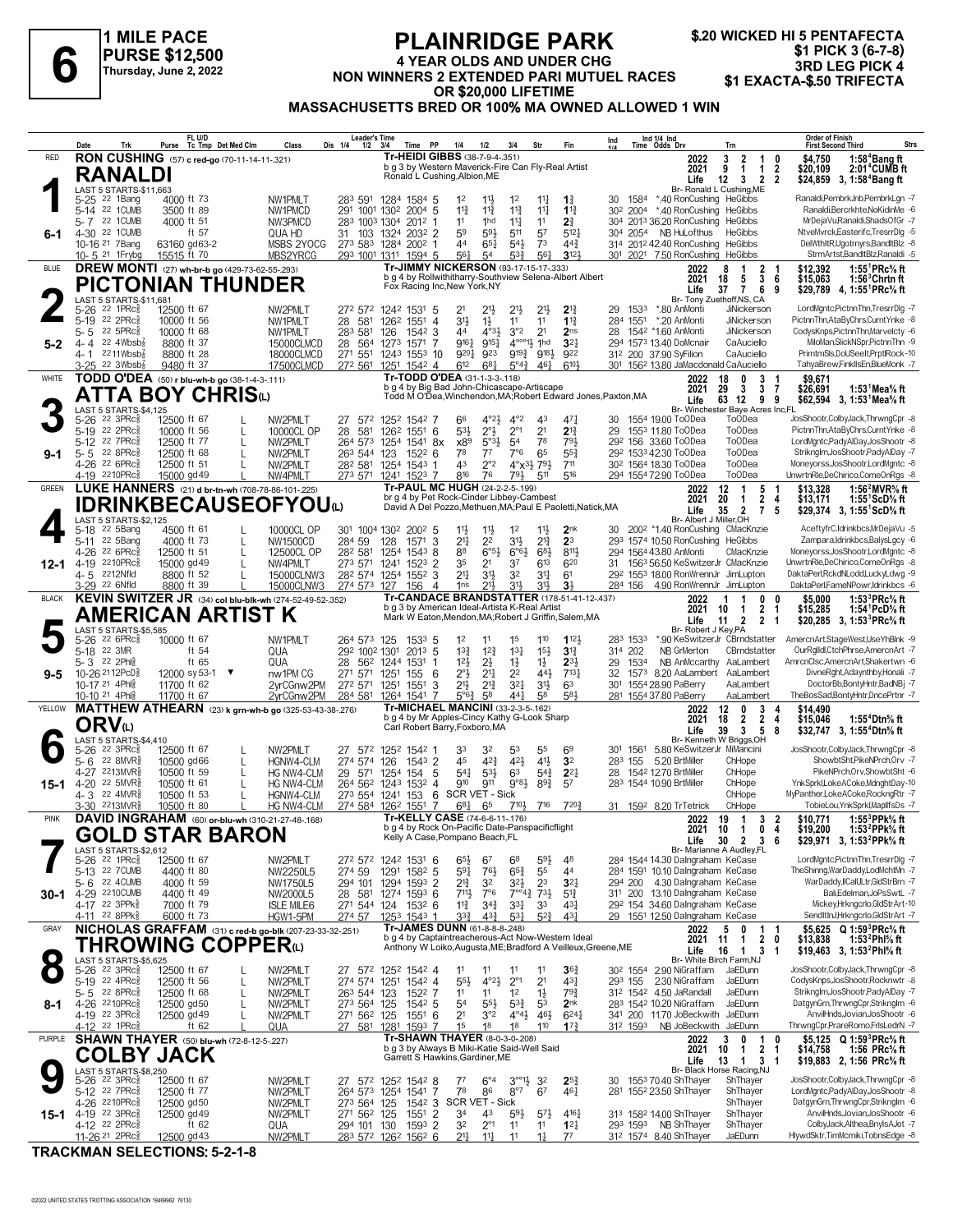

# **PLAINRIDGE PARK 4 YEAR OLDS AND UNDER CHG NON WINNERS 2 EXTENDED PARI MUTUEL RACES**<br>1 YEAR OLDS AND UNDER CHG BIRD AND SAND SAND SAND SAND UNDER CHG BIRD LEG PICK 4<br>1 Thursday, June 2, 2022<br>2 **AD SAND SAND FOR AND MUTUEL RACES** \$1 EXACTA-\$.50 TRIFECTA **OR \$20,000 LIFETIME MASSACHUSETTS BRED OR 100% MA OWNED ALLOWED 1 WIN**

|              | Date                                                                                          | FL U/D<br>Tc Tmp Det Med Clm<br>Purse                            | Class                    | <b>Leader's Time</b><br>Dis 1/4<br>$1/2$ $3/4$ | Time PP                                                                                             | 1/4<br>1/2                                                              | 3/4                                     | Str                                         | Fin                                | Ind                 | Ind 1/4 Ind<br>Time Odds Drv                                                        | Trn                                                                                      | <b>Order of Finish</b><br><b>Strs</b><br><b>First Second Third</b>                                                 |
|--------------|-----------------------------------------------------------------------------------------------|------------------------------------------------------------------|--------------------------|------------------------------------------------|-----------------------------------------------------------------------------------------------------|-------------------------------------------------------------------------|-----------------------------------------|---------------------------------------------|------------------------------------|---------------------|-------------------------------------------------------------------------------------|------------------------------------------------------------------------------------------|--------------------------------------------------------------------------------------------------------------------|
| <b>RED</b>   |                                                                                               | RON CUSHING (57) c red-go (70-11-14-11-321)                      |                          |                                                | Tr-HEIDI GIBBS (38-7-9-4-.351)<br>b g 3 by Western Maverick-Fire Can Fly-Real Artist                |                                                                         |                                         |                                             |                                    |                     | 2022                                                                                | 3<br>$\overline{2}$<br>$\mathbf{1}$<br>9<br>$\mathbf{1}$                                 | \$4.750<br>1:58 <sup>4</sup> Bang ft<br>0                                                                          |
|              | <b>RANALDI</b>                                                                                |                                                                  |                          |                                                | Ronald L Cushing, Albion, ME                                                                        |                                                                         |                                         |                                             |                                    |                     | 2021<br>Life                                                                        | $\mathbf{1}$<br>12<br>$\overline{2}$<br>$\overline{\mathbf{3}}$                          | 2<br>\$20,109<br>2:01 <sup>4</sup> CUMB ft<br>$\overline{2}$<br>\$24,859 3, 1:58 <sup>4</sup> Bang ft              |
|              | LAST 5 STARTS-\$11.663                                                                        |                                                                  |                          |                                                |                                                                                                     |                                                                         |                                         |                                             |                                    |                     |                                                                                     | Br- Ronald L Cushing, ME                                                                 |                                                                                                                    |
|              | 5-25 22 1Bang<br>5-14 22 1 CUMB                                                               | 4000 ft 73<br>3500 ft 89                                         | NW1PMLT<br>NW1PMCD       |                                                | 283 591 1284 1584 5<br>291 1001 1302 2004 5                                                         | 1 <sup>2</sup><br>$11\frac{1}{2}$<br>$11\frac{3}{4}$<br>$11\frac{3}{4}$ | 1 <sup>2</sup><br>$11\frac{3}{4}$       | $11\frac{1}{4}$<br>$11\frac{1}{4}$          | 11<br>$1^{13}$                     | 30<br>1584          | *.40 RonCushing HeGibbs<br>30 <sup>2</sup> 200 <sup>4</sup> *.40 RonCushing HeGibbs |                                                                                          | Ranaldi, PembrkJnb, PembrkLgn - 7<br>Ranaldi, Bercrkhte, NoKidinMe -6                                              |
|              | 5-7 22 1 CUMB                                                                                 | 4000 ft 51                                                       | NW3PMCD                  | 283 1003 1304                                  | 2012                                                                                                | 11<br>1 <sub>hd</sub>                                                   | $11\frac{1}{4}$                         | 11                                          | 21                                 |                     | 304 2013 36.20 RonCushing HeGibbs                                                   |                                                                                          | MrDejaVu,Ranaldi,ShadsOfGr -7                                                                                      |
| 6-1          | 4-30 22 1CUMB                                                                                 | ft $57$                                                          | QUA HD                   | 31 103 1324                                    | 2032 2                                                                                              | 59<br>591                                                               | 511                                     | 57                                          | $5^{12}$                           | 304 2054            | NB HuLofthus                                                                        | HeGibbs                                                                                  | NtveMvrck,Easterifc,TresrrDlg -5                                                                                   |
|              | 10-16 <sup>21</sup> 7 Bang<br>10-5 <sup>21</sup> 1 Frybg                                      | 63160 gd63-2<br>15515 ft 70                                      | MSBS 2YOCG<br>MBS2YRCG   |                                                | 273 583 1284 2002 1<br>293 1001 1311 1594 5                                                         | $65\frac{1}{4}$<br>44<br>561<br>54                                      | $5^{4}$<br>53}                          | 7 <sup>3</sup><br>561                       | $44\frac{3}{4}$<br>$3^{12}$        |                     | 314 2012 42.40 RonCushing HeGibbs<br>301 2021 7.50 RonCushing HeGibbs               |                                                                                          | DelWthItR,Ugotrnyrs,BandItBlz -8<br>StrmArtst,BandItBlz,Ranaldi -5                                                 |
| <b>BLUE</b>  |                                                                                               | DREW MONTI (27) wh-br-b go (429-73-62-55-293)                    |                          |                                                | Tr-JIMMY NICKERSON (93-17-15-17-333)                                                                |                                                                         |                                         |                                             |                                    |                     | 2022                                                                                | 8<br>$\mathbf{1}$                                                                        | \$12,392<br>1:55 ${}^1$ PRc ${}^5\!$ ft                                                                            |
|              |                                                                                               | PICTONIAN THUNDER                                                |                          |                                                | b g 4 by Rollwithitharry-Southview Selena-Albert Albert<br>Fox Racing Inc, New York, NY             |                                                                         |                                         |                                             |                                    |                     | 2021                                                                                | $\frac{2}{3}$<br>18<br>5                                                                 | \$15,063<br>-6<br>1:56 <sup>3</sup> Chrtn ft                                                                       |
|              | LAST 5 STARTS-\$11,681                                                                        |                                                                  |                          |                                                |                                                                                                     |                                                                         |                                         |                                             |                                    |                     | Life                                                                                | $\overline{7}$<br>6<br>37<br>Br- Tony Zuethoff, NS. CA                                   | 9<br>\$29.789 4.1:55 <sup>1</sup> PRc <sup>5</sup> / <sub>8</sub> ft                                               |
|              | $22$ 1PRc $\frac{5}{8}$<br>$5 - 26$                                                           | 12500 ft 67                                                      | NW2PMLT                  |                                                | 272 572 1242 1531 5                                                                                 | 2 <sup>1</sup><br>$21\frac{1}{2}$                                       | 21}                                     | 2 <sup>11</sup>                             | $2^{13}$                           | 29<br>1533          | *.80 AnMonti                                                                        | JiNickerson                                                                              | LordMgntc,PictnnThn,TresrrDlg -7<br>PictnnThn.AtaBvChrs.CurntYnke -8                                               |
|              | 5-19 22 2PRc<br>22 5PRc3<br>$5 - 5$                                                           | 10000 ft 56<br>10000 ft 68                                       | NW1PMLT<br>NW1PMLT       | 28 581<br>283 581                              | 126 <sup>2</sup> 1551<br>$\overline{4}$<br>126<br>$154^2$ 3                                         | 3 <sup>1</sup><br>$1\frac{1}{2}$<br>44                                  | 11<br>3°2<br>$4^{\circ}3\frac{1}{2}$    | 11<br>2 <sup>1</sup>                        | $1^{13}$<br>2 <sub>ns</sub>        | 284 1551<br>28      | *.20 AnMonti<br>1542 *1.60 AnMonti                                                  | JiNickerson<br>JiNickerson                                                               | CodysKnps,PictnnThn,Marvelcty -6                                                                                   |
| $5 - 2$      | 4-4 22 4Wbsb <sup>7</sup>                                                                     | 8800 ft 37                                                       | 15000CLMCD               | 28 564 1273                                    | 1571 7                                                                                              | 9161<br>$9^{15}\frac{1}{4}$                                             |                                         | $4^{\circ\circ\circ}1\frac{1}{2}$ 1hd       | 3 <sup>2</sup>                     |                     | 294 1573 13.40 DoMcnair                                                             | CaAuciello                                                                               | MiloMan, Slick NSpr, PictnnThn -9                                                                                  |
|              | 4-1 2211Wbsb                                                                                  | 8800 ft 28                                                       | 18000CLMCD               |                                                | 271 551 1243 1553 10                                                                                | 9201<br>923                                                             |                                         | 9193 9183                                   | 922                                |                     | 312 200 37.90 SyFilion                                                              | CaAuciello                                                                               | PrimtmSls,DoUSeeIt,PrptlRock-10                                                                                    |
| WHITE        | $3-25$ 22 3Wbsb <sup>{2}</sup>                                                                | 9480 ft 37<br>TODD O'DEA (50) r blu-wh-b go (38-1-4-3-111)       | 17500CLMCD               | 272 561                                        | 1251 1542 4<br>Tr-TODD O'DEA (31-1-3-3-118)                                                         | 612<br>$6^{8}$ <sub>4</sub>                                             | $5^{\circ}4^{\frac{3}{4}}$              | $46\frac{1}{4}$                             | 6104                               |                     | 301 1562 13.80 JaMacdonald CaAuciello<br>2022                                       | 3<br>18<br>0<br>-1                                                                       | TahyaBrew,FinklIsEn,BlueMonk -7<br>\$9,671                                                                         |
|              |                                                                                               | <b>ATTA BOY CHRIS</b> ம                                          |                          |                                                | b g 4 by Big Bad John-Chicascape-Artiscape                                                          |                                                                         |                                         |                                             |                                    |                     | 2021                                                                                | 3<br>3<br>29<br>-7                                                                       | \$26,691<br>1:53 Mea% ft                                                                                           |
|              |                                                                                               |                                                                  |                          |                                                | Todd M O'Dea, Winchendon, MA; Robert Edward Jones, Paxton, MA                                       |                                                                         |                                         |                                             |                                    |                     | Life                                                                                | 63 12<br>9<br>Br- Winchester Baye Acres Inc,FL                                           | 9<br>\$62,594 3, 1:53 Mea% ft                                                                                      |
|              | LAST 5 STARTS-\$4,125<br>5-26 22 3PRc <sup>5</sup>                                            | 12500 ft 67                                                      | NW2PMLT                  | 27 572                                         | 1252 1542 7                                                                                         | 66                                                                      | $4^{\circ}2\frac{1}{2}$<br>$4^{\circ}2$ | 43                                          | 47                                 |                     | 30 1554 19.00 ToODea                                                                | <b>ToODea</b>                                                                            | JosShootr,ColbyJack,ThrwngCpr -8                                                                                   |
|              | 5-19 22 2PRc <sup>5</sup>                                                                     | 10000 ft 56                                                      | 10000CL OP               | 28<br>581                                      | 126 <sup>2</sup> 1551 6                                                                             | $2^{\circ}$<br>$5^{3}$                                                  | $2^{\circ}1$                            | 2 <sup>1</sup>                              | $2^{13}$                           | 29                  | 1553 11.80 ToODea                                                                   | To <sub>O</sub> Dea                                                                      | PictnnThn,AtaByChrs,CurntYnke -8                                                                                   |
| 9-1          | 5-12 22 7PRc<br>5-5 22 8PRc                                                                   | 12500 ft 77<br>12500 ft 68<br>L                                  | NW2PMLT<br>NW2PMLT       | 263 544 123                                    | 264 573 1254 1541 8x<br>$152^2$ 6                                                                   | x89<br>$5^{\circ}3\frac{1}{2}$<br>78<br>77                              | 54<br>7°6                               | 78<br>65                                    | 793<br>$55\frac{3}{4}$             |                     | 292 156 33.60 ToODea<br>292 1533 42.30 ToODea                                       | <b>ToODea</b><br><b>ToODea</b>                                                           | LordMgntc,PadyAlDay,JosShootr -8<br>Striknglm, JosShootr, PadyAlDay -7                                             |
|              | 4-26 <sup>22</sup> 6PRc                                                                       | 12500 ft 51<br>L                                                 | NW2PMLT                  |                                                | 282 581 1254 1543<br>-1                                                                             | 43<br>$2^{\circ}2$                                                      |                                         | $4^{\circ}x^{3}\frac{1}{2}7^{9}\frac{1}{2}$ | 711                                |                     | 30 <sup>2</sup> 1564 18.30 ToODea                                                   | To <sub>O</sub> Dea                                                                      | Moneyorss, JosShootr, LordMgntc -8                                                                                 |
|              | 4-19 2210PRc                                                                                  | 15000 gd 49                                                      | NW4PMLT                  |                                                | 273 571 1241 1523 7                                                                                 | 816<br>76                                                               | 791                                     | 511                                         | 516                                |                     | 294 1554 72.90 ToODea                                                               | <b>ToODea</b>                                                                            | UnwrtnRle,DeChirico,ComeOnRgs -8                                                                                   |
| <b>GREEN</b> |                                                                                               | LUKE HANNERS (21) d br-tn-wh (708-78-86-101-.225)                |                          |                                                | Tr-PAUL MC HUGH (24-2-2-5-199)<br>br g 4 by Pet Rock-Cinder Libbey-Cambest                          |                                                                         |                                         |                                             |                                    |                     | 2022<br>2021                                                                        | $12 \,$<br>$\overline{1}$<br>5 1<br>$\overline{2}$<br>20<br>$\mathbf{1}$                 | \$13,328<br>1:56 <sup>2</sup> MVR% ft<br>\$13,171<br>4<br>1:55 ScD% ft                                             |
|              |                                                                                               | <b>IDRINKBECAUSEOFYOU@</b>                                       |                          |                                                | David A Del Pozzo, Methuen, MA; Paul E Paoletti, Natick, MA                                         |                                                                         |                                         |                                             |                                    |                     | Life                                                                                | 35<br>$\overline{2}$<br>7                                                                | 5<br>\$29,374 3, 1:55 ScD% ft                                                                                      |
|              | <b>LAST 5 STARTS-\$2.125</b><br>5-18 22 5Bang                                                 | 4500 ft 61                                                       | 10000CL OP               |                                                | 301 1004 1302 2002 5                                                                                | 11}<br>$11\frac{1}{2}$                                                  | 1 <sup>2</sup>                          | 11号                                         | 2 <sub>nk</sub>                    |                     | Br- Albert J Miller, OH<br>200 <sup>2</sup> *1.40 RonCushing CMacKnzie              |                                                                                          | AceftyfrC,Idrinkbcs,MrDejaVu -5                                                                                    |
|              | 5-11 22 5Bang                                                                                 | 4000 ft 73<br>L                                                  | NW1500CD                 | 284 59                                         | $1571$ 3<br>128                                                                                     | $2^{11}$<br>2 <sup>2</sup>                                              | 3½                                      | $2^{13}$                                    | 2 <sup>3</sup>                     |                     | 293 1574 10.50 RonCushing HeGibbs                                                   |                                                                                          | Zampara, Idrinkbcs, BalysLgcy -6                                                                                   |
|              | 4-26 22 6PRc                                                                                  | 12500 ft 51<br>L                                                 | 12500CL OP               | 282 581                                        | 1254<br>15438                                                                                       | 88<br>$6^{\circ 5}$                                                     | $6^{\circ}6\frac{1}{2}$                 | 683                                         | 8111                               |                     | 294 1564 43.80 AnMonti                                                              | CMacKnzie                                                                                | Moneyorss, JosShootr, LordMgntc -8                                                                                 |
| 12-1         | 4-19 2210PRcs<br>4-5 2212Nfld                                                                 | 15000 gd 49<br>8800 ft 52<br>L                                   | NW4PMLT<br>15000CLNW3    | 273 571 1241                                   | $152^3$ 2<br>28 <sup>2</sup> 574 1254 1552 3                                                        | 35<br>2 <sup>1</sup><br>21<br>31}                                       | 37<br>3 <sup>2</sup>                    | 613<br>$3^{11}$                             | 620<br>6 <sup>1</sup>              | 31                  | 1563 56.50 KeSwitzerJr CMacKnzie<br>292 1553 18.00 RonWrennJr JimLupton             |                                                                                          | UnwrtnRle,DeChirico,ComeOnRgs -8<br>DaktaPerlRckdNLodd.LuckvLdwg -9                                                |
|              | 3-29 <sup>22</sup> 6Nfld                                                                      | 8800 ft 39                                                       | 15000CLNW3               | 274 573 127                                    | 156<br>$\overline{4}$                                                                               | $21\frac{1}{2}$<br>1 <sub>ns</sub>                                      | 31}                                     | 31}                                         | 3 <sup>1</sup>                     |                     | 284 156 4.90 RonWrennJr JimLupton                                                   |                                                                                          | DaktaPerl,FameNPowr,Idrinkbcs -6                                                                                   |
| <b>BLACK</b> |                                                                                               | KEVIN SWITZER JR (34) col blu-blk-wh (274-52-49-52-.352)         |                          |                                                | <b>Tr-CANDACE BRANDSTATTER (178-51-41-12-.437)</b><br>b g 3 by American Ideal-Artista K-Real Artist |                                                                         |                                         |                                             |                                    |                     | 2022                                                                                | -1<br>0<br>1                                                                             | 1:53 ${}^{3}$ PRc ${}^{5}_{8}$ ft<br>\$5.000<br>0                                                                  |
|              |                                                                                               | AMERICAN ARTIST K                                                |                          |                                                | Mark W Eaton, Mendon, MA; Robert J Griffin, Salem, MA                                               |                                                                         |                                         |                                             |                                    |                     | 2021<br>Life                                                                        | $\overline{2}$<br>10<br>1<br>-1<br>$\overline{\mathbf{2}}$<br>$\overline{2}$<br>11<br>-1 | \$15,285<br>1:54 PcD% ft<br>\$20,285 3, 1:53 <sup>3</sup> PRc <sup>5</sup> / <sub>8</sub> ft                       |
|              | LAST 5 STARTS-\$5,585                                                                         |                                                                  |                          |                                                |                                                                                                     |                                                                         |                                         |                                             |                                    |                     | Br- Robert J Key, PA                                                                |                                                                                          |                                                                                                                    |
|              | 5-26 <sup>22</sup> 6PRc <sup>5</sup><br>5-18 22 3MR                                           | 10000 ft 67<br>ft $54$                                           | NW1PMLT<br>QUA           | 264 573 125<br>292 1002 1301                   | 153 <sup>3</sup> 5<br>$201^3$ 5                                                                     | 1 <sup>2</sup><br>11<br>$13\frac{3}{4}$<br>$1^{2}\frac{3}{4}$           | 1 <sup>5</sup><br>$13\frac{1}{4}$       | 110<br>$15\frac{1}{2}$                      | $112\frac{1}{2}$<br>$3^{13}$       | 283 1533<br>314 202 | NB GrMerton                                                                         | *.90 KeSwitzerJr CBrndstatter<br>CBrndstatter                                            | AmercnArt,StageWest,UseYhBlnk -9<br>OurRglldl,CtchPhrse,AmercnArt -7                                               |
|              | 5-3 22 2Phls                                                                                  | ft 65                                                            | QUA                      | 28 562 1244                                    | 1531                                                                                                | 12 <sup>1</sup><br>2}                                                   | $1\frac{1}{2}$                          | $1\frac{1}{2}$                              | $2^{3}$                            | 29<br>1534          |                                                                                     | NB AnMccarthy AaLambert                                                                  | AmrcnClsc,AmercnArt,Shakertwn -6                                                                                   |
| $9 - 5$      | 10-26 21 12PcD <sup>5</sup>                                                                   | 12000 sy 53-1 ▼                                                  | nw1PM CG                 | 271 571 1251                                   | 155<br>-6                                                                                           | $2^{\circ}$<br>$2^{11}$                                                 | 2 <sup>2</sup>                          | 443                                         | $7^{13}$                           | 32                  | 1573 8.20 AaLambert AaLambert                                                       |                                                                                          | DivneRght,Adaynthby,Honali -7<br>DoctorBb,BontyHntr,BadNBj -7                                                      |
|              | 10-17 21 4Phl<br>10-10 <sup>21</sup> 4Phl <sup>3</sup>                                        | 11700 ft 62<br>11700 ft 67                                       | 2yrCGnw2PM<br>2yrCGnw2PM | 272 571 1251                                   | 1551<br>3<br>284 581 1264 1541 7                                                                    | 21}<br>$2^{13}$<br>58<br>$5^{\circ}6^{\circ}$                           | 3 <sup>2</sup><br>441                   | 3 <sup>1</sup><br>58                        | 63<br>581                          |                     | 301 1554 28.90 PaBerry<br>281 1554 37.80 PaBerry                                    | AaLambert<br>AaLambert                                                                   | TheBosSad,BontyHntr,DncePrtnr -7                                                                                   |
| YELLOW       |                                                                                               | MATTHEW ATHEARN (23) k grn-wh-b go (325-53-43-38-.276)           |                          |                                                | <b>Tr-MICHAEL MANCINI (33-2-3-5-162)</b>                                                            |                                                                         |                                         |                                             |                                    |                     | 2022                                                                                | 12<br>0<br>3                                                                             | \$14.490<br>4                                                                                                      |
|              | ORV⊍                                                                                          |                                                                  |                          |                                                | b g 4 by Mr Apples-Cincy Kathy G-Look Sharp<br>Carl Robert Barry, Foxboro, MA                       |                                                                         |                                         |                                             |                                    |                     | 2021                                                                                | $\overline{2}$<br>18<br>2<br>5<br>39<br>3                                                | 4<br>\$15,046<br>1:55 <sup>4</sup> Dtn% ft<br>8                                                                    |
|              | LAST 5 STARTS-\$4,410                                                                         |                                                                  |                          |                                                |                                                                                                     |                                                                         |                                         |                                             |                                    |                     | Life                                                                                | Br- Kenneth W Briggs, OH                                                                 | \$32,747 3, 1:55 <sup>4</sup> Dtn <sup>5</sup> / <sub>8</sub> ft                                                   |
|              | 5-26 22 3PRc <sup>5</sup><br>22 8MVR                                                          | 12500 ft 67                                                      | NW2PMLT                  |                                                | 27 572 1252 1542 1                                                                                  | 33<br>32<br>$4^{2}3$<br>45                                              | 53<br>421                               | 55<br>41}                                   | 6 <sup>9</sup>                     | 301 1561            | 5.80 KeSwitzerJr MiMancini                                                          |                                                                                          | JosShootr,ColbyJack,ThrwngCpr -8<br>ShowbtSht,PikeNPrch,Orv -7                                                     |
|              | 5-6<br>4-27 2213MVR                                                                           | 10500 gd66<br>L<br>10500 ft 59<br>L                              | HGNW4-CLM<br>HG NW4-CLM  | 274 574                                        | 126<br>$1543$ 2<br>29 571 1254 154<br>5                                                             | $53\frac{1}{2}$<br>$5^{4}$                                              | 63                                      | $5^{4}$                                     | 3 <sup>2</sup><br>$2^{2}$          | 283 155<br>28       | 5.20 BrtMiller<br>1542 12.70 BrtMiller                                              | ChHope<br>ChHope                                                                         | PikeNPrch, Orv, Showbt Sht -6                                                                                      |
| 15-1         | 4-20 22 5MVR <sup>5</sup>                                                                     | 10500 ft 61                                                      | <b>HG NW4-CLM</b>        |                                                | 264 562 1243 1532 4                                                                                 | 910<br>911                                                              | $9°8\frac{1}{2}$                        | $8^{9}{}_{2}^{3}$                           | 57                                 |                     | 283 1544 10.90 BrtMiller                                                            | ChHope                                                                                   | YnkSprkl,LokeACoke,MdnghtDay-10                                                                                    |
|              | 4-3 22 4MVR<br>3-30 2213MVR                                                                   | 10500 ft 53                                                      | HGNW4-CLM<br>HG NW4-CLM  |                                                | 273 554 1241 153<br>- 6<br>274 584 1262 1551<br>-7                                                  | SCR VET - Sick                                                          | 7101,                                   | 716                                         | 7203                               |                     | 31 1592 8.20 TrTetrick                                                              | ChHope<br>ChHope                                                                         | MvPanther.LokeACokeRocknaRtr -7<br>TobieLou, YnkSprkl, MapllfsDs -7                                                |
| <b>PINK</b>  |                                                                                               | 10500 ft 80<br>DAVID INGRAHAM (60) or-blu-wh (310-21-27-48-.168) |                          |                                                | Tr-KELLY CASE (74-6-6-11-.176)                                                                      | $6^{8}$<br>65                                                           |                                         |                                             |                                    |                     | 2022                                                                                | 19<br>$\overline{1}$<br>3                                                                | 1:55 $3$ PPk $\%$ ft<br>$\overline{\mathbf{2}}$<br>\$10,771                                                        |
|              |                                                                                               | <b>GOLD STAR BARON</b>                                           |                          |                                                | b g 4 by Rock On-Pacific Date-Panspacificflight                                                     |                                                                         |                                         |                                             |                                    |                     | 2021                                                                                | 10 1<br>0 <sub>4</sub>                                                                   | 1:53 $^{2}$ PPk $\%$ ft<br>\$19,200                                                                                |
|              | LAST 5 STARTS-\$2,612                                                                         |                                                                  |                          |                                                | Kelly A Case, Pompano Beach, FL                                                                     |                                                                         |                                         |                                             |                                    |                     |                                                                                     | Life 30 2 3 6<br>Br- Marianne A Audley,FL                                                | \$29,971 3, 1:53 <sup>2</sup> PPk% ft                                                                              |
|              | 5-26 22 1PRc <sup>5</sup>                                                                     | 12500 ft 67                                                      | NW2PMLT                  |                                                | 272 572 1242 1531 6                                                                                 | $65\frac{1}{2}$<br>67                                                   | 6 <sup>8</sup>                          | $59\frac{1}{2}$                             | 48                                 |                     | 284 1544 14.30 Dalngraham KeCase                                                    |                                                                                          | LordMgntc,PictnnThn,TresrrDlg -7                                                                                   |
|              | 5-13 22 7 CUMB<br>5-6 22 4CUMB                                                                | 4400 ft 80                                                       | NW2250L5                 | 274 59                                         | 1291 1582 5                                                                                         | $59\frac{1}{4}$<br>$76\frac{1}{2}$<br>32                                | $65\frac{3}{4}$                         | 55<br>23                                    | 44<br>3 <sup>2</sup>               |                     | 284 1591 10.10 Dalngraham KeCase<br>294 200 4.30 Dalngraham KeCase                  |                                                                                          | TheShinng,WarDaddy,LodMchtMn -7<br>WarDaddy,IICalULtr,GldStrBrn -7                                                 |
| $30 - 1$     | 4-29 2210 CUMB                                                                                | 4000 ft 59<br>4400 ft 49                                         | NW1750L5<br>NW2000L5     |                                                | 294 101 1294 1593 2<br>28 581 1274 1593 6                                                           | $2^{13}$<br>7111,<br>7°6                                                | 32}                                     | $7^{\circ\circ}4^3$ $7^3\frac{1}{2}$        | $5^{13}$                           |                     | 311 200 13.10 Dalngraham KeCase                                                     |                                                                                          | Bali,Edelman,JoPsSwtL -7                                                                                           |
|              | 4-17 22 3PPk <sup>5</sup>                                                                     | 7000 ft 79                                                       | <b>ISLE MILE6</b>        |                                                | 271 544 124 1532 6                                                                                  | $11\frac{3}{4}$<br>$34\frac{3}{4}$                                      | $3^{31}$                                | 3 <sup>3</sup>                              | $4^{3}$                            |                     | 292 154 34.60 Dalngraham KeCase                                                     |                                                                                          | Mickey,Hrkngcrlo,GldStrArt-10                                                                                      |
| GRAY         | 4-11 22 8PPk <sup>3</sup>                                                                     | 6000 ft 73                                                       | HGW1-5PM                 | 274 57                                         | 1253 1543 1<br>Tr-JAMES DUNN (61-8-8-8-248)                                                         | $3^{3}\frac{3}{4}$<br>$4^{3}\frac{3}{4}$                                | $5^{31}$                                | $5^{2}$                                     | 43 <sup>1</sup>                    |                     | 29 1551 12.50 Dalngraham KeCase                                                     |                                                                                          | SendItInJ,Hrkngcrlo,GldStrArt -7                                                                                   |
|              |                                                                                               | NICHOLAS GRAFFAM (31) c red-b go-blk (207-23-33-32-.251)         |                          |                                                | b g 4 by Captaintreacherous-Act Now-Western Ideal                                                   |                                                                         |                                         |                                             |                                    |                     | 2022<br>2021                                                                        | 5<br>0<br>$\mathbf{1}$<br>$\mathbf{1}$<br>$\mathbf{2}$<br>11                             | \$5,625 Q 1:59 <sup>3</sup> PRc <sup>5</sup> / <sub>8</sub> ft<br>-1<br>1:53 <sup>2</sup> Phl% ft<br>0<br>\$13,838 |
| $\bullet$    |                                                                                               | THROWING COPPERധ                                                 |                          |                                                | Anthony W Loiko, Augusta, ME; Bradford A Veilleux, Greene, ME                                       |                                                                         |                                         |                                             |                                    |                     | Life                                                                                | 16<br>3<br>$\mathbf{1}$<br>-1                                                            | \$19,463 3, 1:53 <sup>2</sup> Phl <sup>5</sup> / <sub>8</sub> ft                                                   |
|              | LAST 5 STARTS-\$5,625<br>5-26 22 3PRc <sup>5</sup>                                            | 12500 ft 67                                                      | NW2PMLT                  |                                                | 27 572 1252 1542 4                                                                                  | 11<br>11                                                                | 11                                      | 11                                          | 36 <sub>1</sub>                    |                     | 30 <sup>2</sup> 1554 2.90 NiGraffam                                                 | Br- White Birch Farm, NJ<br>JaEDunn                                                      | JosShootr,ColbyJack,ThrwngCpr -8                                                                                   |
|              | 5-19 22 4PRc $\frac{5}{8}$                                                                    | 12500 ft 56<br>$\mathsf{L}$                                      | NW2PMLT                  | 274 574 1251                                   | 1542 4                                                                                              | $55\frac{1}{2}$<br>$4^{\circ}2\frac{1}{2}$                              | $2^{\circ}1$                            | 2 <sup>1</sup>                              | $43\frac{1}{4}$                    | 293 155             | 2.30 NiGraffam                                                                      | JaEDunn                                                                                  | CodysKnps, JosShootr, Rocknwtr -8                                                                                  |
|              | 5-5 22 8PRc<br>4-26 2210PRcs                                                                  | 12500 ft 68<br>12500 gd50<br>L                                   | NW2PMLT<br>NW2PMLT       | 263 544 123<br>273 564 125                     | 1522 7<br>$154^2$ 5                                                                                 | 1 <sup>1</sup><br>11<br>5 <sup>4</sup><br>$55\frac{1}{2}$               | 1 <sup>2</sup><br>$5^{3}\frac{3}{4}$    | $1\frac{1}{2}$<br>53                        | $79\frac{3}{4}$<br>2 <sub>nk</sub> |                     | 31 <sup>2</sup> 154 <sup>2</sup> 4.50 JaRandall<br>283 1542 10.20 NiGraffam         | JaEDunn<br>JaEDunn                                                                       | Striknglm, JosShootr, PadyAlDay -7<br>DatgynGrn, ThrwngCpr, Striknglm -6                                           |
| 8-1          | 4-19 22 3PRc                                                                                  | 12500 gd 49                                                      | NW2PMLT                  | 271 562 125                                    | $155^1$ 6                                                                                           | 2 <sup>1</sup><br>3°2                                                   | $4^{\circ}4^{\frac{1}{2}}$              | 46}                                         | $6^{24}$                           |                     | 341 200 11.70 JoBeckwith JaEDunn                                                    |                                                                                          | AnvilHnds, Jovian, JosShootr -6                                                                                    |
|              | 4-12 22 1PRc                                                                                  | ft $62$                                                          | QUA                      | 27 581 1281                                    | 1593 7                                                                                              | 1 <sup>5</sup><br>18                                                    | 18                                      | 110                                         | $1^{73}$                           | 312 1593            | NB JoBeckwith JaEDunn                                                               |                                                                                          | ThrwngCpr,PrareRomo,FrlsLedrN -7                                                                                   |
| PURPLE       |                                                                                               | <b>SHAWN THAYER</b> (50) blu-wh (72-8-12-5-227)                  |                          |                                                | <b>Tr-SHAWN THAYER (8-0-3-0-208)</b><br>b g 3 by Always B Miki-Katie Said-Well Said                 |                                                                         |                                         |                                             |                                    |                     | 2022<br>2021                                                                        | 3<br>0<br>1<br>2 <sub>1</sub><br>10<br>$\mathbf{1}$                                      | \$5,125 Q 1:59 <sup>3</sup> PRc <sup>5</sup> / <sub>8</sub> ft<br>0<br>\$14,758<br>1:56 PRc% ft                    |
|              |                                                                                               |                                                                  |                          |                                                | Garrett S Hawkins, Gardiner, ME                                                                     |                                                                         |                                         |                                             |                                    |                     | Life                                                                                | 13<br>$\mathbf{1}$<br>$\mathbf{3}$<br>-1                                                 | \$19,883 2, 1:56 PRc% ft                                                                                           |
|              | <b>COLBY JACK</b>                                                                             |                                                                  |                          |                                                |                                                                                                     |                                                                         |                                         |                                             |                                    |                     |                                                                                     |                                                                                          |                                                                                                                    |
|              |                                                                                               |                                                                  |                          |                                                |                                                                                                     |                                                                         |                                         |                                             |                                    |                     |                                                                                     | Br- Black Horse Racing, NJ                                                               |                                                                                                                    |
|              | LAST 5 STARTS-\$8,250<br>5-26 <sup>22</sup> 3PRc <sup>5</sup> 12<br>5-12 22 7PRc <sup>5</sup> | 12500 ft 67<br>12500 ft 77                                       | NW2PMLT<br>NW2PMLT       |                                                | 27 572 1252 1542 8<br>264 573 1254 1541 7                                                           | $6^{\circ}4$<br>77<br>78<br>86                                          | $3^{\circ 11}$<br>$8^{\circ}7$          | 32<br>67                                    | $2^{5}$<br>461                     | 30                  | 1553 70.40 ShThayer<br>281 1552 23.50 ShThayer                                      | ShThayer<br>ShThayer                                                                     | JosShootr,ColbyJack,ThrwngCpr -8<br>LordMgntc,PadyAlDay,JosShootr -8                                               |
|              | 4-26 2210PRcs                                                                                 | 12500 gd50                                                       | NW2PMLT                  | 273 564 125                                    |                                                                                                     | 1542 3 SCR VET - Sick                                                   |                                         |                                             |                                    |                     |                                                                                     | ShThayer                                                                                 | DatgynGrn, ThrwngCpr, Striknglm -6                                                                                 |
| 15-1         | 4-19 22 3PRc<br>4-12 22 2PRcs                                                                 | 12500 gd 49<br>ft $62$                                           | NW2PMLT<br>QUA           | 271 562 125<br>294 101 130                     | $155^1$ 2<br>1593 2                                                                                 | 34<br>4 <sup>3</sup><br>3 <sup>2</sup><br>$2^{\circ}1$                  | $59\frac{1}{2}$<br>1 <sup>1</sup>       | $5^{7}\frac{1}{2}$<br>11                    | $4^{16}\frac{1}{4}$<br>$1^{21}$    |                     | 313 1582 14.00 ShThayer<br>293 1593 NB ShThayer                                     | ShThayer<br>ShThayer                                                                     | AnvilHnds, Jovian, JosShootr -6<br>ColbyJack,Althea,BnyIsAJet -7                                                   |

# **TRACKMAN SELECTIONS: 5-2-1-8**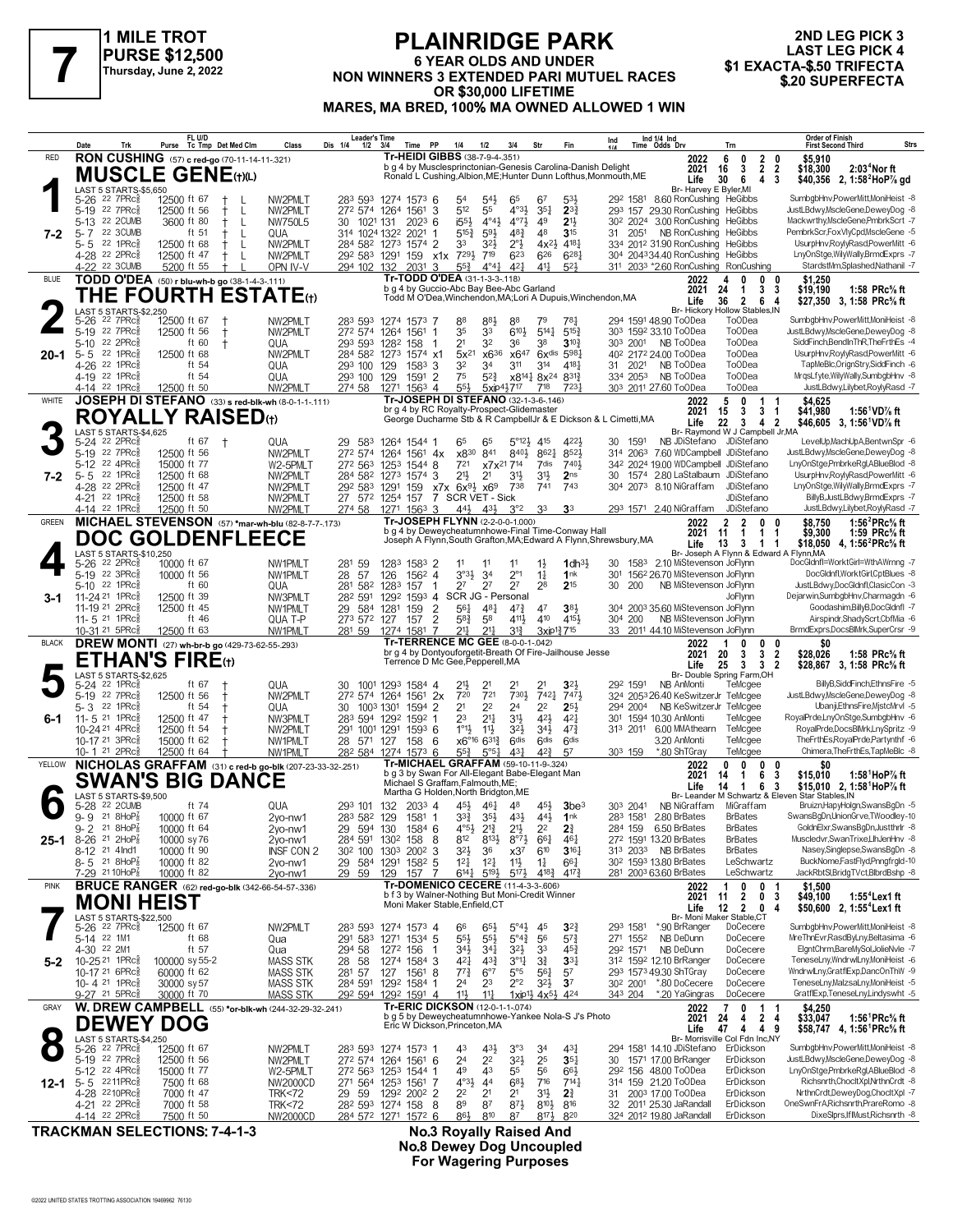

# **PLAINRIDGE PARK 6 YEAR OLDS AND UNDER NON WINNERS 3 EXTENDED PARI MUTUEL RACES**<br>Thursday, June 2, 2022<br>NON WINNERS 3 EXTENDED PARI MUTUEL RACES \$1 EXACTA-\$.50 TRIFECTA<br>
Thursday, June 2, 2022<br> **ADDERFECTA OR \$30,000 LIFETIME MARES, MA BRED, 100% MA OWNED ALLOWED 1 WIN**

# **2ND LEG PICK 3 LAST LEG PICK 4<br>\$1 EXACTA-\$.50 TRIFECTA**

|              | Trk<br>Date                                                     | FL U/D<br>Purse<br>Tc Tmp Det Med Clm                                        | Class                        | Leader's Time<br>Dis 1/4<br>$1/2$ $3/4$ | Time                                                                                         | PP                          | 1/4                                                      | 1/2                                                  | 3/4                                         | Str                                                                                   | Fin                                    | Ind 1/4 Ind<br>Time Odds Drv<br>Ind                                      |                                                            | Trn                                                               | <b>Order of Finish</b><br>Strs<br><b>First Second Third</b>                                                |
|--------------|-----------------------------------------------------------------|------------------------------------------------------------------------------|------------------------------|-----------------------------------------|----------------------------------------------------------------------------------------------|-----------------------------|----------------------------------------------------------|------------------------------------------------------|---------------------------------------------|---------------------------------------------------------------------------------------|----------------------------------------|--------------------------------------------------------------------------|------------------------------------------------------------|-------------------------------------------------------------------|------------------------------------------------------------------------------------------------------------|
| <b>RED</b>   |                                                                 | <b>RON CUSHING</b> (57) c red-go (70-11-14-11-.321)                          |                              |                                         | Tr-HEIDI GIBBS (38-7-9-4-351)                                                                |                             |                                                          |                                                      |                                             |                                                                                       |                                        | b g 4 by Musclesprinctonian-Genesis Carolina-Danish Delight              | 2022<br>2021                                               | 6<br>0<br>$\mathbf{2}$<br>$\mathbf{2}$<br>3<br>16                 | \$5.910<br>0<br>$\overline{2}$<br>2:03 <sup>4</sup> Nor ft<br>\$18,300                                     |
|              | LAST 5 STARTS-\$5,650                                           | <b>MUSCLE GENE</b> (t)(L)                                                    |                              |                                         |                                                                                              |                             |                                                          |                                                      |                                             |                                                                                       |                                        | Ronald L Cushing, Albion, ME; Hunter Dunn Lofthus, Monmouth, ME          | Life<br>Br- Harvey E Byler, MI                             | 30<br>6<br>4                                                      | - 3<br>\$40,356 2, 1:58 <sup>2</sup> HoP% gd                                                               |
|              | 22 7PRc <sup>3</sup><br>5-26                                    | 12500 ft 67                                                                  | NW2PMLT                      |                                         | 283 593 1274 1573 6                                                                          |                             | 54                                                       | 54}                                                  | 65                                          | 67                                                                                    | 533                                    | 29 <sup>2</sup> 1581 8.60 RonCushing HeGibbs                             |                                                            |                                                                   | SumbgbHnv,PowerMitt,MoniHeist -8                                                                           |
|              | 5-19 22 7PRc <sup>5</sup><br>5-13 22 2CUMB                      | 12500 ft 56<br>ŧ<br>L<br>3600 ft 80<br>$^+$<br>- L                           | NW2PMLT<br><b>NW750L5</b>    | 272 574<br>30<br>1021 131               | 1264 1561                                                                                    | 3<br>$202^3$ 6              | 512<br>1553                                              | 55<br>$4^{\circ}4^{\frac{1}{2}}$                     | $4°3\frac{1}{2}$<br>$4^{\circ}7\frac{1}{2}$ | $35\frac{1}{4}$<br>49                                                                 | $2^{3}$<br>21,                         | 293 157 29.30 RonCushing<br>30 <sup>2</sup> 2024                         | 3.00 RonCushing                                            | <b>HeGibbs</b><br><b>HeGibbs</b>                                  | JustLBdwy,MscleGene,DeweyDog -8<br>Mackwrthy, MscleGene, PmbrkScrt -7                                      |
| 7-2          | 22 3CUMB<br>$5 - 7$<br>22 1 $PRc\frac{5}{8}$<br>5-5             | ft 51<br>L<br>12500 ft 68<br>$\mathsf{L}$                                    | QUA<br>NW2PMLT               |                                         | 314 1024 1322 2021<br>284 582 1273 1574 2                                                    |                             | $5^{15}$<br>33                                           | 593<br>$3^{2}\frac{1}{2}$                            | $48\frac{3}{4}$<br>$2^{\circ}$              | 48<br>$4x^2\frac{1}{2}$                                                               | 3 <sup>15</sup><br>4181                | 31 2051<br>334 2012 31.90 RonCushing                                     | NB RonCushing                                              | HeGibbs<br>HeGibbs                                                | PembrkScr,FoxVIyCpd,MscleGene -5<br>UsurpHnv,RoylyRasd,PowerMitt -6                                        |
|              | 4-28 <sup>22</sup> 2PRc <sup>5</sup>                            | ŧ<br>12500 ft 47<br>ŧ<br>-L                                                  | NW2PMLT                      | 292 583 1291                            |                                                                                              | 159 x1x                     | 7291                                                     | 719                                                  | 623                                         | 626                                                                                   | $6^{28}$                               | 304 204334.40 RonCushing                                                 |                                                            | HeGibbs                                                           | LnyOnStge,WilyWally,BrmdExprs -7                                                                           |
| <b>BLUE</b>  | 22 3CUMB<br>4-22                                                | 5200 ft 55<br>TODD O'DEA (50) r blu-wh-b go (38-1-4-3-111)                   | OPN IV-V                     | 294 102                                 | 132<br>2031<br>Tr-TODD O'DEA (31-1-3-3-118)                                                  | 3                           | $55\frac{3}{4}$                                          | $4^{\circ}4^{\frac{1}{4}}$                           | 421                                         | 411                                                                                   | $5^{2}$                                | 311 2033 *2.60 RonCushing                                                | 2022                                                       | RonCushing<br>0<br>n                                              | StardstMm,Splashed,Nathanil -7<br>\$1.250                                                                  |
|              |                                                                 | THE FOURTH ESTATE $\scriptstyle\rm(t)$                                       |                              |                                         | b g 4 by Guccio-Abc Bay Bee-Abc Garland                                                      |                             |                                                          |                                                      |                                             |                                                                                       |                                        | Todd M O'Dea, Winchendon, MA; Lori A Dupuis, Winchendon, MA              | 2021                                                       | 24<br>3<br>$\mathbf{1}$                                           | \$19,190<br>1:58 PRc% ft<br>-3                                                                             |
|              | LAST 5 STARTS-\$2,250                                           |                                                                              |                              |                                         |                                                                                              |                             |                                                          |                                                      |                                             |                                                                                       |                                        |                                                                          | Life                                                       | 36<br>$\mathbf{2}$<br>6<br>Br- Hickory Hollow Stables, IN         | \$27.350 3.1:58 PRc% ft<br>4                                                                               |
|              | 5-26 <sup>22</sup> 7PRc <sup>3</sup><br>22 $7PRc85$<br>$5 - 19$ | 12500 ft 67<br>12500 ft 56<br>$\ddagger$                                     | NW2PMLT<br>NW2PMLT           | 272 574                                 | 283 593 1274 1573 7<br>1264<br>1561                                                          | 1                           | 88<br>35                                                 | 881<br>33                                            | 88<br>6104                                  | 79<br>$5^{14}$                                                                        | 787<br>$5^{15}$                        | 294 1591 48.90 ToODea<br>303 1592 33.10 ToODea                           |                                                            | <b>ToODea</b><br><b>ToODea</b>                                    | SumbgbHnv,PowerMitt,MoniHeist -8<br>JustLBdwy,MscleGene,DeweyDog -8                                        |
|              | 5-10 22 2PRc<br>$5 - 5$<br>22 1PRc                              | ft 60<br>$^{\dagger}$<br>12500 ft 68                                         | QUA<br>NW2PMLT               | 293 593 1282<br>284 582 1273            | 158                                                                                          | 1574 x1                     | 2 <sup>1</sup><br>$5x^{21}$                              | 32<br>x636                                           | 36                                          | 38<br>x647 6xdis 5981                                                                 | $3^{10}$                               | 303 2001<br>40 <sup>2</sup> 217 <sup>2</sup> 24.00 ToODea                | NB ToODea                                                  | To <sub>O</sub> Dea<br><b>ToODea</b>                              | SiddFinch,BendInThR,TheFrthEs -4<br>UsurpHnv,RoylyRasd,PowerMitt -6                                        |
| 20-1         | 22 1PRc3<br>4-26                                                | ft 54                                                                        | QUA                          | 293 100                                 | 129<br>1583                                                                                  | 3                           | 32                                                       | 34                                                   | 3 <sup>11</sup>                             | 314                                                                                   | 4181                                   | 31 2021                                                                  | NB ToODea                                                  | To <sub>O</sub> Dea                                               | TapMeBlc, OrignStry, SiddFinch -6                                                                          |
|              | 4-19 22 1PRc <sup>5</sup><br>4-14 22 1PRc <sup>3</sup>          | ft 54<br>12500 ft 50                                                         | QUA<br>NW2PMLT               | 293 100<br>274 58                       | 129<br>1591<br>1271                                                                          | $\overline{2}$<br>$156^3$ 4 | 75<br>$55\frac{1}{2}$                                    | $5^{2}3$                                             | $5xip4\frac{1}{2}717$                       | x8 <sup>14</sup> / <sub>4</sub> 8x <sup>24</sup><br>718                               | $8^{312}$<br>7231                      | 334 2053<br>303 2011 27.60 ToODea                                        | NB ToODea                                                  | <b>ToODea</b><br><b>ToODea</b>                                    | MrqsLfyte,WilyWally,SumbgbHnv -8<br>JustLBdwy,Lilybet,RoylyRasd -7                                         |
| WHITE        |                                                                 | JOSEPH DI STEFANO (33) s red-blk-wh (8-0-1-1-111)                            |                              |                                         | Tr-JOSEPH DI STEFANO (32-1-3-6-.146)<br>br g 4 by RC Royalty-Prospect-Glidemaster            |                             |                                                          |                                                      |                                             |                                                                                       |                                        |                                                                          | 2022<br>2021                                               | 5<br>0<br>1<br>15<br>3<br>3                                       | \$4,625<br>1:56 <sup>1</sup> VD% ft                                                                        |
|              |                                                                 | <b>ROYALLY RAISED(1)</b>                                                     |                              |                                         |                                                                                              |                             |                                                          |                                                      |                                             |                                                                                       |                                        | George Ducharme Stb & R CampbellJr & E Dickson & L Cimetti, MA           | Life                                                       | 22<br>$3^{\circ}$<br>4 <sub>2</sub>                               | \$41,980<br>$\mathbf 1$<br>\$46,605 3, 1:56 <sup>1</sup> VD% ft                                            |
|              | LAST 5 STARTS-\$4,625<br>5-24 22 2PRc <sup>5</sup>              | ft 67<br>$\pm$                                                               | QUA                          | 29 583                                  | 1264 1544 1                                                                                  |                             | 65                                                       | 65                                                   | $5^{\circ}12\frac{1}{2}$ 415                |                                                                                       | 4221                                   | 30 1591                                                                  |                                                            | Br- Raymond W J Campbell Jr, MA<br>NB JDiStefano JDiStefano       | LevelUp,MachUpA,BentwnSpr -6                                                                               |
|              | 5-19 22 7PRc<br>5-12 22 4PRc                                    | 12500 ft 56<br>15000 ft 77                                                   | NW2PMLT<br>W2-5PMLT          | 272 574<br>272 563 1253                 | 1264 1561                                                                                    | 4x<br>1544 8                | x830<br>721                                              | 841                                                  | 8404<br>x7x <sup>21</sup> 7 <sup>14</sup>   | 8621<br>7dis                                                                          | $852\frac{1}{2}$<br>7401               | 314 2063<br>342 2024 19.00 WDCampbell JDiStefano                         |                                                            | 7.60 WDCampbell JDiStefano                                        | JustLBdwy,MscleGene,DeweyDog -8<br>LnyOnStge,PmbrkeRgl,ABlueBlod -8                                        |
| 7-2          | 22 1PRc3<br>$5 - 5$                                             | 12500 ft 68                                                                  | NW2PMLT                      | 284 582 1273                            | 1574                                                                                         | 3                           | 21}                                                      | 2 <sup>1</sup>                                       | 3½                                          | $3^{11}$                                                                              | 2 <sub>ns</sub>                        | 30<br>1574                                                               |                                                            | 2.80 LaStalbaum JDiStefano                                        | UsurpHnv,RoylyRasd,PowerMitt -6                                                                            |
|              | 4-28<br>22 2PRc3<br>4-21 22 1PRc <sup>5</sup>                   | 12500 ft 47<br>12500 ft 58                                                   | NW2PMLT<br>NW2PMLT           | 292 583 1291                            | 159<br>27 572 1254 157                                                                       |                             | x7x 6x <sup>91</sup> x6 <sup>9</sup><br>7 SCR VET - Sick |                                                      | 738                                         | 741                                                                                   | 743                                    | 304 2073                                                                 | 8.10 NiGraffam                                             | JDiStefano<br><b>JDiStefano</b>                                   | LnyOnStge,WilyWally,BrmdExprs -7<br>BillyB, JustLBdwy, BrmdExprs -7                                        |
|              | 4-14 22 1PRc <sup>5</sup>                                       | 12500 ft 50                                                                  | NW2PMLT                      | 274 58                                  | 1271 1563 3                                                                                  |                             |                                                          | $44\frac{1}{2}$ $43\frac{1}{2}$                      | $3^{\circ}2$                                | 33                                                                                    | 3 <sup>3</sup>                         | 293 1571 2.40 NiGraffam                                                  |                                                            | JDiStefano                                                        | JustLBdwy,Lilybet,RoylyRasd -7                                                                             |
| <b>GREEN</b> |                                                                 | MICHAEL STEVENSON (57) *mar-wh-blu (82-8-7-7-173)<br><b>DOC GOLDENFLEECE</b> |                              |                                         | Tr-JOSEPH FLYNN (2-2-0-0-1.000)<br>b g 4 by Deweycheatumnhowe-Final Time-Conway Hall         |                             |                                                          |                                                      |                                             |                                                                                       |                                        |                                                                          | 2022<br>2021                                               | $\overline{2}$<br>$\overline{2}$<br>0<br>11<br>$\mathbf{1}$<br>1  | 1:56 $^{2}$ PRc $\%$ ft<br>\$8.750<br>1:59 PRc% ft<br>\$9,300                                              |
|              | LAST 5 STARTS-\$10,250                                          |                                                                              |                              |                                         |                                                                                              |                             |                                                          |                                                      |                                             |                                                                                       |                                        | Joseph A Flynn, South Grafton, MA; Edward A Flynn, Shrewsbury, MA        | Life                                                       | 13<br>3<br>$\mathbf 1$<br>Br- Joseph A Flynn & Edward A Flynn, MA | \$18,050 4, 1:56 <sup>2</sup> PRc <sup>5</sup> / <sub>8</sub> ft<br>-1                                     |
|              | 5-26 <sup>22</sup> 2PRc <sup>5</sup><br>5-19 22 3PRc            | 10000 ft 67<br>10000 ft 56                                                   | NW1PMLT<br>NW1PMLT           | 281<br>59<br>28<br>57                   | 1283<br>126                                                                                  | 1583 2<br>1562 4            | 11<br>3°3 <sup>1</sup>                                   | 3 <sup>4</sup>                                       | 11<br>$2^{\circ}1$                          | $1\frac{1}{2}$<br>$1\frac{1}{4}$                                                      | $1$ dh $3\frac{1}{2}$<br>1nk           | 1583<br>30<br>30 <sup>1</sup>                                            | 2.10 MiStevenson JoFlynn<br>1562 26.70 MiStevenson JoFlynn |                                                                   | DocGldnfl=WorktGirl=WthAWrnng -7<br>DocGldnfl, WorktGirl, CptBlues -8                                      |
|              | 5-10 22 1PRc                                                    | ft 60                                                                        | QUA                          | 281                                     | 582 1283<br>157                                                                              |                             | 2 <sup>7</sup>                                           | 2 <sup>7</sup>                                       | 2 <sup>7</sup>                              | 28                                                                                    | 215                                    | 30<br>200                                                                | NB MiStevenson JoFlynn                                     |                                                                   | JustLBdwy,DocGldnfl,ClasicCon -3                                                                           |
| 3-1          | 11-24 21 1PRcs<br>11-19 21 2PRc3                                | 12500 ft 39<br>12500 ft 45                                                   | NW3PMLT<br>NW1PMLT           | 282 591<br>29                           | 1292<br>584 1281<br>159                                                                      | $1593$ 4<br>2               | SCR JG - Personal<br>561                                 | 481                                                  | $47\frac{3}{4}$                             | 47                                                                                    | 38 <sup>1</sup>                        | 304 2003 35.60 MiStevenson JoFlynn                                       |                                                            | JoFlynn                                                           | Dejarwin,SumbgbHnv,Charmagdn -6<br>Goodashim,BillyB,DocGldnfl -7                                           |
|              | 11-5 21 1PRcs<br>10-31 <sup>21</sup> 5PRc <sup>5</sup>          | ft 46<br>12500 ft 63                                                         | QUA T-P<br>NW1PMLT           | 273 572 127<br>281 59                   | 157<br>1581<br>1274                                                                          | $\overline{2}$<br>7         | $5^{8}$<br>21                                            | 58<br>$2^{11}$                                       | 411}<br>$3^{13}$                            | 410<br>3xip <sup>13</sup> <sub>4</sub> 7 <sup>15</sup>                                | 4151                                   | 304 200<br>33                                                            | NB MiStevenson JoFlynn<br>2011 44.10 MiStevenson JoFlynn   |                                                                   | Airspindr, Shady Scrt, Cbf Mia - 6<br>BrmdExprs,DocsBlMrk,SuperCrsr -9                                     |
| <b>BLACK</b> |                                                                 | <b>DREW MONTI</b> (27) wh-br-b go (429-73-62-55-293)                         |                              |                                         | Tr-TERRENCE MC GEE (8-0-0-1-.042)                                                            |                             |                                                          |                                                      |                                             |                                                                                       |                                        |                                                                          | 2022                                                       | 0<br>0                                                            | \$0<br>0                                                                                                   |
|              |                                                                 | <b>ETHAN'S FIRE(1)</b>                                                       |                              |                                         | br g 4 by Dontyouforgetit-Breath Of Fire-Jailhouse Jesse<br>Terrence D Mc Gee, Pepperell, MA |                             |                                                          |                                                      |                                             |                                                                                       |                                        |                                                                          | 2021<br>Life                                               | 3<br>20<br>3<br>25<br>3<br>3 <sub>2</sub>                         | $\overline{\mathbf{2}}$<br>\$28,026<br>1:58 PRc% ft<br>\$28,867 3, 1:58 PRc <sup>5</sup> / <sub>8</sub> ft |
|              | LAST 5 STARTS-\$2,625<br>5-24 <sup>22</sup> 1PRc <sup>5</sup>   | ft 67                                                                        | QUA                          | 30                                      | 1001 1293 1584 4                                                                             |                             | 213                                                      |                                                      | 21                                          | 2 <sup>1</sup>                                                                        | $3^{2}$                                | 292 1591                                                                 | NB AnMonti                                                 | Br- Double Spring Farm, OH<br>TeMcgee                             | BillyB,SiddFinch,EthnsFire -5                                                                              |
|              | 5-19 22 7PRc<br>$5 - 3$ 22 1PRcs                                | 12500 ft 56<br>Ť<br>ft 54                                                    | NW2PMLT                      | 272 574<br>30                           | 1264 1561                                                                                    | 2x<br>2                     | 720<br>2 <sup>1</sup>                                    | 721<br>2 <sup>2</sup>                                | 7304<br>2 <sup>4</sup>                      | 7421<br>2 <sup>2</sup>                                                                | 7471<br>$2^{5}$                        | 324 2053 26.40 KeSwitzerJr TeMcgee<br>294 2004                           | NB KeSwitzerJr TeMcgee                                     |                                                                   | JustLBdwy,MscleGene,DeweyDog -8<br>Ubanji,EthnsFire,MistcMrvl -5                                           |
| 6-1          | 11- 5 21 1PRc                                                   | 12500 ft 47                                                                  | QUA<br>NW3PMLT               | 283 594 1292                            | 1003 1301<br>1594<br>1592                                                                    |                             | 2 <sup>3</sup>                                           | $21\frac{1}{4}$                                      | 3 <sup>1</sup>                              | 42}                                                                                   | $4^{2}$                                | 301 1594 10.30 AnMonti                                                   |                                                            | TeMcgee                                                           | RoyalPrde,LnyOnStge,SumbgbHnv -6                                                                           |
|              | 10-24 21 4PRcs<br>10-17 <sup>21</sup> 3PRc3                     | 12500 ft 54<br>15000 ft 62<br>Ť                                              | NW2PMLT<br>NW1PMLT           | 291<br>28 571                           | 1001 1291<br>127                                                                             | 1593 6<br>158 6             | $1^{\circ}1\frac{1}{2}$                                  | $11\frac{1}{2}$<br>$x6^{\circ 16} 6^{31\frac{3}{4}}$ | $3^{21}$<br>6 <sup>dis</sup>                | $34\frac{1}{2}$<br><b>Gdis</b>                                                        | $47\frac{3}{4}$<br><b>Gdis</b>         | 313 2011 6.00 MMAthearn                                                  | 3.20 AnMonti                                               | TeMcgee<br>TeMcgee                                                | RoyalPrde,DocsBlMrk,LnySpritz -9<br>TheFrthEs,RoyalPrde,Partynthf -6                                       |
|              | 10-1 <sup>21</sup> 2PRc <sup>3</sup>                            | 12500 ft 64                                                                  | NW1PMLT                      | 282 584                                 | 1274 1573 6                                                                                  |                             | $55\frac{3}{4}$                                          | $5^{\circ 51}$                                       | $43\frac{1}{4}$                             | $4^{2}\frac{3}{4}$                                                                    | 57                                     | 303 159                                                                  | *.80 ShTGray                                               | TeMcgee                                                           | Chimera.TheFrthEs.TapMeBlc -8                                                                              |
| YELLOW       |                                                                 | NICHOLAS GRAFFAM (31) c red-b go-blk (207-23-33-32-.251)<br>SWAN'S BIG DANCE |                              |                                         | Tr-MICHAEL GRAFFAM (59-10-11-9-324)<br>b g 3 by Swan For All-Elegant Babe-Elegant Man        |                             |                                                          |                                                      |                                             |                                                                                       |                                        |                                                                          | 2022<br>2021                                               | 0<br>0<br>0<br>6<br>14<br>1                                       | \$0<br>0<br>3<br>\$15,010<br>1:58 $^1$ HoP $\%$ ft                                                         |
|              | LAST 5 STARTS-\$9,500                                           |                                                                              |                              |                                         | Michael S Graffam, Falmouth, ME;<br>Martha G Holden, North Bridgton, ME                      |                             |                                                          |                                                      |                                             |                                                                                       |                                        |                                                                          | Life                                                       | 14<br>$\mathbf{1}$<br>6                                           | \$15,010 2, 1:58 <sup>1</sup> HoP% ft<br>-3<br>Br- Leander M Schwartz & Eleven Star Stables, IN            |
|              | 5-28 <sup>22</sup> 2CUMB<br>$9 - 9$ 21 8HoP $\frac{7}{8}$       | ft 74<br>10000 ft 67                                                         | QUA<br>2vo-nw1               | 293 101 132<br>283 582 129              |                                                                                              | 2033 4<br>1581 1            | 451,<br>$3^{3}\frac{3}{4}$                               | 461<br>35}                                           | 48<br>43}                                   | 451,<br>443                                                                           | 3be <sup>3</sup><br>1nk                | 303 2041<br>283 1581 2.80 BrBates                                        | NB NiGraffam                                               | MiGraffam<br><b>BrBates</b>                                       | Bruizn, Hapy Holgn, Swans BgDn - 5<br>SwansBgDn,UnionGrve,TWoodley-10                                      |
|              | $9 - 2$ 21 8HoP <sub>8</sub>                                    | 10000 ft 64                                                                  | 2yo-nw1                      | 29 594 130                              |                                                                                              | $1584$ 6                    | $4^{5}2^{1}$                                             | $2^{12}$                                             | $2\frac{11}{2}$                             | $2^{2}$                                                                               | 24                                     | 284 159 6.50 BrBates                                                     |                                                            | <b>BrBates</b>                                                    | GoldnElxr,SwansBgDn,Justthrir -8                                                                           |
| 25-1         | 8-26 21 2HoP <sup>7</sup><br>8-12 <sup>21</sup> 4 Ind1          | 10000 sy 76<br>10000 ft 90                                                   | 2yo-nw1<br>INSF CON 2        | 30 <sup>2</sup> 100 130 <sup>3</sup>    | 284 591 1302 158                                                                             | 8<br>$200^2$ 3              | 812<br>$3^{21}$                                          | $8^{13}\frac{1}{2}$<br>36                            | $8^{\circ}7\frac{1}{2}$<br>x3 <sup>7</sup>  | $66\frac{1}{4}$<br>610                                                                | 461<br>$3^{16}$                        | 272 1591 13.20 BrBates<br>313 2033 NB BrBates                            |                                                            | <b>BrBates</b><br><b>BrBates</b>                                  | Muscledvr.SwanTrixeLlhJenHnv -8<br>Nasey, Singlepse, SwansBgDn -8                                          |
|              | 8-5 21 8HoP <sup>7</sup><br>7-29 21 10HoP <sub>8</sub>          | 10000 ft 82<br>10000 ft 82                                                   | 2yo-nw1<br>2yo-nw1           | 29 584 1291<br>29 59                    | 129                                                                                          | 1582 5<br>157 7             | $12\frac{1}{4}$<br>$6^{14}$                              | $12\frac{1}{4}$<br>$5^{19}\frac{1}{2}$               | $11\frac{1}{2}$<br>$5^{17}\frac{1}{2}$      | $1\frac{1}{4}$<br>$4^{18}\frac{3}{4}$                                                 | $66\frac{1}{4}$<br>$4^{17}\frac{3}{4}$ | 30 <sup>2</sup> 159 <sup>3</sup> 13.80 BrBates<br>281 2003 63.60 BrBates |                                                            | LeSchwartz<br>LeSchwartz                                          | BuckNome,FastFlyd,Pnngfrgld-10<br>JackRbtSl,BridgTVct,BlbrdBshp -8                                         |
| <b>PINK</b>  |                                                                 | <b>BRUCE RANGER</b> (62) red-go-blk (342-66-54-57-.336)                      |                              |                                         | Tr-DOMENICO CECERE (11-4-3-3-.606)                                                           |                             |                                                          |                                                      |                                             |                                                                                       |                                        |                                                                          | 2022                                                       | 1<br>0<br>0 <sub>1</sub>                                          | \$1,500                                                                                                    |
|              |                                                                 | <b>MONI HEIST</b>                                                            |                              |                                         | b f 3 by Walner-Nothing But Moni-Credit Winner<br>Moni Maker Stable, Enfield, CT             |                             |                                                          |                                                      |                                             |                                                                                       |                                        |                                                                          | 2021<br>Life                                               | $\overline{2}$<br>0 <sub>3</sub><br>11<br>12<br>2 0 4             | \$49,100<br>1:55 <sup>4</sup> Lex 1 ft<br>\$50,600 2, 1:55 <sup>4</sup> Lex1 ft                            |
|              | LAST 5 STARTS-\$22,500<br>5-26 22 7PRc <sup>3</sup>             | 12500 ft 67                                                                  | NW2PMLT                      |                                         | 283 593 1274 1573 4                                                                          |                             | 66                                                       | $65\frac{1}{2}$                                      | $5^{\circ}4\frac{1}{2}$                     | 45                                                                                    | $3^{24}$                               | 293 1581                                                                 | *.90 BrRanger                                              | Br- Moni Maker Stable,CT<br>DoCecere                              | SumbgbHnv,PowerMitt,MoniHeist -8                                                                           |
|              | 5-14 22 1M1<br>4-30 22 2M1                                      | ft 68<br>ft 57                                                               | Qua                          | 294 58                                  | 291 583 1271 1534 5                                                                          |                             | $55\frac{1}{2}$<br>$34\frac{1}{2}$                       | $55\frac{1}{2}$<br>$34\frac{1}{4}$                   | $5^{\circ}4^{\frac{3}{4}}$<br>$3^{21}$      | 56<br>3 <sup>3</sup>                                                                  | $5^{7}\frac{3}{4}$                     | 271 1552<br>292 1571                                                     | NB DeDunn<br>NB DeDunn                                     | DoCecere<br>DoCecere                                              | MreThnEvr,RasdByLny,Beltasima -6<br>ElgntChrm,BareMySol,JolieNvle -7                                       |
| 5-2          | 10-25 21 1PRcs                                                  | 100000 sy 55-2                                                               | Qua<br><b>MASS STK</b>       | 28<br>58                                | 1272 156<br>1274 1584 3                                                                      |                             | $4^{2}$                                                  | $4^{3}\frac{3}{4}$                                   | $3^{\circ}1\frac{1}{4}$                     | $3\frac{3}{4}$                                                                        | 45}<br>$33\frac{1}{4}$                 | 312 1592 12.10 BrRanger                                                  |                                                            | DoCecere                                                          | TeneseLny,WndrwlLny,MoniHeist -6                                                                           |
|              | 10-17 21 6PRc <sup>5</sup><br>10-4 21 1PRc <sup>3</sup>         | 60000 ft 62<br>30000 sy 57                                                   | <b>MASS STK</b><br>MASS STK  | 281 57                                  | 127<br>284 591 1292 1584 1                                                                   | 1561 8                      | $77\frac{3}{4}$<br>2 <sup>4</sup>                        | 6°7<br>23                                            | $5^{\circ}5$<br>$2^{\circ}2$                | $56\frac{1}{4}$<br>$3^{21}$                                                           | 5 <sup>7</sup><br>3 <sup>7</sup>       | 293 1573 49.30 ShTGray<br>30 <sup>2</sup> 200 <sup>1</sup> *.80 DoCecere |                                                            | DoCecere<br>DoCecere                                              | WndrwlLny,GratflExp,DancOnThW -9<br>TeneseLny,MalzsaLny,MoniHeist -5                                       |
|              | 9-27 <sup>21</sup> 5PRc <sup>5</sup>                            | 30000 ft 70                                                                  | <b>MASS STK</b>              |                                         | 292 594 1292 1591 4                                                                          |                             | 11}                                                      | $11\frac{1}{4}$                                      |                                             | $1$ xip <sup>11</sup> / <sub>2</sub> 4 x <sup>51</sup> / <sub>2</sub> 4 <sup>24</sup> |                                        | 343 204                                                                  | *.20 YaGingras                                             | DoCecere                                                          | GratflExp,TeneseLny,Lindyswht -5                                                                           |
| GRAY         |                                                                 | <b>W. DREW CAMPBELL</b> (55) *or-blk-wh (244-32-29-32-.241)                  |                              |                                         | Tr-ERIC DICKSON (12-0-1-1-.074)<br>b g 5 by Deweycheatumnhowe-Yankee Nola-S J's Photo        |                             |                                                          |                                                      |                                             |                                                                                       |                                        |                                                                          | 2022<br>2021                                               | 0<br>7<br>1<br>24<br>2 <sub>4</sub><br>4                          | \$4,250<br>\$33,047<br>1:56 <sup>1</sup> PRc <sup>5</sup> / <sub>8</sub> ft                                |
|              | LAST 5 STARTS-\$4,250                                           | <b>DEWEY DOG</b>                                                             |                              |                                         | Eric W Dickson, Princeton, MA                                                                |                             |                                                          |                                                      |                                             |                                                                                       |                                        |                                                                          | Life                                                       | 47<br>4 4 9<br>Br- Morrisville Col Fdn Inc,NY                     | \$58,747 4, 1:56 <sup>1</sup> PRc <sup>5</sup> / <sub>8</sub> ft                                           |
|              | 5-26 <sup>22</sup> 7PRc <sup>5</sup><br>5-19 22 7PRcs           | 12500 ft 67                                                                  | NW2PMLT                      |                                         | 283 593 1274 1573 1<br>272 574 1264 1561 6                                                   |                             | 43<br>2 <sup>4</sup>                                     | 431,<br>2 <sup>2</sup>                               | $3^{\circ}3$<br>$3^{21}$                    | 34<br>25                                                                              | 431<br>$35\frac{1}{4}$                 | 294 1581 14.10 JDiStefano ErDickson<br>30 1571 17.00 BrRanger            |                                                            | ErDickson                                                         | SumbgbHnv,PowerMitt,MoniHeist -8<br>JustLBdwy,MscleGene,DeweyDog -8                                        |
|              | 5-12 22 4PRc <sup>5</sup>                                       | 12500 ft 56<br>15000 ft 77                                                   | NW2PMLT<br>W2-5PMLT          |                                         | 272 563 1253 1544 1                                                                          |                             | 49                                                       | 43                                                   | 55                                          | 56                                                                                    | $66\frac{1}{2}$                        | 292 156 48.00 ToODea                                                     |                                                            | ErDickson                                                         | LnyOnStge,PmbrkeRgl,ABlueBlod -8                                                                           |
| 12-1         | 5-5 2211PRc<br>4-28 2210PRc <sub>8</sub>                        | 7500 ft 68<br>7000 ft 47                                                     | NW2000CD<br><b>TRK&lt;72</b> | 29 59                                   | 271 564 1253 1561 7<br>1292 2002 2                                                           |                             | $4^{\circ}3\frac{1}{2}$<br>2 <sup>2</sup>                | 44<br>2 <sup>1</sup>                                 | $6^{8}$<br>2 <sup>1</sup>                   | 716<br>3 <sup>1</sup>                                                                 | $7^{14}$<br>21                         | 314 159 21.20 ToODea<br>31 2003 17.00 ToODea                             |                                                            | ErDickson<br>ErDickson                                            | Richsnrth,ChocltXpl,NrthnCrdt -8<br>NrthnCrdt,DeweyDog,ChocltXpl -7                                        |
|              | 4-21 22 2PRc <sup>5</sup><br>4-14 22 2PRc <sub>8</sub>          | 7000 ft 58<br>7500 ft 50                                                     | <b>TRK&lt;72</b><br>NW2000CD |                                         | 28 <sup>2</sup> 593 1274 158 8<br>284 572 1271 1572 6                                        |                             | 89<br>861                                                | 87<br>810                                            | $8^{71}$<br>87                              | $8^{10}\frac{1}{2}$<br>8174                                                           | 816<br>820                             | 32 2011 25.30 JaRandall<br>324 2012 19.80 JaRandall                      |                                                            | ErDickson<br>ErDickson                                            | OneSwnFrA, Richsnrth, PrareRomo -8<br>DixeSlprs, If IMust, Richsnrth -8                                    |
|              |                                                                 |                                                                              |                              |                                         |                                                                                              |                             |                                                          |                                                      |                                             |                                                                                       |                                        |                                                                          |                                                            |                                                                   |                                                                                                            |

**TRACKMAN SELECTIONS: 7-4-1-3 No.3 Royally Raised And**

**No.8 Dewey Dog Uncoupled For Wagering Purposes**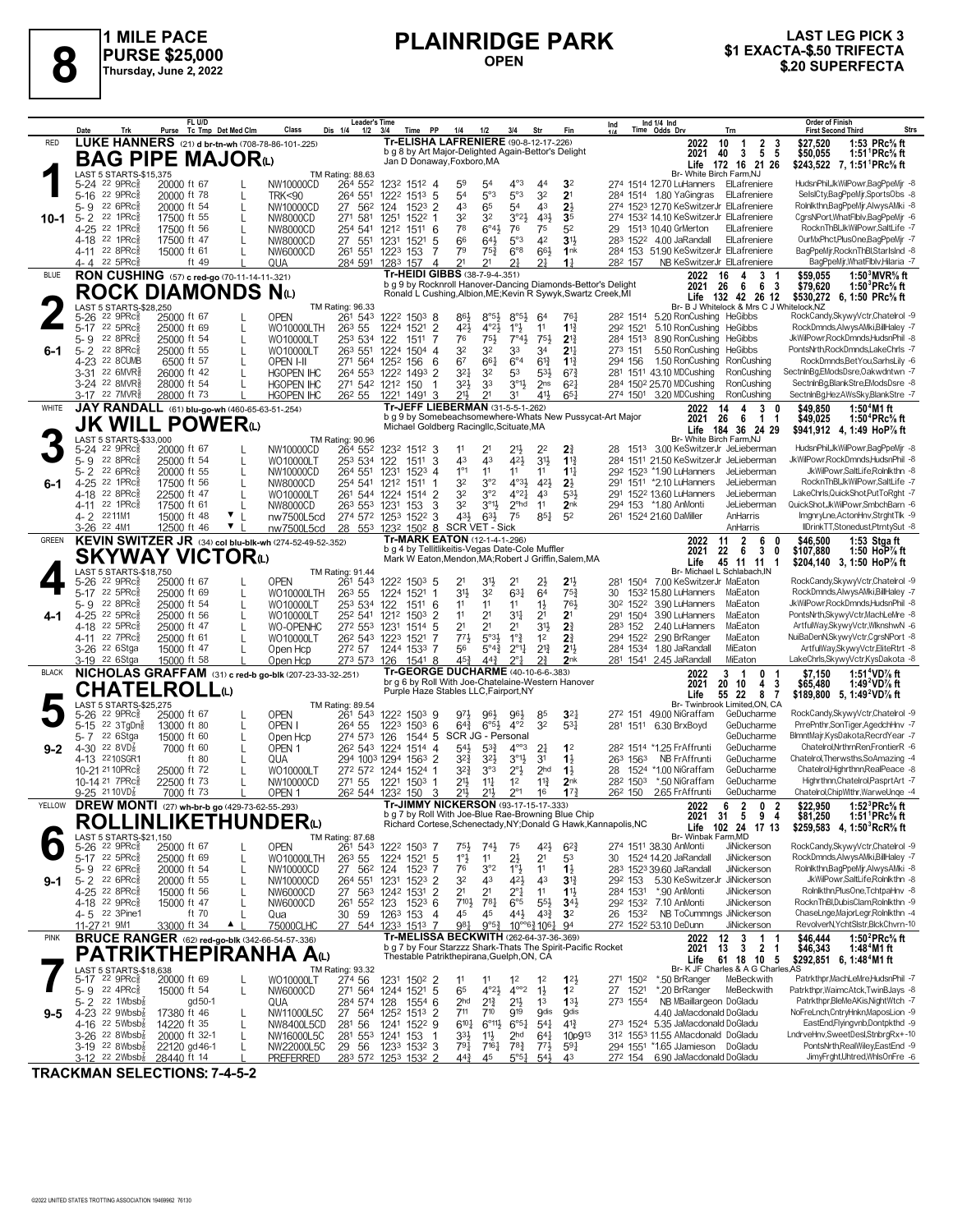

# **PLAINRIDGE PARK OPEN**



|              | Trk<br>Date                                                       | FL U/D<br>Purse Tc Tmp Det Med Clm                       | Class<br>Dis 1/4                                             | <b>Leader's Time</b><br>$1/2$ $3/4$<br>Time PP                                              | 1/4<br>1/2                                                                                                            | 3/4<br>Str                                                           | Fin                                | Ind 1/4 Ind<br>Time Odds Drv<br>Ind<br>Trn                                                       | <b>Order of Finish</b><br><b>Strs</b><br><b>First Second Third</b>                                     |
|--------------|-------------------------------------------------------------------|----------------------------------------------------------|--------------------------------------------------------------|---------------------------------------------------------------------------------------------|-----------------------------------------------------------------------------------------------------------------------|----------------------------------------------------------------------|------------------------------------|--------------------------------------------------------------------------------------------------|--------------------------------------------------------------------------------------------------------|
| RED          |                                                                   | LUKE HANNERS (21) d br-tn-wh (708-78-86-101-.225)        |                                                              |                                                                                             | Tr-ELISHA LAFRENIERE (90-8-12-17-226)                                                                                 |                                                                      |                                    | 2022<br>10<br>$\overline{1}$<br>$\begin{array}{ccc} 2 & 3 \\ 5 & 5 \end{array}$                  | 1:53 PRc% ft<br>\$27,520                                                                               |
|              |                                                                   | <b>BAG PIPE MAJOR</b> <sup>0</sup>                       |                                                              |                                                                                             | b g 8 by Art Major-Delighted Again-Bettor's Delight<br>Jan D Donaway, Foxboro, MA                                     |                                                                      |                                    | $\overline{\mathbf{3}}$<br>2021<br>40<br>Life 172 16 21 26                                       | \$50,055<br>1:51 PRc% ft<br>\$243,522 7, 1:51 PRc <sup>5</sup> / <sub>8</sub> ft                       |
|              | LAST 5 STARTS-\$15,375                                            |                                                          | TM Rating: 88.63                                             |                                                                                             |                                                                                                                       | $4^{\circ}3$                                                         |                                    | Br- White Birch Farm, NJ                                                                         | HudsnPhil, JkWilPowr, BagPpeMjr -8                                                                     |
|              | 5-24 <sup>22</sup> 9PRc <sup>5</sup><br>5-16 22 9PRcs             | 20000 ft 67<br>20000 ft 78<br>L                          | 264 552<br>NW10000CD<br><b>TRK&lt;90</b><br>264 551          | 1232 1512 4<br>1222 1513 5                                                                  | 59<br>54<br>5°3<br>54                                                                                                 | 4 <sup>4</sup><br>5°3<br>32                                          | 32<br>2 <sup>1</sup>               | 274 1514 12.70 LuHanners ElLafreniere<br>284 1514 1.80 YaGingras ElLafreniere                    | SelslCty,BagPpeMjr,SportsObs -8                                                                        |
|              | 22 6PRc<br>5- 9                                                   | 20000 ft 54<br>L                                         | NW10000CD<br>27 562                                          | 124<br>$152^3$ 2                                                                            | 43<br>65                                                                                                              | 5 <sup>4</sup><br>43                                                 | $2\frac{1}{2}$                     | 274 1523 12.70 KeSwitzerJr ElLafreniere                                                          | Rolnlkthn,BagPpeMjr,AlwysAMki -8                                                                       |
| 10-1         | 22 1PRc<br>$5 - 2$<br>22 1PRc                                     | 17500 ft 55<br>L                                         | 271 581<br>NW8000CD                                          | 1251<br>1522                                                                                | 32<br>3 <sup>2</sup>                                                                                                  | $3^{o_2}\frac{1}{2}$<br>431                                          | 3 <sub>5</sub>                     | 274 1532 14.10 KeSwitzerJr ElLafreniere                                                          | CarsNPort.WhatFlblv.BaaPpeMir -6                                                                       |
|              | 4-25<br>4-18 <sup>22</sup> 1PRc                                   | 17500 ft 56<br>L<br>17500 ft 47<br>L                     | 254 541<br>NW8000CD<br>27 551<br>NW8000CD                    | 1511<br>6<br>1212<br>1231<br>1521<br>5                                                      | 78<br>$6^{\circ}4\frac{1}{2}$<br>66<br>$64\frac{1}{2}$                                                                | 75<br>76<br>5°3<br>42                                                | 52<br>3 <sup>1</sup>               | 1513 10.40 GrMerton<br>ElLafreniere<br>29<br>283 1522 4.00 JaRandall<br>ElLafreniere             | RocknThBl,JkWilPowr,SaltLife -7<br>OurMxPhct,PlusOne,BagPpeMjr -7                                      |
|              | 4-11 22 8PRc                                                      | 15000 ft 61                                              | 261 551<br>NW6000CD                                          | 1223 153<br>7                                                                               | 79<br>$75\frac{3}{4}$                                                                                                 | $6^{\circ}8$<br>66}                                                  | 1 <sup>nk</sup>                    | 284 153 51.90 KeSwitzerJr ElLafreniere                                                           | BagPpeMjr,RocknThBl,StarIsInd -8                                                                       |
|              | 4-4 22 5PRc                                                       | ft 49                                                    | QUA<br>284 591                                               | 1283 157<br>4                                                                               | 21<br>2 <sup>1</sup>                                                                                                  | 21<br>21                                                             | $1\frac{1}{4}$                     | 282 157<br>NB KeSwitzerJr ElLafreniere                                                           | BagPpeMjr, WhatFlblv, Hilaria -7                                                                       |
| <b>BLUE</b>  |                                                                   | RON CUSHING (57) c red-go (70-11-14-11-321)              |                                                              |                                                                                             | Tr-HEIDI GIBBS (38-7-9-4-.351)<br>b g 9 by Rocknroll Hanover-Dancing Diamonds-Bettor's Delight                        |                                                                      |                                    | 2022<br>16<br>$\mathbf{3}$<br>4<br>- 6<br>2021 26<br>- 6<br>- 3                                  | 1:50 $^3$ MVR $\%$ ft<br>\$59,055<br>\$79,620<br>1:50 ${}^{3}$ PRc ${}^{5}$ s ft                       |
|              |                                                                   | <b>ROCK DIAMONDS Nat</b>                                 |                                                              |                                                                                             | Ronald L Cushing, Albion, ME; Kevin R Sywyk, Swartz Creek, MI                                                         |                                                                      |                                    | Life 132 42 26 12                                                                                | \$530,272 6, 1:50 PRc <sup>5</sup> / <sub>8</sub> ft                                                   |
|              | LAST 5 STARTS-\$28,250<br>$22$ 9PR $c_{8}$<br>5-26                | 25000 ft 67                                              | TM Rating: 96.33<br><b>OPEN</b><br>261 543                   | 1222 1503 8                                                                                 | 86}<br>$8^{\circ 5\frac{1}{2}}$                                                                                       | $8^{\circ 5\frac{1}{2}}$<br>64                                       | 761                                | Br- B J Whitelock & Mrs C J Whitelock.NZ<br>28 <sup>2</sup> 1514 5.20 RonCushing HeGibbs         | RockCandy,SkywyVctr,Chatelrol -9                                                                       |
|              | 22 5PRc3<br>5-17                                                  | 25000 ft 69<br>L                                         | <b>WO10000LTH</b><br>26 <sup>3</sup> 55                      | $\overline{2}$<br>1224 1521                                                                 | $4^{\circ}2\frac{1}{2}$<br>$4^{2}\frac{1}{2}$                                                                         | $1^{\circ}$<br>11                                                    | $1\frac{13}{4}$                    | 292 1521<br>5.10 RonCushing<br>HeGibbs                                                           | RockDmnds.AlwysAMki.BillHaley -7                                                                       |
|              | 22 8PRc<br>$5 - 9$<br>22 8PRc3                                    | 25000 ft 54<br>L<br>25000 ft 55                          | WO10000LT<br>253 534                                         | 122<br>1511<br>7                                                                            | 76<br>751<br>32<br>32                                                                                                 | $7^\circ 4\frac{1}{2}$<br>75}<br>33<br>34                            | $2^{13}$<br>$2^{11}$               | 284 1513<br>8.90 RonCushing<br>HeGibbs<br>273 151<br>5.50 RonCushing<br>HeGibbs                  | JkWilPowr,RockDmnds,HudsnPhil -8<br>PontsNrth,RockDmnds,LakeChrls -7                                   |
| 6-1          | 5-2<br>4-23 22 8CUMB                                              | L<br>6500 ft 57                                          | WO10000LT<br>263 551<br>OPEN I-II                            | 1224<br>$1504$ 4<br>271 564 1252<br>156<br>6                                                | 67<br>661                                                                                                             | $6^{\circ}4$<br>$6^{13}$                                             | $1^{13}$                           | 1.50 RonCushing RonCushing<br>294 156                                                            | RockDmnds,BetYou,SarhsLily -6                                                                          |
|              | 3-31 22 6MVR\$                                                    | 26000 ft 42                                              | <b>HGOPEN IHC</b>                                            | 264 553 1222 1493<br>2                                                                      | 321<br>3 <sup>2</sup>                                                                                                 | 53<br>$5^{31}$                                                       | $6^{73}$                           | 281 1511 43.10 MDCushing<br>RonCushing                                                           | SectninBg,EModsDsre,Oakwdntwn -7                                                                       |
|              | 3-24 <sup>22</sup> 8MVR\$<br>3-17 22 7MVR <sup>5</sup>            | 28000 ft 54<br>28000 ft 73                               | <b>HGOPEN IHC</b><br><b>HGOPEN IHC</b><br>26 <sup>2</sup> 55 | 271 542 1212 150<br>-1<br>1221 1491<br>-3                                                   | 32}<br>33<br>21}<br>2 <sup>1</sup>                                                                                    | $3^{01}$<br>2 <sub>ns</sub><br>411<br>31                             | $6^{2}$<br>$65\frac{1}{4}$         | 284 1502 25.70 MDCushing<br>RonCushing<br>274 1501 3.20 MDCushing<br>RonCushing                  | SectninBg,BlankStre,EModsDsre -8<br>SectninBg,HezAWsSky,BlankStre -7                                   |
| WHITE        |                                                                   | JAY RANDALL (61) blu-go-wh (460-65-63-51-254)            |                                                              |                                                                                             | Tr-JEFF LIEBERMAN (31-5-5-1-262)                                                                                      |                                                                      |                                    | 2022<br>4<br>3<br>14                                                                             | \$49.850<br>1:50 $4$ M1 ft                                                                             |
|              |                                                                   | <b>JK WILL POWER</b> ധ                                   |                                                              |                                                                                             | b g 9 by Somebeachsomewhere-Whats New Pussycat-Art Major<br>Michael Goldberg Racingllc, Scituate, MA                  |                                                                      |                                    | 26<br>6<br>$1 \quad 1$<br>2021                                                                   | 1:50 <sup>4</sup> PRc <sup>5</sup> / <sub>8</sub> ft<br>\$49.025                                       |
|              | LAST 5 STARTS-\$33,000                                            |                                                          | TM Rating: 90.96                                             |                                                                                             |                                                                                                                       |                                                                      |                                    | 184 36 24 29<br>Life<br>Br- White Birch Farm, NJ                                                 | \$941,912 4, 1:49 HoP% ft                                                                              |
|              | 22 9PRc3<br>5-24                                                  | 20000 ft 67                                              | NW10000CD<br>264 552                                         | 1232 1512 3                                                                                 | 11<br>2 <sup>1</sup>                                                                                                  | 21}<br>22                                                            | 21                                 | 1513 3.00 KeSwitzerJr JeLieberman                                                                | HudsnPhil, JkWilPowr, BagPpeMir -8                                                                     |
|              | 5-9 22 8PRc<br>22 6PRc<br>5-2                                     | 25000 ft 54<br>L<br>20000 ft 55<br>L                     | WO10000LT<br>264 551                                         | 3<br>253 534 122<br>1511<br>1231                                                            | 43<br>43<br>$1^{\circ}1$<br>11                                                                                        | 421<br>3 <sup>1</sup><br>11<br>11                                    | $1^{13}$<br>$11\frac{1}{4}$        | 284 1511 21.50 KeSwitzerJr JeLieberman<br>292 1523 *1.90 LuHanners<br>JeLieberman                | JkWilPowr,RockDmnds,HudsnPhil -8<br>JkWilPowr,SaltLife,Rolnlkthn -8                                    |
| 6-1          | 4-25 22 1PRcs                                                     | 17500 ft 56<br>L                                         | NW10000CD<br>NW8000CD                                        | 1523 4<br>254 541 1212<br>1511                                                              | 3°2<br>32                                                                                                             | $4^{\circ}3\frac{1}{2}$<br>42}                                       | $2\frac{1}{2}$                     | 291 1511 *2.10 LuHanners<br>JeLieberman                                                          | RocknThBl,JkWilPowr,SaltLife -7                                                                        |
|              | $22$ 8PR $c_{8}^{5}$<br>4-18                                      | 22500 ft 47<br>L                                         | WO10000LT                                                    | 261 544 1224 1514 2                                                                         | 3°2<br>32                                                                                                             | $4^{\circ}2^{\frac{1}{4}}$<br>43                                     | $5^{31}$                           | 291 1522 13.60 LuHanners<br>JeLieberman                                                          | LakeChrls.QuickShot.PutToRaht -7                                                                       |
|              | 4-11 22 1PRc<br>4-2 2211M1                                        | 17500 ft 61<br>15000 ft 48<br>$\mathbf{v}$               | NW8000CD<br>nw7500L5cd                                       | 263 553 1231<br>153<br>3<br>274 572 1253 1522 3                                             | $3^{01}$<br>32<br>431<br>$63\frac{1}{2}$                                                                              | 2 <sup>ohd</sup><br>11<br>75<br>$85\frac{1}{4}$                      | 2 <sub>nk</sub><br>5 <sup>2</sup>  | 294 153<br>*1.80 AnMonti<br>JeLieberman<br>261 1524 21.60 DaMiller<br>AnHarris                   | QuickShot,JkWilPowr,SmbchBarn -6<br>ImgnryLne,ActonHnv,StrghtTlk -9                                    |
|              | 3-26 22 4M1                                                       | ▼<br>12500 ft 46                                         | nw7500L5cd                                                   | 28 553 1232 1502 8                                                                          | SCR VET - Sick                                                                                                        |                                                                      |                                    | AnHarris                                                                                         | IIDrinkTT,Stonedust,PtrntySut -8                                                                       |
| GREEN        |                                                                   | KEVIN SWITZER JR (34) col blu-blk-wh (274-52-49-52-.352) |                                                              |                                                                                             | Tr-MARK EATON (12-1-4-1-296)                                                                                          |                                                                      |                                    | $\overline{2}$<br>6<br>2022<br>11<br>0                                                           | \$46,500<br>1:53 Stgaft                                                                                |
|              |                                                                   | <b>SKYWAY VICTOR</b> @                                   |                                                              |                                                                                             | b g 4 by Tellitlikeitis-Vegas Date-Cole Muffler<br>Mark W Eaton, Mendon, MA; Robert J Griffin, Salem, MA              |                                                                      |                                    | 22<br>- 6<br>3<br>2021<br>0<br>45 11 11 1<br>Life                                                | \$107,880<br>1:50 HoP $\%$ ft<br>\$204,140 3, 1:50 HoP% ft                                             |
|              | LAST 5 STARTS-\$18,750                                            |                                                          | TM Rating: 91.44                                             |                                                                                             |                                                                                                                       |                                                                      |                                    | Br- Michael L Schlabach, IN                                                                      |                                                                                                        |
|              | 5-26 22 9PRc\$<br>5-17 22 5PRc                                    | 25000 ft 67<br>25000 ft 69                               | <b>OPEN</b><br>261 543<br>26 <sup>3</sup> 55                 | 1222 1503 5<br>1224 1521                                                                    | 21<br>31}<br>31}<br>32                                                                                                | 2 <sup>1</sup><br>2}<br>$63\frac{1}{4}$<br>64                        | 21}<br>75 <sub>3</sub>             | 281<br>1504 7.00 KeSwitzerJr MaEaton<br>1532 15.80 LuHanners<br>MaEaton<br>30                    | RockCandy,SkywyVctr,Chatelrol -9<br>RockDmnds,AlwysAMki,BillHaley -7                                   |
|              | 22 8PRc3<br>5-9                                                   | L<br>25000 ft 54<br>L                                    | <b>WO10000LTH</b><br>WO10000LT                               | 253 534 122<br>1511<br>6                                                                    | 11<br>11                                                                                                              | $1\frac{1}{2}$<br>11                                                 | 763                                | 3.90 LuHanners<br>MaEaton<br>30 <sup>2</sup> 152 <sup>2</sup>                                    | JkWilPowr,RockDmnds,HudsnPhil -8                                                                       |
|              | 4-25 22 5PRc3                                                     | 25000 ft 56<br>L                                         | 252 541<br>WO10000LT                                         | 1212<br>1503<br>2                                                                           | 11<br>2 <sup>1</sup>                                                                                                  | 34<br>2 <sup>1</sup>                                                 | 2 <sup>1</sup>                     | 291 1504<br>3.90 LuHanners<br>MaEaton                                                            | PontsNrth,SkywyVctr,MachLeMre -8                                                                       |
|              | 22 5PRc<br>4-18<br>22 7PRc3<br>4-11                               | 25000 ft 47<br>25000 ft 61<br>L                          | WO-OPENHC<br>WO10000LT                                       | 272 553 1231<br>1514<br>-5<br>26 <sup>2</sup> 54 <sup>3</sup> 122 <sup>3</sup><br>7<br>1521 | 21<br>2 <sup>1</sup><br>$5°3\frac{1}{2}$<br>773                                                                       | 2 <sup>1</sup><br>31}<br>$1^{\circ}$ $\frac{3}{4}$<br>1 <sup>2</sup> | 2 <sup>3</sup><br>2 <sup>3</sup>   | 283 152<br>2.40 LuHanners<br>MaEaton<br>2.90 BrRanger<br>294 1522<br>MaEaton                     | ArtfulWay,SkywyVctr,WlknshwN -6<br>NuiBaDenN, SkywyVctr, CgrsNPort -8                                  |
|              | 3-26 22 6Stga                                                     | 15000 ft 47                                              | 272 57<br>Open Hcp                                           | 1244 1533<br>-7                                                                             | 56<br>$5^\circ 4\frac{3}{4}$                                                                                          | $2^{13}$<br>$2^{\circ}1\frac{1}{4}$                                  | 2 <sup>11</sup>                    | 284 1534 1.80 JaRandall<br>MiEaton                                                               | ArtfulWay, Skywy Vctr, EliteRtrt -8                                                                    |
|              | 3-19 <sup>22</sup> 6Stga                                          | 15000 ft 58                                              | Open Hcp                                                     | 273 573 126<br>1541 8                                                                       | 45}<br>$44\frac{3}{4}$                                                                                                | $2^{\circ}1$<br>$2\frac{3}{4}$                                       | 2 <sub>nk</sub>                    | 281 1541 2.45 JaRandall<br>MiEaton                                                               | LakeChrls, SkywyVctr, KysDakota -8                                                                     |
| <b>BLACK</b> |                                                                   |                                                          | NICHOLAS GRAFFAM (31) c red-b go-blk (207-23-33-32-.251)     |                                                                                             | <b>Tr-GEORGE DUCHARME (40-10-6-6-383)</b><br>br g 6 by Roll With Joe-Chatelaine-Western Hanover                       |                                                                      |                                    | 3<br>2022<br>- 1<br>0<br>-1<br>20<br>-3<br>2021<br>10<br>4                                       | 1:51 <sup>4</sup> VD% ft<br>\$7,150<br>1:49 <sup>2</sup> VD <sup>7</sup> / <sub>8</sub> ft<br>\$65,480 |
|              |                                                                   | <b>CHATELROLL</b> t                                      |                                                              |                                                                                             | Purple Haze Stables LLC, Fairport, NY                                                                                 |                                                                      |                                    | 55 22<br>87<br>Life                                                                              | \$189,800 5, 1:49 <sup>2</sup> VD <sup>7</sup> / <sub>8</sub> ft                                       |
|              | LAST 5 STARTS-\$25,275<br>5-26 22 9PRc <sup>5</sup>               | 25000 ft 67<br>L                                         | TM Rating: 89.54<br><b>OPEN</b><br>261 543                   | 1222 1503 9                                                                                 | 971<br>961                                                                                                            | 96}<br>85                                                            | $3^{2}$                            | Br- Twinbrook Limited, ON, CA<br>49.00 NiGraffam<br>272 151<br>GeDucharme                        | RockCandy,SkywyVctr,Chatelrol -9                                                                       |
|              | 5-15 <sup>22</sup> 3TgDng                                         | 13000 ft 80<br>L                                         | OPEN I<br>264 55                                             | 1223 1503 6                                                                                 | $6^{\circ}5\frac{1}{2}$<br>$64\frac{3}{4}$                                                                            | $4^{\circ}2$<br>32                                                   | 53 <sup>1</sup>                    | 281 1511 6.30 BrxBoyd<br>GeDucharme                                                              | PrrePnthr,SonTiger,AgedchHnv -7                                                                        |
|              | 5-7 22 6Stga                                                      | 15000 ft 60<br>L                                         | Open Hcp                                                     | 274 573 126<br>$1544$ 5                                                                     | SCR JG - Personal                                                                                                     |                                                                      | 1 <sup>2</sup>                     | GeDucharme<br>282 1514 *1.25 FrAffrunti<br>GeDucharme                                            | BlmntMajr,KysDakota,RecrdYear -7<br>Chatelrol, Nrthrn Ren, Frontier R -6                               |
| $9 - 2$      | 4-30 $22$ 8VD <sup>7</sup> <sub>8</sub><br>4-13 2210SGR1          | 7000 ft 60<br>L<br>ft 80<br>L                            | OPEN <sub>1</sub><br>QUA                                     | 26 <sup>2</sup> 543 1224 1514 4<br>294 1003 1294<br>$1563$ 2                                | $54\frac{1}{2}$<br>$5^{3}$<br>$3^{2}\frac{3}{4}$<br>32}                                                               | $4^{\circ\circ}3$<br>2‡<br>$3^{01}$<br>3 <sup>1</sup>                | $1\frac{1}{2}$                     | NB FrAffrunti<br>263 1563<br>GeDucharme                                                          | Chatelrol, Therwsths, SoAmazing -4                                                                     |
|              | 10-21 21 10PRc                                                    | 25000 ft 72<br>L                                         | WO10000LT                                                    | 272 572 1244 1524                                                                           | 3°3<br>32}                                                                                                            | $2^{\circ}$ <sup>1</sup> / <sub>2</sub><br>2 <sub>hd</sub>           | $1\frac{1}{2}$                     | GeDucharme<br>1524 *1.00 NiGraffam<br>28                                                         | Chatelrol, Highrthnn, RealPeace -8                                                                     |
|              | 10-14 <sup>21</sup> 7PRc<br>$9 - 25$ 2110VD <sub>8</sub>          | 22500 ft 73<br>L<br>7000 ft 73                           | 271 55<br>NW10000CD                                          | 1221<br>1503<br>26 <sup>2</sup> 544 123 <sup>2</sup> 150<br>-3                              | 21}<br>$11\frac{1}{4}$<br>$21\frac{1}{2}$<br>21}                                                                      | 1 <sup>2</sup><br>$11\frac{3}{4}$<br>$2^{\circ}1$<br>16              | 2 <sub>nk</sub><br>17 <sub>3</sub> | 282 1503<br>*.50 NiGraffam<br>GeDucharme<br>26 <sup>2</sup> 150<br>2.65 FrAffrunti<br>GeDucharme | Highrthnn, Chatelrol, PasprtArt -7<br>Chatelrol,ChipWlthr,WarweUnge -4                                 |
| YELLOW       |                                                                   | DREW MONTI (27) wh-br-b go (429-73-62-55-293)            | OPEN <sub>1</sub>                                            |                                                                                             | Tr-JIMMY NICKERSON (93-17-15-17-333)                                                                                  |                                                                      |                                    | 6 2<br>2022<br>0 <sub>2</sub>                                                                    | 1:52 ${}^{3}$ PRc ${}^{5}$ s ft<br>\$22,950                                                            |
|              |                                                                   | <b>ROLLINLIKETHUNDER@</b>                                |                                                              |                                                                                             | b g 7 by Roll With Joe-Blue Rae-Browning Blue Chip<br>Richard Cortese, Schenectady, NY; Donald G Hawk, Kannapolis, NC |                                                                      |                                    | 2021 31 5 9 4                                                                                    | \$81,250<br>1:51 'PRC% π                                                                               |
|              | LAST 5 STARTS-\$21,150                                            |                                                          | TM Rating: 87.68                                             |                                                                                             |                                                                                                                       |                                                                      |                                    | Life 102 24 17 13<br>Br- Winbak Farm, MD                                                         | \$259,583 4, 1:50 RcR <sup>5</sup> / <sub>8</sub> ft                                                   |
|              | 5-26 <sup>22</sup> 9PRc <sup>5</sup>                              | 25000 ft 67                                              | <b>OPEN</b><br>261 543                                       | 1222 1503 7                                                                                 | $74\frac{1}{2}$<br>75}                                                                                                | $4^{2}\frac{1}{2}$<br>75                                             | $6^{2}3$                           | 274 1511 38.30 AnMonti<br>JiNickerson                                                            | RockCandy,SkywyVctr,Chatelrol -9                                                                       |
|              | 5-17 22 5PRc<br>5-9 22 6PRc                                       | 25000 ft 69<br>L<br>20000 ft 54<br>L                     | 26 <sup>3</sup> 55<br>WO10000LTH<br>NW10000CD                | 1224 1521 5<br>27 56 <sup>2</sup> 124<br>1523 7                                             | $1^{\circ}$<br>11<br>3°2<br>76                                                                                        | 2}<br>2 <sup>1</sup><br>$1^{\circ}$<br>11                            | 53<br>$1\frac{1}{2}$               | 30 1524 14.20 JaRandall<br>JiNickerson<br>283 1523 39.60 JaRandall<br>JiNickerson                | RockDmnds,AlwysAMki,BillHaley -7<br>Rolnlkthn,BagPpeMjr,AlwysAMki -8                                   |
| 9-1          | 5-2 22 6PRc                                                       | 20000 ft 55<br>L                                         | NW10000CD                                                    | $152^3$ 2<br>264 551 1231                                                                   | 43<br>32                                                                                                              | 421<br>43                                                            | $3^{13}$                           | 5.30 KeSwitzerJr<br>JiNickerson<br>292 153                                                       | JkWilPowr,SaltLife,Rolnlkthn -8                                                                        |
|              | 4-25 22 8PRc3                                                     | 15000 ft 56<br>$\mathbf{I}$                              | NW6000CD                                                     | 27 563 1242 1531<br>$\overline{2}$                                                          | 2 <sup>1</sup><br>2 <sup>1</sup>                                                                                      | $2^{\circ}$ <sup>1</sup><br>11                                       | $11\frac{1}{2}$                    | *.90 AnMonti<br>JiNickerson<br>284 1531                                                          | Rolnikthn, PlusOne, TchtpaHnv -8                                                                       |
|              | 4-18 22 9PRc <sub>8</sub><br>4-5 22 3Pine1                        | 15000 ft 47<br>ft 70                                     | NW6000CD<br>30<br>59<br>Qua                                  | $152^3$ 6<br>261 552 123<br>1263 153<br>$\overline{4}$                                      | 7103<br>$78\frac{1}{4}$<br>45<br>45                                                                                   | $6^{\circ}5$<br>$55\frac{1}{2}$<br>44}<br>$4^{3}\frac{3}{4}$         | $34\frac{1}{2}$<br>3 <sup>2</sup>  | 292 1532 7.10 AnMonti<br>JiNickerson<br>NB ToCummngs JiNickerson<br>26 1532                      | RocknThBl.DubisClam.Rolnlkthn -9<br>ChaseLnge,MajorLegr,Rolnlkthn -4                                   |
|              | 11-27 <sup>21</sup> 9M1                                           | 33000 ft 34<br>$\blacktriangle$                          | 75000CLHC                                                    | 27 544 1233 1513 7                                                                          | 981<br>$9^{\circ}5^{\frac{3}{4}}$                                                                                     | $10^{\circ}$ $6\frac{3}{4}$ $106\frac{1}{4}$ 94                      |                                    | 272 1522 53.10 DeDunn<br>JiNickerson                                                             | RevolverN, YchtSistr, BickChvrn-10                                                                     |
| <b>PINK</b>  |                                                                   | <b>BRUCE RANGER</b> (62) red-go-blk (342-66-54-57-.336)  |                                                              |                                                                                             | Tr-MELISSA BECKWITH (262-64-37-36-.369)                                                                               |                                                                      |                                    | 12<br>3<br>$\mathbf{1}$<br>2022                                                                  | \$46,444<br>1:50 $^{2}$ PRc $\%$ ft                                                                    |
|              |                                                                   | PATRIKTHEPIRANHA AW                                      |                                                              |                                                                                             | b g 7 by Four Starzzz Shark-Thats The Spirit-Pacific Rocket<br>Thestable Patrikthepirana, Guelph, ON, CA              |                                                                      |                                    | 2021<br>13<br>3<br>21<br>61 18 10 5<br>Life                                                      | \$46,343<br>1:48 <sup>4</sup> M1 ft<br>\$292,851 6, 1:48 <sup>4</sup> M1 ft                            |
|              | LAST 5 STARTS-\$18,638                                            |                                                          | TM Rating: 93.32                                             |                                                                                             |                                                                                                                       |                                                                      |                                    | Br- K JF Charles & A G Charles AS                                                                |                                                                                                        |
|              | 5-17 22 9PRc <sup>5</sup><br>5-9 $22$ 4PRc $\frac{5}{8}$          | 20000 ft 69<br>15000 ft 54<br>L                          | 274 56<br>WO10000LT<br>NW6000CD                              | 1231 1502 2<br>271 564 1244 1521 5                                                          | 11<br>11<br>65<br>$4^{\circ}2\frac{1}{2}$                                                                             | $1^2$<br>1 <sup>2</sup><br>$4^{\circ\circ}2$<br>$1\frac{1}{2}$       | $12\frac{1}{2}$<br>1 <sup>2</sup>  | 271 1502<br>*.50 BrRanger<br>MeBeckwith<br>27 1521<br>*.20 BrRanger<br>MeBeckwith                | Patrkthpr,MachLeMre,HudsnPhil -7<br>Patrkthpr, WaimcAtck, TwinBJays -8                                 |
|              | 5-2 $2^2$ 1Wbsb $\frac{7}{8}$                                     | gd 50-1                                                  | QUA                                                          | 284 574 128<br>$155^{4}$ 6                                                                  | 2 <sub>hd</sub><br>$2^{13}$                                                                                           | 2 <sup>1</sup><br>1 <sup>3</sup>                                     | $13\frac{1}{2}$                    | NB MBaillargeon DoGladu<br>273 1554                                                              | Patrkthpr, BleMeAKis, NightWtch -7                                                                     |
| 9-5          | 4-23 22 $9Wbsb_8^7$                                               | 17380 ft 46<br>L                                         | NW11000L5C                                                   | 27 564 1252 1513 2                                                                          | 711<br>710                                                                                                            | 919<br><b>9dis</b>                                                   | <b>gdis</b>                        | 4.40 JaMacdonald DoGladu                                                                         | NoFreLnch,CntryHnkn,MaposLion -9                                                                       |
|              | 4-16 $^{22}$ 5Wbsb $\frac{7}{8}$<br>$3-26$ 22 8Wbsb $\frac{7}{8}$ | 14220 ft 35<br>L<br>20000 ft 32-1<br>L                   | 56<br>NW8400L5CD<br>281<br>NW16000L5C                        | 1241 1522 9<br>281 553 1241 153<br>-1                                                       | $6^{10}$<br>$6^{\circ}11\frac{1}{2}$<br>33}<br>$11\frac{1}{2}$                                                        | $6^{\circ 51}$<br>$5^{41}$<br>2 <sub>hd</sub><br>$64\frac{1}{4}$     | $4^{13}$<br>10p9 <sup>13</sup>     | 273 1524 5.35 JaMacdonald DoGladu<br>312 1553 11.55 AMacdonald DoGladu                           | EastEnd,Flyingvnb,Dontpkthd -9<br>LndrveHnv,SweetDesl,StnbrgRx+-10                                     |
|              | $3-19$ 22 8Wbsb $\frac{1}{8}$                                     | 22120 gd 46-1<br>L                                       | NW22000L5C<br>29 56                                          | 1233 1532 3                                                                                 | 791<br>$7^{16}\frac{1}{4}$                                                                                            | $78\frac{3}{4}$<br>$77\frac{1}{2}$                                   | $5^{9}$                            | 294 1551 *1.65 JJamieson DoGladu                                                                 | PontsNrth,RealWiley,EastEnd -9                                                                         |
|              | $3-12$ 22 2Wbsb <sup>2</sup>                                      | 28440 ft 14                                              | <b>PREFERRED</b>                                             | 283 572 1253 1532 2                                                                         | $44\frac{3}{4}$<br>45                                                                                                 | 5°5 <sub>4</sub><br>$54\frac{1}{2}$                                  | 43                                 | 6.90 JaMacdonald DoGladu<br>272 154                                                              | JimyFrght,Uhtred,WhlsOnFre -6                                                                          |

**TRACKMAN SELECTIONS: 7-4-5-2**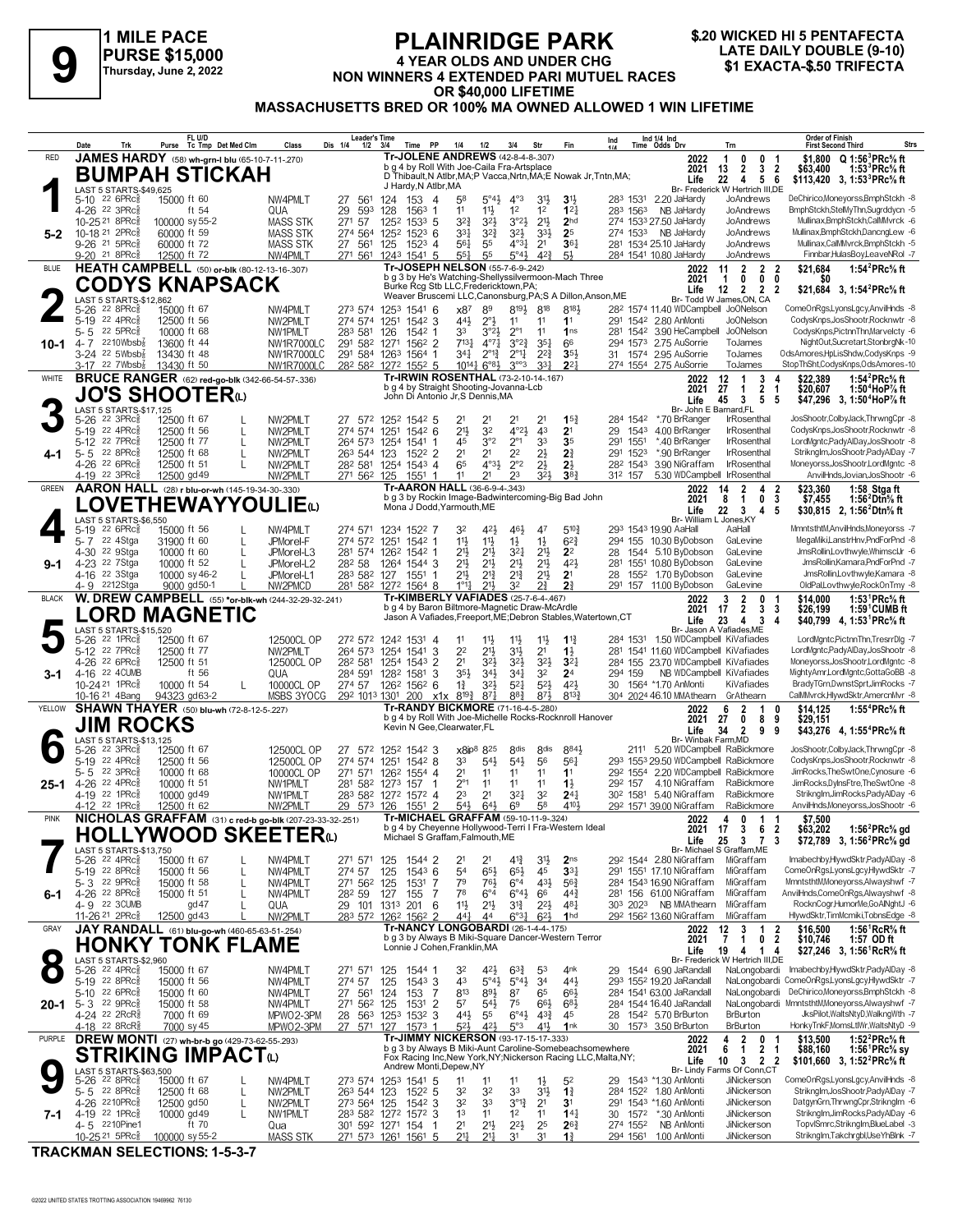

# **PLAINRIDGE PARK 4 YEAR OLDS AND UNDER CHG** NON WINNERS 4 EXTENDED PARI MUTUEL RACES OR \$40,000 LIFETIME<br>MASSACHUSETTS BRED OR 100% MA OWNED ALLOWED 1 WIN LIFETIME

| Ind 1/4 Ind<br>Time Odds Drv<br>Purse Tc Tmp Det Med Clm<br>Dis 1/4<br>Time PP<br>Fin<br>Date<br>Trk<br>Class<br>$1/2$ $3/4$<br>1/4<br>1/2<br>3/4<br>Str                                                                                                                                                                                                                                                                      | <b>Strs</b><br>Trn<br><b>First Second Third</b>                                                                                                                                                                                                        |
|-------------------------------------------------------------------------------------------------------------------------------------------------------------------------------------------------------------------------------------------------------------------------------------------------------------------------------------------------------------------------------------------------------------------------------|--------------------------------------------------------------------------------------------------------------------------------------------------------------------------------------------------------------------------------------------------------|
| Tr-JOLENE ANDREWS (42-8-4-8-307)<br>JAMES HARDY (58) wh-grn-I blu (65-10-7-11-.270)<br><b>RED</b><br>b g 4 by Roll With Joe-Caila Fra-Artsplace<br>BUMPAH STICKAH                                                                                                                                                                                                                                                             | $Q 1:56^3$ PRc% ft<br>2022<br>0<br>0<br>\$1.800<br>1<br>-1<br>$\overline{2}$<br>$\mathbf{3}$<br>$\overline{\mathbf{2}}$<br>2021<br>13<br>\$63,400<br>1:53 ${}^{3}$ PRc ${}^{5}_{8}$ ft                                                                 |
| D Thibault, N Atlbr, MA; P Vacca, Nrtn, MA; E Nowak Jr, Tntn, MA;<br>J Hardy, N Atlbr, MA<br>LAST 5 STARTS-\$49,625<br>5-10 22 6PRc <sup>5</sup><br>NW4PMLT<br>$5^{\circ}4\frac{1}{2}$<br>$4^{\circ}3$<br>3 <sup>1</sup><br>2.20 JaHardy<br>15000 ft 60<br>561<br>124<br>153<br>$\overline{4}$<br>5 <sup>8</sup><br>$3\frac{11}{2}$<br>283 1531<br>27                                                                         | Life<br>22<br>4<br>5<br>- 6<br>\$113,420 3, 1:53 <sup>3</sup> PRc <sup>5</sup> / <sub>8</sub> ft<br>Br- Frederick W Hertrich III,DE<br>DeChirico,Moneyorss,BmphStckh -8<br>JoAndrews                                                                   |
| 11<br>1 <sup>2</sup><br>1 <sup>2</sup><br>4-26 <sup>22</sup> 3PRc<br>29<br>128<br>$11\frac{1}{2}$<br>12 <sub>1</sub><br>ft 54<br>QUA<br>593<br>1563<br>283 1563<br>NB JaHardy<br>-1<br>3 <sup>2</sup><br>2 <sup>11</sup><br>10-25 21 8PRc <sup>5</sup><br><b>MASS STK</b><br>271 57<br>1252<br>$153^3$ 5<br>$3^{2}\frac{3}{4}$<br>$3^{°2}\frac{1}{2}$<br>2 <sub>hd</sub><br>274 1533 27.50 JaHardv<br>100000 sy 55-2          | BmphStckh,StelMyThn,Sugrddycn -5<br>JoAndrews<br>JoAndrews<br>Mullinax,BmphStckh,CalMMvrck -6                                                                                                                                                          |
| 10-18 21 2PRcs<br>3 <sup>31</sup><br>$3^{2}\frac{3}{4}$<br>274 1533 NB JaHardy<br>60000 ft 59<br><b>MASS STK</b><br>274 564<br>1252<br>$152^3$ 6<br>$3^{21}$<br>$3^{3}\frac{1}{2}$<br>2 <sup>5</sup><br>$5 - 2$<br>9-26 21 5PRcs<br>60000 ft 72<br><b>MASS STK</b><br>27 561<br>$152^3$ 4<br>561<br>55<br>$4^{\circ}3\frac{1}{4}$<br>2 <sup>1</sup><br>$36\frac{1}{4}$<br>281 1534 25.10 JaHardy<br>125                       | JoAndrews<br>Mullinax,BmphStckh,DancngLew -6<br>Mullinax,CalMMvrck,BmphStckh -5<br>JoAndrews                                                                                                                                                           |
| $42\frac{3}{4}$<br>9-20 <sup>21</sup> 8PRcs<br>NW4PMLT<br>271 561<br>1541 5<br>$55\frac{1}{4}$<br>55<br>5°4 <sup>3</sup><br>284 1541 10.80 JaHardy<br>12500 ft 72<br>1243<br>$5\frac{1}{2}$<br>Tr-JOSEPH NELSON (55-7-6-9-242)<br>HEATH CAMPBELL (50) or-blk (80-12-13-16-307)<br><b>BLUE</b>                                                                                                                                 | Finnbar,HulasBoy,LeaveNRol -7<br>JoAndrews<br>$\overline{2}$<br>1:54 ${}^{2}$ PRc ${}^{5}_{8}$ ft<br>11<br>$\overline{2}$<br>$\overline{\mathbf{2}}$<br>\$21,684<br>2022                                                                               |
| b g 3 by He's Watching-Shellyssilvermoon-Mach Three<br><b>CODYS KNAPSACK</b><br>Burke Rcg Stb LLC, Fredericktown, PA;                                                                                                                                                                                                                                                                                                         | $\mathbf{0}$<br>0<br>2021<br>$\overline{1}$<br>0<br>SO.<br>Life<br>$\overline{2}$<br>$\overline{\mathbf{2}}$<br>\$21,684 3, 1:54 <sup>2</sup> PRc <sup>5</sup> / <sub>8</sub> ft<br>12<br>$\overline{2}$                                               |
| Weaver Bruscemi LLC, Canonsburg, PA; S A Dillon, Anson, ME<br>LAST 5 STARTS-\$12,862<br>8194<br>22 8PRc<br>15000 ft 67<br>x87<br>89<br>818<br>8183<br>28 <sup>2</sup> 1574 11.40 WDCampbell JoONelson<br>5-26<br>NW4PMLT<br>273 574 1253<br>1541 6                                                                                                                                                                            | Br- Todd W James, ON, CA<br>ComeOnRasLvonsLacv.AnvilHnds -8                                                                                                                                                                                            |
| 22 4PRc <sup>5</sup><br>NW2PMLT<br>274 574<br>44}<br>$2^{\circ}$<br>1542 2.80 AnMonti<br>$5-19$<br>12500 ft 56<br>1251<br>$154^2$ 3<br>11<br>11<br>11<br>291<br>22 5PRc <sup>5</sup><br>33<br>$2^{\circ}1$<br>$5 - 5$<br>283 581<br>11<br>10000 ft 68<br>NW1PMLT<br>126<br>1542<br>$3^{o_2}3$<br>1 <sub>ns</sub><br>281                                                                                                       | CodysKnps, JosShootr, Rocknwtr -8<br>Jo0Nelson<br>CodysKnps, PictnnThn, Marvelcty -6<br>1542 3.90 HeCampbell JoONelson                                                                                                                                 |
| 4-7 $2210Wbsb\frac{7}{8}$<br>13600 ft 44<br>291 582 1271<br>1562 2<br>$7^{13}\frac{1}{4}$<br>$4^{\circ}7\frac{1}{4}$<br>$3^{°2}$<br>$35\frac{1}{4}$<br>66<br>2.75 AuSorrie<br>NW1R7000LC<br>294 1573<br>$10 - 1$<br>$3-24$ 22 5Wbsb $\frac{7}{8}$<br>$2^{2^{3}}$<br>31 1574 2.95 AuSorrie<br>13430 ft 48<br>291 584 1263<br>1564 1<br>$34\frac{1}{4}$<br>$2^{012}$<br>$2^{\circ}1\frac{1}{4}$<br>3 <sub>5</sub><br>NW1R7000LC | NightOut,Sucretart,StonbrgNk-10<br>ToJames<br>OdsAmores,HpLisShdw,CodysKnps -9<br>ToJames                                                                                                                                                              |
| $3-17$ 22 7Wbsb $\frac{1}{8}$<br>13430 ft 50<br><b>NW1R7000LC</b><br>28 <sup>2</sup> 58 <sup>2</sup> 127 <sup>2</sup> 155 <sup>2</sup> 5<br>$10^{14}\frac{1}{4}6^{8}\frac{1}{2}$<br>$3^{\circ\circ}3$<br>331<br>$2^{2}$<br>274 1554 2.75 AuSorrie<br>Tr-IRWIN ROSENTHAL (73-2-10-14-.167)<br><b>BRUCE RANGER</b> (62) red-go-blk (342-66-54-57-.336)<br>WHITE                                                                 | StopThSht,CodysKnps,OdsAmores-10<br>ToJames<br>1:54 ${}^{2}$ PRc ${}^{5}_{8}$ ft<br>12<br>$\mathbf{1}$<br>3<br>\$22.389<br>2022<br>4                                                                                                                   |
| b g 4 by Straight Shooting-Jovanna-Lcb<br><b>JO'S SHOOTER</b><br>John Di Antonio Jr, S Dennis, MA                                                                                                                                                                                                                                                                                                                             | 2021<br>27<br>1<br>2<br>1<br>\$20,607<br>1:50 <sup>4</sup> HoP% ft<br>Life<br>45<br>3<br>5<br>-5<br>\$47,296 3, 1:50 <sup>4</sup> HoP% ft                                                                                                              |
| LAST 5 STARTS-\$17,125<br>5-26 22 3PRc <sup>5</sup><br>12500 ft 67<br>15 <sub>1</sub><br>284 1542<br>*.70 BrRanger<br>NW2PMLT<br>27 572 1252 1542 5<br>21<br>21<br>21<br>2 <sup>1</sup>                                                                                                                                                                                                                                       | Br- John E Barnard, FL<br>JosShootr,ColbyJack,ThrwngCpr -8<br><b>IrRosenthal</b>                                                                                                                                                                       |
| $4^{\circ}2\frac{1}{2}$<br>5-19 22 4PRc<br>12500 ft 56<br>2 <sup>1</sup><br>3 <sup>2</sup><br>4 <sup>3</sup><br>2 <sup>1</sup><br>1543 4.00 BrRanger<br>NW2PMLT<br>274 574<br>1251<br>1542 6<br>29<br>$2^{\circ}1$<br>5-12 22 7PRc<br>3°2<br>33<br>35<br>45<br>1551<br>*.40 BrRanger<br>12500 ft 77<br>L<br>NW2PMLT<br>264 573<br>1254<br>1541<br>291<br>1                                                                    | CodysKnps, JosShootr, Rocknwtr -8<br><b>IrRosenthal</b><br>LordMgntc,PadyAlDay,JosShootr -8<br>IrRosenthal                                                                                                                                             |
| 2 <sup>1</sup><br>2 <sup>2</sup><br>$2\frac{1}{2}$<br>2 <sup>3</sup><br>$5 - 5$ 22 8PRc<br>263 544 123<br>2 <sup>1</sup><br>291 1523<br>*.90 BrRanger<br>12500 ft 68<br>L<br>NW2PMLT<br>$152^2$ 2<br>4-1<br>$4^{\circ}3\frac{1}{2}$<br>$2^{\circ}2$<br>$2\frac{1}{2}$<br>2 <sub>2</sub><br>4-26 22 6PRc<br>12500 ft 51<br>NW2PMLT<br>282 581<br>1254 1543 4<br>65<br>282 1543<br>3.90 NiGraffam<br>L                          | Striknglm, JosShootr, PadyAlDay -7<br>IrRosenthal<br>IrRosenthal<br>Moneyorss, JosShootr, LordMgntc -8                                                                                                                                                 |
| $4-19$ 22 3PRc $\frac{5}{8}$<br>323<br>38 <sub>1</sub><br>312 157<br>12500 gd 49<br>NW2PMLT<br>271 562 125<br>11<br>21<br>23<br>1551<br>-1<br>Tr-AARON HALL (36-6-9-4-.343)<br>AARON HALL (28) r blu-or-wh (145-19-34-30-.330)<br>GREEN                                                                                                                                                                                       | 5.30 WDCampbell IrRosenthal<br>AnvilHnds.Jovian.JosShootr -6<br>\$23,360<br>14<br>2<br>4<br>1:58 Stga ft<br>2022<br>-2                                                                                                                                 |
| b g 3 by Rockin Image-Badwintercoming-Big Bad John<br><b>LOVETHEWAYYOULIE</b> W<br>Mona J Dodd, Yarmouth, ME                                                                                                                                                                                                                                                                                                                  | 2021<br>8<br>$\overline{1}$<br>3<br>0<br>\$7,455<br>1:56 $2$ Dtn $\%$ ft<br>22<br>4 <sub>5</sub><br>Life<br>$_{3}$<br>\$30,815 2, 1:56 <sup>2</sup> Dtn <sup>5</sup> / <sub>8</sub> ft                                                                 |
| LAST 5 STARTS-\$6,550<br>$226$ PRc $\frac{5}{8}$<br>15000 ft 56<br>NW4PMLT<br>274 571 1234<br>1522 7<br>32<br>46}<br>47<br>$5^{10}$<br>293 1543 19.90 AaHal<br>5-19<br>421                                                                                                                                                                                                                                                    | Br- William L Jones.KY<br>AaHall<br>MmntsthtM,AnvilHnds,Moneyorss -7                                                                                                                                                                                   |
| 22 4Stga<br>11}<br>294 155 10.30 ByDobson<br>31900 ft 60<br>JPMorel-F<br>274 572 1251<br>1542 1<br>$11\frac{1}{2}$<br>$1\frac{1}{2}$<br>$1\frac{1}{2}$<br>$6^{2}\frac{3}{4}$<br>5-7<br>4-30 22 9Stga<br>10000 ft 60<br>281 574 1262 1542 1<br>21}<br>$21\frac{1}{2}$<br>2 <sup>11</sup><br>2 <sup>2</sup><br>1544 5.10 ByDobson<br>JPMorel-L3<br>$3^{21}$<br>28                                                               | MegaMiki,LanstrHnv,PndForPnd -8<br>GaLevine<br>GaLevine<br>JmsRollin,Lovthwyle,WhimscIJr -6                                                                                                                                                            |
| $21\frac{1}{2}$<br>2 <sup>1</sup><br>2 <sup>11</sup><br>423<br>4-23 <sup>22</sup> 7Stga<br>282 58<br>2 <sup>1</sup><br>1551 10.80 ByDobson<br>10000 ft 52<br>JPMorel-L2<br>1264<br>1544 3<br>281<br>$9 - 1$<br>21}<br>$2^{13}$<br>$2^{13}$<br>2 <sup>11</sup><br>2 <sup>1</sup><br>4-16 <sup>22</sup> 3Stga<br>155 <sup>2</sup> 1.70 ByDobson<br>10000 sy 46-2<br>JPMorel-L1<br>283 582 127<br>1551<br>28                     | JmsRollin, Kamara, PndForPnd -7<br>GaLevine<br>GaLevine<br>JmsRollin,Lovthwyle,Kamara -8                                                                                                                                                               |
| $1^{\circ}1_{1}^{1}$<br>2 <sup>3</sup><br>4-9 2212Stga<br>9000 gd50-1<br>NW2PMCD<br>281 582 1272 1564 8<br>$21\frac{1}{2}$<br>3 <sup>2</sup><br>27<br>291 157 11.00 ByDobson<br>W. DREW CAMPBELL (55) *or-blk-wh (244-32-29-32-.241)<br><b>Tr-KIMBERLY VAFIADES (25-7-6-4-.467)</b><br><b>BLACK</b>                                                                                                                           | GaLevine<br>OldPal,Lovthwyle,RockOnTmy -8<br>$\mathbf{2}$<br>1:53 <sup>1</sup> PRc <sup>5</sup> / <sub>8</sub> ft<br>2022<br>3<br>0<br>\$14,000                                                                                                        |
| b g 4 by Baron Biltmore-Magnetic Draw-McArdle<br><b>LORD MAGNETIC</b><br>Jason A Vafiades, Freeport, ME; Debron Stables, Watertown, CT                                                                                                                                                                                                                                                                                        | 17<br>$\mathbf{2}$<br>2021<br>3<br>\$26,199<br>$1:59^{\circ}$ CUMB ft<br>3<br>Life<br>23<br>4<br>3<br>4<br>\$40,799 4, 1:53 PRc <sup>5</sup> / <sub>8</sub> ft                                                                                         |
| LAST 5 STARTS-\$15,520<br>12500CL OP<br>272 572 1242 1531 4<br>22 1PRc3<br>12500 ft 67<br>$11\frac{1}{2}$<br>11<br>$1\frac{13}{4}$<br>284 1531 1.50 WDCampbell KiVafiades<br>5-26<br>11<br>$11\frac{1}{2}$                                                                                                                                                                                                                    | Br- Jason A Vafiades, ME<br>LordMgntc,PictnnThn,TresrrDlg -7                                                                                                                                                                                           |
| $2^{11}$<br>5-12 <sup>22</sup> 7PRc<br>NW2PMLT<br>3<br>2 <sup>2</sup><br>3 <sup>1</sup><br>2 <sup>1</sup><br>$1\frac{1}{2}$<br>281 1541 11.60 WDCampbell KiVafiades<br>12500 ft 77<br>264 573<br>1254<br>1541<br>4-26 22 6PRc <sup>5</sup><br>2 <sup>1</sup><br>284 155 23.70 WDCampbell KiVafiades<br>12500 ft 51<br>12500CL OP<br>282 581<br>1254 1543 2<br>323<br>$3^{21}$<br>$3^{2}$<br>3 <sup>2</sup>                    | LordMgntc,PadyAlDay,JosShootr -8<br>Moneyorss,JosShootr,LordMgntc -8                                                                                                                                                                                   |
| ft 56<br>4-16 22 4CUMB<br>284 591<br>$35\frac{1}{2}$<br>$34\frac{1}{2}$<br>34 <sup>1</sup><br>3 <sup>2</sup><br>2 <sup>4</sup><br>294 159<br>3-1<br>QUA<br>1282 1581<br>3<br>$5^{2}$<br>10-24 21 1PRc <sup>5</sup><br>$3^{21}$<br>$5^{21}$<br>$4^{2}$<br>274 57<br>126 <sup>2</sup> 156 <sup>2</sup> 6<br>1564 *1.70 AnMonti<br>10000 ft 54<br>10000CL OP<br>$1\frac{3}{4}$<br>30<br>L                                        | NB WDCampbell KiVafiades<br>MightyAmr,LordMgntc,GottaGoBB -8<br>BradyTGrn,DwnstSprt,JimRocks -7<br>KiVafiades                                                                                                                                          |
| MSBS 3YOCG<br>$87\frac{1}{4}$<br>883<br>8133<br>10-16 <sup>21</sup> 4Bang<br>94323 gd63-2<br>292 1013 1301<br>$x1x$ $8^{19}\frac{3}{4}$<br>873<br>304 2024 46.10 MMAthearn<br>200<br>Tr-RANDY BICKMORE (71-16-4-5-280)<br><b>SHAWN THAYER</b> (50) blu-wh (72-8-12-5-227)<br>YELLOW                                                                                                                                           | CalMMvrck, HlywdSktr, AmercnMvr -8<br>GrAthearn<br>6<br>$\overline{2}$<br>\$14,125<br>1:55 ${}^4$ PRc ${}^5\!\!$ ft<br>2022<br>1<br>0                                                                                                                  |
| b g 4 by Roll With Joe-Michelle Rocks-Rocknroll Hanover<br>JIM ROCKS<br>Kevin N Gee, Clearwater, FL                                                                                                                                                                                                                                                                                                                           | \$29,151<br>2021<br>27<br>0<br>8<br>9<br>Life<br>34<br>$\overline{2}$<br>9<br>9<br>\$43.276 4.1:55 <sup>4</sup> PRc <sup>5</sup> / <sub>8</sub> ft                                                                                                     |
| LAST 5 STARTS-\$13,125<br>$22$ 3PR $c_{8}$<br>8 <sub>dis</sub><br><b>8dis</b><br>8841<br>12500 ft 67<br>12500CL OP<br>27 572 1252 1542 3<br>x8ip <sup>8</sup> 825<br>5-26<br>5-19 22 4PRc<br>$5^{4}$<br>56<br>12500CL OP<br>274 574<br>33<br>56 <sub>1</sub><br>12500 ft 56<br>1251<br>$154^2$ 8<br>$5^{4}$                                                                                                                   | Br- Winbak Farm, MD<br>JosShootr,ColbyJack,ThrwngCpr -8<br>2111 5.20 WDCampbell RaBickmore<br>CodysKnps, JosShootr, Rocknwtr -8<br>293 1553 29.50 WDCampbell RaBickmore                                                                                |
| 5-5<br>$22 \t3PRc8$<br>10000 ft 68<br>10000CL OP<br>271 571<br>2 <sup>1</sup><br>11<br>11<br>1 <sup>1</sup><br>1262<br>1554 4<br>11<br>22 4PRc<br>4.10 NiGraffam<br>292 157                                                                                                                                                                                                                                                   | 292 1554 2.20 WDCampbell RaBickmore<br>JimRocks, The SwtOne, Cynosure -6<br>RaBickmore<br>JimRocks.DvlnsFtre.TheSwtOne -8                                                                                                                              |
| 4-26<br>10000 ft 51<br>NW1PMLT<br>281 582 1273<br>$2^{\circ_1}$<br>11<br>11<br>11<br>$1\frac{1}{2}$<br>157<br>25-1<br>22 1PRc3<br>10000 gd 49<br>283 582 1272 1572 4<br>23<br>2 <sup>1</sup><br>321<br>32<br>24 <sub>1</sub><br>30 <sup>2</sup> 1581<br>5.40 NiGraffam<br>4-19<br>NW1PMLT                                                                                                                                     | Striknglm,JimRocks,PadyAlDay -6<br>RaBickmore<br>AnvilHnds, Moneyorss, JosShootr -6                                                                                                                                                                    |
| 58<br>4104<br>4-12 22 1PRc <sup>5</sup><br>NW2PMLT<br>1551 2<br>$54\frac{1}{2}$<br>$64\frac{1}{2}$<br>6 <sup>9</sup><br>292 1571 39.00 NiGraffam<br>12500 ft 62<br>29 573 126<br>Tr-MICHAEL GRAFFAM (59-10-11-9-324)<br>NICHOLAS GRAFFAM (31) c red-b go-blk (207-23-33-32-.251)<br><b>PINK</b>                                                                                                                               | RaBickmore<br>2022<br>$\mathbf 0$<br>\$7,500<br>4<br>$1 \quad 1$                                                                                                                                                                                       |
| b g 4 by Cheyenne Hollywood-Terri I Fra-Western Ideal<br>HOLLYWOOD SKEETERധ<br>Michael S Graffam, Falmouth, ME                                                                                                                                                                                                                                                                                                                | 6<br>3<br>2021 17<br>$\overline{\mathbf{2}}$<br>1:56 ${}^{\prime}$ PRc ${}^{\prime\prime}$ s gd<br>\$63,202<br>25<br>Life<br>3<br>$\overline{7}$<br>3<br>\$72,789 3, 1:56 <sup>2</sup> PRc <sup>5</sup> / <sub>8</sub> gd<br>Br- Michael S Graffam, ME |
| LAST 5 STARTS-\$13,750<br>5-26 22 4PRc <sup>5</sup><br>15000 ft 67<br>29 <sup>2</sup> 1544 2.80 NiGraffam<br>NW4PMLT<br>271 571<br>125<br>1544 2<br>2 <sup>1</sup><br>2 <sup>1</sup><br>$4^{13}$<br>3 <sup>1</sup><br>2 <sub>ns</sub><br>1543 6<br>54<br>$65\frac{1}{2}$<br>$65\frac{1}{2}$<br>45<br>5-19 22 8PRc<br>274 57<br>125<br>33 <sub>1</sub><br>15000 ft 56<br>NW4PMLT<br>291 1551 17.10 NiGraffam<br>L              | Imabechby.HlywdSktr,PadyAlDay -8<br>MiGraffam<br>ComeOnRgs,LyonsLgcy,HlywdSktr -7<br>MiGraffam                                                                                                                                                         |
| 79<br>431<br>5-3 22 9PRc<br>271 562 125<br>761<br>$6^{\circ}4$<br>$56\frac{3}{4}$<br>15000 ft 58<br>1531<br>7<br>284 1543 16.90 NiGraffam<br>L<br>NW4PMLT<br>78<br>4-26 <sup>22</sup> 8PRc <sup>3</sup><br>15000 ft 51<br>NW4PMLT<br>282 59<br>127<br>155<br>7<br>$6^{\circ}4$<br>$6^\circ 4\frac{1}{2}$<br>66<br>$44\frac{3}{4}$<br>281 156 61.00 NiGraffam<br>6-1<br>L                                                      | MmntsthtM,Moneyorss,Alwayshwf -7<br>MiGraffam<br>AnvilHnds,ComeOnRgs,Alwayshwf -8<br>MiGraffam                                                                                                                                                         |
| 4-9 22 3CUMB<br>303 2023 NB MMAthearn<br>gd47<br>29 101 1313 201<br>11}<br>2 <sup>11</sup><br>$3^{13}$<br>$2^{2}$<br>48 <sub>1</sub><br>QUA<br>6<br>292 1562 13.60 NiGraffam<br>11-26 21 2PRc <sup>3</sup><br>12500 gd 43<br>283 572 1262 1562 2<br>$44\frac{1}{4}$<br>$6^{\circ}31$<br>$6^{2}$<br>1 <sub>hd</sub><br>44                                                                                                      | RocknCogr,HumorMe,GoAlNghtJ -6<br>MiGraffam<br>HlywdSktr,TimMcmiki,TobnsEdge -8<br>MiGraffam                                                                                                                                                           |
| NW2PMLT<br><b>Tr-NANCY LONGOBARDI (26-1-4-4-.175)</b><br>JAY RANDALL (61) blu-go-wh (460-65-63-51-.254)<br>GRAY<br>b g 3 by Always B Miki-Square Dancer-Western Terror                                                                                                                                                                                                                                                        | $\overline{\mathbf{2}}$<br>1:56 <sup>1</sup> RcR <sup>5</sup> / <sub>8</sub> ft<br>12<br>3<br>1<br>\$16,500<br>2022<br>$\overline{2}$<br>1                                                                                                             |
| <b>HONKY TONK FLAME</b><br>Lonnie J Cohen, Franklin, MA<br>LAST 5 STARTS-\$2,960                                                                                                                                                                                                                                                                                                                                              | 2021<br>7<br>0<br>\$10,746<br>1:57 OD ft<br>19<br>4<br>\$27,246 3, 1:56 <sup>1</sup> RcR <sup>5</sup> / <sub>8</sub> ft<br>Life<br>14<br>Br- Frederick W Hertrich III,DE                                                                               |
| 5-26 22 4PRc <sup>5</sup><br>15000 ft 67<br>271 571<br>29 1544 6.90 JaRandall<br>NW4PMLT<br>125<br>1544 1<br>32<br>$63\frac{3}{4}$<br>53<br>4 <sup>nk</sup><br>$42\frac{1}{2}$<br>5-19 22 8PRc3<br>15000 ft 56<br>274 57<br>125<br>1543 3<br>43<br>$5^{\circ}4\frac{1}{2}$<br>$5^{\circ}4\frac{1}{2}$<br>3 <sup>4</sup><br>443<br>293 1552 19.20 JaRandall<br>NW4PMLT                                                         | Imabechby,HlywdSktr,PadyAlDay -8<br>NaLongobardi<br>ComeOnRgs,LyonsLgcy,HlywdSktr -7<br>NaLongobardi                                                                                                                                                   |
| 5-10 22 6PRc3<br>27 561<br>813<br>891<br>65<br>15000 ft 60<br>124<br>153<br>7<br>87<br>66}<br>284 1541 63.00 JaRandall<br>NW4PMLT<br>5-3 22 9PRcs<br>$\overline{2}$<br>57<br>$5^{4}$<br>75<br>683<br>284 1544 16.40 JaRandall<br>15000 ft 58<br>271 562 125<br>1531<br>$66\frac{1}{2}$<br>20-1<br>NW4PMLT                                                                                                                     | DeChirico,Moneyorss,BmphStckh -8<br>NaLongobardi<br>NaLongobardi MmntsthtM,Moneyorss,Alwayshwf -7                                                                                                                                                      |
| 4-24 22 2RcR<br>MPWO2-3PM<br>1253<br>1532<br>443<br>55<br>$6^\circ 4\frac{1}{2}$<br>$4^{3}\frac{3}{4}$<br>1542 5.70 BrBurton<br>7000 ft 69<br>28<br>563<br>3<br>45<br>28<br>27 571 127<br>30 1573 3.50 BrBurton<br>4-18 22 8RcR <sup>§</sup><br>7000 sy 45<br>MPWO2-3PM<br>$5^{2}$<br>421<br>5°3<br>41}<br>1nk<br>$1573$ 1                                                                                                    | JksPilot, WaltsNtyD, WalkngWth -7<br><b>BrBurton</b><br><b>BrBurton</b><br>HonkyTnkF,MomsLtIWr,WaltsNtyD -9                                                                                                                                            |
| Tr-JIMMY NICKERSON (93-17-15-17-333)<br><b>DREW MONTI</b> (27) wh-br-b go (429-73-62-55-293)<br>PURPLE<br>b g 3 by Always B Miki-Aunt Caroline-Somebeachsomewhere                                                                                                                                                                                                                                                             | $\overline{\mathbf{2}}$<br>4<br>\$13,500<br>1:52 ${}^{2}$ PRc ${}^{5}$ ft<br>$\mathbf{0}$<br>2022<br>-1<br>$\mathbf{1}$                                                                                                                                |
| <b>STRIKING IMPACT</b> W<br>Fox Racing Inc, New York, NY; Nickerson Racing LLC, Malta, NY;<br>Andrew Monti, Depew, NY<br>LAST 5 STARTS-\$63,500                                                                                                                                                                                                                                                                               | 2021<br>$\mathbf{2}$<br>\$88,160<br>6<br>$\overline{1}$<br>1:56 ${}^1$ PRc ${}^5\! s$ sy<br>10<br>$3 \quad 2 \quad 2$<br>\$101,660 3, 1:52 <sup>2</sup> PRc <sup>5</sup> / <sub>8</sub> ft<br>Life<br>Br- Lindy Farms Of Conn,CT                       |
| $5-26$ 22 8PRc $\frac{5}{8}$<br>273 574 1253 1541 5<br>29 1543 *1.30 AnMonti<br>15000 ft 67<br>NW4PMLT<br>11<br>11<br>11<br>5 <sup>2</sup><br>$1\frac{1}{2}$<br>5-5 22 8PRcs<br>32<br>33<br>284 1522 1.80 AnMonti<br>12500 ft 68<br>NW2PMLT<br>263 544 123<br>1522 5<br>32<br>3 <sup>1</sup><br>$1\frac{3}{4}$<br>L                                                                                                           | JiNickerson<br>ComeOnRgs,LyonsLgcy,AnvilHnds -8<br>Striknglm, JosShootr, PadyAlDay -7<br>JiNickerson                                                                                                                                                   |
| 4-26 2210PRc<br>12500 gd50<br>273 564 125<br>32<br>33<br>$3^{012}$<br>2 <sup>1</sup><br>3 <sup>1</sup><br>291 1543 *1.60 AnMonti<br>NW2PMLT<br>$154^2$ 3<br>L<br>1 <sup>3</sup><br>4-19 22 1PRcs<br>283 582 1272 1572 3<br>11<br>$14\frac{1}{4}$<br>*.30 AnMonti<br>10000 gd 49<br>NW1PMLT<br>11<br>1 <sup>2</sup><br>30<br>1572<br>7-1<br>L                                                                                  | DatgynGrn, ThrwngCpr, Striknglm -6<br>JiNickerson<br>Striknglm,JimRocks,PadyAlDay -6<br>JiNickerson                                                                                                                                                    |
| 2 <sup>1</sup><br>2 <sup>11</sup><br>25<br>4-5 2210Pine1<br>ft 70<br>$2^{2}\frac{1}{2}$<br>$2^{6}$<br>301 592 1271 154<br>274 1552<br>NB AnMonti<br>Qua<br>2 <sup>11</sup><br>10-25 <sup>21</sup> 5PRc <sup>5</sup><br><b>MASS STK</b><br>271 573 1261 1561 5<br>2 <sup>11</sup><br>31<br>31<br>294 1561<br>1.00 AnMonti<br>100000 sy 55-2<br>$1\frac{3}{4}$                                                                  | TopvlSmrc,Striknglm,BlueLabel -3<br>JiNickerson<br>Striknglm,Takchrgbl,UseYhBlnk -7<br>JiNickerson                                                                                                                                                     |

**TRACKMAN SELECTIONS: 1-5-3-7**